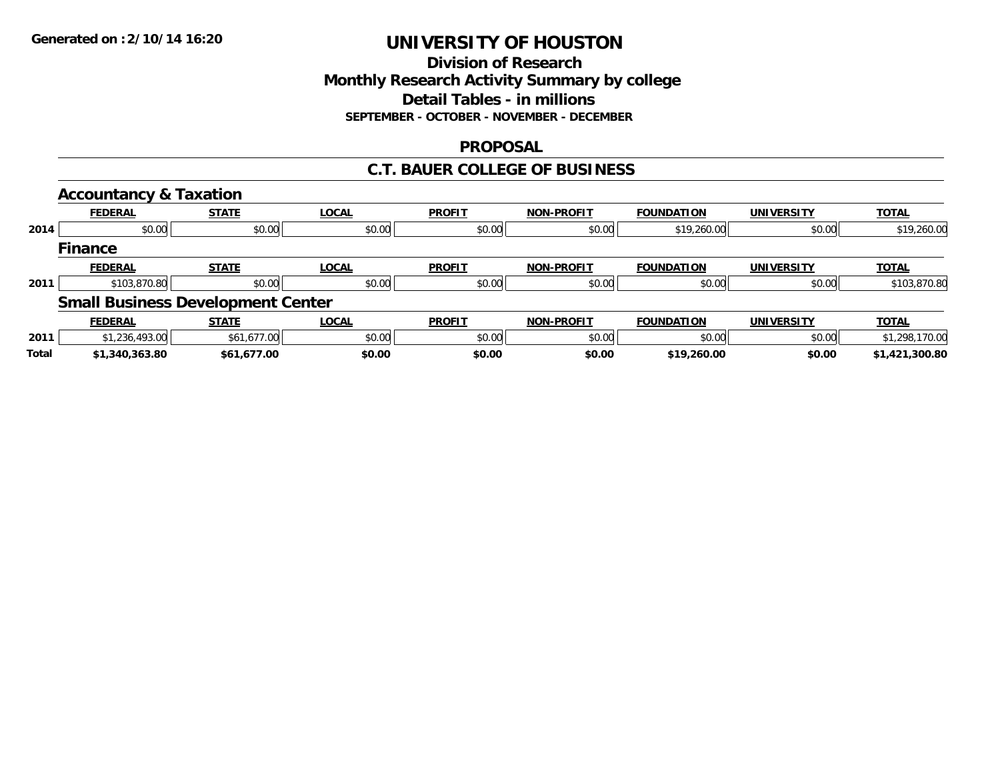# **Division of ResearchMonthly Research Activity Summary by college Detail Tables - in millions SEPTEMBER - OCTOBER - NOVEMBER - DECEMBER**

### **PROPOSAL**

### **C.T. BAUER COLLEGE OF BUSINESS**

|              | <b>Accountancy &amp; Taxation</b>        |              |              |               |                   |                   |                   |                |
|--------------|------------------------------------------|--------------|--------------|---------------|-------------------|-------------------|-------------------|----------------|
|              | <b>FEDERAL</b>                           | <b>STATE</b> | <b>LOCAL</b> | <b>PROFIT</b> | <b>NON-PROFIT</b> | <b>FOUNDATION</b> | <b>UNIVERSITY</b> | <b>TOTAL</b>   |
| 2014         | \$0.00                                   | \$0.00       | \$0.00       | \$0.00        | \$0.00            | \$19,260.00       | \$0.00            | \$19,260.00    |
|              | <b>Finance</b>                           |              |              |               |                   |                   |                   |                |
|              | <b>FEDERAL</b>                           | <b>STATE</b> | <b>LOCAL</b> | <b>PROFIT</b> | <b>NON-PROFIT</b> | <b>FOUNDATION</b> | <b>UNIVERSITY</b> | <b>TOTAL</b>   |
| 2011         | \$103,870.80                             | \$0.00       | \$0.00       | \$0.00        | \$0.00            | \$0.00            | \$0.00            | \$103,870.80   |
|              | <b>Small Business Development Center</b> |              |              |               |                   |                   |                   |                |
|              | <b>FEDERAL</b>                           | <b>STATE</b> | <b>LOCAL</b> | <b>PROFIT</b> | <b>NON-PROFIT</b> | <b>FOUNDATION</b> | <b>UNIVERSITY</b> | <b>TOTAL</b>   |
| 2011         | \$1,236,493.00                           | \$61,677.00  | \$0.00       | \$0.00        | \$0.00            | \$0.00            | \$0.00            | \$1,298,170.00 |
| <b>Total</b> | \$1,340,363.80                           | \$61,677.00  | \$0.00       | \$0.00        | \$0.00            | \$19,260.00       | \$0.00            | \$1,421,300.80 |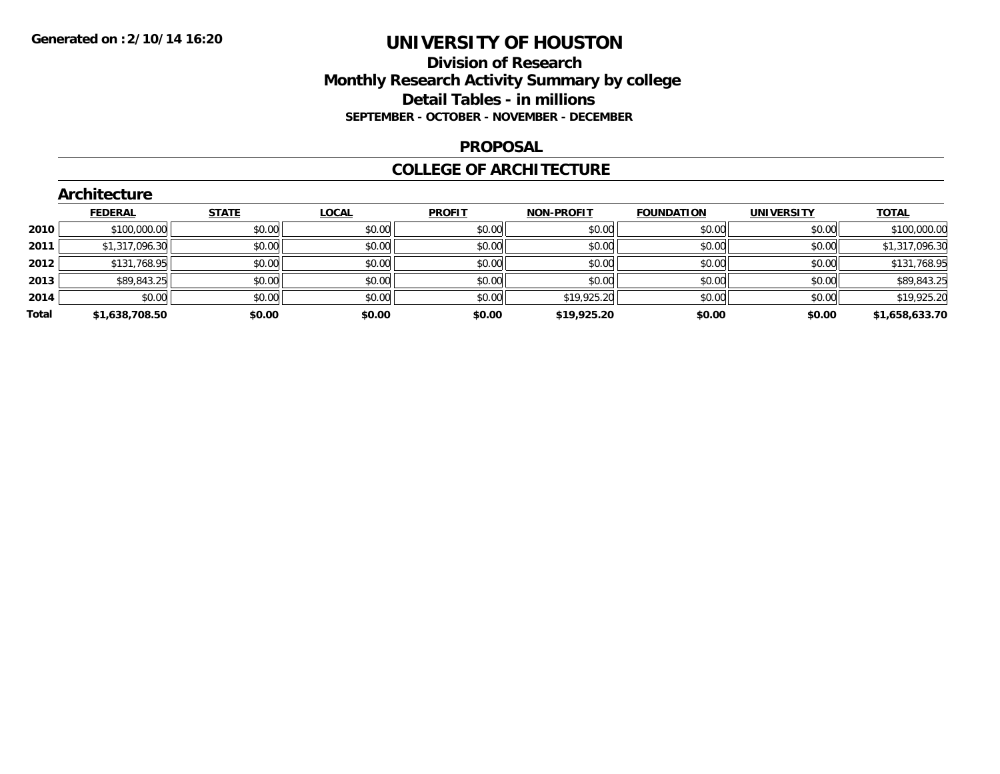### **Division of Research Monthly Research Activity Summary by college Detail Tables - in millions SEPTEMBER - OCTOBER - NOVEMBER - DECEMBER**

#### **PROPOSAL**

#### **COLLEGE OF ARCHITECTURE**

|       | Architecture   |              |              |               |                   |                   |                   |                |  |  |  |
|-------|----------------|--------------|--------------|---------------|-------------------|-------------------|-------------------|----------------|--|--|--|
|       | <b>FEDERAL</b> | <b>STATE</b> | <b>LOCAL</b> | <b>PROFIT</b> | <b>NON-PROFIT</b> | <b>FOUNDATION</b> | <b>UNIVERSITY</b> | <b>TOTAL</b>   |  |  |  |
| 2010  | \$100,000.00   | \$0.00       | \$0.00       | \$0.00        | \$0.00            | \$0.00            | \$0.00            | \$100,000.00   |  |  |  |
| 2011  | \$1,317,096.30 | \$0.00       | \$0.00       | \$0.00        | \$0.00            | \$0.00            | \$0.00            | \$1,317,096.30 |  |  |  |
| 2012  | \$131,768.95   | \$0.00       | \$0.00       | \$0.00        | \$0.00            | \$0.00            | \$0.00            | \$131,768.95   |  |  |  |
| 2013  | \$89,843.25    | \$0.00       | \$0.00       | \$0.00        | \$0.00            | \$0.00            | \$0.00            | \$89,843.25    |  |  |  |
| 2014  | \$0.00         | \$0.00       | \$0.00       | \$0.00        | \$19,925.20       | \$0.00            | \$0.00            | \$19,925.20    |  |  |  |
| Total | \$1,638,708.50 | \$0.00       | \$0.00       | \$0.00        | \$19,925.20       | \$0.00            | \$0.00            | \$1,658,633.70 |  |  |  |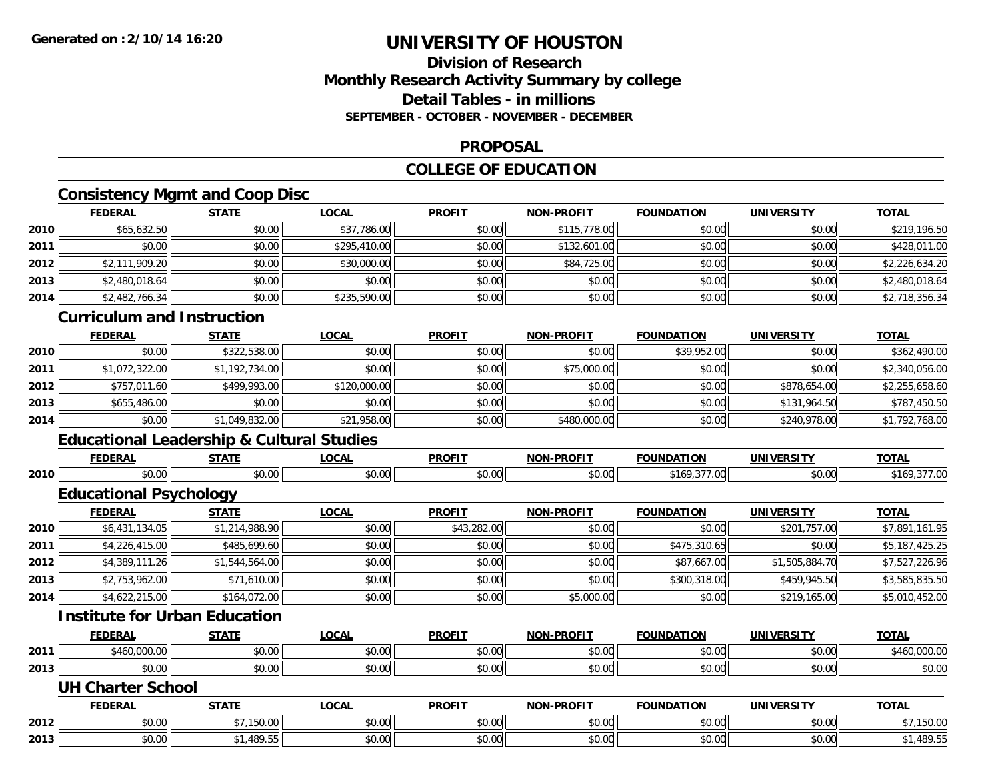# **Division of ResearchMonthly Research Activity Summary by college Detail Tables - in millionsSEPTEMBER - OCTOBER - NOVEMBER - DECEMBER**

#### **PROPOSAL**

# **COLLEGE OF EDUCATION**

# **Consistency Mgmt and Coop Disc**

|      | <b>FEDERAL</b>                    | <b>STATE</b> | <u>LOCAL</u> | <b>PROFIT</b> | <b>NON-PROFIT</b> | <b>FOUNDATION</b> | <b>UNIVERSITY</b> | <b>TOTAL</b>   |
|------|-----------------------------------|--------------|--------------|---------------|-------------------|-------------------|-------------------|----------------|
| 2010 | \$65,632.50                       | \$0.00       | \$37,786.00  | \$0.00        | \$115,778.00      | \$0.00            | \$0.00            | \$219,196.50   |
| 2011 | \$0.00                            | \$0.00       | \$295,410.00 | \$0.00        | \$132,601.00      | \$0.00            | \$0.00            | \$428,011.00   |
| 2012 | \$2,111,909.20                    | \$0.00       | \$30,000.00  | \$0.00        | \$84,725.00       | \$0.00            | \$0.00            | \$2,226,634.20 |
| 2013 | \$2,480,018.64                    | \$0.00       | \$0.00       | \$0.00        | \$0.00            | \$0.00            | \$0.00            | \$2,480,018.64 |
| 2014 | \$2,482,766.34                    | \$0.00       | \$235,590.00 | \$0.00        | \$0.00            | \$0.00            | \$0.00            | \$2,718,356.34 |
|      | <b>Curriculum and Instruction</b> |              |              |               |                   |                   |                   |                |

# **Curriculum and Instruction**

|      | <b>FEDERAL</b> | <u>STATE</u>   | <u>LOCAL</u> | <u>PROFIT</u> | <b>NON-PROFIT</b> | <b>FOUNDATION</b> | UNIVERSITY   | <u>TOTAL</u>   |
|------|----------------|----------------|--------------|---------------|-------------------|-------------------|--------------|----------------|
| 2010 | \$0.00         | \$322,538.00   | \$0.00       | \$0.00        | \$0.00            | \$39,952.00       | \$0.00       | \$362,490.00   |
| 2011 | \$1,072,322.00 | \$1,192,734.00 | \$0.00       | \$0.00        | \$75,000.00       | \$0.00            | \$0.00       | \$2,340,056.00 |
| 2012 | \$757,011.60   | \$499,993.00   | \$120,000.00 | \$0.00        | \$0.00            | \$0.00            | \$878,654.00 | \$2,255,658.60 |
| 2013 | \$655,486.00   | \$0.00         | \$0.00       | \$0.00        | \$0.00            | \$0.00            | \$131,964.50 | \$787,450.50   |
| 2014 | \$0.00         | \$1,049,832.00 | \$21,958.00  | \$0.00        | \$480,000.00      | \$0.00            | \$240,978,00 | \$1,792,768.00 |

# **Educational Leadership & Cultural Studies**

|      | FEDERAL                | <b>STATE</b>          | <u>LOCAL</u>  | <b>PROFIT</b>                         | <b>NON-PROFIT</b> | <b>FOUNDATION</b> | <b>UNIVERSITY</b> | <b>TOTAL</b>   |
|------|------------------------|-----------------------|---------------|---------------------------------------|-------------------|-------------------|-------------------|----------------|
| 2010 | \$0.00                 | \$0.00                | \$0.00        | \$0.00                                | \$0.00            | \$169,377,00      | \$0.00            | \$169,377.00   |
|      | Educational Psychology |                       |               |                                       |                   |                   |                   |                |
|      | <b>FEDERAL</b>         | <b>STATE</b>          | <b>LOCAL</b>  | <b>PROFIT</b>                         | <b>NON-PROFIT</b> | <b>FOUNDATION</b> | <b>UNIVERSITY</b> | <b>TOTAL</b>   |
|      | A1 101 101 00          | $A A A A A A A A A A$ | $\sim$ $\sim$ | $\begin{array}{c} \hline \end{array}$ | $\sim$ $\sim$     | $\sim$ $\sim$     | $\frac{1}{2}$     | $+7004$ $+140$ |

| 2010 | \$6,431,134.05 | \$1,214,988.90 | \$0.00 | \$43,282.00 | \$0.00     | \$0.00       | \$201,757.00   | \$7,891,161.95 |
|------|----------------|----------------|--------|-------------|------------|--------------|----------------|----------------|
| 2011 | \$4,226,415,00 | \$485,699,60   | \$0.00 | \$0.00      | \$0.00     | \$475,310.65 | \$0.00         | \$5,187,425.25 |
| 2012 | \$4.389.111.26 | \$1.544.564.00 | \$0.00 | \$0.00      | \$0.00     | \$87,667.00  | \$1,505,884,70 | \$7,527,226.96 |
| 2013 | \$2,753,962.00 | \$71,610.00    | \$0.00 | \$0.00      | \$0.00     | \$300,318,00 | \$459,945.50   | \$3,585,835.50 |
| 2014 | \$4,622,215.00 | \$164,072.00   | \$0.00 | \$0.00      | \$5,000.00 | \$0.00       | \$219,165.00   | \$5,010,452.00 |

# **Institute for Urban Education**

|      | <b>FEDERAL</b> | $- - - - -$    | $\sim$<br>UCAL            | <b>PROFIT</b>                       | <b>M-PROF!T</b><br>חחו | <b>FOUNDATION</b> |                | <b>TOT</b>               |
|------|----------------|----------------|---------------------------|-------------------------------------|------------------------|-------------------|----------------|--------------------------|
| 2011 | \$460,000.00   | 0.00<br>וטט.טי | $\sim$<br>$\sim$<br>vv.vv | $\theta$ $\theta$ $\theta$<br>JU.UU | 40.00                  | 0000<br>JU.UU     | 0000<br>PO.OO  | 00000<br>$\cdots$ uuu.uu |
| 2013 | 0000<br>DU.UU  | 0000<br>DU.UU  | ሶስ ሰሰ<br>งบ.บบ            | 0000<br>DU.UU                       | JU.UU                  | 0000<br>JU.UU     | 0000<br>\$U.UU | ቀስ ሰሰ<br>DU.UU           |

#### **UH Charter School**

|      | FEDERAL | <b>CTATE</b>    | LOCAL         | <b>PROFIT</b> | <b>DDAFIT</b><br>. | <b>FOUNDATION</b> | UNIVERSITY | <b>TOTAL</b> |
|------|---------|-----------------|---------------|---------------|--------------------|-------------------|------------|--------------|
| 2012 | \$0.00  | 15000<br>UU.UCI | 0000<br>JU.UU | \$0.00        | ደስ ሰሰ<br>JU.UU     | \$0.00            | \$0.00     | \$7.150.00   |
| 2013 | \$0.00  | 489.55          | 0000<br>JU.UU | \$0.00        | en uu<br>JU.UU     | \$0.00            | \$0.00     | ا35.1989.5   |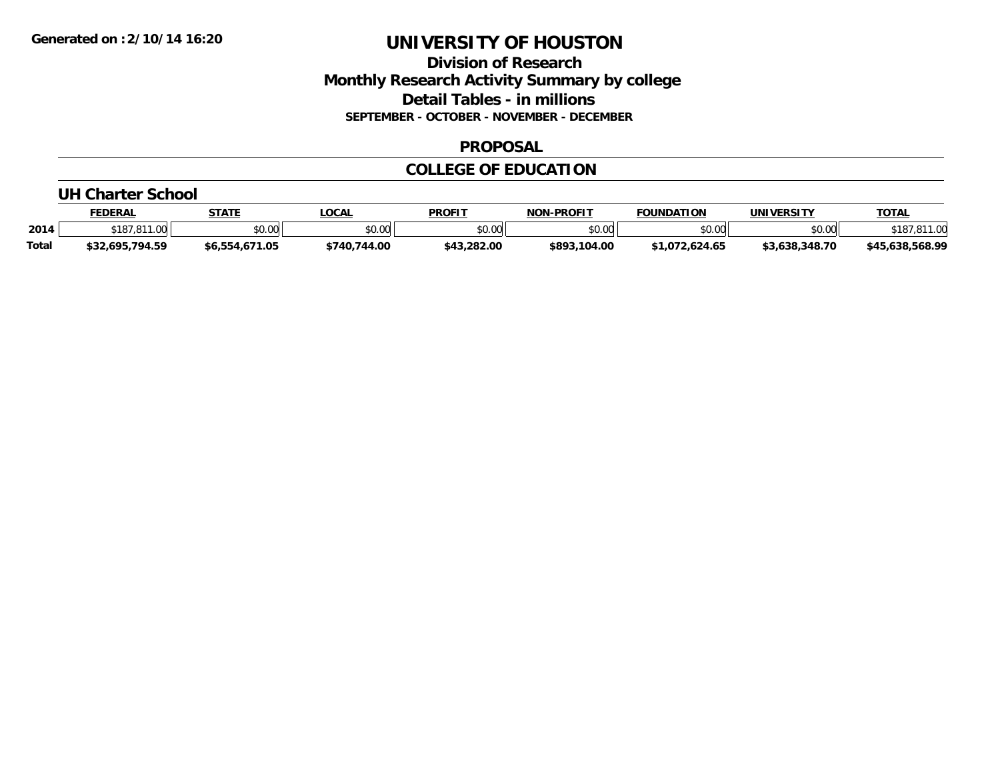### **Division of Research Monthly Research Activity Summary by college Detail Tables - in millions SEPTEMBER - OCTOBER - NOVEMBER - DECEMBER**

#### **PROPOSAL**

#### **COLLEGE OF EDUCATION**

#### **UH Charter School**

|              | <b>FEDERAL</b>      | <b>STATE</b>   | <b>LOCAL</b> | <b>PROFIT</b>  | <b>NON-PROFIT</b> | <b>FOUNDATION</b> | <b>UNIVERSITY</b> | <b>TOTAL</b>    |
|--------------|---------------------|----------------|--------------|----------------|-------------------|-------------------|-------------------|-----------------|
| 2014         | \$187.811<br>$\sim$ | \$0.00         | \$0.00       | 40.00<br>JU.UU | \$0.00            | 0000<br>งบ.บบ     | \$0.00            | ة ا ر           |
| <b>Total</b> | \$32,695,794.59     | \$6.554.671.05 | \$740,744.00 | \$43,282.00    | \$893,104.00      | \$1.072.624.65    | \$3.638.348.70    | \$45,638,568.99 |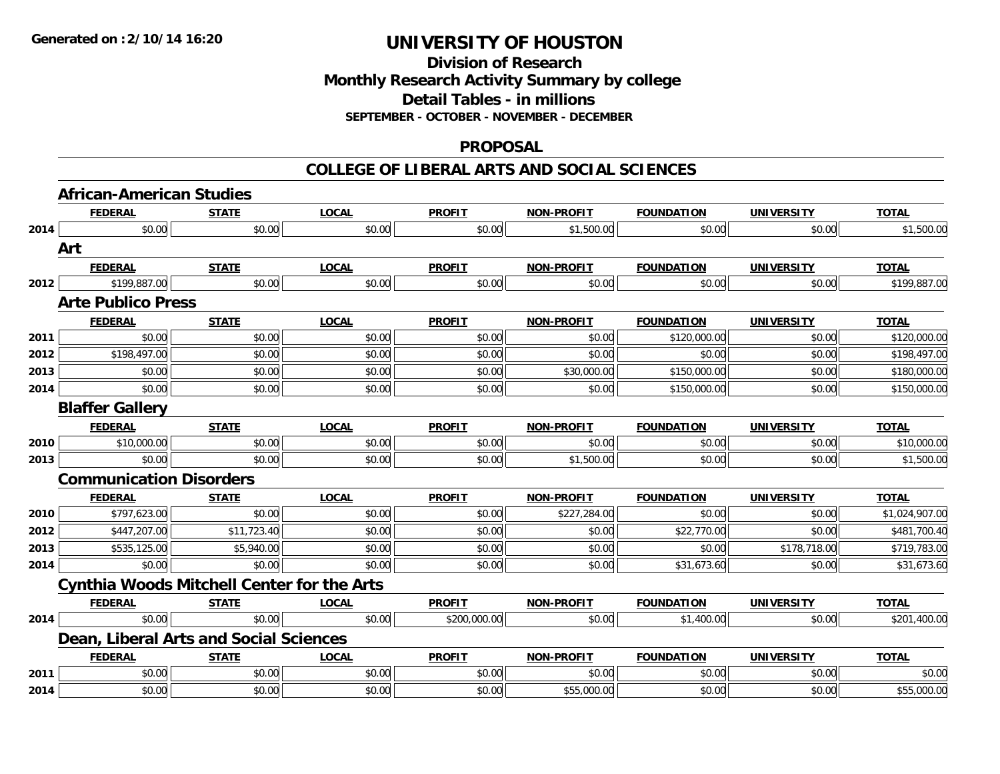### **Division of Research Monthly Research Activity Summary by college Detail Tables - in millions SEPTEMBER - OCTOBER - NOVEMBER - DECEMBER**

#### **PROPOSAL**

#### **COLLEGE OF LIBERAL ARTS AND SOCIAL SCIENCES**

|      | <b>African-American Studies</b>                   |              |              |               |                   |                   |                   |                |
|------|---------------------------------------------------|--------------|--------------|---------------|-------------------|-------------------|-------------------|----------------|
|      | <b>FEDERAL</b>                                    | <b>STATE</b> | <b>LOCAL</b> | <b>PROFIT</b> | <b>NON-PROFIT</b> | <b>FOUNDATION</b> | <b>UNIVERSITY</b> | <b>TOTAL</b>   |
| 2014 | \$0.00                                            | \$0.00       | \$0.00       | \$0.00        | \$1,500.00        | \$0.00            | \$0.00            | \$1,500.00     |
|      | Art                                               |              |              |               |                   |                   |                   |                |
|      | <b>FEDERAL</b>                                    | <b>STATE</b> | <b>LOCAL</b> | <b>PROFIT</b> | <b>NON-PROFIT</b> | <b>FOUNDATION</b> | <b>UNIVERSITY</b> | <b>TOTAL</b>   |
| 2012 | \$199,887.00                                      | \$0.00       | \$0.00       | \$0.00        | \$0.00            | \$0.00            | \$0.00            | \$199,887.00   |
|      | <b>Arte Publico Press</b>                         |              |              |               |                   |                   |                   |                |
|      | <b>FEDERAL</b>                                    | <b>STATE</b> | <b>LOCAL</b> | <b>PROFIT</b> | <b>NON-PROFIT</b> | <b>FOUNDATION</b> | <b>UNIVERSITY</b> | <b>TOTAL</b>   |
| 2011 | \$0.00                                            | \$0.00       | \$0.00       | \$0.00        | \$0.00            | \$120,000.00      | \$0.00            | \$120,000.00   |
| 2012 | \$198,497.00                                      | \$0.00       | \$0.00       | \$0.00        | \$0.00            | \$0.00            | \$0.00            | \$198,497.00   |
| 2013 | \$0.00                                            | \$0.00       | \$0.00       | \$0.00        | \$30,000.00       | \$150,000.00      | \$0.00            | \$180,000.00   |
| 2014 | \$0.00                                            | \$0.00       | \$0.00       | \$0.00        | \$0.00            | \$150,000.00      | \$0.00            | \$150,000.00   |
|      | <b>Blaffer Gallery</b>                            |              |              |               |                   |                   |                   |                |
|      | <b>FEDERAL</b>                                    | <b>STATE</b> | <b>LOCAL</b> | <b>PROFIT</b> | <b>NON-PROFIT</b> | <b>FOUNDATION</b> | <b>UNIVERSITY</b> | <b>TOTAL</b>   |
| 2010 | \$10,000.00                                       | \$0.00       | \$0.00       | \$0.00        | \$0.00            | \$0.00            | \$0.00            | \$10,000.00    |
| 2013 | \$0.00                                            | \$0.00       | \$0.00       | \$0.00        | \$1,500.00        | \$0.00            | \$0.00            | \$1,500.00     |
|      | <b>Communication Disorders</b>                    |              |              |               |                   |                   |                   |                |
|      | <b>FEDERAL</b>                                    | <b>STATE</b> | <b>LOCAL</b> | <b>PROFIT</b> | <b>NON-PROFIT</b> | <b>FOUNDATION</b> | <b>UNIVERSITY</b> | <b>TOTAL</b>   |
| 2010 | \$797,623.00                                      | \$0.00       | \$0.00       | \$0.00        | \$227,284.00      | \$0.00            | \$0.00            | \$1,024,907.00 |
| 2012 | \$447,207.00                                      | \$11,723.40  | \$0.00       | \$0.00        | \$0.00            | \$22,770.00       | \$0.00            | \$481,700.40   |
| 2013 | \$535,125.00                                      | \$5,940.00   | \$0.00       | \$0.00        | \$0.00            | \$0.00            | \$178,718.00      | \$719,783.00   |
| 2014 | \$0.00                                            | \$0.00       | \$0.00       | \$0.00        | \$0.00            | \$31,673.60       | \$0.00            | \$31,673.60    |
|      | <b>Cynthia Woods Mitchell Center for the Arts</b> |              |              |               |                   |                   |                   |                |
|      | <b>FEDERAL</b>                                    | <b>STATE</b> | <b>LOCAL</b> | <b>PROFIT</b> | <b>NON-PROFIT</b> | <b>FOUNDATION</b> | <b>UNIVERSITY</b> | <b>TOTAL</b>   |
| 2014 | \$0.00                                            | \$0.00       | \$0.00       | \$200,000.00  | \$0.00            | \$1,400.00        | \$0.00            | \$201,400.00   |
|      | Dean, Liberal Arts and Social Sciences            |              |              |               |                   |                   |                   |                |
|      | <b>FEDERAL</b>                                    | <b>STATE</b> | <b>LOCAL</b> | <b>PROFIT</b> | <b>NON-PROFIT</b> | <b>FOUNDATION</b> | <b>UNIVERSITY</b> | <b>TOTAL</b>   |
| 2011 | \$0.00                                            | \$0.00       | \$0.00       | \$0.00        | \$0.00            | \$0.00            | \$0.00            | \$0.00         |
| 2014 | \$0.00                                            | \$0.00       | \$0.00       | \$0.00        | \$55,000.00       | \$0.00            | \$0.00            | \$55,000.00    |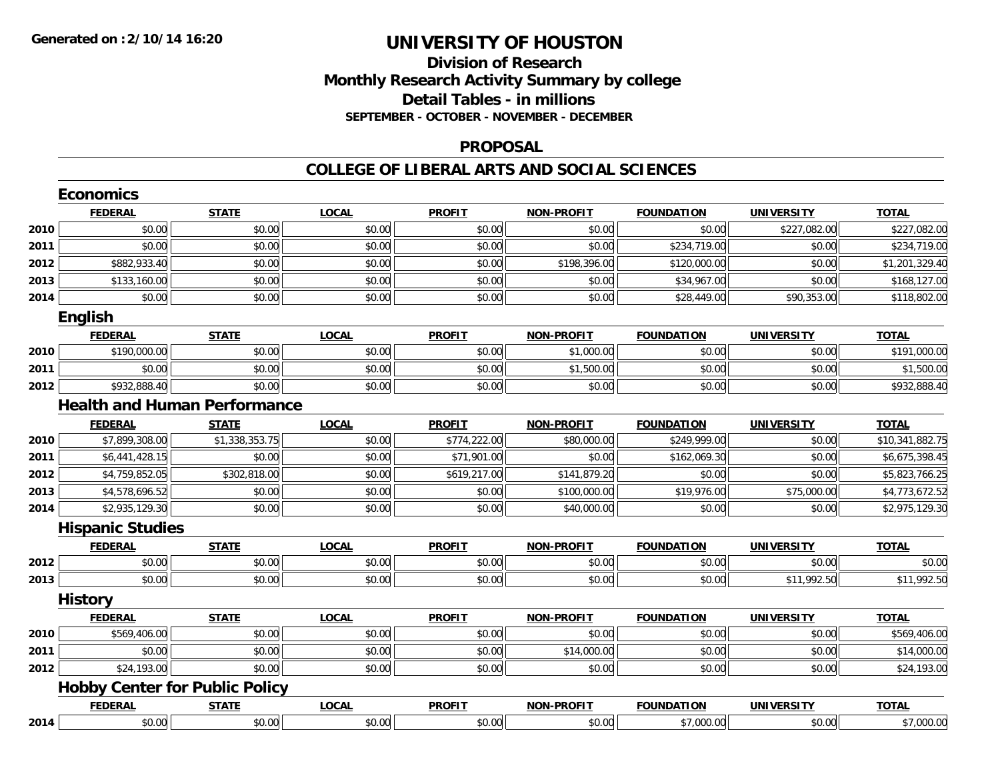### **Division of Research Monthly Research Activity Summary by college Detail Tables - in millions SEPTEMBER - OCTOBER - NOVEMBER - DECEMBER**

#### **PROPOSAL**

#### **COLLEGE OF LIBERAL ARTS AND SOCIAL SCIENCES**

|      | <b>Economics</b>        |                                       |              |               |                   |                   |                   |                 |
|------|-------------------------|---------------------------------------|--------------|---------------|-------------------|-------------------|-------------------|-----------------|
|      | <b>FEDERAL</b>          | <b>STATE</b>                          | <b>LOCAL</b> | <b>PROFIT</b> | <b>NON-PROFIT</b> | <b>FOUNDATION</b> | <b>UNIVERSITY</b> | <b>TOTAL</b>    |
| 2010 | \$0.00                  | \$0.00                                | \$0.00       | \$0.00        | \$0.00            | \$0.00            | \$227,082.00      | \$227,082.00    |
| 2011 | \$0.00                  | \$0.00                                | \$0.00       | \$0.00        | \$0.00            | \$234,719.00      | \$0.00            | \$234,719.00    |
| 2012 | \$882,933.40            | \$0.00                                | \$0.00       | \$0.00        | \$198,396.00      | \$120,000.00      | \$0.00            | \$1,201,329.40  |
| 2013 | \$133,160.00            | \$0.00                                | \$0.00       | \$0.00        | \$0.00            | \$34,967.00       | \$0.00            | \$168,127.00    |
| 2014 | \$0.00                  | \$0.00                                | \$0.00       | \$0.00        | \$0.00            | \$28,449.00       | \$90,353.00       | \$118,802.00    |
|      | English                 |                                       |              |               |                   |                   |                   |                 |
|      | <b>FEDERAL</b>          | <b>STATE</b>                          | <b>LOCAL</b> | <b>PROFIT</b> | <b>NON-PROFIT</b> | <b>FOUNDATION</b> | <b>UNIVERSITY</b> | <b>TOTAL</b>    |
| 2010 | \$190,000.00            | \$0.00                                | \$0.00       | \$0.00        | \$1,000.00        | \$0.00            | \$0.00            | \$191,000.00    |
| 2011 | \$0.00                  | \$0.00                                | \$0.00       | \$0.00        | \$1,500.00        | \$0.00            | \$0.00            | \$1,500.00      |
| 2012 | \$932,888.40            | \$0.00                                | \$0.00       | \$0.00        | \$0.00            | \$0.00            | \$0.00            | \$932,888.40    |
|      |                         | <b>Health and Human Performance</b>   |              |               |                   |                   |                   |                 |
|      | <b>FEDERAL</b>          | <b>STATE</b>                          | <b>LOCAL</b> | <b>PROFIT</b> | <b>NON-PROFIT</b> | <b>FOUNDATION</b> | <b>UNIVERSITY</b> | <b>TOTAL</b>    |
| 2010 | \$7,899,308.00          | \$1,338,353.75                        | \$0.00       | \$774,222.00  | \$80,000.00       | \$249,999.00      | \$0.00            | \$10,341,882.75 |
| 2011 | \$6,441,428.15          | \$0.00                                | \$0.00       | \$71,901.00   | \$0.00            | \$162,069.30      | \$0.00            | \$6,675,398.45  |
| 2012 | \$4,759,852.05          | \$302,818.00                          | \$0.00       | \$619,217.00  | \$141,879.20      | \$0.00            | \$0.00            | \$5,823,766.25  |
| 2013 | \$4,578,696.52          | \$0.00                                | \$0.00       | \$0.00        | \$100,000.00      | \$19,976.00       | \$75,000.00       | \$4,773,672.52  |
| 2014 | \$2,935,129.30          | \$0.00                                | \$0.00       | \$0.00        | \$40,000.00       | \$0.00            | \$0.00            | \$2,975,129.30  |
|      | <b>Hispanic Studies</b> |                                       |              |               |                   |                   |                   |                 |
|      | <b>FEDERAL</b>          | <b>STATE</b>                          | <b>LOCAL</b> | <b>PROFIT</b> | <b>NON-PROFIT</b> | <b>FOUNDATION</b> | <b>UNIVERSITY</b> | <b>TOTAL</b>    |
| 2012 | \$0.00                  | \$0.00                                | \$0.00       | \$0.00        | \$0.00            | \$0.00            | \$0.00            | \$0.00          |
| 2013 | \$0.00                  | \$0.00                                | \$0.00       | \$0.00        | \$0.00            | \$0.00            | \$11,992.50       | \$11,992.50     |
|      | <b>History</b>          |                                       |              |               |                   |                   |                   |                 |
|      | <b>FEDERAL</b>          | <b>STATE</b>                          | <b>LOCAL</b> | <b>PROFIT</b> | <b>NON-PROFIT</b> | <b>FOUNDATION</b> | <b>UNIVERSITY</b> | <b>TOTAL</b>    |
| 2010 | \$569,406.00            | \$0.00                                | \$0.00       | \$0.00        | \$0.00            | \$0.00            | \$0.00            | \$569,406.00    |
| 2011 | \$0.00                  | \$0.00                                | \$0.00       | \$0.00        | \$14,000.00       | \$0.00            | \$0.00            | \$14,000.00     |
| 2012 | \$24,193.00             | \$0.00                                | \$0.00       | \$0.00        | \$0.00            | \$0.00            | \$0.00            | \$24,193.00     |
|      |                         | <b>Hobby Center for Public Policy</b> |              |               |                   |                   |                   |                 |
|      | <b>FEDERAL</b>          | <b>STATE</b>                          | <b>LOCAL</b> | <b>PROFIT</b> | <b>NON-PROFIT</b> | <b>FOUNDATION</b> | <b>UNIVERSITY</b> | <b>TOTAL</b>    |
| 2014 | \$0.00                  | \$0.00                                | \$0.00       | \$0.00        | \$0.00            | \$7,000.00        | \$0.00            | \$7,000.00      |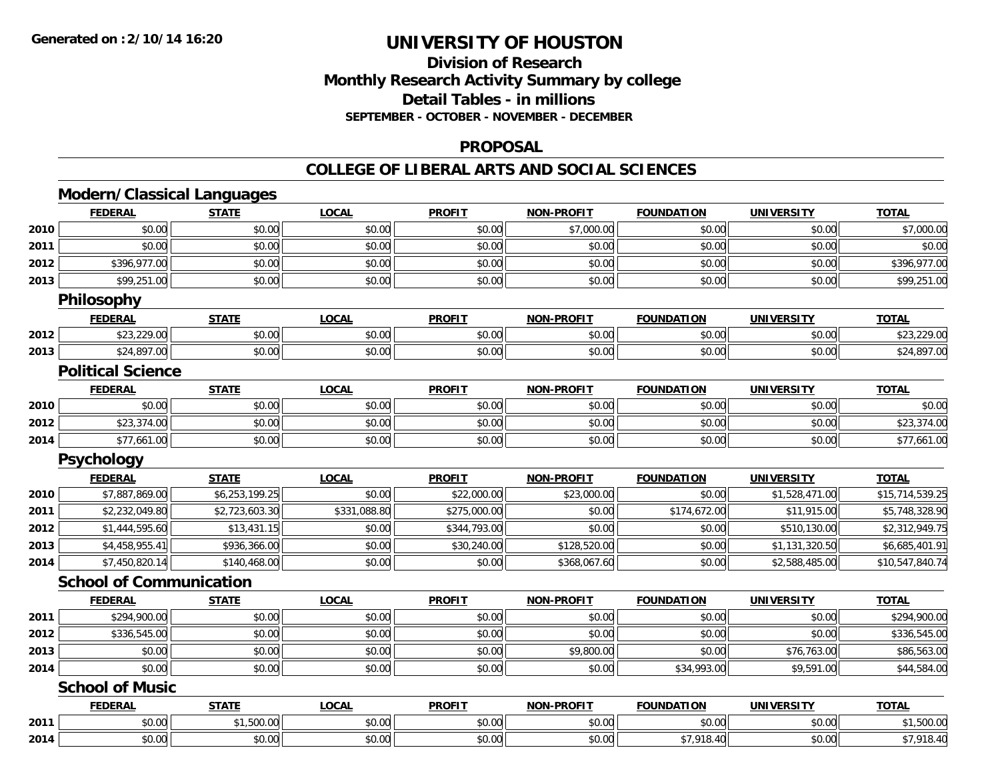# **Division of ResearchMonthly Research Activity Summary by college Detail Tables - in millions SEPTEMBER - OCTOBER - NOVEMBER - DECEMBER**

#### **PROPOSAL**

#### **COLLEGE OF LIBERAL ARTS AND SOCIAL SCIENCES**

# **Modern/Classical Languages**

|      | <b>FEDERAL</b>                 | <b>STATE</b>   | <b>LOCAL</b> | <b>PROFIT</b> | <b>NON-PROFIT</b> | <b>FOUNDATION</b> | UNIVERSITY        | <b>TOTAL</b>    |
|------|--------------------------------|----------------|--------------|---------------|-------------------|-------------------|-------------------|-----------------|
| 2010 | \$0.00                         | \$0.00         | \$0.00       | \$0.00        | \$7,000.00        | \$0.00            | \$0.00            | \$7,000.00      |
| 2011 | \$0.00                         | \$0.00         | \$0.00       | \$0.00        | \$0.00            | \$0.00            | \$0.00            | \$0.00          |
| 2012 | \$396,977.00                   | \$0.00         | \$0.00       | \$0.00        | \$0.00            | \$0.00            | \$0.00            | \$396,977.00    |
| 2013 | \$99,251.00                    | \$0.00         | \$0.00       | \$0.00        | \$0.00            | \$0.00            | \$0.00            | \$99,251.00     |
|      | Philosophy                     |                |              |               |                   |                   |                   |                 |
|      | <b>FEDERAL</b>                 | <b>STATE</b>   | <b>LOCAL</b> | <b>PROFIT</b> | <b>NON-PROFIT</b> | <b>FOUNDATION</b> | <b>UNIVERSITY</b> | <b>TOTAL</b>    |
| 2012 | \$23,229.00                    | \$0.00         | \$0.00       | \$0.00        | \$0.00            | \$0.00            | \$0.00            | \$23,229.00     |
| 2013 | \$24,897.00                    | \$0.00         | \$0.00       | \$0.00        | \$0.00            | \$0.00            | \$0.00            | \$24,897.00     |
|      | <b>Political Science</b>       |                |              |               |                   |                   |                   |                 |
|      | <b>FEDERAL</b>                 | <b>STATE</b>   | <b>LOCAL</b> | <b>PROFIT</b> | <b>NON-PROFIT</b> | <b>FOUNDATION</b> | <b>UNIVERSITY</b> | <b>TOTAL</b>    |
| 2010 | \$0.00                         | \$0.00         | \$0.00       | \$0.00        | \$0.00            | \$0.00            | \$0.00            | \$0.00          |
| 2012 | \$23,374.00                    | \$0.00         | \$0.00       | \$0.00        | \$0.00            | \$0.00            | \$0.00            | \$23,374.00     |
| 2014 | \$77,661.00                    | \$0.00         | \$0.00       | \$0.00        | \$0.00            | \$0.00            | \$0.00            | \$77,661.00     |
|      | <b>Psychology</b>              |                |              |               |                   |                   |                   |                 |
|      | <b>FEDERAL</b>                 | <b>STATE</b>   | LOCAL        | <b>PROFIT</b> | <b>NON-PROFIT</b> | <b>FOUNDATION</b> | <b>UNIVERSITY</b> | <b>TOTAL</b>    |
| 2010 | \$7,887,869.00                 | \$6,253,199.25 | \$0.00       | \$22,000.00   | \$23,000.00       | \$0.00            | \$1,528,471.00    | \$15,714,539.25 |
| 2011 | \$2,232,049.80                 | \$2,723,603.30 | \$331,088.80 | \$275,000.00  | \$0.00            | \$174,672.00      | \$11,915.00       | \$5,748,328.90  |
| 2012 | \$1,444,595.60                 | \$13,431.15    | \$0.00       | \$344,793.00  | \$0.00            | \$0.00            | \$510,130.00      | \$2,312,949.75  |
| 2013 | \$4,458,955.41                 | \$936,366.00   | \$0.00       | \$30,240.00   | \$128,520.00      | \$0.00            | \$1,131,320.50    | \$6,685,401.91  |
| 2014 | \$7,450,820.14                 | \$140,468.00   | \$0.00       | \$0.00        | \$368,067.60      | \$0.00            | \$2,588,485.00    | \$10,547,840.74 |
|      | <b>School of Communication</b> |                |              |               |                   |                   |                   |                 |
|      | <b>FEDERAL</b>                 | <b>STATE</b>   | <b>LOCAL</b> | <b>PROFIT</b> | NON-PROFIT        | <b>FOUNDATION</b> | <b>UNIVERSITY</b> | <b>TOTAL</b>    |
| 2011 | \$294,900.00                   | \$0.00         | \$0.00       | \$0.00        | \$0.00            | \$0.00            | \$0.00            | \$294,900.00    |
| 2012 | \$336,545.00                   | \$0.00         | \$0.00       | \$0.00        | \$0.00            | \$0.00            | \$0.00            | \$336,545.00    |
| 2013 | \$0.00                         | \$0.00         | \$0.00       | \$0.00        | \$9,800.00        | \$0.00            | \$76,763.00       | \$86,563.00     |
| 2014 | \$0.00                         | \$0.00         | \$0.00       | \$0.00        | \$0.00            | \$34,993.00       | \$9,591.00        | \$44,584.00     |
|      | <b>School of Music</b>         |                |              |               |                   |                   |                   |                 |
|      | <b>FEDERAL</b>                 | <b>STATE</b>   | <b>LOCAL</b> | <b>PROFIT</b> | NON-PROFIT        | <b>FOUNDATION</b> | <b>UNIVERSITY</b> | <b>TOTAL</b>    |
| 2011 | \$0.00                         | \$1,500.00     | \$0.00       | \$0.00        | \$0.00            | \$0.00            | \$0.00            | \$1,500.00      |
| 2014 | \$0.00                         | \$0.00         | \$0.00       | \$0.00        | \$0.00            | \$7,918.40        | \$0.00            | \$7,918.40      |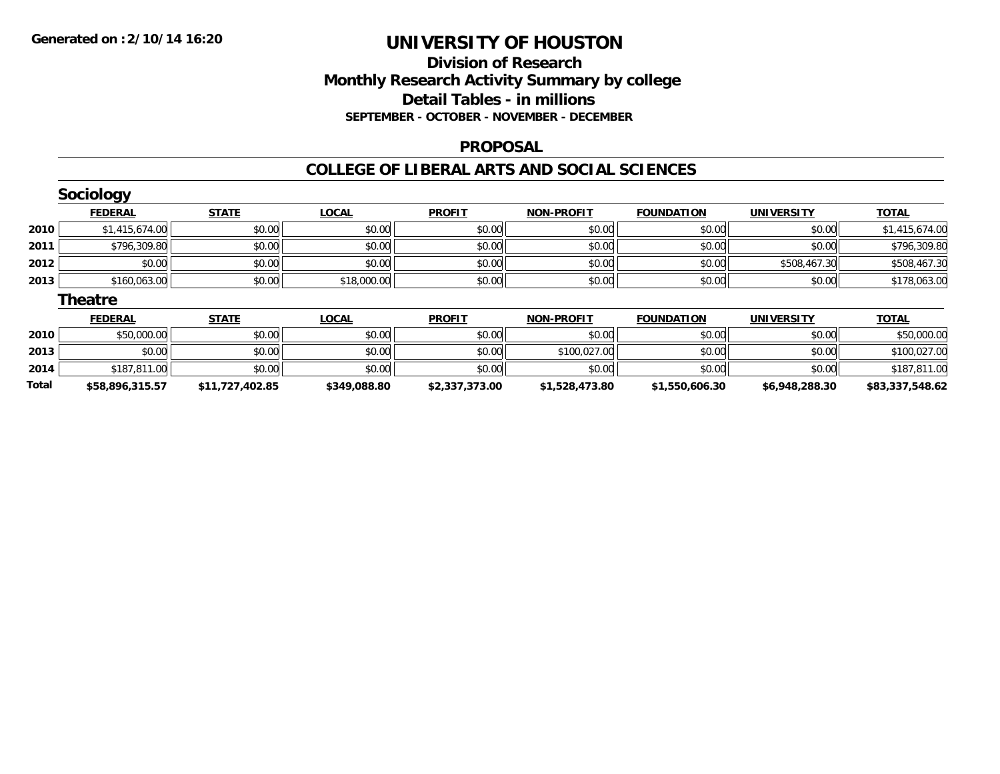# **Division of ResearchMonthly Research Activity Summary by college Detail Tables - in millions SEPTEMBER - OCTOBER - NOVEMBER - DECEMBER**

#### **PROPOSAL**

#### **COLLEGE OF LIBERAL ARTS AND SOCIAL SCIENCES**

|       | Sociology       |                 |              |                |                   |                   |                   |                 |
|-------|-----------------|-----------------|--------------|----------------|-------------------|-------------------|-------------------|-----------------|
|       | <b>FEDERAL</b>  | <b>STATE</b>    | <b>LOCAL</b> | <b>PROFIT</b>  | <b>NON-PROFIT</b> | <b>FOUNDATION</b> | <b>UNIVERSITY</b> | <b>TOTAL</b>    |
| 2010  | \$1,415,674.00  | \$0.00          | \$0.00       | \$0.00         | \$0.00            | \$0.00            | \$0.00            | \$1,415,674.00  |
| 2011  | \$796,309.80    | \$0.00          | \$0.00       | \$0.00         | \$0.00            | \$0.00            | \$0.00            | \$796,309.80    |
| 2012  | \$0.00          | \$0.00          | \$0.00       | \$0.00         | \$0.00            | \$0.00            | \$508,467.30      | \$508,467.30    |
| 2013  | \$160,063.00    | \$0.00          | \$18,000.00  | \$0.00         | \$0.00            | \$0.00            | \$0.00            | \$178,063.00    |
|       | <b>Theatre</b>  |                 |              |                |                   |                   |                   |                 |
|       | <b>FEDERAL</b>  | <b>STATE</b>    | <b>LOCAL</b> | <b>PROFIT</b>  | <b>NON-PROFIT</b> | <b>FOUNDATION</b> | <b>UNIVERSITY</b> | <b>TOTAL</b>    |
| 2010  | \$50,000.00     | \$0.00          | \$0.00       | \$0.00         | \$0.00            | \$0.00            | \$0.00            | \$50,000.00     |
| 2013  | \$0.00          | \$0.00          | \$0.00       | \$0.00         | \$100,027.00      | \$0.00            | \$0.00            | \$100,027.00    |
| 2014  | \$187,811.00    | \$0.00          | \$0.00       | \$0.00         | \$0.00            | \$0.00            | \$0.00            | \$187,811.00    |
| Total | \$58,896,315.57 | \$11,727,402.85 | \$349,088.80 | \$2,337,373.00 | \$1,528,473.80    | \$1,550,606.30    | \$6,948,288.30    | \$83,337,548.62 |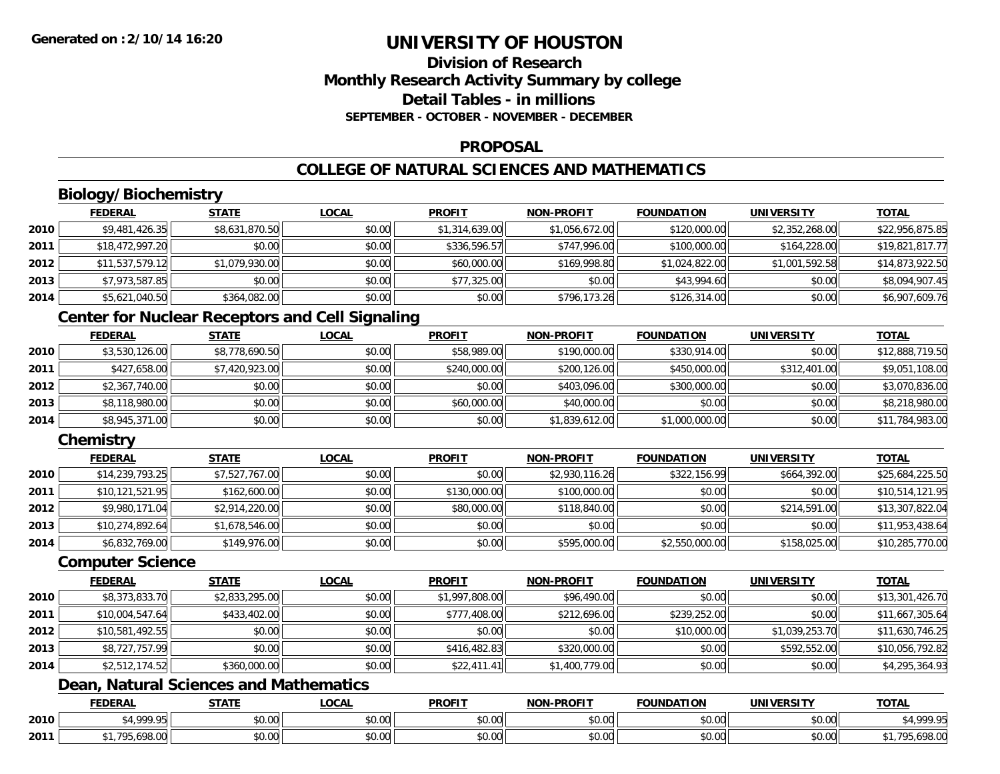# **Division of ResearchMonthly Research Activity Summary by college Detail Tables - in millionsSEPTEMBER - OCTOBER - NOVEMBER - DECEMBER**

#### **PROPOSAL**

# **COLLEGE OF NATURAL SCIENCES AND MATHEMATICS**

# **Biology/Biochemistry**

|        | <b>FEDERAL</b>  | <b>STATE</b>   | <b>LOCAL</b> | <b>PROFIT</b>  | <b>NON-PROFIT</b> | <b>FOUNDATION</b> | <b>UNIVERSITY</b> | <b>TOTAL</b>    |
|--------|-----------------|----------------|--------------|----------------|-------------------|-------------------|-------------------|-----------------|
| ا 2010 | \$9,481,426.35  | \$8,631,870.50 | \$0.00       | \$1,314,639.00 | \$1,056,672.00    | \$120,000.00      | \$2,352,268.00    | \$22,956,875.85 |
| 2011   | \$18,472,997.20 | \$0.00         | \$0.00       | \$336,596.57   | \$747,996.00      | \$100,000.00      | \$164,228.00      | \$19,821,817.77 |
| 2012   | \$11,537,579.12 | \$1,079,930.00 | \$0.00       | \$60,000.00    | \$169,998.80      | \$1,024,822.00    | \$1,001,592.58    | \$14,873,922.50 |
| 2013   | \$7,973,587.85  | \$0.00         | \$0.00       | \$77,325.00    | \$0.00            | \$43,994.60       | \$0.00            | \$8,094,907.45  |
| 2014   | \$5,621,040.50  | \$364,082.00   | \$0.00       | \$0.00         | \$796,173.26      | \$126,314.00      | \$0.00            | \$6,907,609.76  |

# **Center for Nuclear Receptors and Cell Signaling**

|      | <b>FEDERAL</b> | <b>STATE</b>   | <b>LOCAL</b> | <b>PROFIT</b> | <b>NON-PROFIT</b> | <b>FOUNDATION</b> | <b>UNIVERSITY</b> | <b>TOTAL</b>    |
|------|----------------|----------------|--------------|---------------|-------------------|-------------------|-------------------|-----------------|
| 2010 | \$3,530,126.00 | \$8,778,690.50 | \$0.00       | \$58,989.00   | \$190,000.00      | \$330,914.00      | \$0.00            | \$12,888,719.50 |
| 2011 | \$427,658.00   | \$7,420,923.00 | \$0.00       | \$240,000.00  | \$200,126.00      | \$450,000.00      | \$312,401.00      | \$9,051,108.00  |
| 2012 | \$2,367,740.00 | \$0.00         | \$0.00       | \$0.00        | \$403.096.00      | \$300,000.00      | \$0.00            | \$3,070,836.00  |
| 2013 | \$8,118,980.00 | \$0.00         | \$0.00       | \$60,000.00   | \$40,000.00       | \$0.00            | \$0.00            | \$8,218,980.00  |
| 2014 | \$8,945,371.00 | \$0.00         | \$0.00       | \$0.00        | \$1,839,612.00    | \$1,000,000.00    | \$0.00            | \$11,784,983.00 |

# **Chemistry**

|      | <b>FEDERAL</b>  | <b>STATE</b>   | <u>LOCAL</u> | <b>PROFIT</b> | <b>NON-PROFIT</b> | <b>FOUNDATION</b> | <b>UNIVERSITY</b> | <b>TOTAL</b>    |
|------|-----------------|----------------|--------------|---------------|-------------------|-------------------|-------------------|-----------------|
| 2010 | \$14,239,793.25 | \$7,527,767.00 | \$0.00       | \$0.00        | \$2,930,116.26    | \$322,156.99      | \$664,392.00      | \$25,684,225.50 |
| 2011 | \$10,121,521.95 | \$162,600.00   | \$0.00       | \$130,000.00  | \$100,000.00      | \$0.00            | \$0.00            | \$10,514,121.95 |
| 2012 | \$9,980,171.04  | \$2,914,220.00 | \$0.00       | \$80,000.00   | \$118,840.00      | \$0.00            | \$214,591.00      | \$13,307,822.04 |
| 2013 | \$10,274,892.64 | \$1,678,546.00 | \$0.00       | \$0.00        | \$0.00            | \$0.00            | \$0.00            | \$11,953,438.64 |
| 2014 | \$6,832,769.00  | \$149,976.00   | \$0.00       | \$0.00        | \$595,000.00      | \$2,550,000.00    | \$158,025.00      | \$10,285,770.00 |

#### **Computer Science**

|      | <b>FEDERAL</b>  | <b>STATE</b>   | <b>LOCAL</b> | <b>PROFIT</b>  | <b>NON-PROFIT</b> | <b>FOUNDATION</b> | <b>UNIVERSITY</b> | <b>TOTAL</b>    |
|------|-----------------|----------------|--------------|----------------|-------------------|-------------------|-------------------|-----------------|
| 2010 | \$8,373,833.70  | \$2,833,295.00 | \$0.00       | \$1,997,808.00 | \$96,490.00       | \$0.00            | \$0.00            | \$13,301,426.70 |
| 2011 | \$10,004,547.64 | \$433,402.00   | \$0.00       | \$777,408.00   | \$212,696.00      | \$239,252.00      | \$0.00            | \$11,667,305.64 |
| 2012 | \$10,581,492.55 | \$0.00         | \$0.00       | \$0.00         | \$0.00            | \$10,000.00       | \$1,039,253.70    | \$11,630,746.25 |
| 2013 | \$8,727,757.99  | \$0.00         | \$0.00       | \$416,482.83   | \$320,000.00      | \$0.00            | \$592,552.00      | \$10,056,792.82 |
| 2014 | \$2,512,174.52  | \$360,000.00   | \$0.00       | \$22,411.41    | \$1,400,779.00    | \$0.00            | \$0.00            | \$4,295,364.93  |

# **Dean, Natural Sciences and Mathematics**

|      | <b>FEDERAL</b>             | <b>CTATI</b><br>ЭIA. | $\sim$<br>.vunl                                 | <b>PROFIT</b>  | <b>DDAEL</b><br><b>MIANI</b> | <b>UNDATION</b> | UNIVERSITY                                            | <b>TOTA</b>                                    |
|------|----------------------------|----------------------|-------------------------------------------------|----------------|------------------------------|-----------------|-------------------------------------------------------|------------------------------------------------|
| 2010 | 1.0000                     | \$0.00               | $\uparrow$ $\uparrow$<br>$\sim$ $\sim$<br>vv.vv | 0000<br>PO.OO  | 0.00<br>pu.uu                | \$0.00          | $\mathsf{A} \cap \mathsf{A} \cap \mathsf{A}$<br>vu.vu | $\mathcal{C}$ $\Lambda$ 000 $\mathcal{C}$<br>. |
| 2011 | $\sim$ 0.0 $\sim$<br>70.VI | \$0.00               | ሶስ ሰሰ<br>JU.UU                                  | ტი იი<br>JU.UU | 0.00<br>pu.uu                | \$0.00          | $\sim$ $\sim$<br><b>JU.UU</b>                         | 0000<br>70.VI                                  |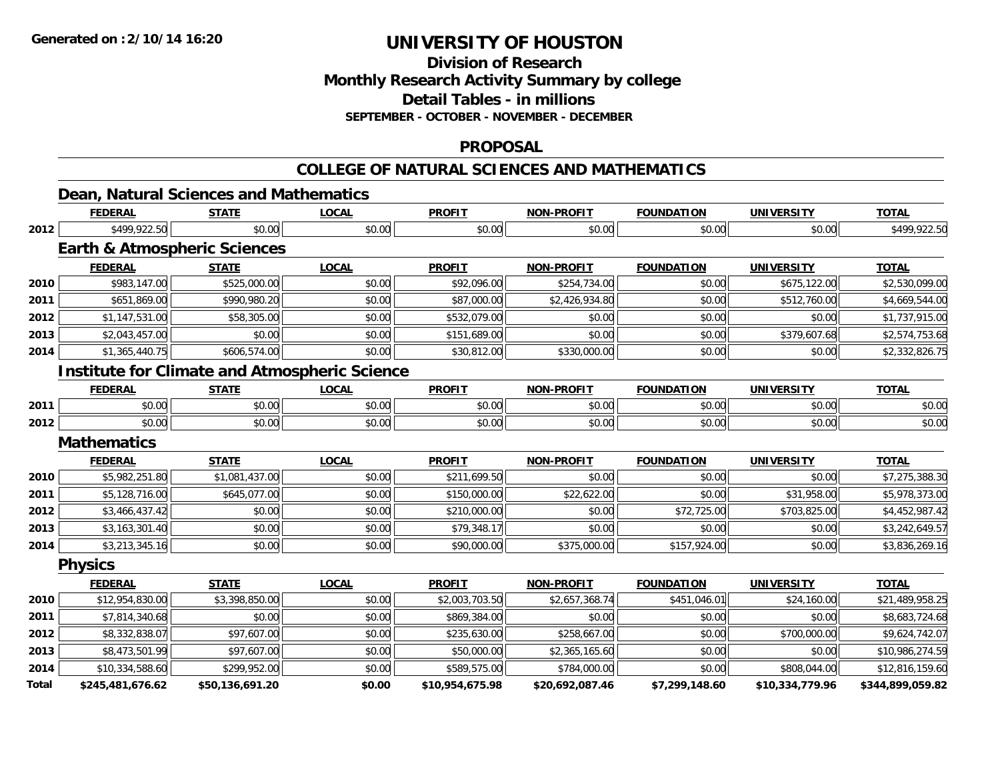**Total**

# **UNIVERSITY OF HOUSTON**

**Division of ResearchMonthly Research Activity Summary by college Detail Tables - in millions**

**SEPTEMBER - OCTOBER - NOVEMBER - DECEMBER**

#### **PROPOSAL**

# **COLLEGE OF NATURAL SCIENCES AND MATHEMATICS**

|      | Dean, Natural Sciences and Mathematics<br><b>FEDERAL</b> | <b>STATE</b>   | <b>LOCAL</b>                                         | <b>PROFIT</b>  | <b>NON-PROFIT</b> | <b>FOUNDATION</b> | <b>UNIVERSITY</b> | <b>TOTAL</b>    |
|------|----------------------------------------------------------|----------------|------------------------------------------------------|----------------|-------------------|-------------------|-------------------|-----------------|
| 2012 | \$499,922.50                                             | \$0.00         | \$0.00                                               | \$0.00         | \$0.00            | \$0.00            | \$0.00            | \$499,922.50    |
|      | <b>Earth &amp; Atmospheric Sciences</b>                  |                |                                                      |                |                   |                   |                   |                 |
|      | <b>FEDERAL</b>                                           | <b>STATE</b>   | <b>LOCAL</b>                                         | <b>PROFIT</b>  | <b>NON-PROFIT</b> | <b>FOUNDATION</b> | <b>UNIVERSITY</b> | <b>TOTAL</b>    |
| 2010 | \$983,147.00                                             | \$525,000.00   | \$0.00                                               | \$92,096.00    | \$254,734.00      | \$0.00            | \$675,122.00      | \$2,530,099.00  |
| 2011 | \$651,869.00                                             | \$990,980.20   | \$0.00                                               | \$87,000.00    | \$2,426,934.80    | \$0.00            | \$512,760.00      | \$4,669,544.00  |
| 2012 | \$1,147,531.00                                           | \$58,305.00    | \$0.00                                               | \$532,079.00   | \$0.00            | \$0.00            | \$0.00            | \$1,737,915.00  |
| 2013 | \$2,043,457.00                                           | \$0.00         | \$0.00                                               | \$151,689.00   | \$0.00            | \$0.00            | \$379,607.68      | \$2,574,753.68  |
| 2014 | \$1,365,440.75                                           | \$606,574.00   | \$0.00                                               | \$30,812.00    | \$330,000.00      | \$0.00            | \$0.00            | \$2,332,826.75  |
|      |                                                          |                | <b>Institute for Climate and Atmospheric Science</b> |                |                   |                   |                   |                 |
|      | <b>FEDERAL</b>                                           | <b>STATE</b>   | <b>LOCAL</b>                                         | <b>PROFIT</b>  | <b>NON-PROFIT</b> | <b>FOUNDATION</b> | <b>UNIVERSITY</b> | <b>TOTAL</b>    |
| 2011 | \$0.00                                                   | \$0.00         | \$0.00                                               | \$0.00         | \$0.00            | \$0.00            | \$0.00            | \$0.00          |
| 2012 | \$0.00                                                   | \$0.00         | \$0.00                                               | \$0.00         | \$0.00            | \$0.00            | \$0.00            | \$0.00          |
|      | <b>Mathematics</b>                                       |                |                                                      |                |                   |                   |                   |                 |
|      | <b>FEDERAL</b>                                           | <b>STATE</b>   | <b>LOCAL</b>                                         | <b>PROFIT</b>  | <b>NON-PROFIT</b> | <b>FOUNDATION</b> | <b>UNIVERSITY</b> | <b>TOTAL</b>    |
| 2010 | \$5,982,251.80                                           | \$1,081,437.00 | \$0.00                                               | \$211,699.50   | \$0.00            | \$0.00            | \$0.00            | \$7,275,388.30  |
| 2011 | \$5,128,716.00                                           | \$645,077.00   | \$0.00                                               | \$150,000.00   | \$22,622.00       | \$0.00            | \$31,958.00       | \$5,978,373.00  |
| 2012 | \$3,466,437.42                                           | \$0.00         | \$0.00                                               | \$210,000.00   | \$0.00            | \$72,725.00       | \$703,825.00      | \$4,452,987.42  |
| 2013 | \$3,163,301.40                                           | \$0.00         | \$0.00                                               | \$79,348.17    | \$0.00            | \$0.00            | \$0.00            | \$3,242,649.57  |
| 2014 | \$3,213,345.16                                           | \$0.00         | \$0.00                                               | \$90,000.00    | \$375,000.00      | \$157,924.00      | \$0.00            | \$3,836,269.16  |
|      | <b>Physics</b>                                           |                |                                                      |                |                   |                   |                   |                 |
|      | <b>FEDERAL</b>                                           | <b>STATE</b>   | <b>LOCAL</b>                                         | <b>PROFIT</b>  | <b>NON-PROFIT</b> | <b>FOUNDATION</b> | <b>UNIVERSITY</b> | <b>TOTAL</b>    |
| 2010 | \$12,954,830.00                                          | \$3,398,850.00 | \$0.00                                               | \$2,003,703.50 | \$2,657,368.74    | \$451,046.01      | \$24,160.00       | \$21,489,958.25 |
| 2011 | \$7,814,340.68                                           | \$0.00         | \$0.00                                               | \$869,384.00   | \$0.00            | \$0.00            | \$0.00            | \$8,683,724.68  |
| 2012 | \$8,332,838.07                                           | \$97,607.00    | \$0.00                                               | \$235,630.00   | \$258,667.00      | \$0.00            | \$700,000.00      | \$9,624,742.07  |
| 2013 | \$8,473,501.99                                           | \$97,607.00    | \$0.00                                               | \$50,000.00    | \$2,365,165.60    | \$0.00            | \$0.00            | \$10,986,274.59 |
| 2014 | \$10,334,588.60                                          | \$299,952.00   | \$0.00                                               | \$589,575.00   | \$784,000.00      | \$0.00            | \$808,044.00      | \$12,816,159.60 |

**\$245,481,676.62 \$50,136,691.20 \$0.00 \$10,954,675.98 \$20,692,087.46 \$7,299,148.60 \$10,334,779.96 \$344,899,059.82**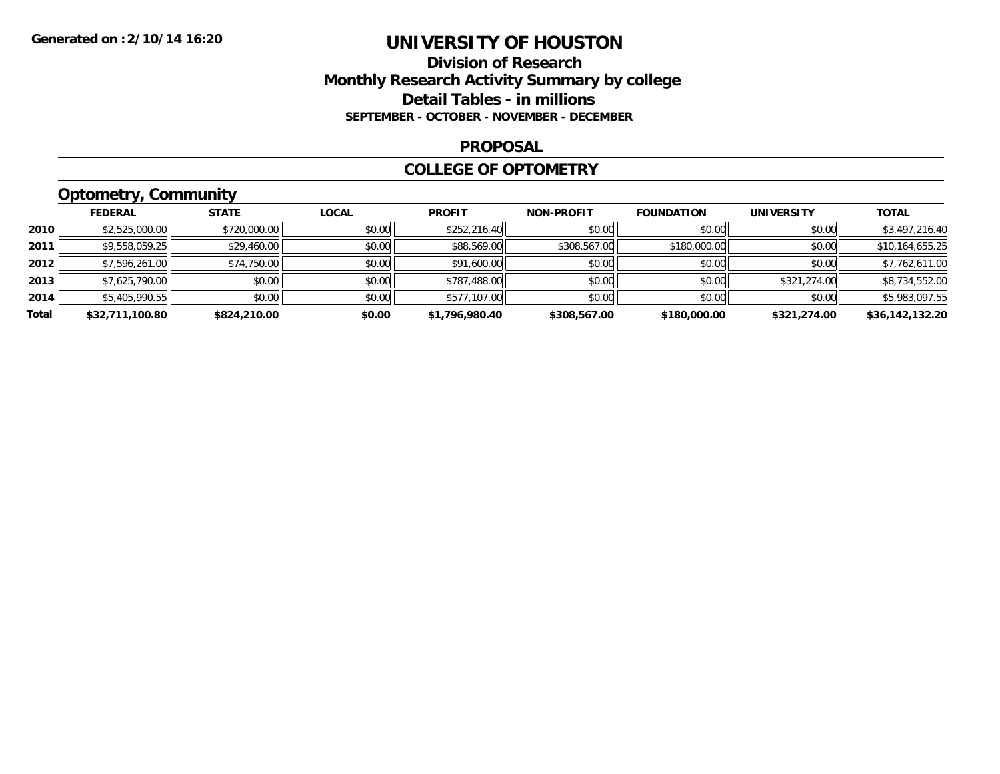### **Division of Research Monthly Research Activity Summary by college Detail Tables - in millions SEPTEMBER - OCTOBER - NOVEMBER - DECEMBER**

#### **PROPOSAL**

#### **COLLEGE OF OPTOMETRY**

# **Optometry, Community**

|       | <b>FEDERAL</b>  | <b>STATE</b> | <b>LOCAL</b> | <b>PROFIT</b>  | <b>NON-PROFIT</b> | <b>FOUNDATION</b> | <b>UNIVERSITY</b> | <b>TOTAL</b>    |
|-------|-----------------|--------------|--------------|----------------|-------------------|-------------------|-------------------|-----------------|
| 2010  | \$2,525,000.00  | \$720,000.00 | \$0.00       | \$252,216.40   | \$0.00            | \$0.00            | \$0.00            | \$3,497,216.40  |
| 2011  | \$9,558,059.25  | \$29,460.00  | \$0.00       | \$88,569.00    | \$308,567.00      | \$180,000.00      | \$0.00            | \$10,164,655.25 |
| 2012  | \$7,596,261.00  | \$74,750.00  | \$0.00       | \$91,600.00    | \$0.00            | \$0.00            | \$0.00            | \$7,762,611.00  |
| 2013  | \$7,625,790.00  | \$0.00       | \$0.00       | \$787,488.00   | \$0.00            | \$0.00            | \$321,274.00      | \$8,734,552.00  |
| 2014  | \$5,405,990.55  | \$0.00       | \$0.00       | \$577,107.00   | \$0.00            | \$0.00            | \$0.00            | \$5,983,097.55  |
| Total | \$32,711,100.80 | \$824,210.00 | \$0.00       | \$1,796,980.40 | \$308,567.00      | \$180,000.00      | \$321,274.00      | \$36,142,132.20 |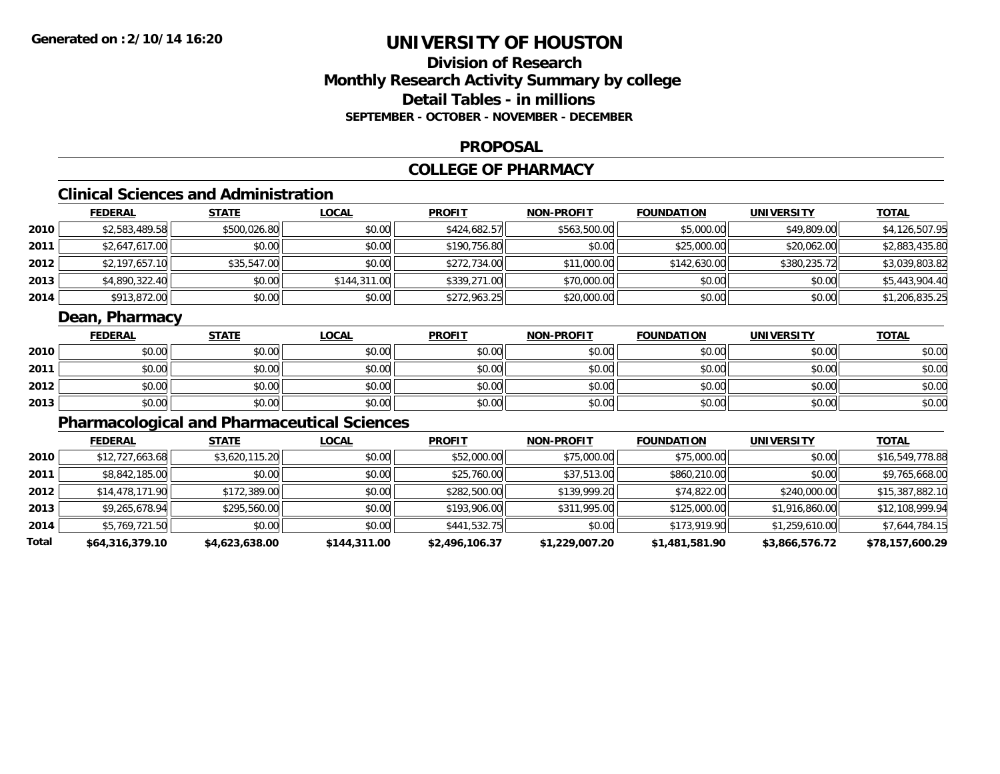# **Division of ResearchMonthly Research Activity Summary by college Detail Tables - in millionsSEPTEMBER - OCTOBER - NOVEMBER - DECEMBER**

#### **PROPOSAL**

# **COLLEGE OF PHARMACY**

# **Clinical Sciences and Administration**

|        | <b>FEDERAL</b> | <u>STATE</u> | <b>LOCAL</b> | <b>PROFIT</b> | <b>NON-PROFIT</b> | <b>FOUNDATION</b> | <b>UNIVERSITY</b> | <b>TOTAL</b>   |
|--------|----------------|--------------|--------------|---------------|-------------------|-------------------|-------------------|----------------|
| ا 2010 | \$2,583,489.58 | \$500,026.80 | \$0.00       | \$424,682.57  | \$563,500.00      | \$5,000.00        | \$49,809.00       | \$4,126,507.95 |
| 2011   | \$2,647,617.00 | \$0.00       | \$0.00       | \$190,756.80  | \$0.00            | \$25,000.00       | \$20,062.00       | \$2,883,435.80 |
| 2012   | \$2,197,657.10 | \$35,547.00  | \$0.00       | \$272,734.00  | \$11,000.00       | \$142,630.00      | \$380,235.72      | \$3,039,803.82 |
| 2013   | \$4,890,322.40 | \$0.00       | \$144,311,00 | \$339,271.00  | \$70,000.00       | \$0.00            | \$0.00            | \$5,443,904.40 |
| 2014   | \$913,872.00   | \$0.00       | \$0.00       | \$272,963.25  | \$20,000.00       | \$0.00            | \$0.00            | \$1,206,835.25 |

### **Dean, Pharmacy**

|      | <b>FEDERAL</b> | <b>STATE</b> | <u>LOCAL</u> | <b>PROFIT</b> | <b>NON-PROFIT</b> | <b>FOUNDATION</b> | <b>UNIVERSITY</b> | <b>TOTAL</b> |
|------|----------------|--------------|--------------|---------------|-------------------|-------------------|-------------------|--------------|
| 2010 | \$0.00         | \$0.00       | \$0.00       | \$0.00        | \$0.00            | \$0.00            | \$0.00            | \$0.00       |
| 2011 | \$0.00         | \$0.00       | \$0.00       | \$0.00        | \$0.00            | \$0.00            | \$0.00            | \$0.00       |
| 2012 | \$0.00         | \$0.00       | \$0.00       | \$0.00        | \$0.00            | \$0.00            | \$0.00            | \$0.00       |
| 2013 | \$0.00         | \$0.00       | \$0.00       | \$0.00        | \$0.00            | \$0.00            | \$0.00            | \$0.00       |

# **Pharmacological and Pharmaceutical Sciences**

|       | <b>FEDERAL</b>  | <b>STATE</b>   | <b>LOCAL</b> | <b>PROFIT</b>  | <b>NON-PROFIT</b> | <b>FOUNDATION</b> | <b>UNIVERSITY</b> | <u>TOTAL</u>    |
|-------|-----------------|----------------|--------------|----------------|-------------------|-------------------|-------------------|-----------------|
| 2010  | \$12,727,663.68 | \$3,620,115.20 | \$0.00       | \$52,000.00    | \$75,000.00       | \$75,000.00       | \$0.00            | \$16,549,778.88 |
| 2011  | \$8,842,185.00  | \$0.00         | \$0.00       | \$25,760.00    | \$37,513.00       | \$860,210.00      | \$0.00            | \$9,765,668.00  |
| 2012  | \$14,478,171.90 | \$172,389.00   | \$0.00       | \$282,500.00   | \$139,999.20      | \$74,822.00       | \$240,000.00      | \$15,387,882.10 |
| 2013  | \$9,265,678.94  | \$295,560.00   | \$0.00       | \$193,906.00   | \$311,995.00      | \$125,000.00      | \$1,916,860.00    | \$12,108,999.94 |
| 2014  | \$5,769,721.50  | \$0.00         | \$0.00       | \$441,532.75   | \$0.00            | \$173,919.90      | \$1,259,610.00    | \$7,644,784.15  |
| Total | \$64,316,379.10 | \$4,623,638.00 | \$144,311.00 | \$2,496,106.37 | \$1,229,007.20    | \$1,481,581.90    | \$3,866,576.72    | \$78,157,600.29 |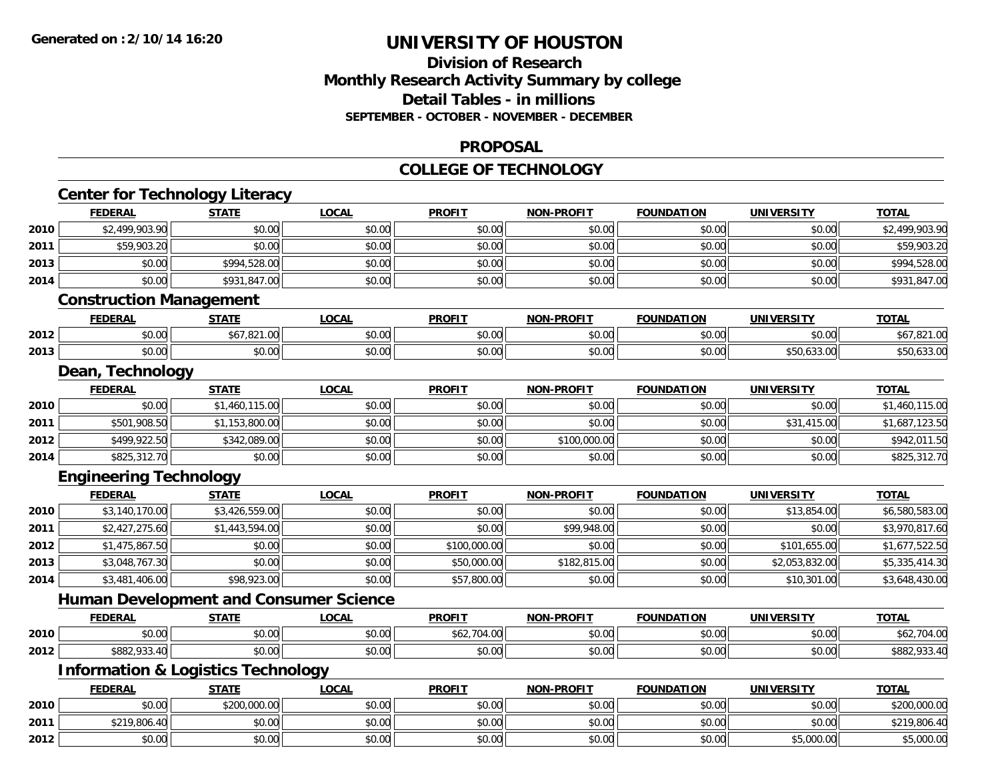### **Division of Research Monthly Research Activity Summary by college Detail Tables - in millions SEPTEMBER - OCTOBER - NOVEMBER - DECEMBER**

#### **PROPOSAL**

#### **COLLEGE OF TECHNOLOGY**

|      | <b>Center for Technology Literacy</b>         |                |              |               |                   |                   |                   |                |
|------|-----------------------------------------------|----------------|--------------|---------------|-------------------|-------------------|-------------------|----------------|
|      | <b>FEDERAL</b>                                | <b>STATE</b>   | <b>LOCAL</b> | <b>PROFIT</b> | <b>NON-PROFIT</b> | <b>FOUNDATION</b> | <b>UNIVERSITY</b> | <b>TOTAL</b>   |
| 2010 | \$2,499,903.90                                | \$0.00         | \$0.00       | \$0.00        | \$0.00            | \$0.00            | \$0.00            | \$2,499,903.90 |
| 2011 | \$59,903.20                                   | \$0.00         | \$0.00       | \$0.00        | \$0.00            | \$0.00            | \$0.00            | \$59,903.20    |
| 2013 | \$0.00                                        | \$994,528.00   | \$0.00       | \$0.00        | \$0.00            | \$0.00            | \$0.00            | \$994,528.00   |
| 2014 | \$0.00                                        | \$931,847.00   | \$0.00       | \$0.00        | \$0.00            | \$0.00            | \$0.00            | \$931,847.00   |
|      | <b>Construction Management</b>                |                |              |               |                   |                   |                   |                |
|      | <b>FEDERAL</b>                                | <b>STATE</b>   | <b>LOCAL</b> | <b>PROFIT</b> | <b>NON-PROFIT</b> | <b>FOUNDATION</b> | <b>UNIVERSITY</b> | <b>TOTAL</b>   |
| 2012 | \$0.00                                        | \$67,821.00    | \$0.00       | \$0.00        | \$0.00            | \$0.00            | \$0.00            | \$67,821.00    |
| 2013 | \$0.00                                        | \$0.00         | \$0.00       | \$0.00        | \$0.00            | \$0.00            | \$50,633.00       | \$50,633.00    |
|      | Dean, Technology                              |                |              |               |                   |                   |                   |                |
|      | <b>FEDERAL</b>                                | <b>STATE</b>   | <b>LOCAL</b> | <b>PROFIT</b> | <b>NON-PROFIT</b> | <b>FOUNDATION</b> | <b>UNIVERSITY</b> | <b>TOTAL</b>   |
| 2010 | \$0.00                                        | \$1,460,115.00 | \$0.00       | \$0.00        | \$0.00            | \$0.00            | \$0.00            | \$1,460,115.00 |
| 2011 | \$501,908.50                                  | \$1,153,800.00 | \$0.00       | \$0.00        | \$0.00            | \$0.00            | \$31,415.00       | \$1,687,123.50 |
| 2012 | \$499,922.50                                  | \$342,089.00   | \$0.00       | \$0.00        | \$100,000.00      | \$0.00            | \$0.00            | \$942,011.50   |
| 2014 | \$825,312.70                                  | \$0.00         | \$0.00       | \$0.00        | \$0.00            | \$0.00            | \$0.00            | \$825,312.70   |
|      | <b>Engineering Technology</b>                 |                |              |               |                   |                   |                   |                |
|      | <b>FEDERAL</b>                                | <b>STATE</b>   | <b>LOCAL</b> | <b>PROFIT</b> | <b>NON-PROFIT</b> | <b>FOUNDATION</b> | <b>UNIVERSITY</b> | <b>TOTAL</b>   |
| 2010 | \$3,140,170.00                                | \$3,426,559.00 | \$0.00       | \$0.00        | \$0.00            | \$0.00            | \$13,854.00       | \$6,580,583.00 |
| 2011 | \$2,427,275.60                                | \$1,443,594.00 | \$0.00       | \$0.00        | \$99,948.00       | \$0.00            | \$0.00            | \$3,970,817.60 |
| 2012 | \$1,475,867.50                                | \$0.00         | \$0.00       | \$100,000.00  | \$0.00            | \$0.00            | \$101,655.00      | \$1,677,522.50 |
| 2013 | \$3,048,767.30                                | \$0.00         | \$0.00       | \$50,000.00   | \$182,815.00      | \$0.00            | \$2,053,832.00    | \$5,335,414.30 |
| 2014 | \$3,481,406.00                                | \$98,923.00    | \$0.00       | \$57,800.00   | \$0.00            | \$0.00            | \$10,301.00       | \$3,648,430.00 |
|      | <b>Human Development and Consumer Science</b> |                |              |               |                   |                   |                   |                |
|      | <b>FEDERAL</b>                                | <b>STATE</b>   | <b>LOCAL</b> | <b>PROFIT</b> | <b>NON-PROFIT</b> | <b>FOUNDATION</b> | <b>UNIVERSITY</b> | <b>TOTAL</b>   |
| 2010 | \$0.00                                        | \$0.00         | \$0.00       | \$62,704.00   | \$0.00            | \$0.00            | \$0.00            | \$62,704.00    |
| 2012 | \$882,933.40                                  | \$0.00         | \$0.00       | \$0.00        | \$0.00            | \$0.00            | \$0.00            | \$882,933.40   |
|      | <b>Information &amp; Logistics Technology</b> |                |              |               |                   |                   |                   |                |
|      | <b>FEDERAL</b>                                | <b>STATE</b>   | <b>LOCAL</b> | <b>PROFIT</b> | <b>NON-PROFIT</b> | <b>FOUNDATION</b> | <b>UNIVERSITY</b> | <b>TOTAL</b>   |
| 2010 | \$0.00                                        | \$200,000.00   | \$0.00       | \$0.00        | \$0.00            | \$0.00            | \$0.00            | \$200,000.00   |
| 2011 | \$219,806.40                                  | \$0.00         | \$0.00       | \$0.00        | \$0.00            | \$0.00            | \$0.00            | \$219,806.40   |
| 2012 | \$0.00                                        | \$0.00         | \$0.00       | \$0.00        | \$0.00            | \$0.00            | \$5,000.00        | \$5,000.00     |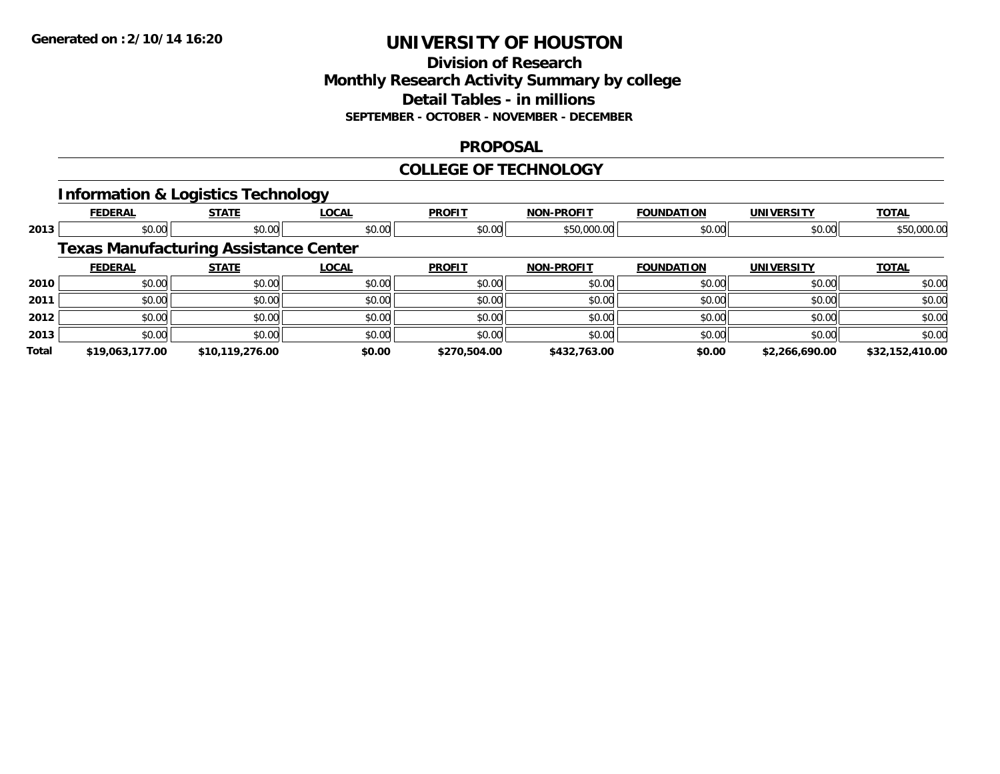### **Division of Research Monthly Research Activity Summary by college Detail Tables - in millions SEPTEMBER - OCTOBER - NOVEMBER - DECEMBER**

### **PROPOSAL**

### **COLLEGE OF TECHNOLOGY**

# **Information & Logistics Technology**

|       | <b>FEDERAL</b>                               | <b>STATE</b>    | <b>LOCAL</b> | <b>PROFIT</b> | <b>NON-PROFIT</b> | <b>FOUNDATION</b> | <b>UNIVERSITY</b> | <b>TOTAL</b>    |
|-------|----------------------------------------------|-----------------|--------------|---------------|-------------------|-------------------|-------------------|-----------------|
| 2013  | \$0.00                                       | \$0.00          | \$0.00       | \$0.00        | \$50,000.00       | \$0.00            | \$0.00            | \$50,000.00     |
|       | <b>Texas Manufacturing Assistance Center</b> |                 |              |               |                   |                   |                   |                 |
|       | <b>FEDERAL</b>                               | <b>STATE</b>    | <b>LOCAL</b> | <b>PROFIT</b> | <b>NON-PROFIT</b> | <b>FOUNDATION</b> | <b>UNIVERSITY</b> | <b>TOTAL</b>    |
| 2010  | \$0.00                                       | \$0.00          | \$0.00       | \$0.00        | \$0.00            | \$0.00            | \$0.00            | \$0.00          |
| 2011  | \$0.00                                       | \$0.00          | \$0.00       | \$0.00        | \$0.00            | \$0.00            | \$0.00            | \$0.00          |
| 2012  | \$0.00                                       | \$0.00          | \$0.00       | \$0.00        | \$0.00            | \$0.00            | \$0.00            | \$0.00          |
| 2013  | \$0.00                                       | \$0.00          | \$0.00       | \$0.00        | \$0.00            | \$0.00            | \$0.00            | \$0.00          |
| Total | \$19,063,177.00                              | \$10,119,276.00 | \$0.00       | \$270,504.00  | \$432,763.00      | \$0.00            | \$2,266,690.00    | \$32,152,410.00 |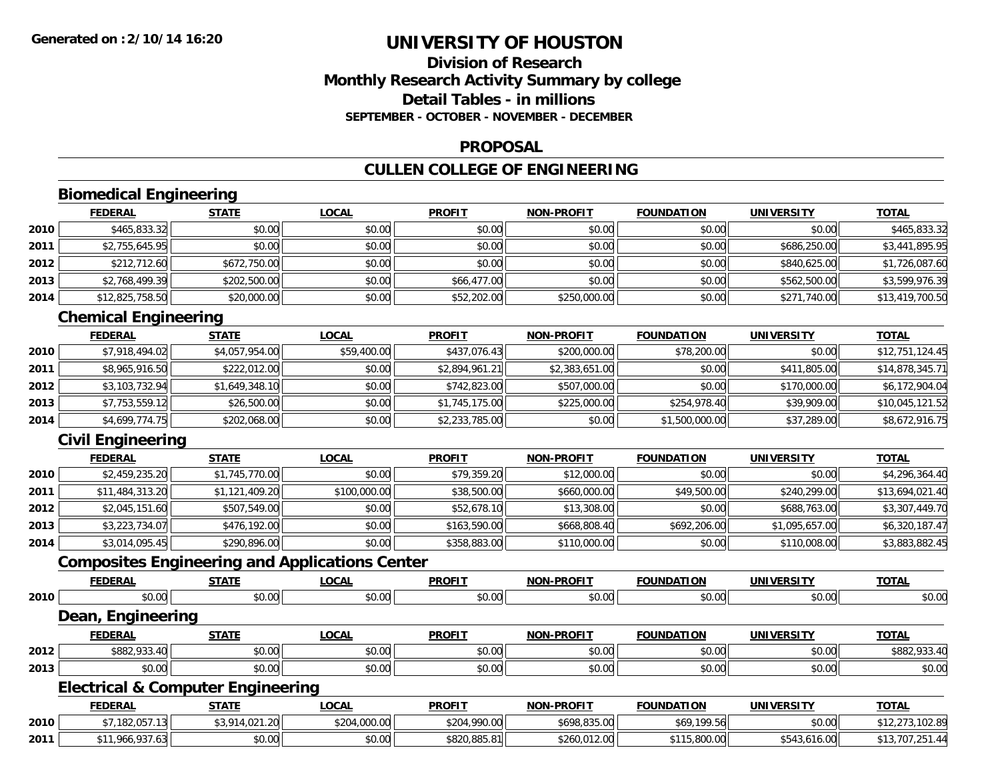# **Division of ResearchMonthly Research Activity Summary by college Detail Tables - in millionsSEPTEMBER - OCTOBER - NOVEMBER - DECEMBER**

### **PROPOSAL**

# **CULLEN COLLEGE OF ENGINEERING**

# **Biomedical Engineering**

|      | <u>FEDERAL</u>  | <b>STATE</b> | <b>LOCAL</b> | <b>PROFIT</b> | <b>NON-PROFIT</b> | <b>FOUNDATION</b> | <b>UNIVERSITY</b> | <b>TOTAL</b>    |
|------|-----------------|--------------|--------------|---------------|-------------------|-------------------|-------------------|-----------------|
| 2010 | \$465,833.32    | \$0.00       | \$0.00       | \$0.00        | \$0.00            | \$0.00            | \$0.00            | \$465,833.32    |
| 2011 | \$2,755,645.95  | \$0.00       | \$0.00       | \$0.00        | \$0.00            | \$0.00            | \$686,250.00      | \$3,441,895.95  |
| 2012 | \$212,712.60    | \$672,750.00 | \$0.00       | \$0.00        | \$0.00            | \$0.00            | \$840,625.00      | \$1,726,087.60  |
| 2013 | \$2,768,499.39  | \$202,500.00 | \$0.00       | \$66,477.00   | \$0.00            | \$0.00            | \$562,500.00      | \$3,599,976.39  |
| 2014 | \$12,825,758.50 | \$20,000.00  | \$0.00       | \$52,202.00   | \$250,000.00      | \$0.00            | \$271,740.00      | \$13,419,700.50 |

# **Chemical Engineering**

|      | <b>FEDERAL</b> | <b>STATE</b>   | <u>LOCAL</u> | <b>PROFIT</b>  | <b>NON-PROFIT</b> | <b>FOUNDATION</b> | UNIVERSITY   | <b>TOTAL</b>    |
|------|----------------|----------------|--------------|----------------|-------------------|-------------------|--------------|-----------------|
| 2010 | \$7,918,494.02 | \$4,057,954.00 | \$59,400.00  | \$437,076.43   | \$200,000.00      | \$78,200.00       | \$0.00       | \$12,751,124.45 |
| 2011 | \$8,965,916.50 | \$222,012.00   | \$0.00       | \$2,894,961.21 | \$2,383,651.00    | \$0.00            | \$411,805.00 | \$14,878,345.71 |
| 2012 | \$3,103,732.94 | \$1,649,348.10 | \$0.00       | \$742,823,00   | \$507,000.00      | \$0.00            | \$170,000.00 | \$6,172,904.04  |
| 2013 | \$7,753,559.12 | \$26,500.00    | \$0.00       | \$1,745,175.00 | \$225,000.00      | \$254,978.40      | \$39,909.00  | \$10,045,121.52 |
| 2014 | \$4,699,774.75 | \$202,068.00   | \$0.00       | \$2,233,785.00 | \$0.00            | \$1,500,000.00    | \$37,289.00  | \$8,672,916.75  |

# **Civil Engineering**

|      | <b>FEDERAL</b>  | <b>STATE</b>   | <b>LOCAL</b> | <b>PROFIT</b> | <b>NON-PROFIT</b> | <b>FOUNDATION</b> | <b>UNIVERSITY</b> | <b>TOTAL</b>    |
|------|-----------------|----------------|--------------|---------------|-------------------|-------------------|-------------------|-----------------|
| 2010 | \$2,459,235.20  | \$1,745,770.00 | \$0.00       | \$79,359.20   | \$12,000.00       | \$0.00            | \$0.00            | \$4,296,364.40  |
| 2011 | \$11,484,313.20 | \$1,121,409.20 | \$100,000.00 | \$38,500.00   | \$660,000.00      | \$49,500.00       | \$240,299.00      | \$13,694,021.40 |
| 2012 | \$2,045,151.60  | \$507,549.00   | \$0.00       | \$52,678.10   | \$13,308.00       | \$0.00            | \$688,763.00      | \$3,307,449.70  |
| 2013 | \$3,223,734.07  | \$476,192.00   | \$0.00       | \$163,590.00  | \$668,808.40      | \$692,206.00      | \$1,095,657.00    | \$6,320,187.47  |
| 2014 | \$3,014,095.45  | \$290,896.00   | \$0.00       | \$358,883.00  | \$110,000.00      | \$0.00            | \$110,008.00      | \$3,883,882.45  |

### **Composites Engineering and Applications Center**

|      | <b>FEDERAL</b>                               | <b>STATE</b>   | <b>LOCAL</b> | <b>PROFIT</b> | <b>NON-PROFIT</b> | <b>FOUNDATION</b> | <b>UNIVERSITY</b> | <b>TOTAL</b>    |
|------|----------------------------------------------|----------------|--------------|---------------|-------------------|-------------------|-------------------|-----------------|
| 2010 | \$0.00                                       | \$0.00         | \$0.00       | \$0.00        | \$0.00            | \$0.00            | \$0.00            | \$0.00          |
|      | Dean, Engineering                            |                |              |               |                   |                   |                   |                 |
|      | <b>FEDERAL</b>                               | <b>STATE</b>   | <b>LOCAL</b> | <b>PROFIT</b> | <b>NON-PROFIT</b> | <b>FOUNDATION</b> | <b>UNIVERSITY</b> | <b>TOTAL</b>    |
| 2012 | \$882,933.40                                 | \$0.00         | \$0.00       | \$0.00        | \$0.00            | \$0.00            | \$0.00            | \$882,933.40    |
| 2013 | \$0.00                                       | \$0.00         | \$0.00       | \$0.00        | \$0.00            | \$0.00            | \$0.00            | \$0.00          |
|      | <b>Electrical &amp; Computer Engineering</b> |                |              |               |                   |                   |                   |                 |
|      | <b>FEDERAL</b>                               | <b>STATE</b>   | <b>LOCAL</b> | <b>PROFIT</b> | <b>NON-PROFIT</b> | <b>FOUNDATION</b> | <b>UNIVERSITY</b> | <b>TOTAL</b>    |
| 2010 | \$7,182,057.13                               | \$3,914,021.20 | \$204,000.00 | \$204,990.00  | \$698,835.00      | \$69,199.56       | \$0.00            | \$12,273,102.89 |
| 2011 | \$11,966,937.63                              | \$0.00         | \$0.00       | \$820,885.81  | \$260,012.00      | \$115,800.00      | \$543,616.00      | \$13,707,251.44 |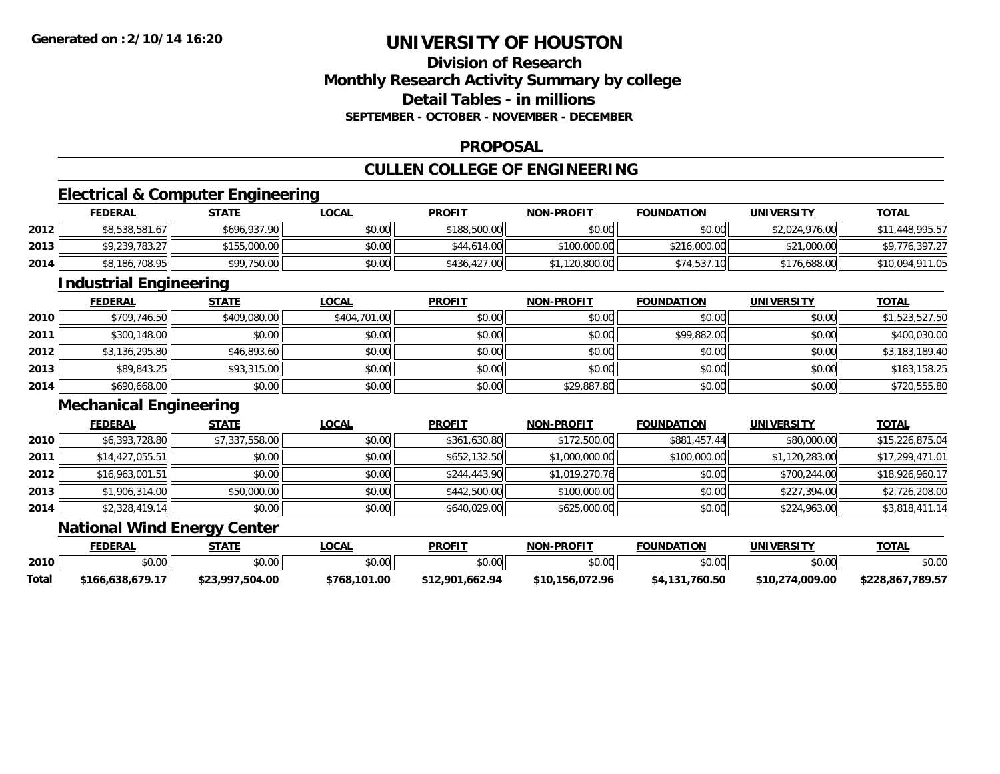# **Division of ResearchMonthly Research Activity Summary by college Detail Tables - in millionsSEPTEMBER - OCTOBER - NOVEMBER - DECEMBER**

#### **PROPOSAL**

# **CULLEN COLLEGE OF ENGINEERING**

# **Electrical & Computer Engineering**

|      | <b>FEDERAL</b> | <b>STATE</b> | LOCAL  | <b>PROFIT</b> | <b>NON-PROFIT</b> | <b>FOUNDATION</b> | <b>UNIVERSITY</b> | <b>TOTAL</b>    |
|------|----------------|--------------|--------|---------------|-------------------|-------------------|-------------------|-----------------|
| 2012 | \$8,538,581.67 | \$696,937.90 | \$0.00 | \$188,500.00  | \$0.00            | \$0.00            | \$2,024,976.00    | 1,448,995.57    |
| 2013 | \$9,239,783.27 | \$155,000.00 | \$0.00 | \$44,614.00   | \$100,000.00      | \$216,000.00      | \$21,000.00       | \$9,776,397.27  |
| 2014 | \$8,186,708.95 | \$99,750.00  | \$0.00 | \$436,427.00  | \$1,120,800.00    | \$74,537.10       | \$176,688.00      | \$10,094,911.05 |

<u> 1980 - Andrea Station Barbara, actor a component de la componentación de la componentación de la componentaci</u>

# **Industrial Engineering**

|      | <b>FEDERAL</b> | <b>STATE</b> | <b>LOCAL</b> | <b>PROFIT</b> | <b>NON-PROFIT</b> | <b>FOUNDATION</b> | <b>UNIVERSITY</b> | <b>TOTAL</b>   |
|------|----------------|--------------|--------------|---------------|-------------------|-------------------|-------------------|----------------|
| 2010 | \$709,746.50   | \$409,080.00 | \$404,701.00 | \$0.00        | \$0.00            | \$0.00            | \$0.00            | \$1,523,527.50 |
| 2011 | \$300,148.00   | \$0.00       | \$0.00       | \$0.00        | \$0.00            | \$99,882.00       | \$0.00            | \$400,030.00   |
| 2012 | \$3,136,295.80 | \$46,893.60  | \$0.00       | \$0.00        | \$0.00            | \$0.00            | \$0.00            | \$3,183,189.40 |
| 2013 | \$89,843.25    | \$93,315.00  | \$0.00       | \$0.00        | \$0.00            | \$0.00            | \$0.00            | \$183,158.25   |
| 2014 | \$690,668.00   | \$0.00       | \$0.00       | \$0.00        | \$29,887.80       | \$0.00            | \$0.00            | \$720,555.80   |

#### **Mechanical Engineering**

|      | <b>FEDERAL</b>  | <u>STATE</u>   | <b>LOCAL</b> | <b>PROFIT</b> | <b>NON-PROFIT</b> | <b>FOUNDATION</b> | <b>UNIVERSITY</b> | <u>TOTAL</u>    |
|------|-----------------|----------------|--------------|---------------|-------------------|-------------------|-------------------|-----------------|
| 2010 | \$6,393,728.80  | \$7,337,558.00 | \$0.00       | \$361,630.80  | \$172,500.00      | \$881,457.44      | \$80,000.00       | \$15,226,875.04 |
| 2011 | \$14,427,055.51 | \$0.00         | \$0.00       | \$652,132.50  | \$1,000,000.00    | \$100,000.00      | \$1,120,283.00    | \$17,299,471.01 |
| 2012 | \$16,963,001.51 | \$0.00         | \$0.00       | \$244,443.90  | \$1,019,270.76    | \$0.00            | \$700,244.00      | \$18,926,960.17 |
| 2013 | \$1,906,314.00  | \$50,000.00    | \$0.00       | \$442,500.00  | \$100,000.00      | \$0.00            | \$227,394.00      | \$2,726,208.00  |
| 2014 | \$2,328,419.14  | \$0.00         | \$0.00       | \$640,029.00  | \$625,000.00      | \$0.00            | \$224,963.00      | \$3,818,411.14  |

### **National Wind Energy Center**

|       | <b>FEDERAL</b>              | STATE           | _OCAL        | <b>PROFIT</b>   | <b>NON-PROFIT</b> | <b>FOUNDATION</b> | <b>UNIVERSITY</b> | <b>TOTAL</b>     |
|-------|-----------------------------|-----------------|--------------|-----------------|-------------------|-------------------|-------------------|------------------|
| 2010  | <b>↑∩</b><br>$\cap$<br>ט.טע | \$0.00          | \$0.00       | \$0.00          | \$0.00            | \$0.00            | \$0.00            | \$0.00           |
| Total | 166.638.679.17              | \$23,997,504.00 | \$768,101.00 | \$12,901.662.94 | \$10.156.072.96   | \$4,131,760.50    | \$10,274,009.00   | \$228.867.789.57 |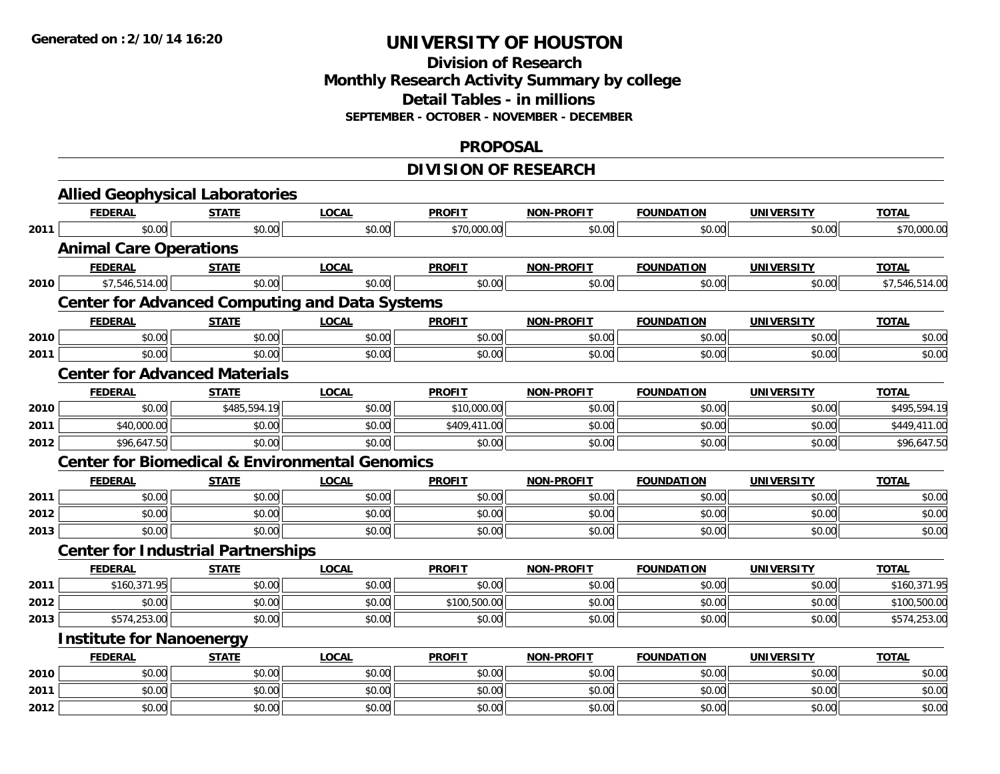# **Division of ResearchMonthly Research Activity Summary by college Detail Tables - in millions SEPTEMBER - OCTOBER - NOVEMBER - DECEMBER**

#### **PROPOSAL**

# **DIVISION OF RESEARCH**

|      | <b>Allied Geophysical Laboratories</b>                    |              |              |               |                   |                   |                   |                |
|------|-----------------------------------------------------------|--------------|--------------|---------------|-------------------|-------------------|-------------------|----------------|
|      | <b>FEDERAL</b>                                            | <b>STATE</b> | <b>LOCAL</b> | <b>PROFIT</b> | <b>NON-PROFIT</b> | <b>FOUNDATION</b> | <b>UNIVERSITY</b> | <b>TOTAL</b>   |
| 2011 | \$0.00                                                    | \$0.00       | \$0.00       | \$70,000.00   | \$0.00            | \$0.00            | \$0.00            | \$70,000.00    |
|      | <b>Animal Care Operations</b>                             |              |              |               |                   |                   |                   |                |
|      | <b>FEDERAL</b>                                            | <b>STATE</b> | <b>LOCAL</b> | <b>PROFIT</b> | <b>NON-PROFIT</b> | <b>FOUNDATION</b> | <b>UNIVERSITY</b> | <b>TOTAL</b>   |
| 2010 | \$7,546,514.00                                            | \$0.00       | \$0.00       | \$0.00        | \$0.00            | \$0.00            | \$0.00            | \$7,546,514.00 |
|      | <b>Center for Advanced Computing and Data Systems</b>     |              |              |               |                   |                   |                   |                |
|      | <b>FEDERAL</b>                                            | <b>STATE</b> | <b>LOCAL</b> | <b>PROFIT</b> | <b>NON-PROFIT</b> | <b>FOUNDATION</b> | <b>UNIVERSITY</b> | <b>TOTAL</b>   |
| 2010 | \$0.00                                                    | \$0.00       | \$0.00       | \$0.00        | \$0.00            | \$0.00            | \$0.00            | \$0.00         |
| 2011 | \$0.00                                                    | \$0.00       | \$0.00       | \$0.00        | \$0.00            | \$0.00            | \$0.00            | \$0.00         |
|      | <b>Center for Advanced Materials</b>                      |              |              |               |                   |                   |                   |                |
|      | <b>FEDERAL</b>                                            | <b>STATE</b> | <b>LOCAL</b> | <b>PROFIT</b> | <b>NON-PROFIT</b> | <b>FOUNDATION</b> | <b>UNIVERSITY</b> | <b>TOTAL</b>   |
| 2010 | \$0.00                                                    | \$485,594.19 | \$0.00       | \$10,000.00   | \$0.00            | \$0.00            | \$0.00            | \$495,594.19   |
| 2011 | \$40,000.00                                               | \$0.00       | \$0.00       | \$409,411.00  | \$0.00            | \$0.00            | \$0.00            | \$449,411.00   |
| 2012 | \$96,647.50                                               | \$0.00       | \$0.00       | \$0.00        | \$0.00            | \$0.00            | \$0.00            | \$96,647.50    |
|      | <b>Center for Biomedical &amp; Environmental Genomics</b> |              |              |               |                   |                   |                   |                |
|      | <b>FEDERAL</b>                                            | <b>STATE</b> | <b>LOCAL</b> | <b>PROFIT</b> | <b>NON-PROFIT</b> | <b>FOUNDATION</b> | <b>UNIVERSITY</b> | <b>TOTAL</b>   |
| 2011 | \$0.00                                                    | \$0.00       | \$0.00       | \$0.00        | \$0.00            | \$0.00            | \$0.00            | \$0.00         |
| 2012 | \$0.00                                                    | \$0.00       | \$0.00       | \$0.00        | \$0.00            | \$0.00            | \$0.00            | \$0.00         |
| 2013 | \$0.00                                                    | \$0.00       | \$0.00       | \$0.00        | \$0.00            | \$0.00            | \$0.00            | \$0.00         |
|      | <b>Center for Industrial Partnerships</b>                 |              |              |               |                   |                   |                   |                |
|      | <b>FEDERAL</b>                                            | <b>STATE</b> | <b>LOCAL</b> | <b>PROFIT</b> | <b>NON-PROFIT</b> | <b>FOUNDATION</b> | <b>UNIVERSITY</b> | <b>TOTAL</b>   |
| 2011 | \$160.371.95                                              | \$0.00       | \$0.00       | \$0.00        | \$0.00            | \$0.00            | \$0.00            | \$160,371.95   |
| 2012 | \$0.00                                                    | \$0.00       | \$0.00       | \$100,500.00  | \$0.00            | \$0.00            | \$0.00            | \$100,500.00   |
| 2013 | \$574,253.00                                              | \$0.00       | \$0.00       | \$0.00        | \$0.00            | \$0.00            | \$0.00            | \$574,253.00   |
|      | <b>Institute for Nanoenergy</b>                           |              |              |               |                   |                   |                   |                |
|      | <b>FEDERAL</b>                                            | <b>STATE</b> | <b>LOCAL</b> | <b>PROFIT</b> | <b>NON-PROFIT</b> | <b>FOUNDATION</b> | <b>UNIVERSITY</b> | <b>TOTAL</b>   |
| 2010 | \$0.00                                                    | \$0.00       | \$0.00       | \$0.00        | \$0.00            | \$0.00            | \$0.00            | \$0.00         |
| 2011 | \$0.00                                                    | \$0.00       | \$0.00       | \$0.00        | \$0.00            | \$0.00            | \$0.00            | \$0.00         |
| 2012 | \$0.00                                                    | \$0.00       | \$0.00       | \$0.00        | \$0.00            | \$0.00            | \$0.00            | \$0.00         |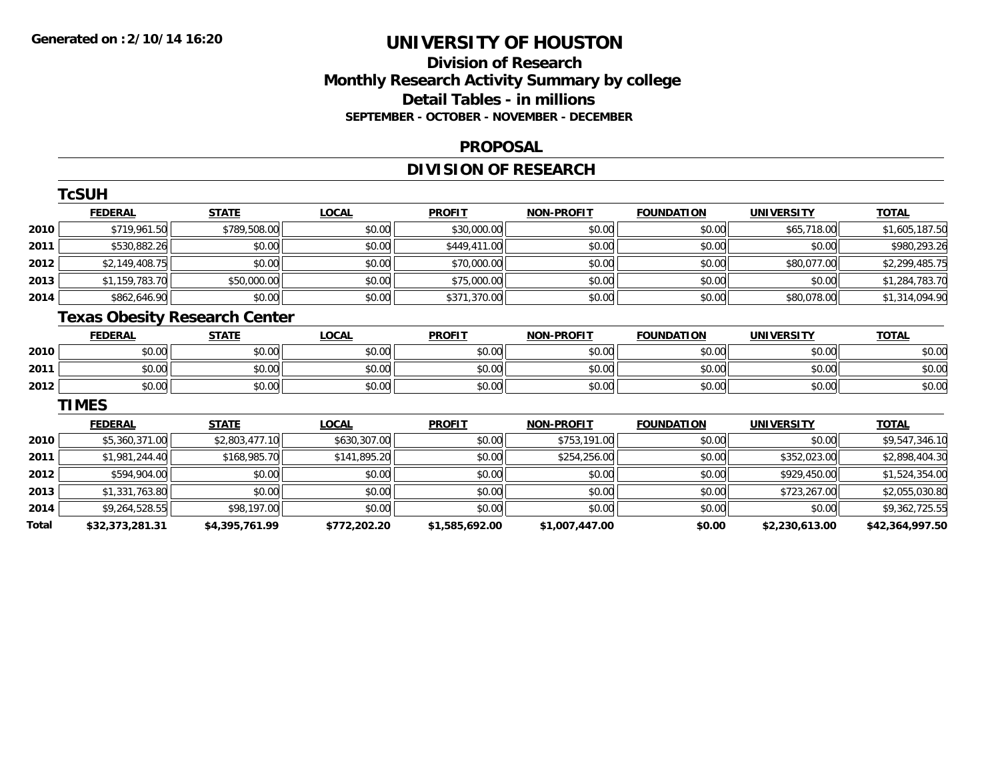# **Division of ResearchMonthly Research Activity Summary by college Detail Tables - in millions SEPTEMBER - OCTOBER - NOVEMBER - DECEMBER**

#### **PROPOSAL**

# **DIVISION OF RESEARCH**

|       | <b>TcSUH</b>                         |                |              |                |                   |                   |                   |                 |
|-------|--------------------------------------|----------------|--------------|----------------|-------------------|-------------------|-------------------|-----------------|
|       | <b>FEDERAL</b>                       | <b>STATE</b>   | <b>LOCAL</b> | <b>PROFIT</b>  | <b>NON-PROFIT</b> | <b>FOUNDATION</b> | <b>UNIVERSITY</b> | <b>TOTAL</b>    |
| 2010  | \$719,961.50                         | \$789,508.00   | \$0.00       | \$30,000.00    | \$0.00            | \$0.00            | \$65,718.00       | \$1,605,187.50  |
| 2011  | \$530,882.26                         | \$0.00         | \$0.00       | \$449,411.00   | \$0.00            | \$0.00            | \$0.00            | \$980,293.26    |
| 2012  | \$2,149,408.75                       | \$0.00         | \$0.00       | \$70,000.00    | \$0.00            | \$0.00            | \$80,077.00       | \$2,299,485.75  |
| 2013  | \$1,159,783.70                       | \$50,000.00    | \$0.00       | \$75,000.00    | \$0.00            | \$0.00            | \$0.00            | \$1,284,783.70  |
| 2014  | \$862,646.90                         | \$0.00         | \$0.00       | \$371,370.00   | \$0.00            | \$0.00            | \$80,078.00       | \$1,314,094.90  |
|       | <b>Texas Obesity Research Center</b> |                |              |                |                   |                   |                   |                 |
|       | <b>FEDERAL</b>                       | <b>STATE</b>   | <b>LOCAL</b> | <b>PROFIT</b>  | <b>NON-PROFIT</b> | <b>FOUNDATION</b> | <b>UNIVERSITY</b> | <b>TOTAL</b>    |
| 2010  | \$0.00                               | \$0.00         | \$0.00       | \$0.00         | \$0.00            | \$0.00            | \$0.00            | \$0.00          |
| 2011  | \$0.00                               | \$0.00         | \$0.00       | \$0.00         | \$0.00            | \$0.00            | \$0.00            | \$0.00          |
| 2012  | \$0.00                               | \$0.00         | \$0.00       | \$0.00         | \$0.00            | \$0.00            | \$0.00            | \$0.00          |
|       | <b>TIMES</b>                         |                |              |                |                   |                   |                   |                 |
|       | <b>FEDERAL</b>                       | <b>STATE</b>   | <b>LOCAL</b> | <b>PROFIT</b>  | <b>NON-PROFIT</b> | <b>FOUNDATION</b> | <b>UNIVERSITY</b> | <b>TOTAL</b>    |
| 2010  | \$5,360,371.00                       | \$2,803,477.10 | \$630,307.00 | \$0.00         | \$753,191.00      | \$0.00            | \$0.00            | \$9,547,346.10  |
| 2011  | \$1,981,244.40                       | \$168,985.70   | \$141,895.20 | \$0.00         | \$254,256.00      | \$0.00            | \$352,023.00      | \$2,898,404.30  |
| 2012  | \$594,904.00                         | \$0.00         | \$0.00       | \$0.00         | \$0.00            | \$0.00            | \$929,450.00      | \$1,524,354.00  |
| 2013  | \$1,331,763.80                       | \$0.00         | \$0.00       | \$0.00         | \$0.00            | \$0.00            | \$723,267.00      | \$2,055,030.80  |
| 2014  | \$9,264,528.55                       | \$98,197.00    | \$0.00       | \$0.00         | \$0.00            | \$0.00            | \$0.00            | \$9,362,725.55  |
| Total | \$32,373,281.31                      | \$4,395,761.99 | \$772,202.20 | \$1,585,692.00 | \$1,007,447.00    | \$0.00            | \$2,230,613.00    | \$42,364,997.50 |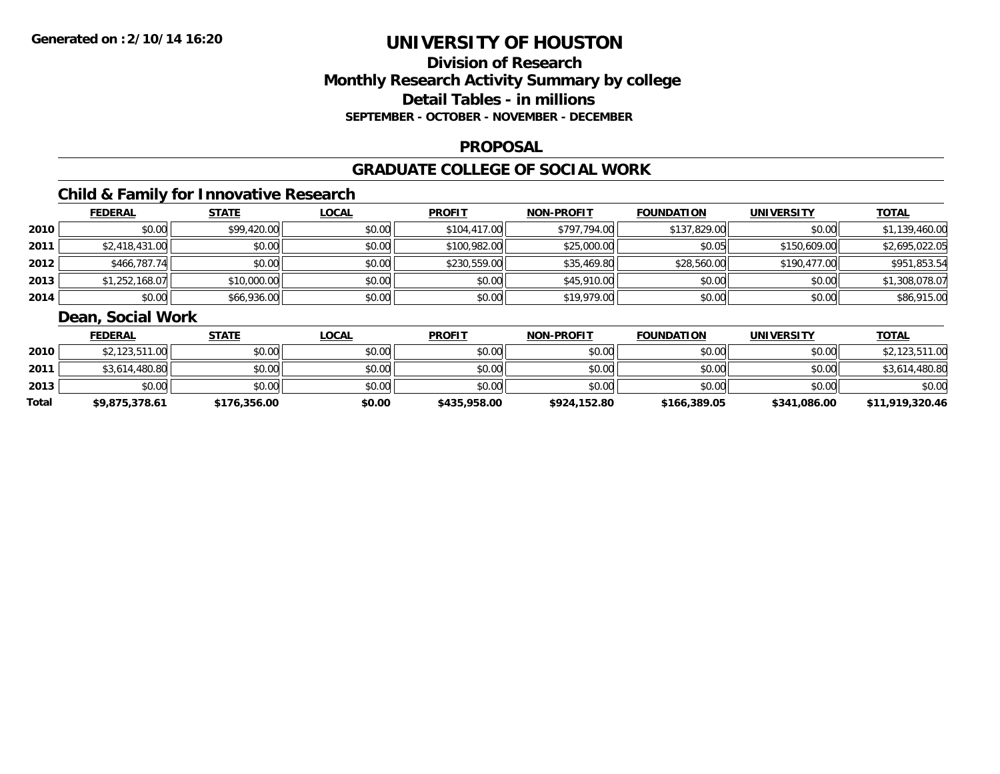# **Division of ResearchMonthly Research Activity Summary by college Detail Tables - in millions SEPTEMBER - OCTOBER - NOVEMBER - DECEMBER**

#### **PROPOSAL**

#### **GRADUATE COLLEGE OF SOCIAL WORK**

# **Child & Family for Innovative Research**

|      | <b>FEDERAL</b> | <b>STATE</b> | <u>LOCAL</u> | <b>PROFIT</b> | <b>NON-PROFIT</b> | <b>FOUNDATION</b> | <b>UNIVERSITY</b> | <b>TOTAL</b>   |
|------|----------------|--------------|--------------|---------------|-------------------|-------------------|-------------------|----------------|
| 2010 | \$0.00         | \$99,420.00  | \$0.00       | \$104,417.00  | \$797,794.00      | \$137,829.00      | \$0.00            | \$1,139,460.00 |
| 2011 | \$2,418,431.00 | \$0.00       | \$0.00       | \$100,982.00  | \$25,000.00       | \$0.05            | \$150,609.00      | \$2,695,022.05 |
| 2012 | \$466,787.74   | \$0.00       | \$0.00       | \$230,559.00  | \$35,469.80       | \$28,560.00       | \$190,477.00      | \$951,853.54   |
| 2013 | \$1,252,168.07 | \$10,000.00  | \$0.00       | \$0.00        | \$45,910.00       | \$0.00            | \$0.00            | \$1,308,078.07 |
| 2014 | \$0.00         | \$66,936.00  | \$0.00       | \$0.00        | \$19,979.00       | \$0.00            | \$0.00            | \$86,915.00    |

# **Dean, Social Work**

|       | <b>FEDERAL</b> | <b>STATE</b> | <u>LOCAL</u> | <b>PROFIT</b> | <b>NON-PROFIT</b> | <b>FOUNDATION</b> | <b>UNIVERSITY</b> | <b>TOTAL</b>    |
|-------|----------------|--------------|--------------|---------------|-------------------|-------------------|-------------------|-----------------|
| 2010  | \$2,123,511.00 | \$0.00       | \$0.00       | \$0.00        | \$0.00            | \$0.00            | \$0.00            | \$2,123,511.00  |
| 2011  | \$3,614,480.80 | \$0.00       | \$0.00       | \$0.00        | \$0.00            | \$0.00            | \$0.00            | \$3,614,480.80  |
| 2013  | \$0.00         | \$0.00       | \$0.00       | \$0.00        | \$0.00            | \$0.00            | \$0.00            | \$0.00          |
| Total | \$9,875,378.61 | \$176,356.00 | \$0.00       | \$435,958.00  | \$924,152.80      | \$166,389.05      | \$341,086.00      | \$11,919,320.46 |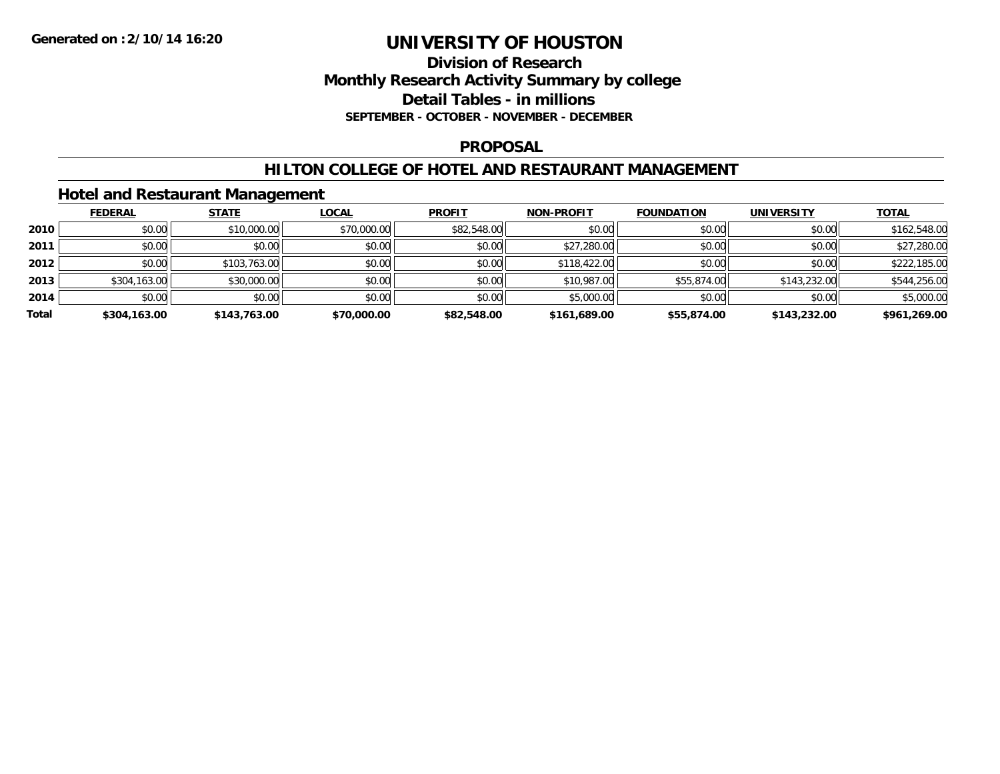### **Division of Research Monthly Research Activity Summary by college Detail Tables - in millions SEPTEMBER - OCTOBER - NOVEMBER - DECEMBER**

#### **PROPOSAL**

#### **HILTON COLLEGE OF HOTEL AND RESTAURANT MANAGEMENT**

### **Hotel and Restaurant Management**

|       | <b>FEDERAL</b> | <b>STATE</b> | <u>LOCAL</u> | <b>PROFIT</b> | <b>NON-PROFIT</b> | <b>FOUNDATION</b> | <b>UNIVERSITY</b> | <b>TOTAL</b> |
|-------|----------------|--------------|--------------|---------------|-------------------|-------------------|-------------------|--------------|
| 2010  | \$0.00         | \$10,000.00  | \$70,000.00  | \$82,548.00   | \$0.00            | \$0.00            | \$0.00            | \$162,548.00 |
| 2011  | \$0.00         | \$0.00       | \$0.00       | \$0.00        | \$27,280.00       | \$0.00            | \$0.00            | \$27,280.00  |
| 2012  | \$0.00         | \$103,763.00 | \$0.00       | \$0.00        | \$118,422,00      | \$0.00            | \$0.00            | \$222,185.00 |
| 2013  | \$304,163.00   | \$30,000.00  | \$0.00       | \$0.00        | \$10,987.00       | \$55,874.00       | \$143,232.00      | \$544,256.00 |
| 2014  | \$0.00         | \$0.00       | \$0.00       | \$0.00        | \$5,000.00        | \$0.00            | \$0.00            | \$5,000.00   |
| Total | \$304,163.00   | \$143,763.00 | \$70,000.00  | \$82,548.00   | \$161,689.00      | \$55,874.00       | \$143,232.00      | \$961,269.00 |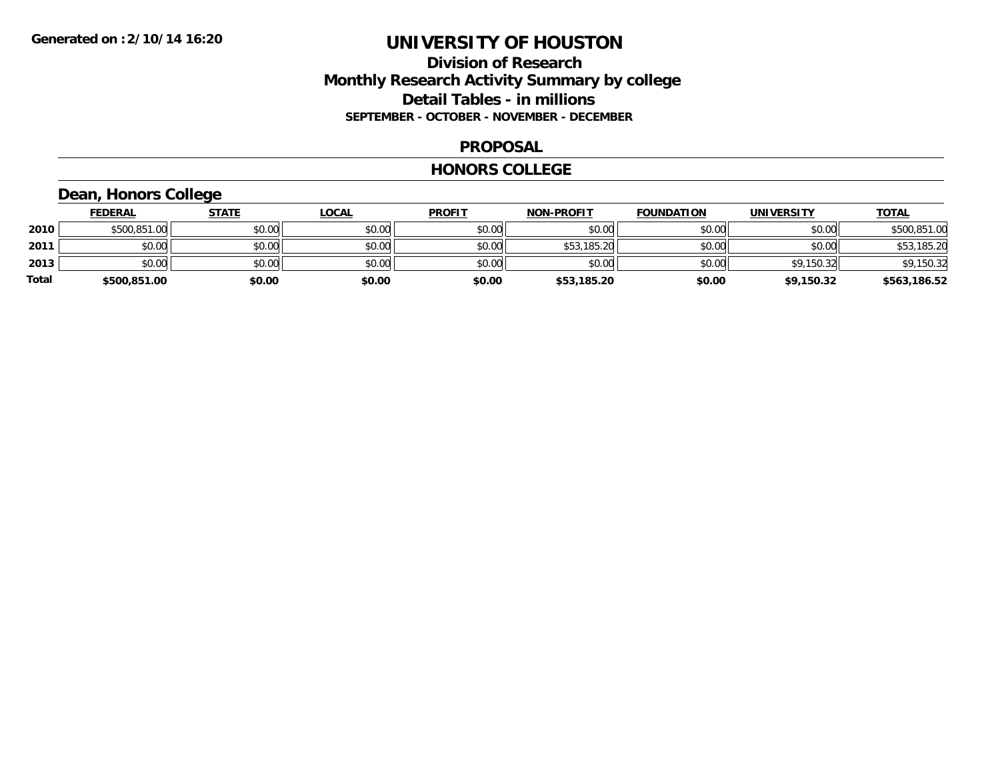### **Division of Research Monthly Research Activity Summary by college Detail Tables - in millions SEPTEMBER - OCTOBER - NOVEMBER - DECEMBER**

#### **PROPOSAL**

#### **HONORS COLLEGE**

# **Dean, Honors College**

|              | <b>FEDERAL</b> | <b>STATE</b> | <u>LOCAL</u> | <b>PROFIT</b> | <b>NON-PROFIT</b> | <b>FOUNDATION</b> | <b>UNIVERSITY</b> | <b>TOTAL</b> |
|--------------|----------------|--------------|--------------|---------------|-------------------|-------------------|-------------------|--------------|
| 2010         | \$500,851.00   | \$0.00       | \$0.00       | \$0.00        | \$0.00            | \$0.00            | \$0.00            | \$500,851.00 |
| 2011         | \$0.00         | \$0.00       | \$0.00       | \$0.00        | \$53,185.20       | \$0.00            | \$0.00            | \$53,185.20  |
| 2013         | \$0.00         | \$0.00       | \$0.00       | \$0.00        | \$0.00            | \$0.00            | \$9,150.32        | \$9,150.32   |
| <b>Total</b> | \$500,851.00   | \$0.00       | \$0.00       | \$0.00        | \$53,185.20       | \$0.00            | \$9,150.32        | \$563,186.52 |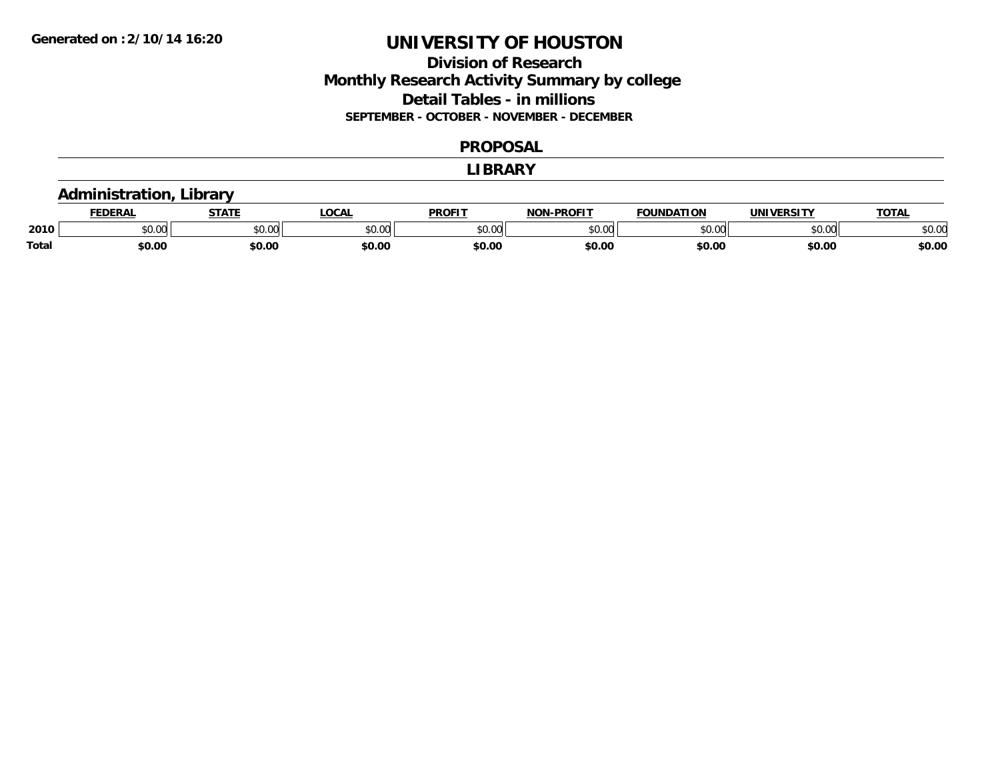# **Division of Research Monthly Research Activity Summary by college Detail Tables - in millions SEPTEMBER - OCTOBER - NOVEMBER - DECEMBER**

#### **PROPOSAL**

#### **LIBRARY**

### **Administration, Library**

|       | <b>DERAL</b>   | <b>STATE</b>                                        | <b>LOCAL</b>            | <b>PROFIT</b>           | <b>-PROFIT</b><br><b>NON</b> | <b>FOUNDATION</b> | <b>INIVE</b>  | <b>TOTAL</b> |
|-------|----------------|-----------------------------------------------------|-------------------------|-------------------------|------------------------------|-------------------|---------------|--------------|
| 2010  | 0000<br>ື⊍∪.ບບ | $\uparrow$ $\uparrow$ $\uparrow$ $\uparrow$<br>JU.U | 0 <sub>n</sub><br>JU.UU | 0 <sup>0</sup><br>טט.טי | \$0.00                       | $\sim$ 00         | 0000<br>DU.UU | \$0.OC       |
| Total | \$0.00         | \$0.00                                              | \$0.00                  | \$0.00                  | \$0.00                       | \$0.00            | \$0.00        | \$0.00       |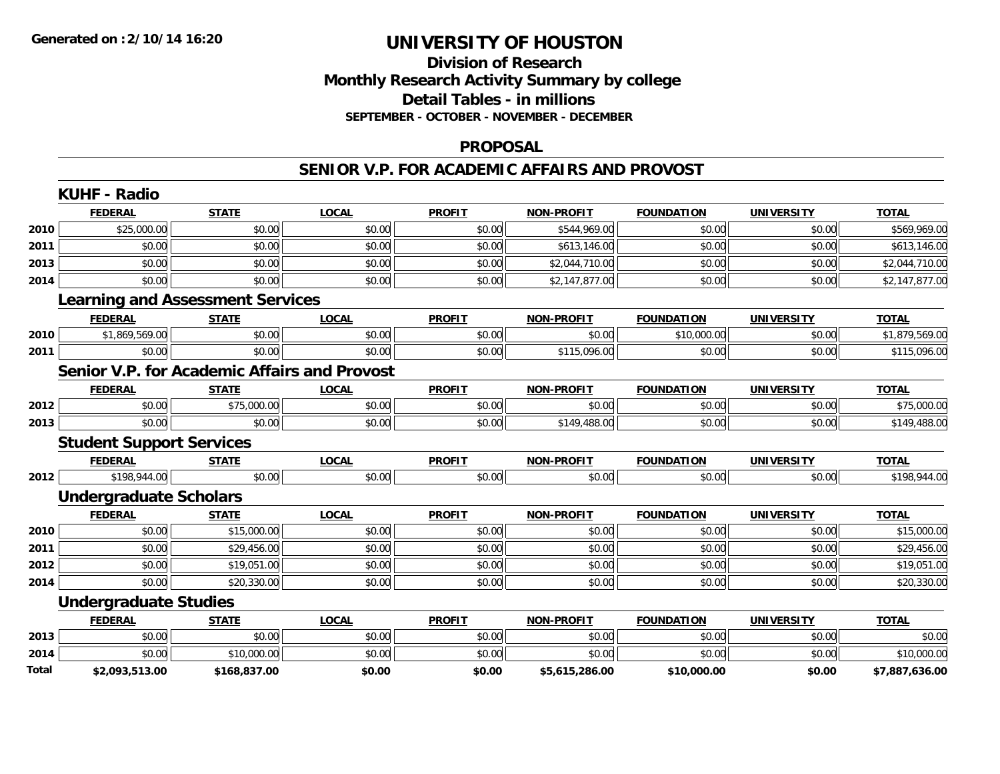### **Division of Research Monthly Research Activity Summary by college Detail Tables - in millions SEPTEMBER - OCTOBER - NOVEMBER - DECEMBER**

#### **PROPOSAL**

#### **SENIOR V.P. FOR ACADEMIC AFFAIRS AND PROVOST**

|       | <b>KUHF - Radio</b>             |                                                     |              |               |                   |                   |                   |                |
|-------|---------------------------------|-----------------------------------------------------|--------------|---------------|-------------------|-------------------|-------------------|----------------|
|       | <b>FEDERAL</b>                  | <b>STATE</b>                                        | <b>LOCAL</b> | <b>PROFIT</b> | <b>NON-PROFIT</b> | <b>FOUNDATION</b> | <b>UNIVERSITY</b> | <b>TOTAL</b>   |
| 2010  | \$25,000.00                     | \$0.00                                              | \$0.00       | \$0.00        | \$544,969.00      | \$0.00            | \$0.00            | \$569,969.00   |
| 2011  | \$0.00                          | \$0.00                                              | \$0.00       | \$0.00        | \$613,146.00      | \$0.00            | \$0.00            | \$613,146.00   |
| 2013  | \$0.00                          | \$0.00                                              | \$0.00       | \$0.00        | \$2,044,710.00    | \$0.00            | \$0.00            | \$2,044,710.00 |
| 2014  | \$0.00                          | \$0.00                                              | \$0.00       | \$0.00        | \$2,147,877.00    | \$0.00            | \$0.00            | \$2,147,877.00 |
|       |                                 | <b>Learning and Assessment Services</b>             |              |               |                   |                   |                   |                |
|       | <b>FEDERAL</b>                  | <b>STATE</b>                                        | <b>LOCAL</b> | <b>PROFIT</b> | <b>NON-PROFIT</b> | <b>FOUNDATION</b> | <b>UNIVERSITY</b> | <b>TOTAL</b>   |
| 2010  | \$1,869,569.00                  | \$0.00                                              | \$0.00       | \$0.00        | \$0.00            | \$10,000.00       | \$0.00            | \$1,879,569.00 |
| 2011  | \$0.00                          | \$0.00                                              | \$0.00       | \$0.00        | \$115,096.00      | \$0.00            | \$0.00            | \$115,096.00   |
|       |                                 | <b>Senior V.P. for Academic Affairs and Provost</b> |              |               |                   |                   |                   |                |
|       | <b>FEDERAL</b>                  | <b>STATE</b>                                        | <b>LOCAL</b> | <b>PROFIT</b> | <b>NON-PROFIT</b> | <b>FOUNDATION</b> | <b>UNIVERSITY</b> | <b>TOTAL</b>   |
| 2012  | \$0.00                          | \$75,000.00                                         | \$0.00       | \$0.00        | \$0.00            | \$0.00            | \$0.00            | \$75,000.00    |
| 2013  | \$0.00                          | \$0.00                                              | \$0.00       | \$0.00        | \$149,488.00      | \$0.00            | \$0.00            | \$149,488.00   |
|       | <b>Student Support Services</b> |                                                     |              |               |                   |                   |                   |                |
|       | <b>FEDERAL</b>                  | <b>STATE</b>                                        | <b>LOCAL</b> | <b>PROFIT</b> | <b>NON-PROFIT</b> | <b>FOUNDATION</b> | <b>UNIVERSITY</b> | <b>TOTAL</b>   |
| 2012  | \$198,944.00                    | \$0.00                                              | \$0.00       | \$0.00        | \$0.00            | \$0.00            | \$0.00            | \$198,944.00   |
|       | <b>Undergraduate Scholars</b>   |                                                     |              |               |                   |                   |                   |                |
|       | <b>FEDERAL</b>                  | <b>STATE</b>                                        | <b>LOCAL</b> | <b>PROFIT</b> | <b>NON-PROFIT</b> | <b>FOUNDATION</b> | <b>UNIVERSITY</b> | <b>TOTAL</b>   |
| 2010  | \$0.00                          | \$15,000.00                                         | \$0.00       | \$0.00        | \$0.00            | \$0.00            | \$0.00            | \$15,000.00    |
| 2011  | \$0.00                          | \$29,456.00                                         | \$0.00       | \$0.00        | \$0.00            | \$0.00            | \$0.00            | \$29,456.00    |
| 2012  | \$0.00                          | \$19,051.00                                         | \$0.00       | \$0.00        | \$0.00            | \$0.00            | \$0.00            | \$19,051.00    |
| 2014  | \$0.00                          | \$20,330.00                                         | \$0.00       | \$0.00        | \$0.00            | \$0.00            | \$0.00            | \$20,330.00    |
|       | <b>Undergraduate Studies</b>    |                                                     |              |               |                   |                   |                   |                |
|       | <b>FEDERAL</b>                  | <b>STATE</b>                                        | <b>LOCAL</b> | <b>PROFIT</b> | <b>NON-PROFIT</b> | <b>FOUNDATION</b> | <b>UNIVERSITY</b> | <b>TOTAL</b>   |
| 2013  | \$0.00                          | \$0.00                                              | \$0.00       | \$0.00        | \$0.00            | \$0.00            | \$0.00            | \$0.00         |
| 2014  | \$0.00                          | \$10,000.00                                         | \$0.00       | \$0.00        | \$0.00            | \$0.00            | \$0.00            | \$10,000.00    |
| Total | \$2,093,513.00                  | \$168,837.00                                        | \$0.00       | \$0.00        | \$5,615,286.00    | \$10,000.00       | \$0.00            | \$7,887,636.00 |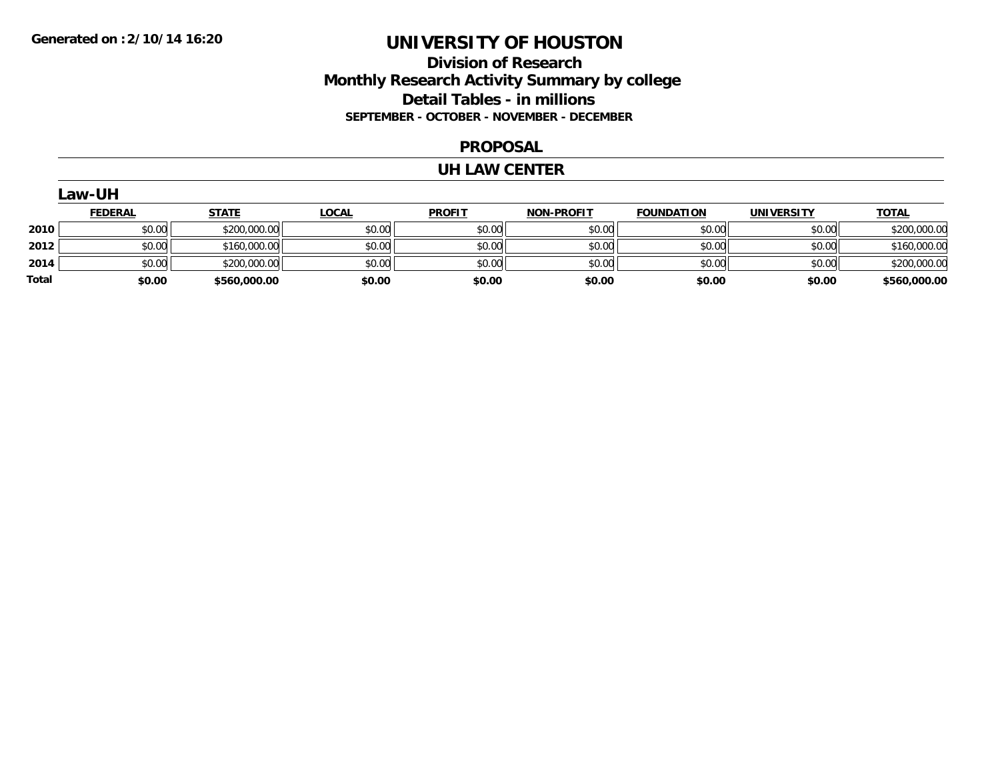# **Division of Research Monthly Research Activity Summary by college Detail Tables - in millions SEPTEMBER - OCTOBER - NOVEMBER - DECEMBER**

#### **PROPOSAL**

#### **UH LAW CENTER**

|       | Law-UH         |              |              |               |                   |                   |                   |              |  |  |
|-------|----------------|--------------|--------------|---------------|-------------------|-------------------|-------------------|--------------|--|--|
|       | <b>FEDERAL</b> | <b>STATE</b> | <b>LOCAL</b> | <b>PROFIT</b> | <b>NON-PROFIT</b> | <b>FOUNDATION</b> | <b>UNIVERSITY</b> | <b>TOTAL</b> |  |  |
| 2010  | \$0.00         | \$200,000.00 | \$0.00       | \$0.00        | \$0.00            | \$0.00            | \$0.00            | \$200,000.00 |  |  |
| 2012  | \$0.00         | \$160,000.00 | \$0.00       | \$0.00        | \$0.00            | \$0.00            | \$0.00            | \$160,000.00 |  |  |
| 2014  | \$0.00         | \$200,000.00 | \$0.00       | \$0.00        | \$0.00            | \$0.00            | \$0.00            | \$200,000.00 |  |  |
| Total | \$0.00         | \$560,000.00 | \$0.00       | \$0.00        | \$0.00            | \$0.00            | \$0.00            | \$560,000.00 |  |  |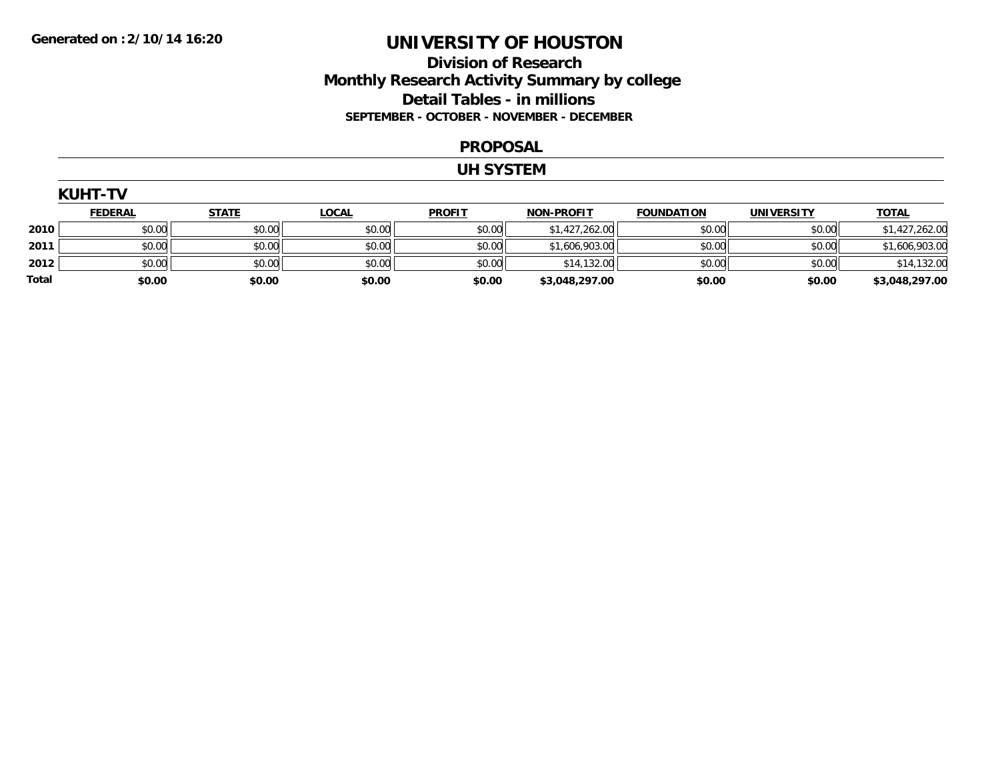# **Division of Research Monthly Research Activity Summary by college Detail Tables - in millions SEPTEMBER - OCTOBER - NOVEMBER - DECEMBER**

#### **PROPOSAL**

#### **UH SYSTEM**

|       | <b>KUHT-TV</b> |              |              |               |                   |                   |                   |                |  |  |  |  |
|-------|----------------|--------------|--------------|---------------|-------------------|-------------------|-------------------|----------------|--|--|--|--|
|       | <b>FEDERAL</b> | <b>STATE</b> | <b>LOCAL</b> | <b>PROFIT</b> | <b>NON-PROFIT</b> | <b>FOUNDATION</b> | <b>UNIVERSITY</b> | <b>TOTAL</b>   |  |  |  |  |
| 2010  | \$0.00         | \$0.00       | \$0.00       | \$0.00        | \$1,427,262.00    | \$0.00            | \$0.00            | \$1,427,262.00 |  |  |  |  |
| 2011  | \$0.00         | \$0.00       | \$0.00       | \$0.00        | \$1,606,903.00    | \$0.00            | \$0.00            | \$1,606,903.00 |  |  |  |  |
| 2012  | \$0.00         | \$0.00       | \$0.00       | \$0.00        | \$14,132.00       | \$0.00            | \$0.00            | \$14,132.00    |  |  |  |  |
| Total | \$0.00         | \$0.00       | \$0.00       | \$0.00        | \$3,048,297.00    | \$0.00            | \$0.00            | \$3,048,297.00 |  |  |  |  |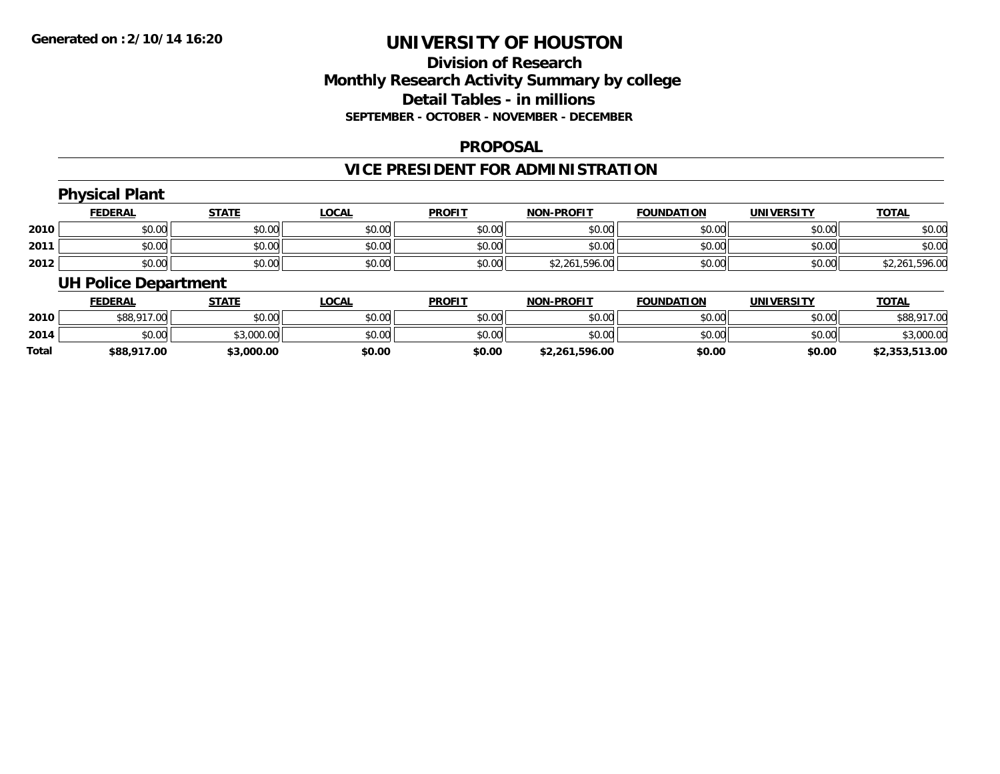# **Division of ResearchMonthly Research Activity Summary by college Detail Tables - in millions SEPTEMBER - OCTOBER - NOVEMBER - DECEMBER**

#### **PROPOSAL**

# **VICE PRESIDENT FOR ADMINISTRATION**

# **Physical Plant**

|      | <u>FEDERAL</u> | <b>STATE</b> | <u>LOCAL</u> | <b>PROFIT</b> | <b>NON-PROFIT</b> | <b>FOUNDATION</b> | <b>UNIVERSITY</b> | <b>TOTAL</b>       |
|------|----------------|--------------|--------------|---------------|-------------------|-------------------|-------------------|--------------------|
| 2010 | \$0.00         | \$0.00       | \$0.00       | \$0.00        | \$0.00            | \$0.00            | \$0.00            | \$0.00             |
| 2011 | \$0.00         | \$0.00       | \$0.00       | \$0.00        | \$0.00            | \$0.00            | \$0.00            | \$0.00             |
| 2012 | \$0.00         | \$0.00       | \$0.00       | \$0.00        | \$2,261,596.00    | \$0.00            | \$0.00            | ,596.00<br>\$2,261 |

### **UH Police Department**

|       | <b>FEDERAL</b> | <u>STATE</u> | <b>LOCAL</b> | <b>PROFIT</b> | <b>NON-PROFIT</b> | <b>FOUNDATION</b> | <b>UNIVERSITY</b> | <u>TOTAL</u>   |
|-------|----------------|--------------|--------------|---------------|-------------------|-------------------|-------------------|----------------|
| 2010  | \$88,917.00    | \$0.00       | \$0.00       | \$0.00        | \$0.00            | \$0.00            | \$0.00            | \$88,917.00    |
| 2014  | \$0.00         | \$3,000.00   | \$0.00       | \$0.00        | \$0.00            | \$0.00            | \$0.00            | \$3,000.00     |
| Total | \$88,917.00    | \$3,000.00   | \$0.00       | \$0.00        | \$2,261,596.00    | \$0.00            | \$0.00            | \$2,353,513.00 |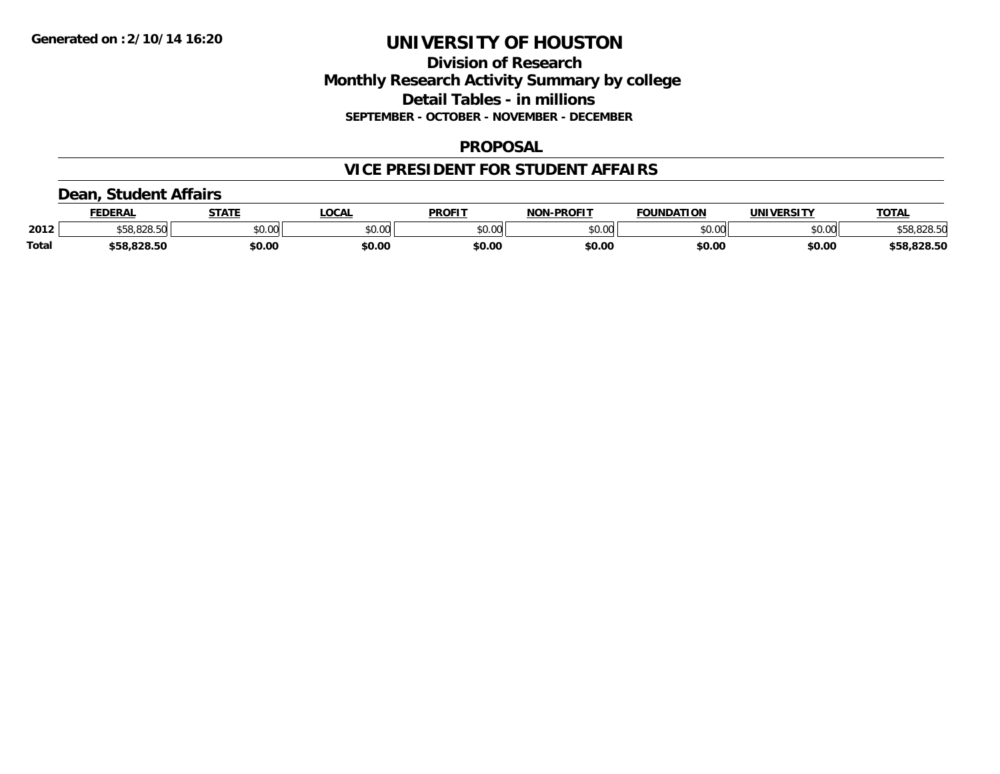### **Division of Research Monthly Research Activity Summary by college Detail Tables - in millions SEPTEMBER - OCTOBER - NOVEMBER - DECEMBER**

#### **PROPOSAL**

# **VICE PRESIDENT FOR STUDENT AFFAIRS**

### **Dean, Student Affairs**

|              | FEDERAL                  | <b>STATE</b> | <b>_OCAL</b> | <b>PROFIT</b> | <b>NON-PROFIT</b> | <b>FOUNDATION</b> | UNIVERSITY | <b>TOTAL</b> |
|--------------|--------------------------|--------------|--------------|---------------|-------------------|-------------------|------------|--------------|
| 2012         | co ono enl<br>658.828.50 | \$0.00       | \$0.00       | \$0.00        | \$0.00            | \$0.00            | \$0.00     | \$58,828.50  |
| <b>Total</b> | \$58,828.50              | \$0.00       | \$0.00       | \$0.00        | \$0.00            | \$0.00            | \$0.00     | \$58,828.50  |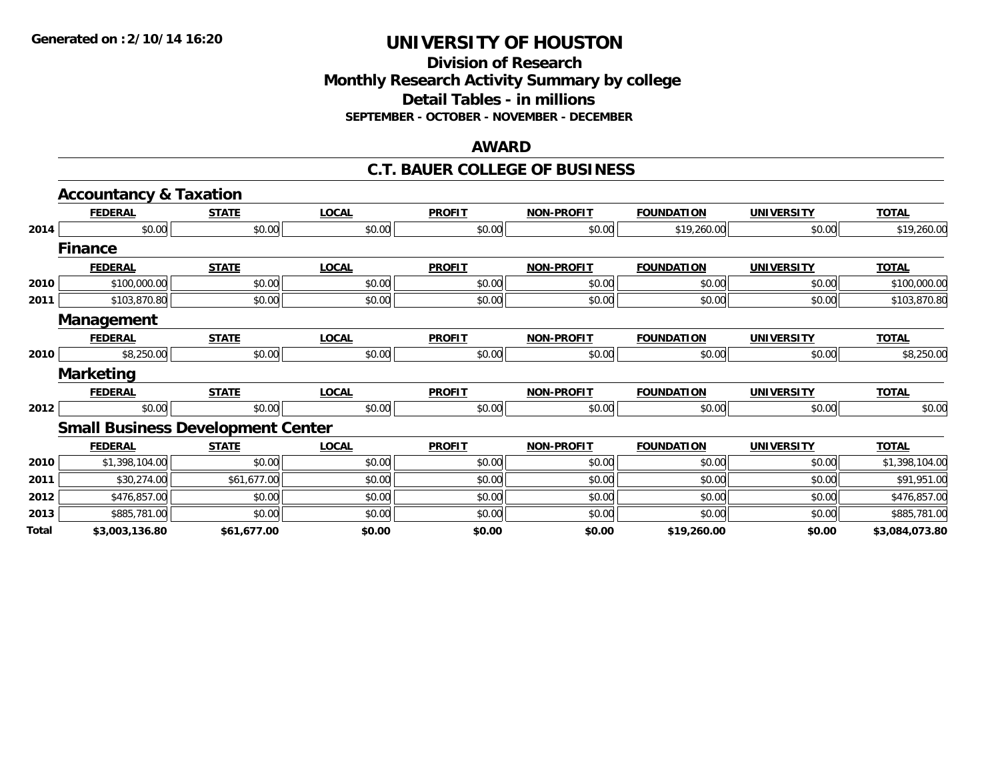### **Division of Research Monthly Research Activity Summary by college Detail Tables - in millions SEPTEMBER - OCTOBER - NOVEMBER - DECEMBER**

#### **AWARD**

#### **C.T. BAUER COLLEGE OF BUSINESS**

|       | <b>Accountancy &amp; Taxation</b>        |              |              |               |                   |                   |                   |                |
|-------|------------------------------------------|--------------|--------------|---------------|-------------------|-------------------|-------------------|----------------|
|       | <b>FEDERAL</b>                           | <b>STATE</b> | <b>LOCAL</b> | <b>PROFIT</b> | <b>NON-PROFIT</b> | <b>FOUNDATION</b> | <b>UNIVERSITY</b> | <b>TOTAL</b>   |
| 2014  | \$0.00                                   | \$0.00       | \$0.00       | \$0.00        | \$0.00            | \$19,260.00       | \$0.00            | \$19,260.00    |
|       | <b>Finance</b>                           |              |              |               |                   |                   |                   |                |
|       | <b>FEDERAL</b>                           | <b>STATE</b> | <b>LOCAL</b> | <b>PROFIT</b> | <b>NON-PROFIT</b> | <b>FOUNDATION</b> | <b>UNIVERSITY</b> | <b>TOTAL</b>   |
| 2010  | \$100,000.00                             | \$0.00       | \$0.00       | \$0.00        | \$0.00            | \$0.00            | \$0.00            | \$100,000.00   |
| 2011  | \$103,870.80                             | \$0.00       | \$0.00       | \$0.00        | \$0.00            | \$0.00            | \$0.00            | \$103,870.80   |
|       | Management                               |              |              |               |                   |                   |                   |                |
|       | <b>FEDERAL</b>                           | <b>STATE</b> | <b>LOCAL</b> | <b>PROFIT</b> | <b>NON-PROFIT</b> | <b>FOUNDATION</b> | <b>UNIVERSITY</b> | <b>TOTAL</b>   |
| 2010  | \$8,250.00                               | \$0.00       | \$0.00       | \$0.00        | \$0.00            | \$0.00            | \$0.00            | \$8,250.00     |
|       | <b>Marketing</b>                         |              |              |               |                   |                   |                   |                |
|       | <b>FEDERAL</b>                           | <b>STATE</b> | <b>LOCAL</b> | <b>PROFIT</b> | NON-PROFIT        | <b>FOUNDATION</b> | <b>UNIVERSITY</b> | <b>TOTAL</b>   |
| 2012  | \$0.00                                   | \$0.00       | \$0.00       | \$0.00        | \$0.00            | \$0.00            | \$0.00            | \$0.00         |
|       | <b>Small Business Development Center</b> |              |              |               |                   |                   |                   |                |
|       | <b>FEDERAL</b>                           | <b>STATE</b> | <b>LOCAL</b> | <b>PROFIT</b> | <b>NON-PROFIT</b> | <b>FOUNDATION</b> | <b>UNIVERSITY</b> | <b>TOTAL</b>   |
| 2010  | \$1,398,104.00                           | \$0.00       | \$0.00       | \$0.00        | \$0.00            | \$0.00            | \$0.00            | \$1,398,104.00 |
| 2011  | \$30,274.00                              | \$61,677.00  | \$0.00       | \$0.00        | \$0.00            | \$0.00            | \$0.00            | \$91,951.00    |
| 2012  | \$476,857.00                             | \$0.00       | \$0.00       | \$0.00        | \$0.00            | \$0.00            | \$0.00            | \$476,857.00   |
| 2013  | \$885,781.00                             | \$0.00       | \$0.00       | \$0.00        | \$0.00            | \$0.00            | \$0.00            | \$885,781.00   |
| Total | \$3,003,136.80                           | \$61,677.00  | \$0.00       | \$0.00        | \$0.00            | \$19,260.00       | \$0.00            | \$3,084,073.80 |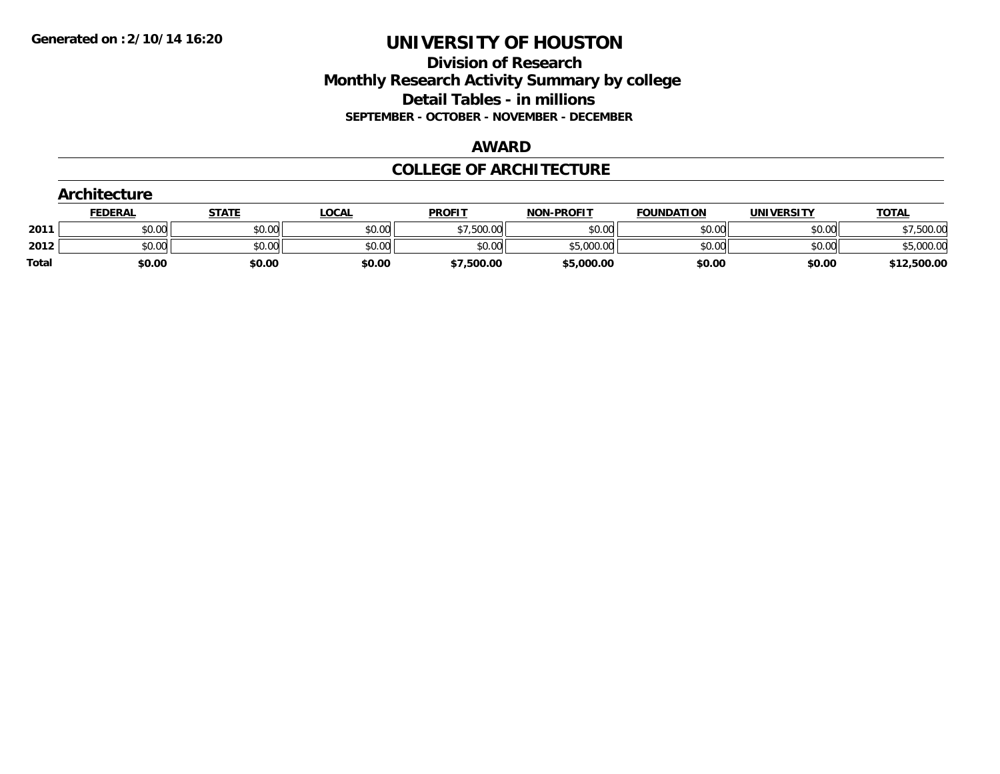### **Division of Research Monthly Research Activity Summary by college Detail Tables - in millions SEPTEMBER - OCTOBER - NOVEMBER - DECEMBER**

#### **AWARD**

### **COLLEGE OF ARCHITECTURE**

|              | Architecture   |              |              |               |                   |                   |                   |              |  |  |
|--------------|----------------|--------------|--------------|---------------|-------------------|-------------------|-------------------|--------------|--|--|
|              | <b>FEDERAL</b> | <b>STATE</b> | <b>LOCAL</b> | <b>PROFIT</b> | <b>NON-PROFIT</b> | <b>FOUNDATION</b> | <b>UNIVERSITY</b> | <b>TOTAL</b> |  |  |
| 2011         | \$0.00         | \$0.00       | \$0.00       | \$7,500.00    | \$0.00            | \$0.00            | \$0.00            | \$7,500.00   |  |  |
| 2012         | \$0.00         | \$0.00       | \$0.00       | \$0.00        | \$5,000.00        | \$0.00            | \$0.00            | \$5,000.00   |  |  |
| <b>Total</b> | \$0.00         | \$0.00       | \$0.00       | \$7,500.00    | \$5,000.00        | \$0.00            | \$0.00            | \$12,500.00  |  |  |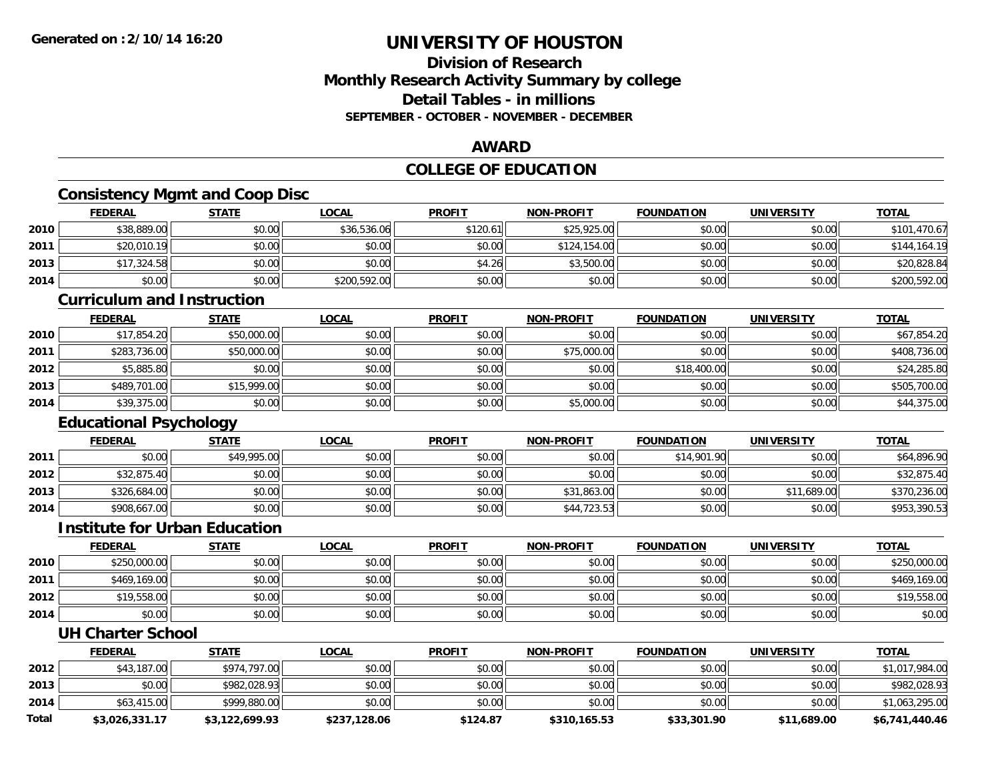# **Division of ResearchMonthly Research Activity Summary by college Detail Tables - in millions SEPTEMBER - OCTOBER - NOVEMBER - DECEMBER**

### **AWARD**

# **COLLEGE OF EDUCATION**

# **Consistency Mgmt and Coop Disc**

|      | <b>FEDERAL</b> | <b>STATE</b> | <u>LOCAL</u> | <b>PROFIT</b> | <b>NON-PROFIT</b> | <b>FOUNDATION</b> | <b>UNIVERSITY</b> | <b>TOTAL</b> |
|------|----------------|--------------|--------------|---------------|-------------------|-------------------|-------------------|--------------|
| 2010 | \$38,889.00    | \$0.00       | \$36,536.06  | \$120.61      | \$25,925.00       | \$0.00            | \$0.00            | \$101,470.67 |
| 2011 | \$20,010.19    | \$0.00       | \$0.00       | \$0.00        | \$124,154.00      | \$0.00            | \$0.00            | \$144,164.19 |
| 2013 | \$17,324.58    | \$0.00       | \$0.00       | \$4.26        | \$3,500.00        | \$0.00            | \$0.00            | \$20,828.84  |
| 2014 | \$0.00         | \$0.00       | \$200,592.00 | \$0.00        | \$0.00            | \$0.00            | \$0.00            | \$200,592.00 |

#### **Curriculum and Instruction**

|      | <u>FEDERAL</u> | <b>STATE</b> | <u>LOCAL</u> | <b>PROFIT</b> | <b>NON-PROFIT</b> | <b>FOUNDATION</b> | <b>UNIVERSITY</b> | <b>TOTAL</b> |
|------|----------------|--------------|--------------|---------------|-------------------|-------------------|-------------------|--------------|
| 2010 | \$17,854.20    | \$50,000.00  | \$0.00       | \$0.00        | \$0.00            | \$0.00            | \$0.00            | \$67,854.20  |
| 2011 | \$283,736.00   | \$50,000.00  | \$0.00       | \$0.00        | \$75,000.00       | \$0.00            | \$0.00            | \$408,736.00 |
| 2012 | \$5,885.80     | \$0.00       | \$0.00       | \$0.00        | \$0.00            | \$18,400.00       | \$0.00            | \$24,285.80  |
| 2013 | \$489,701.00   | \$15,999.00  | \$0.00       | \$0.00        | \$0.00            | \$0.00            | \$0.00            | \$505,700.00 |
| 2014 | \$39,375.00    | \$0.00       | \$0.00       | \$0.00        | \$5,000.00        | \$0.00            | \$0.00            | \$44,375.00  |

# **Educational Psychology**

|      | <u>FEDERAL</u> | STATE       | <u>LOCAL</u> | <b>PROFIT</b> | <b>NON-PROFIT</b> | <b>FOUNDATION</b> | <b>UNIVERSITY</b> | <b>TOTAL</b> |
|------|----------------|-------------|--------------|---------------|-------------------|-------------------|-------------------|--------------|
| 2011 | \$0.00         | \$49,995.00 | \$0.00       | \$0.00        | \$0.00            | \$14,901.90       | \$0.00            | \$64,896.90  |
| 2012 | \$32,875.40    | \$0.00      | \$0.00       | \$0.00        | \$0.00            | \$0.00            | \$0.00            | \$32,875.40  |
| 2013 | \$326,684.00   | \$0.00      | \$0.00       | \$0.00        | \$31,863.00       | \$0.00            | \$11,689.00       | \$370,236.00 |
| 2014 | \$908,667.00   | \$0.00      | \$0.00       | \$0.00        | \$44,723.53       | \$0.00            | \$0.00            | \$953,390.53 |

#### **Institute for Urban Education**

|      | <u>FEDERAL</u> | <u>STATE</u> | <u>LOCAL</u> | <b>PROFIT</b> | <b>NON-PROFIT</b> | <b>FOUNDATION</b> | UNIVERSITY | <b>TOTAL</b> |
|------|----------------|--------------|--------------|---------------|-------------------|-------------------|------------|--------------|
| 2010 | \$250,000.00   | \$0.00       | \$0.00       | \$0.00        | \$0.00            | \$0.00            | \$0.00     | \$250,000.00 |
| 2011 | \$469,169.00   | \$0.00       | \$0.00       | \$0.00        | \$0.00            | \$0.00            | \$0.00     | \$469,169.00 |
| 2012 | \$19,558.00    | \$0.00       | \$0.00       | \$0.00        | \$0.00            | \$0.00            | \$0.00     | \$19,558.00  |
| 2014 | \$0.00         | \$0.00       | \$0.00       | \$0.00        | \$0.00            | \$0.00            | \$0.00     | \$0.00       |

#### **UH Charter School**

|       | <u>FEDERAL</u> | <u>STATE</u>   | <b>LOCAL</b> | <b>PROFIT</b> | <b>NON-PROFIT</b> | <b>FOUNDATION</b> | <b>UNIVERSITY</b> | <b>TOTAL</b>   |
|-------|----------------|----------------|--------------|---------------|-------------------|-------------------|-------------------|----------------|
| 2012  | \$43,187,00    | \$974.797.00   | \$0.00       | \$0.00        | \$0.00            | \$0.00            | \$0.00            | \$1,017,984.00 |
| 2013  | \$0.00         | \$982.028.93   | \$0.00       | \$0.00        | \$0.00            | \$0.00            | \$0.00            | \$982,028.93   |
| 2014  | \$63,415.00    | \$999,880.00   | \$0.00       | \$0.00        | \$0.00            | \$0.00            | \$0.00            | \$1,063,295.00 |
| Total | \$3,026,331.17 | \$3,122,699.93 | \$237,128.06 | \$124.87      | \$310,165.53      | \$33,301.90       | \$11,689.00       | \$6,741,440.46 |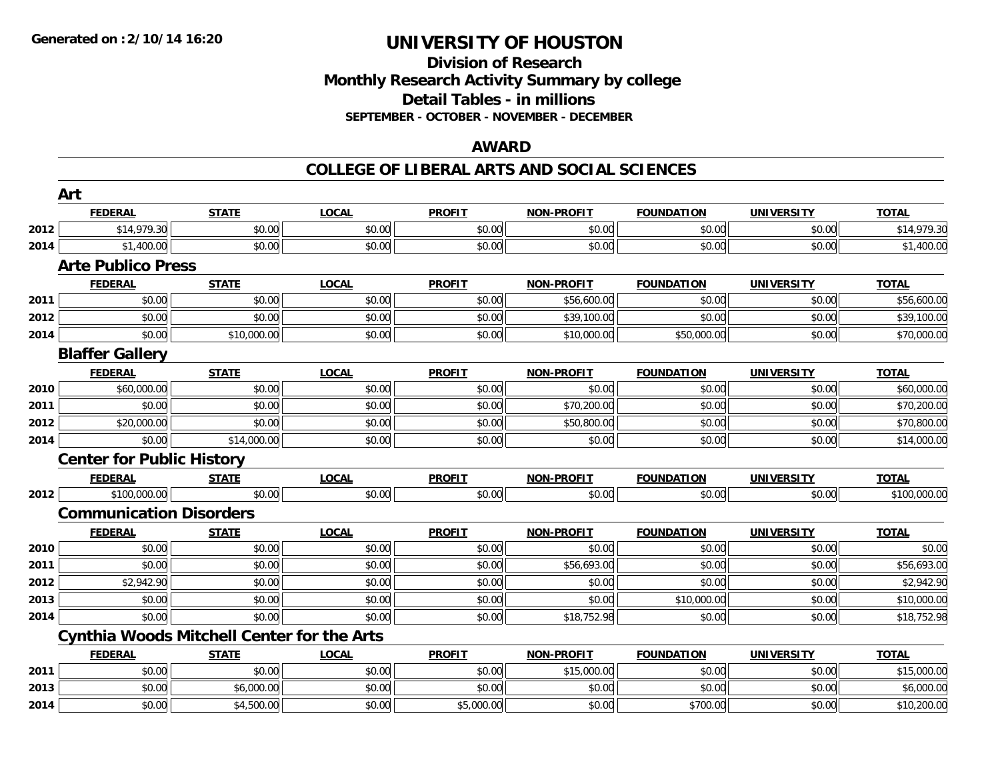**2014**

# **UNIVERSITY OF HOUSTON**

### **Division of Research Monthly Research Activity Summary by college Detail Tables - in millions SEPTEMBER - OCTOBER - NOVEMBER - DECEMBER**

### **AWARD**

#### **COLLEGE OF LIBERAL ARTS AND SOCIAL SCIENCES**

|      | Art                              |                                                   |              |               |                   |                   |                   |              |
|------|----------------------------------|---------------------------------------------------|--------------|---------------|-------------------|-------------------|-------------------|--------------|
|      | <b>FEDERAL</b>                   | <b>STATE</b>                                      | <b>LOCAL</b> | <b>PROFIT</b> | <b>NON-PROFIT</b> | <b>FOUNDATION</b> | <b>UNIVERSITY</b> | <b>TOTAL</b> |
| 2012 | \$14,979.30                      | \$0.00                                            | \$0.00       | \$0.00        | \$0.00            | \$0.00            | \$0.00            | \$14,979.30  |
| 2014 | \$1,400.00                       | \$0.00                                            | \$0.00       | \$0.00        | \$0.00            | \$0.00            | \$0.00            | \$1,400.00   |
|      | <b>Arte Publico Press</b>        |                                                   |              |               |                   |                   |                   |              |
|      | <b>FEDERAL</b>                   | <b>STATE</b>                                      | <b>LOCAL</b> | <b>PROFIT</b> | <b>NON-PROFIT</b> | <b>FOUNDATION</b> | <b>UNIVERSITY</b> | <b>TOTAL</b> |
| 2011 | \$0.00                           | \$0.00                                            | \$0.00       | \$0.00        | \$56,600.00       | \$0.00            | \$0.00            | \$56,600.00  |
| 2012 | \$0.00                           | \$0.00                                            | \$0.00       | \$0.00        | \$39,100.00       | \$0.00            | \$0.00            | \$39,100.00  |
| 2014 | \$0.00                           | \$10,000.00                                       | \$0.00       | \$0.00        | \$10,000.00       | \$50,000.00       | \$0.00            | \$70,000.00  |
|      | <b>Blaffer Gallery</b>           |                                                   |              |               |                   |                   |                   |              |
|      | <b>FEDERAL</b>                   | <b>STATE</b>                                      | <b>LOCAL</b> | <b>PROFIT</b> | <b>NON-PROFIT</b> | <b>FOUNDATION</b> | <b>UNIVERSITY</b> | <b>TOTAL</b> |
| 2010 | \$60,000.00                      | \$0.00                                            | \$0.00       | \$0.00        | \$0.00            | \$0.00            | \$0.00            | \$60,000.00  |
| 2011 | \$0.00                           | \$0.00                                            | \$0.00       | \$0.00        | \$70,200.00       | \$0.00            | \$0.00            | \$70,200.00  |
| 2012 | \$20,000.00                      | \$0.00                                            | \$0.00       | \$0.00        | \$50,800.00       | \$0.00            | \$0.00            | \$70,800.00  |
| 2014 | \$0.00                           | \$14,000.00                                       | \$0.00       | \$0.00        | \$0.00            | \$0.00            | \$0.00            | \$14,000.00  |
|      | <b>Center for Public History</b> |                                                   |              |               |                   |                   |                   |              |
|      | <b>FEDERAL</b>                   | <b>STATE</b>                                      | <b>LOCAL</b> | <b>PROFIT</b> | <b>NON-PROFIT</b> | <b>FOUNDATION</b> | <b>UNIVERSITY</b> | <b>TOTAL</b> |
| 2012 | \$100,000.00                     | \$0.00                                            | \$0.00       | \$0.00        | \$0.00            | \$0.00            | \$0.00            | \$100,000.00 |
|      | <b>Communication Disorders</b>   |                                                   |              |               |                   |                   |                   |              |
|      | <b>FEDERAL</b>                   | <b>STATE</b>                                      | <b>LOCAL</b> | <b>PROFIT</b> | <b>NON-PROFIT</b> | <b>FOUNDATION</b> | <b>UNIVERSITY</b> | <b>TOTAL</b> |
| 2010 | \$0.00                           | \$0.00                                            | \$0.00       | \$0.00        | \$0.00            | \$0.00            | \$0.00            | \$0.00       |
| 2011 | \$0.00                           | \$0.00                                            | \$0.00       | \$0.00        | \$56,693.00       | \$0.00            | \$0.00            | \$56,693.00  |
| 2012 | \$2,942.90                       | \$0.00                                            | \$0.00       | \$0.00        | \$0.00            | \$0.00            | \$0.00            | \$2,942.90   |
| 2013 | \$0.00                           | \$0.00                                            | \$0.00       | \$0.00        | \$0.00            | \$10,000.00       | \$0.00            | \$10,000.00  |
| 2014 | \$0.00                           | \$0.00                                            | \$0.00       | \$0.00        | \$18,752.98       | \$0.00            | \$0.00            | \$18,752.98  |
|      |                                  | <b>Cynthia Woods Mitchell Center for the Arts</b> |              |               |                   |                   |                   |              |
|      | <b>FEDERAL</b>                   | <b>STATE</b>                                      | <b>LOCAL</b> | <b>PROFIT</b> | <b>NON-PROFIT</b> | <b>FOUNDATION</b> | <b>UNIVERSITY</b> | <b>TOTAL</b> |
| 2011 | \$0.00                           | \$0.00                                            | \$0.00       | \$0.00        | \$15,000.00       | \$0.00            | \$0.00            | \$15,000.00  |
| 2013 | \$0.00                           | \$6,000.00                                        | \$0.00       | \$0.00        | \$0.00            | \$0.00            | \$0.00            | \$6,000.00   |

4 \$0.00 \$0.00 \$0.00 \$4,500.00 \$0.00 \$0.00 \$0.00 \$5,000.00 \$0.00 \$0.00 \$10,200.00 \$0.00 \$10,200.00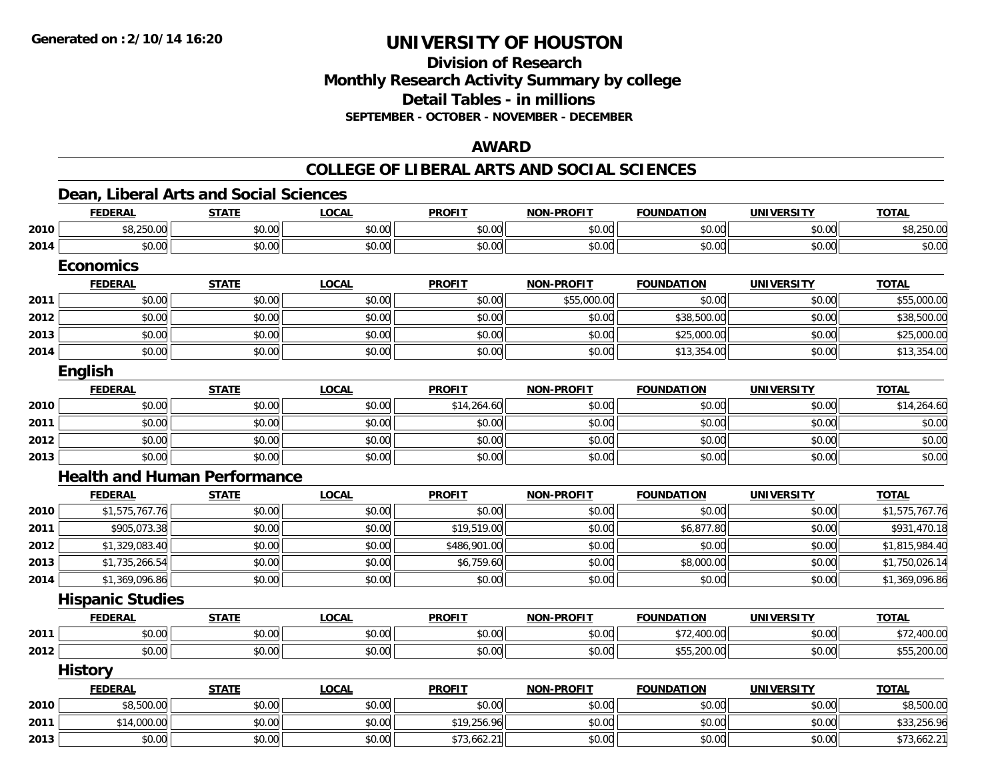### **Division of Research Monthly Research Activity Summary by college Detail Tables - in millions SEPTEMBER - OCTOBER - NOVEMBER - DECEMBER**

### **AWARD**

#### **COLLEGE OF LIBERAL ARTS AND SOCIAL SCIENCES**

# **Dean, Liberal Arts and Social Sciences**

|      | <b>FEDERAL</b>                      | <b>STATE</b> | <b>LOCAL</b> | <b>PROFIT</b> | <b>NON-PROFIT</b> | <b>FOUNDATION</b> | <b>UNIVERSITY</b> | <b>TOTAL</b>   |
|------|-------------------------------------|--------------|--------------|---------------|-------------------|-------------------|-------------------|----------------|
| 2010 | \$8,250.00                          | \$0.00       | \$0.00       | \$0.00        | \$0.00            | \$0.00            | \$0.00            | \$8,250.00     |
| 2014 | \$0.00                              | \$0.00       | \$0.00       | \$0.00        | \$0.00            | \$0.00            | \$0.00            | \$0.00         |
|      | <b>Economics</b>                    |              |              |               |                   |                   |                   |                |
|      | <b>FEDERAL</b>                      | <b>STATE</b> | <b>LOCAL</b> | <b>PROFIT</b> | <b>NON-PROFIT</b> | <b>FOUNDATION</b> | <b>UNIVERSITY</b> | <b>TOTAL</b>   |
| 2011 | \$0.00                              | \$0.00       | \$0.00       | \$0.00        | \$55,000.00       | \$0.00            | \$0.00            | \$55,000.00    |
| 2012 | \$0.00                              | \$0.00       | \$0.00       | \$0.00        | \$0.00            | \$38,500.00       | \$0.00            | \$38,500.00    |
| 2013 | \$0.00                              | \$0.00       | \$0.00       | \$0.00        | \$0.00            | \$25,000.00       | \$0.00            | \$25,000.00    |
| 2014 | \$0.00                              | \$0.00       | \$0.00       | \$0.00        | \$0.00            | \$13,354.00       | \$0.00            | \$13,354.00    |
|      | <b>English</b>                      |              |              |               |                   |                   |                   |                |
|      | <b>FEDERAL</b>                      | <b>STATE</b> | <b>LOCAL</b> | <b>PROFIT</b> | <b>NON-PROFIT</b> | <b>FOUNDATION</b> | <b>UNIVERSITY</b> | <b>TOTAL</b>   |
| 2010 | \$0.00                              | \$0.00       | \$0.00       | \$14,264.60   | \$0.00            | \$0.00            | \$0.00            | \$14,264.60    |
| 2011 | \$0.00                              | \$0.00       | \$0.00       | \$0.00        | \$0.00            | \$0.00            | \$0.00            | \$0.00         |
| 2012 | \$0.00                              | \$0.00       | \$0.00       | \$0.00        | \$0.00            | \$0.00            | \$0.00            | \$0.00         |
| 2013 | \$0.00                              | \$0.00       | \$0.00       | \$0.00        | \$0.00            | \$0.00            | \$0.00            | \$0.00         |
|      | <b>Health and Human Performance</b> |              |              |               |                   |                   |                   |                |
|      | <b>FEDERAL</b>                      | <b>STATE</b> | <b>LOCAL</b> | <b>PROFIT</b> | <b>NON-PROFIT</b> | <b>FOUNDATION</b> | <b>UNIVERSITY</b> | <b>TOTAL</b>   |
| 2010 | \$1,575,767.76                      | \$0.00       | \$0.00       | \$0.00        | \$0.00            | \$0.00            | \$0.00            | \$1,575,767.76 |
| 2011 | \$905,073.38                        | \$0.00       | \$0.00       | \$19,519.00   | \$0.00            | \$6,877.80        | \$0.00            | \$931,470.18   |
| 2012 | \$1,329,083.40                      | \$0.00       | \$0.00       | \$486,901.00  | \$0.00            | \$0.00            | \$0.00            | \$1,815,984.40 |
| 2013 | \$1,735,266.54                      | \$0.00       | \$0.00       | \$6,759.60    | \$0.00            | \$8,000.00        | \$0.00            | \$1,750,026.14 |
| 2014 | \$1,369,096.86                      | \$0.00       | \$0.00       | \$0.00        | \$0.00            | \$0.00            | \$0.00            | \$1,369,096.86 |
|      | <b>Hispanic Studies</b>             |              |              |               |                   |                   |                   |                |
|      | <b>FEDERAL</b>                      | <b>STATE</b> | <b>LOCAL</b> | <b>PROFIT</b> | <b>NON-PROFIT</b> | <b>FOUNDATION</b> | <b>UNIVERSITY</b> | <b>TOTAL</b>   |
| 2011 | \$0.00                              | \$0.00       | \$0.00       | \$0.00        | \$0.00            | \$72,400.00       | \$0.00            | \$72,400.00    |
| 2012 | \$0.00                              | \$0.00       | \$0.00       | \$0.00        | \$0.00            | \$55,200.00       | \$0.00            | \$55,200.00    |
|      | <b>History</b>                      |              |              |               |                   |                   |                   |                |
|      | <b>FEDERAL</b>                      | <b>STATE</b> | <b>LOCAL</b> | <b>PROFIT</b> | <b>NON-PROFIT</b> | <b>FOUNDATION</b> | <b>UNIVERSITY</b> | <b>TOTAL</b>   |
| 2010 | \$8,500.00                          | \$0.00       | \$0.00       | \$0.00        | \$0.00            | \$0.00            | \$0.00            | \$8,500.00     |
| 2011 | \$14,000.00                         | \$0.00       | \$0.00       | \$19,256.96   | \$0.00            | \$0.00            | \$0.00            | \$33,256.96    |
| 2013 | \$0.00                              | \$0.00       | \$0.00       | \$73,662.21   | \$0.00            | \$0.00            | \$0.00            | \$73,662.21    |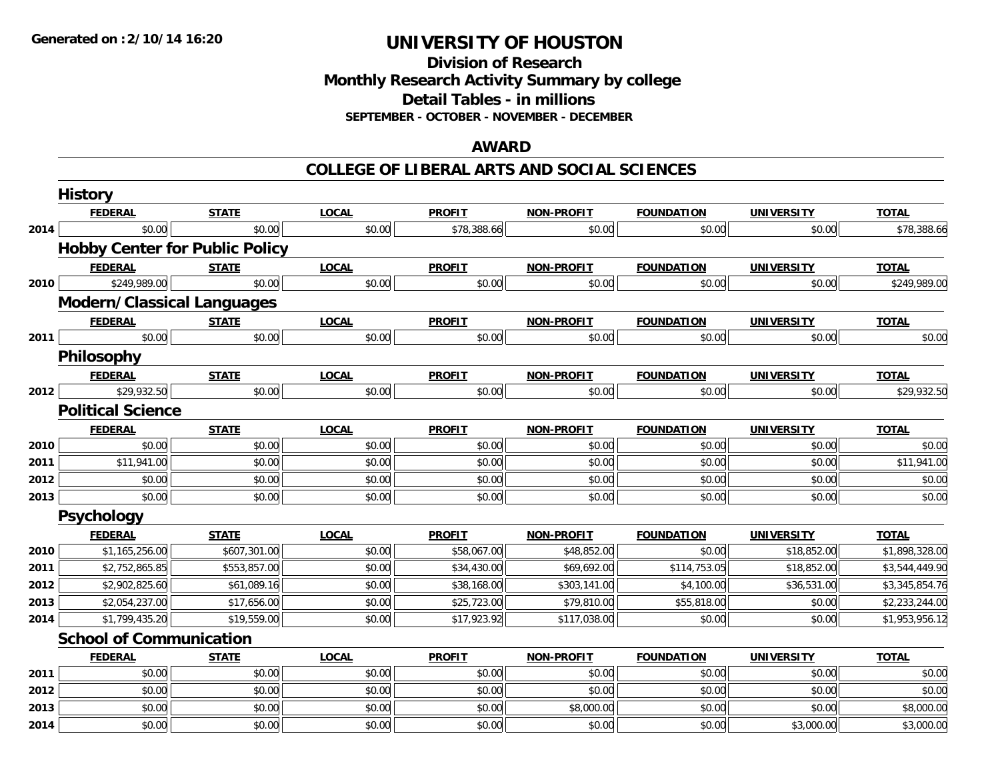**2014**

# **UNIVERSITY OF HOUSTON**

**Division of ResearchMonthly Research Activity Summary by college Detail Tables - in millions SEPTEMBER - OCTOBER - NOVEMBER - DECEMBER**

### **AWARD**

#### **COLLEGE OF LIBERAL ARTS AND SOCIAL SCIENCES**

|      | <b>History</b>                    |                                       |              |               |                   |                   |                   |                |
|------|-----------------------------------|---------------------------------------|--------------|---------------|-------------------|-------------------|-------------------|----------------|
|      | <b>FEDERAL</b>                    | <b>STATE</b>                          | <b>LOCAL</b> | <b>PROFIT</b> | <b>NON-PROFIT</b> | <b>FOUNDATION</b> | <b>UNIVERSITY</b> | <b>TOTAL</b>   |
| 2014 | \$0.00                            | \$0.00                                | \$0.00       | \$78,388.66   | \$0.00            | \$0.00            | \$0.00            | \$78,388.66    |
|      |                                   | <b>Hobby Center for Public Policy</b> |              |               |                   |                   |                   |                |
|      | <b>FEDERAL</b>                    | <b>STATE</b>                          | <b>LOCAL</b> | <b>PROFIT</b> | <b>NON-PROFIT</b> | <b>FOUNDATION</b> | <b>UNIVERSITY</b> | <b>TOTAL</b>   |
| 2010 | \$249,989.00                      | \$0.00                                | \$0.00       | \$0.00        | \$0.00            | \$0.00            | \$0.00            | \$249,989.00   |
|      | <b>Modern/Classical Languages</b> |                                       |              |               |                   |                   |                   |                |
|      | <b>FEDERAL</b>                    | <b>STATE</b>                          | <b>LOCAL</b> | <b>PROFIT</b> | <b>NON-PROFIT</b> | <b>FOUNDATION</b> | <b>UNIVERSITY</b> | <b>TOTAL</b>   |
| 2011 | \$0.00                            | \$0.00                                | \$0.00       | \$0.00        | \$0.00            | \$0.00            | \$0.00            | \$0.00         |
|      | Philosophy                        |                                       |              |               |                   |                   |                   |                |
|      | <b>FEDERAL</b>                    | <b>STATE</b>                          | <b>LOCAL</b> | <b>PROFIT</b> | <b>NON-PROFIT</b> | <b>FOUNDATION</b> | <b>UNIVERSITY</b> | <b>TOTAL</b>   |
| 2012 | \$29,932.50                       | \$0.00                                | \$0.00       | \$0.00        | \$0.00            | \$0.00            | \$0.00            | \$29,932.50    |
|      | <b>Political Science</b>          |                                       |              |               |                   |                   |                   |                |
|      | <b>FEDERAL</b>                    | <b>STATE</b>                          | <b>LOCAL</b> | <b>PROFIT</b> | <b>NON-PROFIT</b> | <b>FOUNDATION</b> | <b>UNIVERSITY</b> | <b>TOTAL</b>   |
| 2010 | \$0.00                            | \$0.00                                | \$0.00       | \$0.00        | \$0.00            | \$0.00            | \$0.00            | \$0.00         |
| 2011 | \$11,941.00                       | \$0.00                                | \$0.00       | \$0.00        | \$0.00            | \$0.00            | \$0.00            | \$11,941.00    |
| 2012 | \$0.00                            | \$0.00                                | \$0.00       | \$0.00        | \$0.00            | \$0.00            | \$0.00            | \$0.00         |
| 2013 | \$0.00                            | \$0.00                                | \$0.00       | \$0.00        | \$0.00            | \$0.00            | \$0.00            | \$0.00         |
|      | <b>Psychology</b>                 |                                       |              |               |                   |                   |                   |                |
|      | <b>FEDERAL</b>                    | <b>STATE</b>                          | <b>LOCAL</b> | <b>PROFIT</b> | <b>NON-PROFIT</b> | <b>FOUNDATION</b> | <b>UNIVERSITY</b> | <b>TOTAL</b>   |
| 2010 | \$1,165,256.00                    | \$607,301.00                          | \$0.00       | \$58,067.00   | \$48,852.00       | \$0.00            | \$18,852.00       | \$1,898,328.00 |
| 2011 | \$2,752,865.85                    | \$553,857.00                          | \$0.00       | \$34,430.00   | \$69,692.00       | \$114,753.05      | \$18,852.00       | \$3,544,449.90 |
| 2012 | \$2,902,825.60                    | \$61,089.16                           | \$0.00       | \$38,168.00   | \$303,141.00      | \$4,100.00        | \$36,531.00       | \$3,345,854.76 |
| 2013 | \$2,054,237.00                    | \$17,656.00                           | \$0.00       | \$25,723.00   | \$79,810.00       | \$55,818.00       | \$0.00            | \$2,233,244.00 |
| 2014 | \$1,799,435.20                    | \$19,559.00                           | \$0.00       | \$17,923.92   | \$117,038.00      | \$0.00            | \$0.00            | \$1,953,956.12 |
|      | <b>School of Communication</b>    |                                       |              |               |                   |                   |                   |                |
|      | <b>FEDERAL</b>                    | <b>STATE</b>                          | <b>LOCAL</b> | <b>PROFIT</b> | <b>NON-PROFIT</b> | <b>FOUNDATION</b> | <b>UNIVERSITY</b> | <b>TOTAL</b>   |
| 2011 | \$0.00                            | \$0.00                                | \$0.00       | \$0.00        | \$0.00            | \$0.00            | \$0.00            | \$0.00         |
| 2012 | \$0.00                            | \$0.00                                | \$0.00       | \$0.00        | \$0.00            | \$0.00            | \$0.00            | \$0.00         |
| 2013 | \$0.00                            | \$0.00                                | \$0.00       | \$0.00        | \$8,000.00        | \$0.00            | \$0.00            | \$8,000.00     |

4 \$0.00 \$0.00 \$0.00 \$0.00 \$0.00 \$0.00 \$0.00 \$0.00 \$0.00 \$0.00 \$0.00 \$3,000.00 \$3,000.00 \$3,000.00 \$3,000.00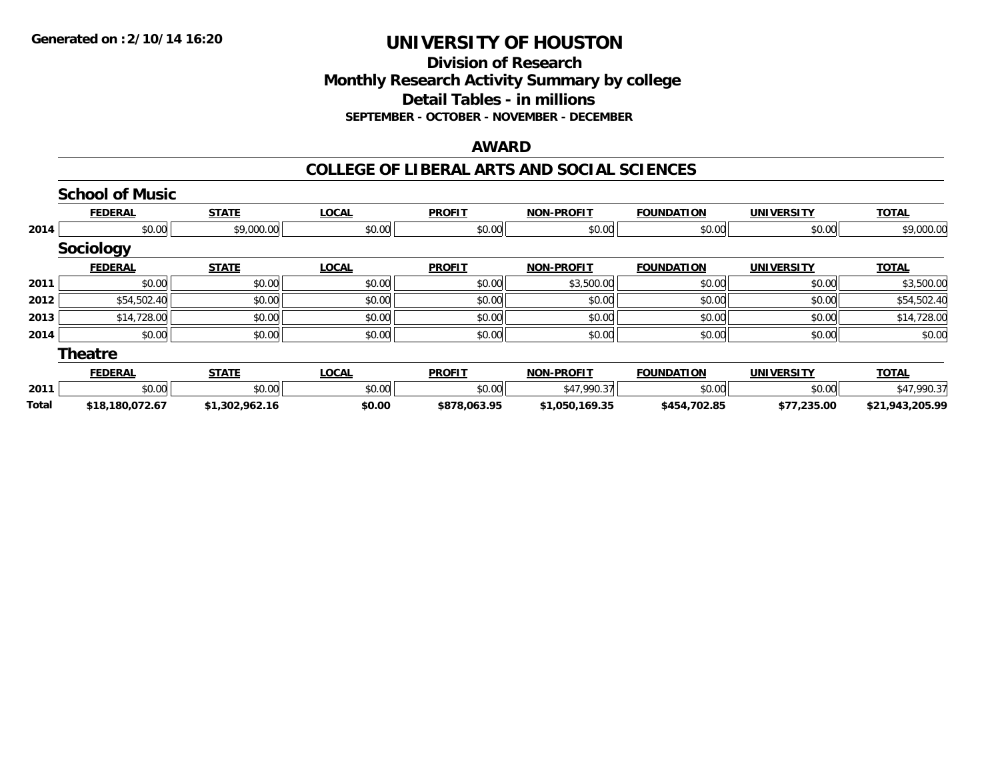# **Division of ResearchMonthly Research Activity Summary by college Detail Tables - in millions SEPTEMBER - OCTOBER - NOVEMBER - DECEMBER**

### **AWARD**

#### **COLLEGE OF LIBERAL ARTS AND SOCIAL SCIENCES**

|              | <b>School of Music</b> |                |              |               |                   |                   |                   |                 |
|--------------|------------------------|----------------|--------------|---------------|-------------------|-------------------|-------------------|-----------------|
|              | <b>FEDERAL</b>         | <b>STATE</b>   | <b>LOCAL</b> | <b>PROFIT</b> | <b>NON-PROFIT</b> | <b>FOUNDATION</b> | <b>UNIVERSITY</b> | <b>TOTAL</b>    |
| 2014         | \$0.00                 | \$9,000.00     | \$0.00       | \$0.00        | \$0.00            | \$0.00            | \$0.00            | \$9,000.00      |
|              | Sociology              |                |              |               |                   |                   |                   |                 |
|              | <b>FEDERAL</b>         | <b>STATE</b>   | <b>LOCAL</b> | <b>PROFIT</b> | <b>NON-PROFIT</b> | <b>FOUNDATION</b> | <b>UNIVERSITY</b> | <b>TOTAL</b>    |
| 2011         | \$0.00                 | \$0.00         | \$0.00       | \$0.00        | \$3,500.00        | \$0.00            | \$0.00            | \$3,500.00      |
| 2012         | \$54,502.40            | \$0.00         | \$0.00       | \$0.00        | \$0.00            | \$0.00            | \$0.00            | \$54,502.40     |
| 2013         | \$14,728.00            | \$0.00         | \$0.00       | \$0.00        | \$0.00            | \$0.00            | \$0.00            | \$14,728.00     |
| 2014         | \$0.00                 | \$0.00         | \$0.00       | \$0.00        | \$0.00            | \$0.00            | \$0.00            | \$0.00          |
|              | <b>Theatre</b>         |                |              |               |                   |                   |                   |                 |
|              | <b>FEDERAL</b>         | <b>STATE</b>   | <b>LOCAL</b> | <b>PROFIT</b> | <b>NON-PROFIT</b> | <b>FOUNDATION</b> | <b>UNIVERSITY</b> | <b>TOTAL</b>    |
| 2011         | \$0.00                 | \$0.00         | \$0.00       | \$0.00        | \$47,990.37       | \$0.00            | \$0.00            | \$47,990.37     |
| <b>Total</b> | \$18,180,072.67        | \$1,302,962.16 | \$0.00       | \$878,063.95  | \$1,050,169.35    | \$454,702.85      | \$77,235.00       | \$21,943,205.99 |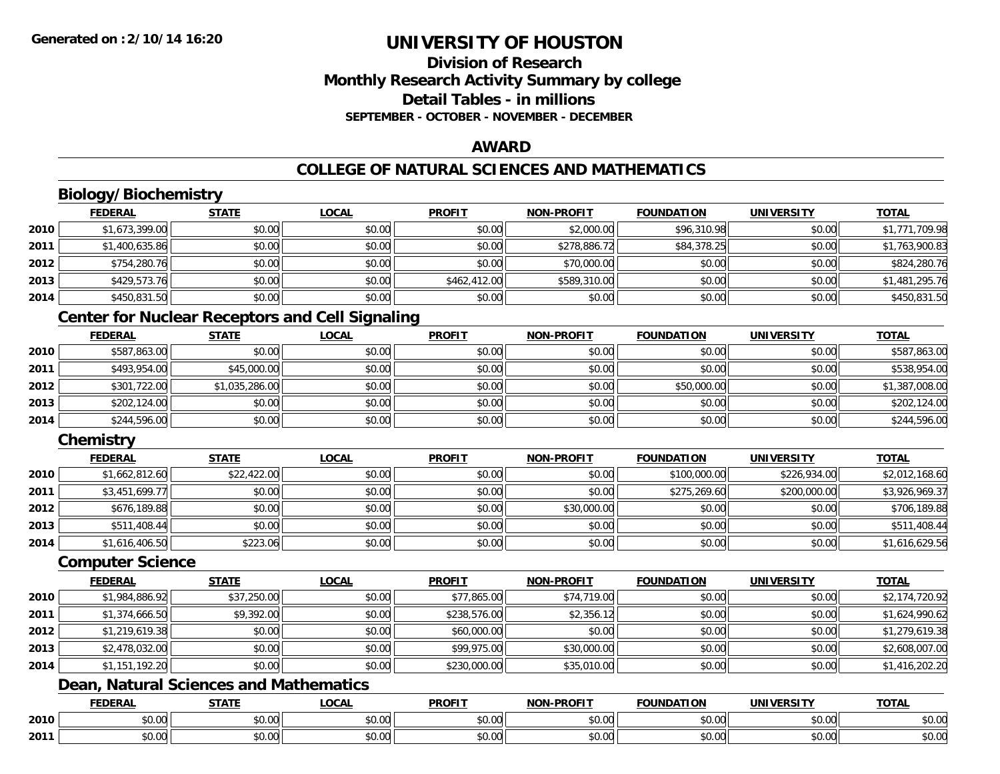# **Division of ResearchMonthly Research Activity Summary by college Detail Tables - in millionsSEPTEMBER - OCTOBER - NOVEMBER - DECEMBER**

### **AWARD**

# **COLLEGE OF NATURAL SCIENCES AND MATHEMATICS**

# **Biology/Biochemistry**

|      | <b>FEDERAL</b> | <b>STATE</b> | <b>LOCAL</b> | <b>PROFIT</b> | <b>NON-PROFIT</b> | <b>FOUNDATION</b> | UNIVERSITY | <b>TOTAL</b>   |
|------|----------------|--------------|--------------|---------------|-------------------|-------------------|------------|----------------|
| 2010 | \$1,673,399.00 | \$0.00       | \$0.00       | \$0.00        | \$2,000.00        | \$96,310.98       | \$0.00     | \$1,771,709.98 |
| 2011 | \$1,400,635.86 | \$0.00       | \$0.00       | \$0.00        | \$278,886.72      | \$84,378.25       | \$0.00     | \$1,763,900.83 |
| 2012 | \$754,280.76   | \$0.00       | \$0.00       | \$0.00        | \$70,000.00       | \$0.00            | \$0.00     | \$824,280.76   |
| 2013 | \$429,573.76   | \$0.00       | \$0.00       | \$462,412.00  | \$589,310.00      | \$0.00            | \$0.00     | \$1,481,295.76 |
| 2014 | \$450,831.50   | \$0.00       | \$0.00       | \$0.00        | \$0.00            | \$0.00            | \$0.00     | \$450,831.50   |

# **Center for Nuclear Receptors and Cell Signaling**

|      | <b>FEDERAL</b> | <b>STATE</b>   | <u>LOCAL</u> | <b>PROFIT</b> | <b>NON-PROFIT</b> | <b>FOUNDATION</b> | <b>UNIVERSITY</b> | <b>TOTAL</b>   |
|------|----------------|----------------|--------------|---------------|-------------------|-------------------|-------------------|----------------|
| 2010 | \$587,863.00   | \$0.00         | \$0.00       | \$0.00        | \$0.00            | \$0.00            | \$0.00            | \$587,863.00   |
| 2011 | \$493,954.00   | \$45,000.00    | \$0.00       | \$0.00        | \$0.00            | \$0.00            | \$0.00            | \$538,954.00   |
| 2012 | \$301,722.00   | \$1,035,286.00 | \$0.00       | \$0.00        | \$0.00            | \$50,000.00       | \$0.00            | \$1,387,008.00 |
| 2013 | \$202,124.00   | \$0.00         | \$0.00       | \$0.00        | \$0.00            | \$0.00            | \$0.00            | \$202,124.00   |
| 2014 | \$244,596.00   | \$0.00         | \$0.00       | \$0.00        | \$0.00            | \$0.00            | \$0.00            | \$244,596.00   |

# **Chemistry**

|      | <b>FEDERAL</b> | <u>STATE</u> | <b>LOCAL</b> | <b>PROFIT</b> | <b>NON-PROFIT</b> | <b>FOUNDATION</b> | <b>UNIVERSITY</b> | <b>TOTAL</b>   |
|------|----------------|--------------|--------------|---------------|-------------------|-------------------|-------------------|----------------|
| 2010 | \$1,662,812.60 | \$22,422.00  | \$0.00       | \$0.00        | \$0.00            | \$100,000.00      | \$226,934.00      | \$2,012,168.60 |
| 2011 | \$3,451,699.77 | \$0.00       | \$0.00       | \$0.00        | \$0.00            | \$275,269.60      | \$200,000.00      | \$3,926,969.37 |
| 2012 | \$676.189.88   | \$0.00       | \$0.00       | \$0.00        | \$30,000.00       | \$0.00            | \$0.00            | \$706,189.88   |
| 2013 | \$511,408.44   | \$0.00       | \$0.00       | \$0.00        | \$0.00            | \$0.00            | \$0.00            | \$511,408.44   |
| 2014 | \$1,616,406.50 | \$223.06     | \$0.00       | \$0.00        | \$0.00            | \$0.00            | \$0.00            | \$1,616,629.56 |

#### **Computer Science**

|      | <b>FEDERAL</b> | <b>STATE</b> | <b>LOCAL</b> | <b>PROFIT</b> | <b>NON-PROFIT</b> | <b>FOUNDATION</b> | <b>UNIVERSITY</b> | <b>TOTAL</b>   |
|------|----------------|--------------|--------------|---------------|-------------------|-------------------|-------------------|----------------|
| 2010 | \$1,984,886.92 | \$37,250.00  | \$0.00       | \$77,865.00   | \$74,719.00       | \$0.00            | \$0.00            | \$2,174,720.92 |
| 2011 | \$1,374,666.50 | \$9,392.00   | \$0.00       | \$238,576.00  | \$2,356.12        | \$0.00            | \$0.00            | \$1,624,990.62 |
| 2012 | \$1,219,619.38 | \$0.00       | \$0.00       | \$60,000.00   | \$0.00            | \$0.00            | \$0.00            | \$1,279,619.38 |
| 2013 | \$2,478,032.00 | \$0.00       | \$0.00       | \$99,975.00   | \$30,000.00       | \$0.00            | \$0.00            | \$2,608,007.00 |
| 2014 | \$1,151,192.20 | \$0.00       | \$0.00       | \$230,000.00  | \$35,010.00       | \$0.00            | \$0.00            | \$1,416,202.20 |

# **Dean, Natural Sciences and Mathematics**

|      | <b>FEBER!</b><br>LI\ <i>r</i> | $C = 1$                                                                  | $\bigcap_{n=1}^{\infty}$<br>.OCAI   | <b>PROFIT</b>                                       | יוחמחח<br><b>BIOB</b>         | ាកស<br>I ) Д                                   | . <i></i><br>.JIV∶   | <b>TOTAL</b>           |
|------|-------------------------------|--------------------------------------------------------------------------|-------------------------------------|-----------------------------------------------------|-------------------------------|------------------------------------------------|----------------------|------------------------|
| 2010 | 0.00<br>שט.טע                 | $\uparrow$ $\uparrow$ $\uparrow$ $\uparrow$ $\uparrow$ $\uparrow$<br>ט.ט | $\sim$ 00<br>וטטוע                  | $\sim$ $\sim$<br>וטטוע                              | $\sim$ $\sim$ $\sim$<br>vv.vv | $\triangle$ $\triangle$ $\triangle$<br>— JU.U∪ | 0.00<br>PU.UU        | $\sim$ $\sim$<br>JU.UU |
| 2011 | 0000<br>JU.UU                 | <b>↑∩</b><br>JU.U                                                        | $\uparrow$ $\land$ $\land$<br>PU.UU | $\sim$ 00<br>$\vee$ . Ultractured the set of $\vee$ | $\sim$<br>$\sim$<br>vv.vv     | $\sim$<br>JU.UU                                | 0000<br><b>JU.UU</b> | <b>JU.UU</b>           |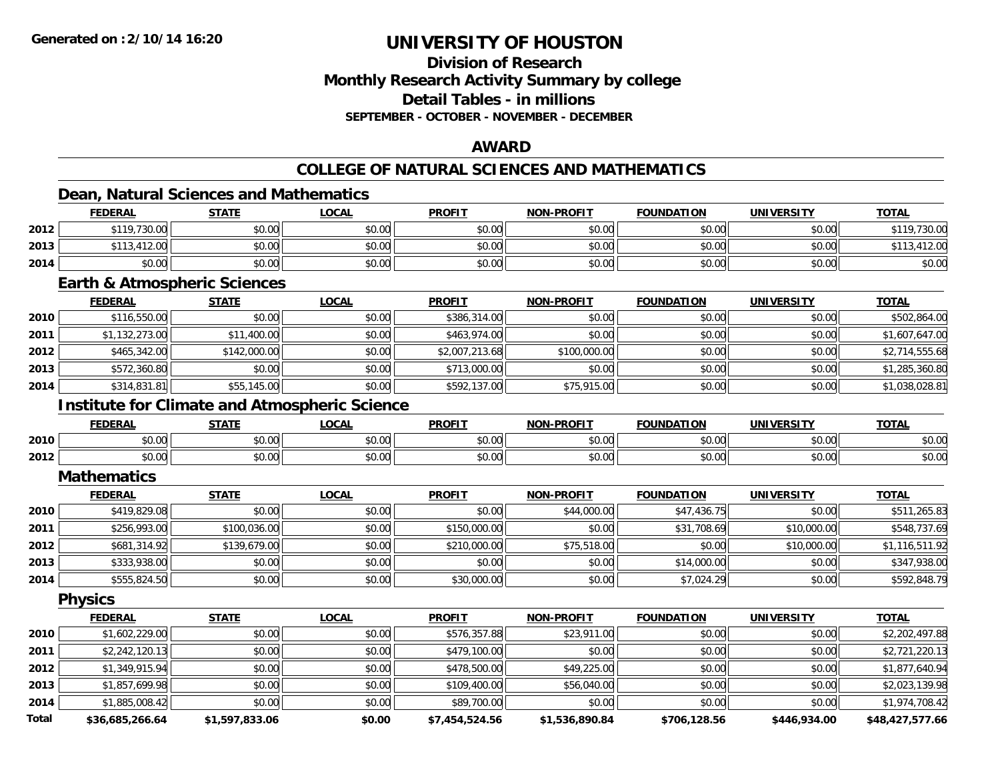# **Division of ResearchMonthly Research Activity Summary by college Detail Tables - in millionsSEPTEMBER - OCTOBER - NOVEMBER - DECEMBER**

### **AWARD**

# **COLLEGE OF NATURAL SCIENCES AND MATHEMATICS**

### **Dean, Natural Sciences and Mathematics**

|      | <b>FEDERAL</b>     | <b>STATE</b> | <u>LOCAL</u> | <b>PROFIT</b> | <b>NON-PROFIT</b> | <b>FOUNDATION</b> | <b>UNIVERSITY</b> | <b>TOTAL</b> |
|------|--------------------|--------------|--------------|---------------|-------------------|-------------------|-------------------|--------------|
| 2012 | $*119,730.00$      | \$0.00       | \$0.00       | \$0.00        | \$0.00            | \$0.00            | \$0.00            | .730.00      |
| 2013 | <b>*113,412.00</b> | \$0.00       | \$0.00       | \$0.00        | \$0.00            | \$0.00            | \$0.00            | 412.00       |
| 2014 | \$0.00             | \$0.00       | \$0.00       | \$0.00        | \$0.00            | \$0.00            | \$0.00            | \$0.00       |

#### **Earth & Atmospheric Sciences**

|      | <b>FEDERAL</b> | <b>STATE</b> | <b>LOCAL</b> | <b>PROFIT</b>  | <b>NON-PROFIT</b> | <b>FOUNDATION</b> | <b>UNIVERSITY</b> | <b>TOTAL</b>   |
|------|----------------|--------------|--------------|----------------|-------------------|-------------------|-------------------|----------------|
| 2010 | \$116,550.00   | \$0.00       | \$0.00       | \$386,314.00   | \$0.00            | \$0.00            | \$0.00            | \$502,864.00   |
| 2011 | \$1,132,273.00 | \$11,400.00  | \$0.00       | \$463,974.00   | \$0.00            | \$0.00            | \$0.00            | \$1,607,647.00 |
| 2012 | \$465,342.00   | \$142,000.00 | \$0.00       | \$2,007,213.68 | \$100,000.00      | \$0.00            | \$0.00            | \$2,714,555.68 |
| 2013 | \$572,360.80   | \$0.00       | \$0.00       | \$713,000.00   | \$0.00            | \$0.00            | \$0.00            | \$1,285,360.80 |
| 2014 | \$314,831.81   | \$55,145.00  | \$0.00       | \$592,137.00   | \$75,915.00       | \$0.00            | \$0.00            | \$1,038,028.81 |

### **Institute for Climate and Atmospheric Science**

|      | <b>FEDERAI</b> | <u>статг</u>  | .OCAL          | <b>PROFIT</b>        | <b>BBAFIT</b> | .<br>EOLINDAT | UNIVERSITY    | <b>TOTAL</b>   |
|------|----------------|---------------|----------------|----------------------|---------------|---------------|---------------|----------------|
| 2010 | 0000<br>JU.UU  | \$0.00        | ሶስ ስስ<br>JU.UU | \$0.00               | \$0.00        | 0000<br>,u.uu | 0000<br>PO.OO | \$0.00         |
| 2012 | 0000<br>vu.uu  | 0000<br>,u.uu | ሐሴ ሰሰ<br>PU.UU | 0000<br><b>JU.UU</b> | \$0.00        | 0000<br>∪.∪u  | 0000<br>PO.OO | nn nr<br>DU.UU |

#### **Mathematics**

|      | <b>FEDERAL</b> | STATE        | <u>LOCAL</u> | <b>PROFIT</b> | <b>NON-PROFIT</b> | <b>FOUNDATION</b> | <b>UNIVERSITY</b> | <b>TOTAL</b>   |
|------|----------------|--------------|--------------|---------------|-------------------|-------------------|-------------------|----------------|
| 2010 | \$419,829.08   | \$0.00       | \$0.00       | \$0.00        | \$44,000.00       | \$47,436.75       | \$0.00            | \$511,265.83   |
| 2011 | \$256,993.00   | \$100,036.00 | \$0.00       | \$150,000.00  | \$0.00            | \$31,708.69       | \$10,000.00       | \$548,737.69   |
| 2012 | \$681,314.92   | \$139,679.00 | \$0.00       | \$210,000.00  | \$75,518.00       | \$0.00            | \$10,000.00       | \$1,116,511.92 |
| 2013 | \$333,938.00   | \$0.00       | \$0.00       | \$0.00        | \$0.00            | \$14,000.00       | \$0.00            | \$347,938.00   |
| 2014 | \$555,824.50   | \$0.00       | \$0.00       | \$30,000.00   | \$0.00            | \$7,024.29        | \$0.00            | \$592,848.79   |

**Physics**

|       | <b>FEDERAL</b>  | <b>STATE</b>   | <b>LOCAL</b> | <b>PROFIT</b>  | <b>NON-PROFIT</b> | <b>FOUNDATION</b> | UNIVERSITY   | <b>TOTAL</b>    |
|-------|-----------------|----------------|--------------|----------------|-------------------|-------------------|--------------|-----------------|
| 2010  | \$1,602,229.00  | \$0.00         | \$0.00       | \$576,357.88   | \$23,911.00       | \$0.00            | \$0.00       | \$2,202,497.88  |
| 2011  | \$2,242,120.13  | \$0.00         | \$0.00       | \$479,100.00   | \$0.00            | \$0.00            | \$0.00       | \$2,721,220.13  |
| 2012  | \$1,349,915.94  | \$0.00         | \$0.00       | \$478,500.00   | \$49,225.00       | \$0.00            | \$0.00       | \$1,877,640.94  |
| 2013  | \$1,857,699.98  | \$0.00         | \$0.00       | \$109,400.00   | \$56,040.00       | \$0.00            | \$0.00       | \$2,023,139.98  |
| 2014  | \$1,885,008.42  | \$0.00         | \$0.00       | \$89,700.00    | \$0.00            | \$0.00            | \$0.00       | \$1,974,708.42  |
| Total | \$36,685,266.64 | \$1,597,833,06 | \$0.00       | \$7.454.524.56 | \$1,536,890.84    | \$706,128.56      | \$446,934.00 | \$48,427,577.66 |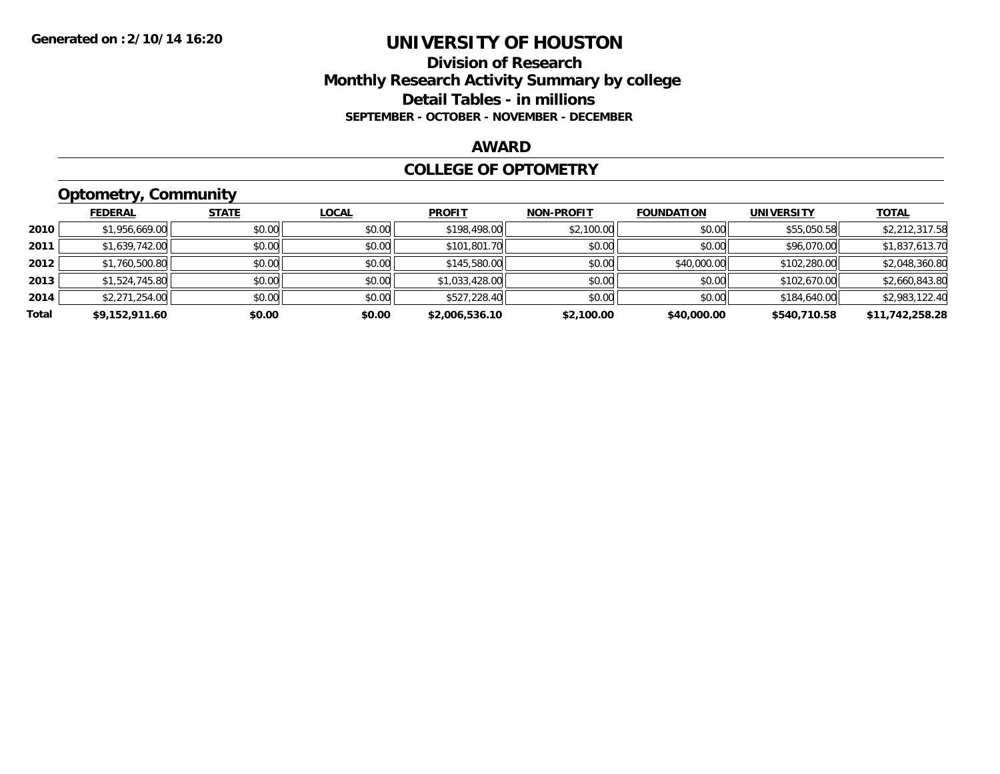## **Division of Research Monthly Research Activity Summary by college Detail Tables - in millions SEPTEMBER - OCTOBER - NOVEMBER - DECEMBER**

#### **AWARD**

#### **COLLEGE OF OPTOMETRY**

# **Optometry, Community**

|       | .              |              |              |                |                   |                   |                   |                 |
|-------|----------------|--------------|--------------|----------------|-------------------|-------------------|-------------------|-----------------|
|       | <b>FEDERAL</b> | <b>STATE</b> | <b>LOCAL</b> | <b>PROFIT</b>  | <b>NON-PROFIT</b> | <b>FOUNDATION</b> | <b>UNIVERSITY</b> | <b>TOTAL</b>    |
| 2010  | \$1,956,669.00 | \$0.00       | \$0.00       | \$198,498.00   | \$2,100.00        | \$0.00            | \$55,050.58       | \$2,212,317.58  |
| 2011  | \$1,639,742.00 | \$0.00       | \$0.00       | \$101,801.70   | \$0.00            | \$0.00            | \$96,070.00       | \$1,837,613.70  |
| 2012  | \$1,760,500.80 | \$0.00       | \$0.00       | \$145,580.00   | \$0.00            | \$40,000.00       | \$102,280.00      | \$2,048,360.80  |
| 2013  | \$1,524,745.80 | \$0.00       | \$0.00       | \$1,033,428.00 | \$0.00            | \$0.00            | \$102,670.00      | \$2,660,843.80  |
| 2014  | \$2,271,254.00 | \$0.00       | \$0.00       | \$527,228.40   | \$0.00            | \$0.00            | \$184,640.00      | \$2,983,122.40  |
| Total | \$9,152,911.60 | \$0.00       | \$0.00       | \$2,006,536.10 | \$2,100.00        | \$40,000.00       | \$540,710.58      | \$11,742,258.28 |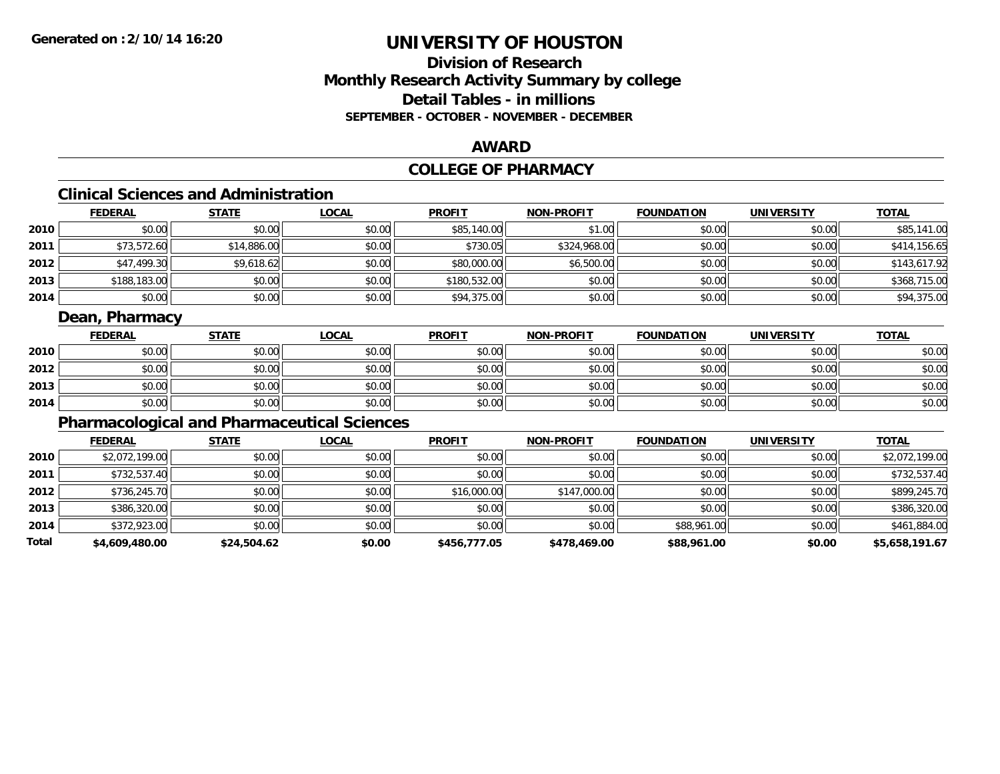# **Division of ResearchMonthly Research Activity Summary by college Detail Tables - in millions SEPTEMBER - OCTOBER - NOVEMBER - DECEMBER**

### **AWARD**

# **COLLEGE OF PHARMACY**

# **Clinical Sciences and Administration**

|      | <b>FEDERAL</b> | <b>STATE</b> | <u>LOCAL</u> | <b>PROFIT</b> | <b>NON-PROFIT</b> | <b>FOUNDATION</b> | <b>UNIVERSITY</b> | <b>TOTAL</b> |
|------|----------------|--------------|--------------|---------------|-------------------|-------------------|-------------------|--------------|
| 2010 | \$0.00         | \$0.00       | \$0.00       | \$85,140.00   | \$1.00            | \$0.00            | \$0.00            | \$85,141.00  |
| 2011 | \$73,572.60    | \$14,886.00  | \$0.00       | \$730.05      | \$324,968.00      | \$0.00            | \$0.00            | \$414,156.65 |
| 2012 | \$47,499.30    | \$9,618.62   | \$0.00       | \$80,000.00   | \$6,500.00        | \$0.00            | \$0.00            | \$143,617.92 |
| 2013 | \$188,183.00   | \$0.00       | \$0.00       | \$180,532.00  | \$0.00            | \$0.00            | \$0.00            | \$368,715.00 |
| 2014 | \$0.00         | \$0.00       | \$0.00       | \$94,375.00   | \$0.00            | \$0.00            | \$0.00            | \$94,375.00  |

# **Dean, Pharmacy**

|      | <b>FEDERAL</b> | <b>STATE</b> | <u>LOCAL</u> | <b>PROFIT</b> | <b>NON-PROFIT</b> | <b>FOUNDATION</b> | <b>UNIVERSITY</b> | <b>TOTAL</b> |
|------|----------------|--------------|--------------|---------------|-------------------|-------------------|-------------------|--------------|
| 2010 | \$0.00         | \$0.00       | \$0.00       | \$0.00        | \$0.00            | \$0.00            | \$0.00            | \$0.00       |
| 2012 | \$0.00         | \$0.00       | \$0.00       | \$0.00        | \$0.00            | \$0.00            | \$0.00            | \$0.00       |
| 2013 | \$0.00         | \$0.00       | \$0.00       | \$0.00        | \$0.00            | \$0.00            | \$0.00            | \$0.00       |
| 2014 | \$0.00         | \$0.00       | \$0.00       | \$0.00        | \$0.00            | \$0.00            | \$0.00            | \$0.00       |

# **Pharmacological and Pharmaceutical Sciences**

|       | <b>FEDERAL</b> | <b>STATE</b> | <b>LOCAL</b> | <b>PROFIT</b> | <b>NON-PROFIT</b> | <b>FOUNDATION</b> | <b>UNIVERSITY</b> | <b>TOTAL</b>   |
|-------|----------------|--------------|--------------|---------------|-------------------|-------------------|-------------------|----------------|
| 2010  | \$2,072,199.00 | \$0.00       | \$0.00       | \$0.00        | \$0.00            | \$0.00            | \$0.00            | \$2,072,199.00 |
| 2011  | \$732,537.40   | \$0.00       | \$0.00       | \$0.00        | \$0.00            | \$0.00            | \$0.00            | \$732,537.40   |
| 2012  | \$736,245.70   | \$0.00       | \$0.00       | \$16,000.00   | \$147,000.00      | \$0.00            | \$0.00            | \$899,245.70   |
| 2013  | \$386,320.00   | \$0.00       | \$0.00       | \$0.00        | \$0.00            | \$0.00            | \$0.00            | \$386,320.00   |
| 2014  | \$372,923.00   | \$0.00       | \$0.00       | \$0.00        | \$0.00            | \$88,961.00       | \$0.00            | \$461,884.00   |
| Total | \$4,609,480.00 | \$24,504.62  | \$0.00       | \$456,777.05  | \$478,469.00      | \$88,961.00       | \$0.00            | \$5,658,191.67 |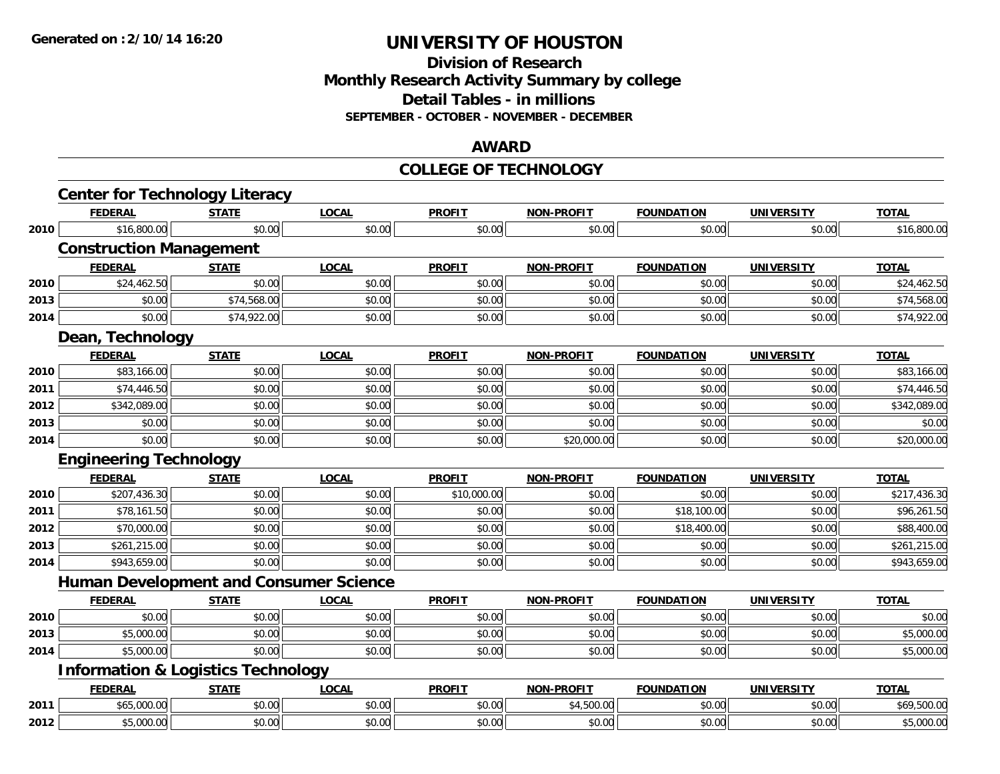### **Division of Research Monthly Research Activity Summary by college Detail Tables - in millions SEPTEMBER - OCTOBER - NOVEMBER - DECEMBER**

#### **AWARD**

#### **COLLEGE OF TECHNOLOGY**

|      | <b>Center for Technology Literacy</b>         |              |              |               |                   |                   |                   |              |
|------|-----------------------------------------------|--------------|--------------|---------------|-------------------|-------------------|-------------------|--------------|
|      | <b>FEDERAL</b>                                | <b>STATE</b> | <b>LOCAL</b> | <b>PROFIT</b> | <b>NON-PROFIT</b> | <b>FOUNDATION</b> | <b>UNIVERSITY</b> | <b>TOTAL</b> |
| 2010 | \$16,800.00                                   | \$0.00       | \$0.00       | \$0.00        | \$0.00            | \$0.00            | \$0.00            | \$16,800.00  |
|      | <b>Construction Management</b>                |              |              |               |                   |                   |                   |              |
|      | <b>FEDERAL</b>                                | <b>STATE</b> | <b>LOCAL</b> | <b>PROFIT</b> | <b>NON-PROFIT</b> | <b>FOUNDATION</b> | <b>UNIVERSITY</b> | <b>TOTAL</b> |
| 2010 | \$24,462.50                                   | \$0.00       | \$0.00       | \$0.00        | \$0.00            | \$0.00            | \$0.00            | \$24,462.50  |
| 2013 | \$0.00                                        | \$74,568.00  | \$0.00       | \$0.00        | \$0.00            | \$0.00            | \$0.00            | \$74,568.00  |
| 2014 | \$0.00                                        | \$74,922.00  | \$0.00       | \$0.00        | \$0.00            | \$0.00            | \$0.00            | \$74,922.00  |
|      | Dean, Technology                              |              |              |               |                   |                   |                   |              |
|      | <b>FEDERAL</b>                                | <b>STATE</b> | <b>LOCAL</b> | <b>PROFIT</b> | <b>NON-PROFIT</b> | <b>FOUNDATION</b> | <b>UNIVERSITY</b> | <b>TOTAL</b> |
| 2010 | \$83,166.00                                   | \$0.00       | \$0.00       | \$0.00        | \$0.00            | \$0.00            | \$0.00            | \$83,166.00  |
| 2011 | \$74,446.50                                   | \$0.00       | \$0.00       | \$0.00        | \$0.00            | \$0.00            | \$0.00            | \$74,446.50  |
| 2012 | \$342,089.00                                  | \$0.00       | \$0.00       | \$0.00        | \$0.00            | \$0.00            | \$0.00            | \$342,089.00 |
| 2013 | \$0.00                                        | \$0.00       | \$0.00       | \$0.00        | \$0.00            | \$0.00            | \$0.00            | \$0.00       |
| 2014 | \$0.00                                        | \$0.00       | \$0.00       | \$0.00        | \$20,000.00       | \$0.00            | \$0.00            | \$20,000.00  |
|      | <b>Engineering Technology</b>                 |              |              |               |                   |                   |                   |              |
|      | <b>FEDERAL</b>                                | <b>STATE</b> | <b>LOCAL</b> | <b>PROFIT</b> | <b>NON-PROFIT</b> | <b>FOUNDATION</b> | <b>UNIVERSITY</b> | <b>TOTAL</b> |
| 2010 | \$207,436.30                                  | \$0.00       | \$0.00       | \$10,000.00   | \$0.00            | \$0.00            | \$0.00            | \$217,436.30 |
| 2011 | \$78,161.50                                   | \$0.00       | \$0.00       | \$0.00        | \$0.00            | \$18,100.00       | \$0.00            | \$96,261.50  |
| 2012 | \$70,000.00                                   | \$0.00       | \$0.00       | \$0.00        | \$0.00            | \$18,400.00       | \$0.00            | \$88,400.00  |
| 2013 | \$261,215.00                                  | \$0.00       | \$0.00       | \$0.00        | \$0.00            | \$0.00            | \$0.00            | \$261,215.00 |
| 2014 | \$943,659.00                                  | \$0.00       | \$0.00       | \$0.00        | \$0.00            | \$0.00            | \$0.00            | \$943,659.00 |
|      | <b>Human Development and Consumer Science</b> |              |              |               |                   |                   |                   |              |
|      | <b>FEDERAL</b>                                | <b>STATE</b> | <b>LOCAL</b> | <b>PROFIT</b> | <b>NON-PROFIT</b> | <b>FOUNDATION</b> | <b>UNIVERSITY</b> | <b>TOTAL</b> |
| 2010 | \$0.00                                        | \$0.00       | \$0.00       | \$0.00        | \$0.00            | \$0.00            | \$0.00            | \$0.00       |
| 2013 | \$5,000.00                                    | \$0.00       | \$0.00       | \$0.00        | \$0.00            | \$0.00            | \$0.00            | \$5,000.00   |
| 2014 | \$5,000.00                                    | \$0.00       | \$0.00       | \$0.00        | \$0.00            | \$0.00            | \$0.00            | \$5,000.00   |
|      | <b>Information &amp; Logistics Technology</b> |              |              |               |                   |                   |                   |              |
|      | <b>FEDERAL</b>                                | <b>STATE</b> | <b>LOCAL</b> | <b>PROFIT</b> | <b>NON-PROFIT</b> | <b>FOUNDATION</b> | <b>UNIVERSITY</b> | <b>TOTAL</b> |
| 2011 | \$65,000.00                                   | \$0.00       | \$0.00       | \$0.00        | \$4,500.00        | \$0.00            | \$0.00            | \$69,500.00  |
| 2012 | \$5,000.00                                    | \$0.00       | \$0.00       | \$0.00        | \$0.00            | \$0.00            | \$0.00            | \$5,000.00   |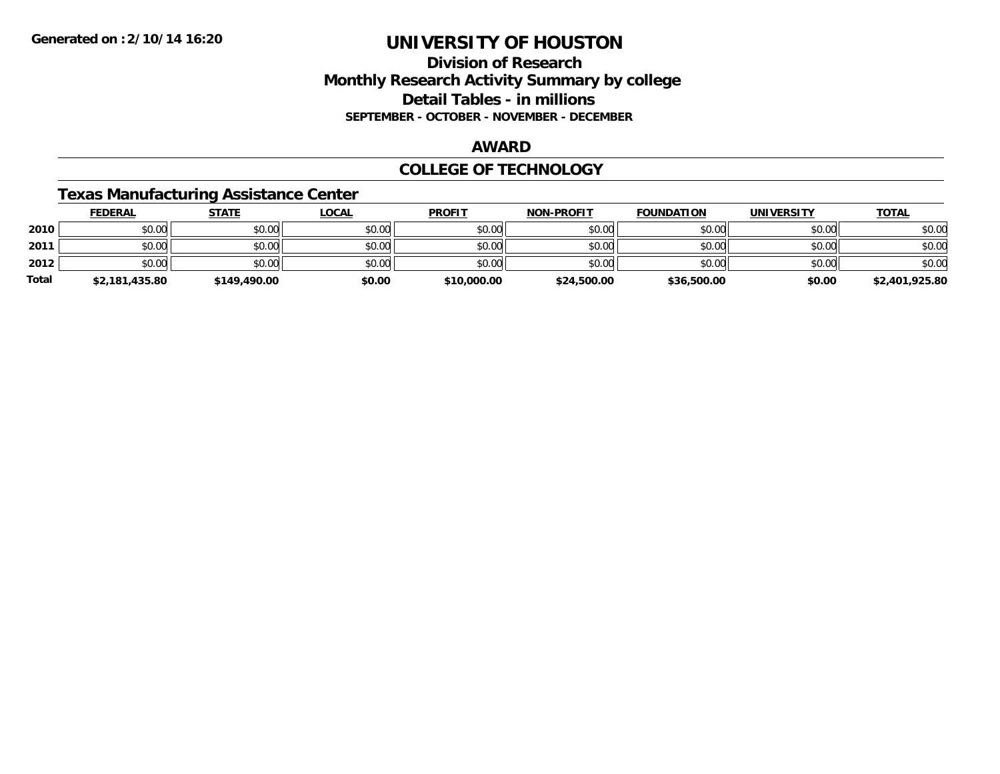## **Division of Research Monthly Research Activity Summary by college Detail Tables - in millions SEPTEMBER - OCTOBER - NOVEMBER - DECEMBER**

#### **AWARD**

### **COLLEGE OF TECHNOLOGY**

### **Texas Manufacturing Assistance Center**

|              | <b>FEDERAL</b> | <b>STATE</b> | <u>LOCAL</u> | <b>PROFIT</b> | <b>NON-PROFIT</b> | <b>FOUNDATION</b> | <b>UNIVERSITY</b> | <b>TOTAL</b>   |
|--------------|----------------|--------------|--------------|---------------|-------------------|-------------------|-------------------|----------------|
| 2010         | \$0.00         | \$0.00       | \$0.00       | \$0.00        | \$0.00            | \$0.00            | \$0.00            | \$0.00         |
| 2011         | \$0.00         | \$0.00       | \$0.00       | \$0.00        | \$0.00            | \$0.00            | \$0.00            | \$0.00         |
| 2012         | \$0.00         | \$0.00       | \$0.00       | \$0.00        | \$0.00            | \$0.00            | \$0.00            | \$0.00         |
| <b>Total</b> | \$2,181,435.80 | \$149,490.00 | \$0.00       | \$10,000.00   | \$24,500.00       | \$36,500.00       | \$0.00            | \$2,401,925.80 |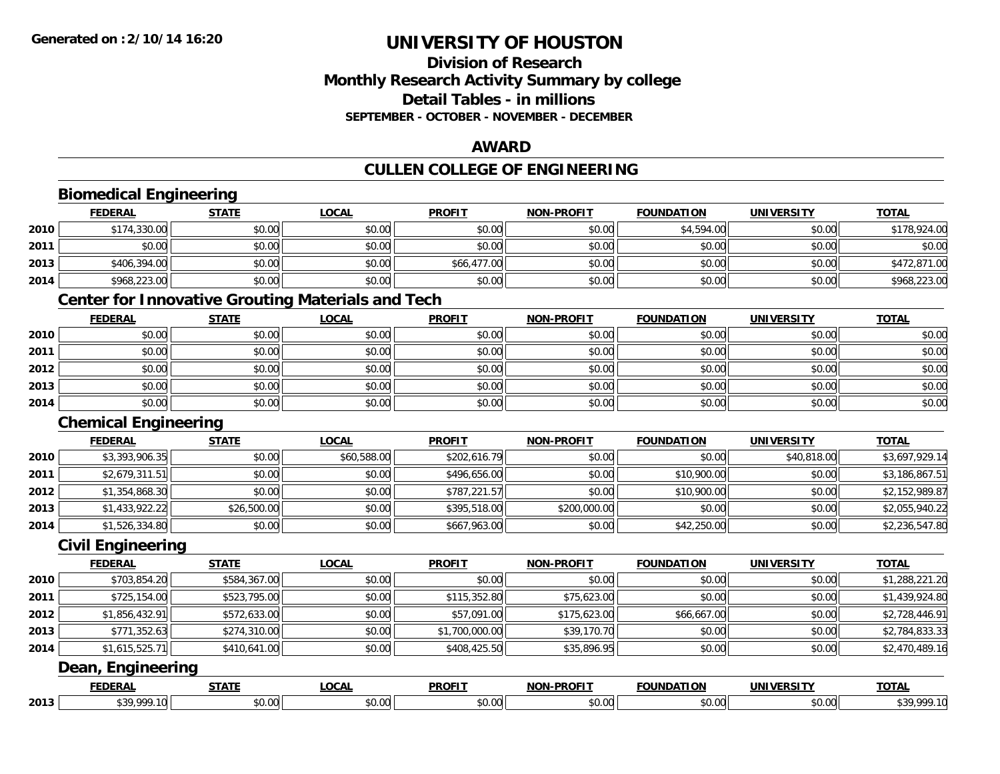# **Division of ResearchMonthly Research Activity Summary by college Detail Tables - in millions SEPTEMBER - OCTOBER - NOVEMBER - DECEMBER**

### **AWARD**

### **CULLEN COLLEGE OF ENGINEERING**

|      | <b>Biomedical Engineering</b> |              |                                                          |                |                   |                   |                   |                |
|------|-------------------------------|--------------|----------------------------------------------------------|----------------|-------------------|-------------------|-------------------|----------------|
|      | <b>FEDERAL</b>                | <b>STATE</b> | <b>LOCAL</b>                                             | <b>PROFIT</b>  | <b>NON-PROFIT</b> | <b>FOUNDATION</b> | <b>UNIVERSITY</b> | <b>TOTAL</b>   |
| 2010 | \$174,330.00                  | \$0.00       | \$0.00                                                   | \$0.00         | \$0.00            | \$4,594.00        | \$0.00            | \$178,924.00   |
| 2011 | \$0.00                        | \$0.00       | \$0.00                                                   | \$0.00         | \$0.00            | \$0.00            | \$0.00            | \$0.00         |
| 2013 | \$406,394.00                  | \$0.00       | \$0.00                                                   | \$66,477.00    | \$0.00            | \$0.00            | \$0.00            | \$472,871.00   |
| 2014 | \$968,223.00                  | \$0.00       | \$0.00                                                   | \$0.00         | \$0.00            | \$0.00            | \$0.00            | \$968,223.00   |
|      |                               |              | <b>Center for Innovative Grouting Materials and Tech</b> |                |                   |                   |                   |                |
|      | <b>FEDERAL</b>                | <b>STATE</b> | <b>LOCAL</b>                                             | <b>PROFIT</b>  | <b>NON-PROFIT</b> | <b>FOUNDATION</b> | <b>UNIVERSITY</b> | <b>TOTAL</b>   |
| 2010 | \$0.00                        | \$0.00       | \$0.00                                                   | \$0.00         | \$0.00            | \$0.00            | \$0.00            | \$0.00         |
| 2011 | \$0.00                        | \$0.00       | \$0.00                                                   | \$0.00         | \$0.00            | \$0.00            | \$0.00            | \$0.00         |
| 2012 | \$0.00                        | \$0.00       | \$0.00                                                   | \$0.00         | \$0.00            | \$0.00            | \$0.00            | \$0.00         |
| 2013 | \$0.00                        | \$0.00       | \$0.00                                                   | \$0.00         | \$0.00            | \$0.00            | \$0.00            | \$0.00         |
| 2014 | \$0.00                        | \$0.00       | \$0.00                                                   | \$0.00         | \$0.00            | \$0.00            | \$0.00            | \$0.00         |
|      | <b>Chemical Engineering</b>   |              |                                                          |                |                   |                   |                   |                |
|      | <b>FEDERAL</b>                | <b>STATE</b> | <b>LOCAL</b>                                             | <b>PROFIT</b>  | <b>NON-PROFIT</b> | <b>FOUNDATION</b> | <b>UNIVERSITY</b> | <b>TOTAL</b>   |
| 2010 | \$3,393,906.35                | \$0.00       | \$60,588.00                                              | \$202,616.79   | \$0.00            | \$0.00            | \$40,818.00       | \$3,697,929.14 |
| 2011 | \$2,679,311.51                | \$0.00       | \$0.00                                                   | \$496,656.00   | \$0.00            | \$10,900.00       | \$0.00            | \$3,186,867.51 |
| 2012 | \$1,354,868.30                | \$0.00       | \$0.00                                                   | \$787,221.57   | \$0.00            | \$10,900.00       | \$0.00            | \$2,152,989.87 |
| 2013 | \$1,433,922.22                | \$26,500.00  | \$0.00                                                   | \$395,518.00   | \$200,000.00      | \$0.00            | \$0.00            | \$2,055,940.22 |
| 2014 | \$1,526,334.80                | \$0.00       | \$0.00                                                   | \$667,963.00   | \$0.00            | \$42,250.00       | \$0.00            | \$2,236,547.80 |
|      | <b>Civil Engineering</b>      |              |                                                          |                |                   |                   |                   |                |
|      | <b>FEDERAL</b>                | <b>STATE</b> | <b>LOCAL</b>                                             | <b>PROFIT</b>  | <b>NON-PROFIT</b> | <b>FOUNDATION</b> | <b>UNIVERSITY</b> | <b>TOTAL</b>   |
| 2010 | \$703,854.20                  | \$584,367.00 | \$0.00                                                   | \$0.00         | \$0.00            | \$0.00            | \$0.00            | \$1,288,221.20 |
| 2011 | \$725,154.00                  | \$523,795.00 | \$0.00                                                   | \$115,352.80   | \$75,623.00       | \$0.00            | \$0.00            | \$1,439,924.80 |
| 2012 | \$1,856,432.91                | \$572,633.00 | \$0.00                                                   | \$57,091.00    | \$175,623.00      | \$66,667.00       | \$0.00            | \$2,728,446.91 |
| 2013 | \$771,352.63                  | \$274,310.00 | \$0.00                                                   | \$1,700,000.00 | \$39,170.70       | \$0.00            | \$0.00            | \$2,784,833.33 |
| 2014 | \$1,615,525.71                | \$410,641.00 | \$0.00                                                   | \$408,425.50   | \$35,896.95       | \$0.00            | \$0.00            | \$2,470,489.16 |
|      | Dean, Engineering             |              |                                                          |                |                   |                   |                   |                |
|      | <b>FEDERAL</b>                | <b>STATE</b> | <b>LOCAL</b>                                             | <b>PROFIT</b>  | <b>NON-PROFIT</b> | <b>FOUNDATION</b> | <b>UNIVERSITY</b> | <b>TOTAL</b>   |
| 2013 | \$39,999.10                   | \$0.00       | \$0.00                                                   | \$0.00         | \$0.00            | \$0.00            | \$0.00            | \$39,999.10    |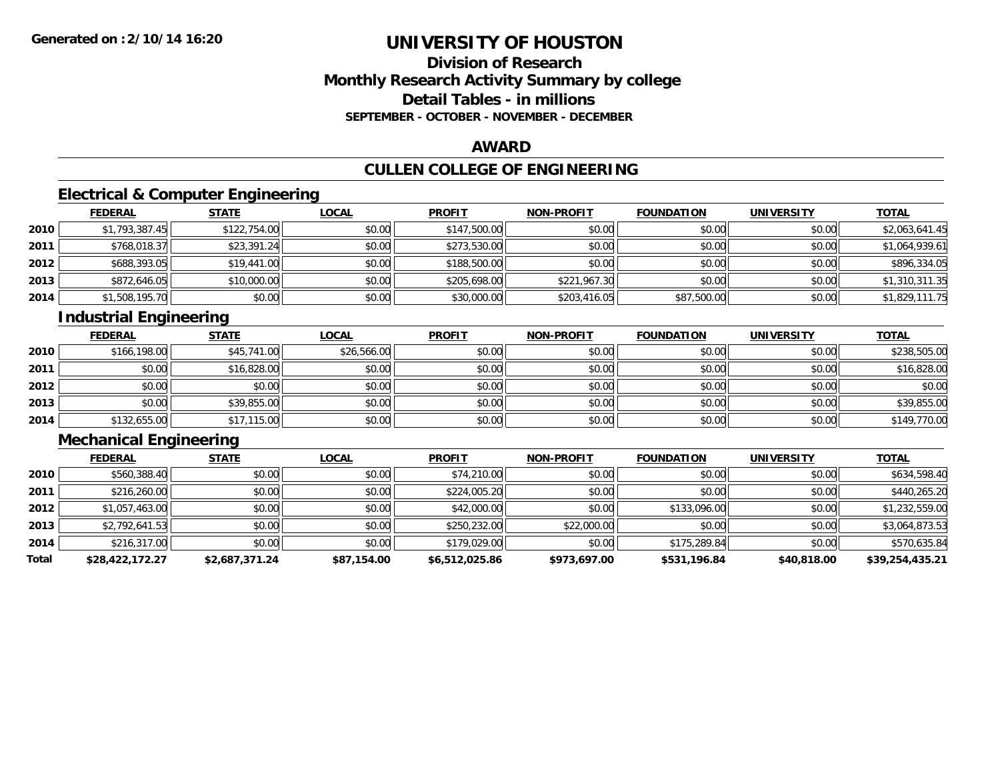# **Division of ResearchMonthly Research Activity Summary by college Detail Tables - in millions SEPTEMBER - OCTOBER - NOVEMBER - DECEMBER**

### **AWARD**

# **CULLEN COLLEGE OF ENGINEERING**

# **Electrical & Computer Engineering**

|      | <b>FEDERAL</b> | <b>STATE</b> | <u>LOCAL</u> | <b>PROFIT</b> | <b>NON-PROFIT</b> | <b>FOUNDATION</b> | <b>UNIVERSITY</b> | <b>TOTAL</b>   |
|------|----------------|--------------|--------------|---------------|-------------------|-------------------|-------------------|----------------|
| 2010 | \$1,793,387.45 | \$122,754.00 | \$0.00       | \$147,500.00  | \$0.00            | \$0.00            | \$0.00            | \$2,063,641.45 |
| 2011 | \$768,018.37   | \$23,391.24  | \$0.00       | \$273,530.00  | \$0.00            | \$0.00            | \$0.00            | \$1,064,939.61 |
| 2012 | \$688,393.05   | \$19,441.00  | \$0.00       | \$188,500.00  | \$0.00            | \$0.00            | \$0.00            | \$896,334.05   |
| 2013 | \$872,646.05   | \$10,000.00  | \$0.00       | \$205,698.00  | \$221,967.30      | \$0.00            | \$0.00            | \$1,310,311.35 |
| 2014 | \$1,508,195.70 | \$0.00       | \$0.00       | \$30,000.00   | \$203,416.05      | \$87,500.00       | \$0.00            | \$1,829,111.75 |

# **Industrial Engineering**

|      | <b>FEDERAL</b> | <b>STATE</b> | <u>LOCAL</u> | <b>PROFIT</b> | <b>NON-PROFIT</b> | <b>FOUNDATION</b> | <b>UNIVERSITY</b> | <b>TOTAL</b> |
|------|----------------|--------------|--------------|---------------|-------------------|-------------------|-------------------|--------------|
| 2010 | \$166,198.00   | \$45,741.00  | \$26,566.00  | \$0.00        | \$0.00            | \$0.00            | \$0.00            | \$238,505.00 |
| 2011 | \$0.00         | \$16,828.00  | \$0.00       | \$0.00        | \$0.00            | \$0.00            | \$0.00            | \$16,828.00  |
| 2012 | \$0.00         | \$0.00       | \$0.00       | \$0.00        | \$0.00            | \$0.00            | \$0.00            | \$0.00       |
| 2013 | \$0.00         | \$39,855.00  | \$0.00       | \$0.00        | \$0.00            | \$0.00            | \$0.00            | \$39,855.00  |
| 2014 | \$132,655.00   | \$17,115.00  | \$0.00       | \$0.00        | \$0.00            | \$0.00            | \$0.00            | \$149,770.00 |

# **Mechanical Engineering**

|       | <b>FEDERAL</b>  | <b>STATE</b>   | <b>LOCAL</b> | <b>PROFIT</b>  | <b>NON-PROFIT</b> | <b>FOUNDATION</b> | <b>UNIVERSITY</b> | <b>TOTAL</b>    |
|-------|-----------------|----------------|--------------|----------------|-------------------|-------------------|-------------------|-----------------|
| 2010  | \$560,388.40    | \$0.00         | \$0.00       | \$74,210.00    | \$0.00            | \$0.00            | \$0.00            | \$634,598.40    |
| 2011  | \$216,260.00    | \$0.00         | \$0.00       | \$224,005.20   | \$0.00            | \$0.00            | \$0.00            | \$440,265.20    |
| 2012  | \$1,057,463.00  | \$0.00         | \$0.00       | \$42,000.00    | \$0.00            | \$133,096.00      | \$0.00            | \$1,232,559.00  |
| 2013  | \$2,792,641.53  | \$0.00         | \$0.00       | \$250,232.00   | \$22,000.00       | \$0.00            | \$0.00            | \$3,064,873.53  |
| 2014  | \$216,317.00    | \$0.00         | \$0.00       | \$179,029.00   | \$0.00            | \$175,289.84      | \$0.00            | \$570,635.84    |
| Total | \$28,422,172.27 | \$2,687,371.24 | \$87,154.00  | \$6.512.025.86 | \$973,697.00      | \$531,196.84      | \$40,818.00       | \$39,254,435.21 |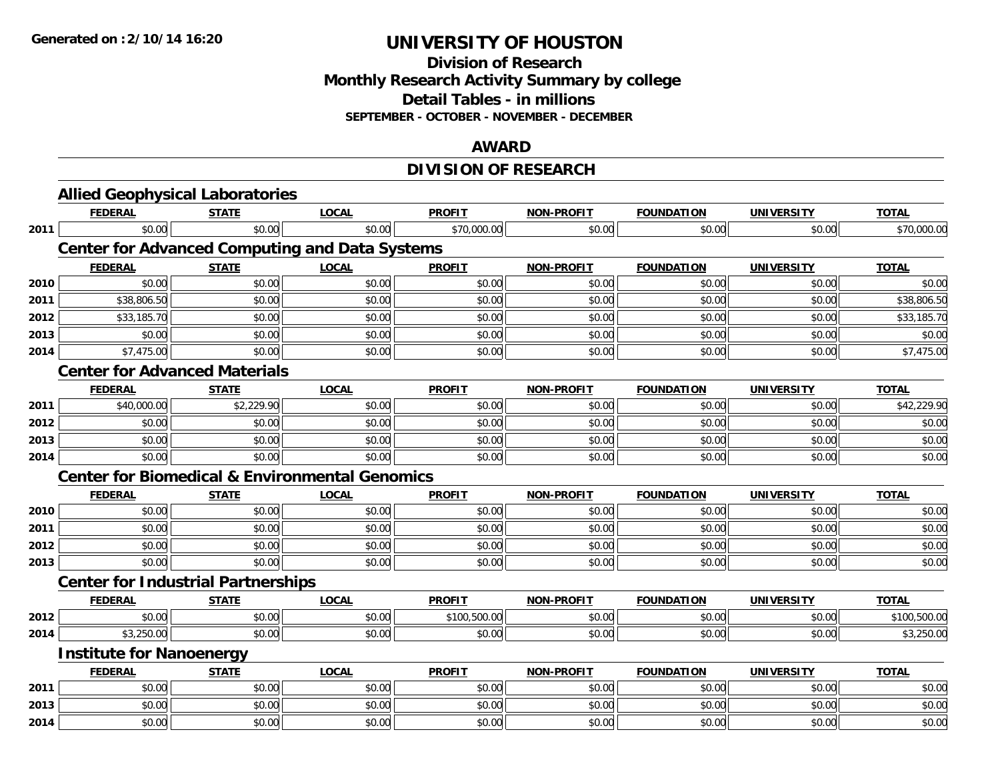### **Division of Research Monthly Research Activity Summary by college Detail Tables - in millions SEPTEMBER - OCTOBER - NOVEMBER - DECEMBER**

#### **AWARD**

# **DIVISION OF RESEARCH**

|      | <b>Allied Geophysical Laboratories</b>                    |              |              |               |                   |                   |                   |              |
|------|-----------------------------------------------------------|--------------|--------------|---------------|-------------------|-------------------|-------------------|--------------|
|      | <b>FEDERAL</b>                                            | <b>STATE</b> | <b>LOCAL</b> | <b>PROFIT</b> | <b>NON-PROFIT</b> | <b>FOUNDATION</b> | <b>UNIVERSITY</b> | <b>TOTAL</b> |
| 2011 | \$0.00                                                    | \$0.00       | \$0.00       | \$70,000.00   | \$0.00            | \$0.00            | \$0.00            | \$70,000.00  |
|      | <b>Center for Advanced Computing and Data Systems</b>     |              |              |               |                   |                   |                   |              |
|      | <b>FEDERAL</b>                                            | <b>STATE</b> | <b>LOCAL</b> | <b>PROFIT</b> | <b>NON-PROFIT</b> | <b>FOUNDATION</b> | <b>UNIVERSITY</b> | <b>TOTAL</b> |
| 2010 | \$0.00                                                    | \$0.00       | \$0.00       | \$0.00        | \$0.00            | \$0.00            | \$0.00            | \$0.00       |
| 2011 | \$38,806.50                                               | \$0.00       | \$0.00       | \$0.00        | \$0.00            | \$0.00            | \$0.00            | \$38,806.50  |
| 2012 | \$33,185.70                                               | \$0.00       | \$0.00       | \$0.00        | \$0.00            | \$0.00            | \$0.00            | \$33,185.70  |
| 2013 | \$0.00                                                    | \$0.00       | \$0.00       | \$0.00        | \$0.00            | \$0.00            | \$0.00            | \$0.00       |
| 2014 | \$7,475.00                                                | \$0.00       | \$0.00       | \$0.00        | \$0.00            | \$0.00            | \$0.00            | \$7,475.00   |
|      | <b>Center for Advanced Materials</b>                      |              |              |               |                   |                   |                   |              |
|      | <b>FEDERAL</b>                                            | <b>STATE</b> | <b>LOCAL</b> | <b>PROFIT</b> | <b>NON-PROFIT</b> | <b>FOUNDATION</b> | <b>UNIVERSITY</b> | <b>TOTAL</b> |
| 2011 | \$40,000.00                                               | \$2,229.90   | \$0.00       | \$0.00        | \$0.00            | \$0.00            | \$0.00            | \$42,229.90  |
| 2012 | \$0.00                                                    | \$0.00       | \$0.00       | \$0.00        | \$0.00            | \$0.00            | \$0.00            | \$0.00       |
| 2013 | \$0.00                                                    | \$0.00       | \$0.00       | \$0.00        | \$0.00            | \$0.00            | \$0.00            | \$0.00       |
| 2014 | \$0.00                                                    | \$0.00       | \$0.00       | \$0.00        | \$0.00            | \$0.00            | \$0.00            | \$0.00       |
|      | <b>Center for Biomedical &amp; Environmental Genomics</b> |              |              |               |                   |                   |                   |              |
|      | <b>FEDERAL</b>                                            | <b>STATE</b> | <b>LOCAL</b> | <b>PROFIT</b> | NON-PROFIT        | <b>FOUNDATION</b> | <b>UNIVERSITY</b> | <b>TOTAL</b> |
| 2010 | \$0.00                                                    | \$0.00       | \$0.00       | \$0.00        | \$0.00            | \$0.00            | \$0.00            | \$0.00       |
| 2011 | \$0.00                                                    | \$0.00       | \$0.00       | \$0.00        | \$0.00            | \$0.00            | \$0.00            | \$0.00       |
| 2012 | \$0.00                                                    | \$0.00       | \$0.00       | \$0.00        | \$0.00            | \$0.00            | \$0.00            | \$0.00       |
| 2013 | \$0.00                                                    | \$0.00       | \$0.00       | \$0.00        | \$0.00            | \$0.00            | \$0.00            | \$0.00       |
|      | <b>Center for Industrial Partnerships</b>                 |              |              |               |                   |                   |                   |              |
|      | <b>FEDERAL</b>                                            | <b>STATE</b> | <b>LOCAL</b> | <b>PROFIT</b> | NON-PROFIT        | <b>FOUNDATION</b> | <b>UNIVERSITY</b> | <b>TOTAL</b> |
| 2012 | \$0.00                                                    | \$0.00       | \$0.00       | \$100,500.00  | \$0.00            | \$0.00            | \$0.00            | \$100,500.00 |
| 2014 | \$3,250.00                                                | \$0.00       | \$0.00       | \$0.00        | \$0.00            | \$0.00            | \$0.00            | \$3,250.00   |
|      | <b>Institute for Nanoenergy</b>                           |              |              |               |                   |                   |                   |              |
|      | <b>FEDERAL</b>                                            | <b>STATE</b> | <b>LOCAL</b> | <b>PROFIT</b> | <b>NON-PROFIT</b> | <b>FOUNDATION</b> | <b>UNIVERSITY</b> | <b>TOTAL</b> |
| 2011 | \$0.00                                                    | \$0.00       | \$0.00       | \$0.00        | \$0.00            | \$0.00            | \$0.00            | \$0.00       |
| 2013 | \$0.00                                                    | \$0.00       | \$0.00       | \$0.00        | \$0.00            | \$0.00            | \$0.00            | \$0.00       |
| 2014 | \$0.00                                                    | \$0.00       | \$0.00       | \$0.00        | \$0.00            | \$0.00            | \$0.00            | \$0.00       |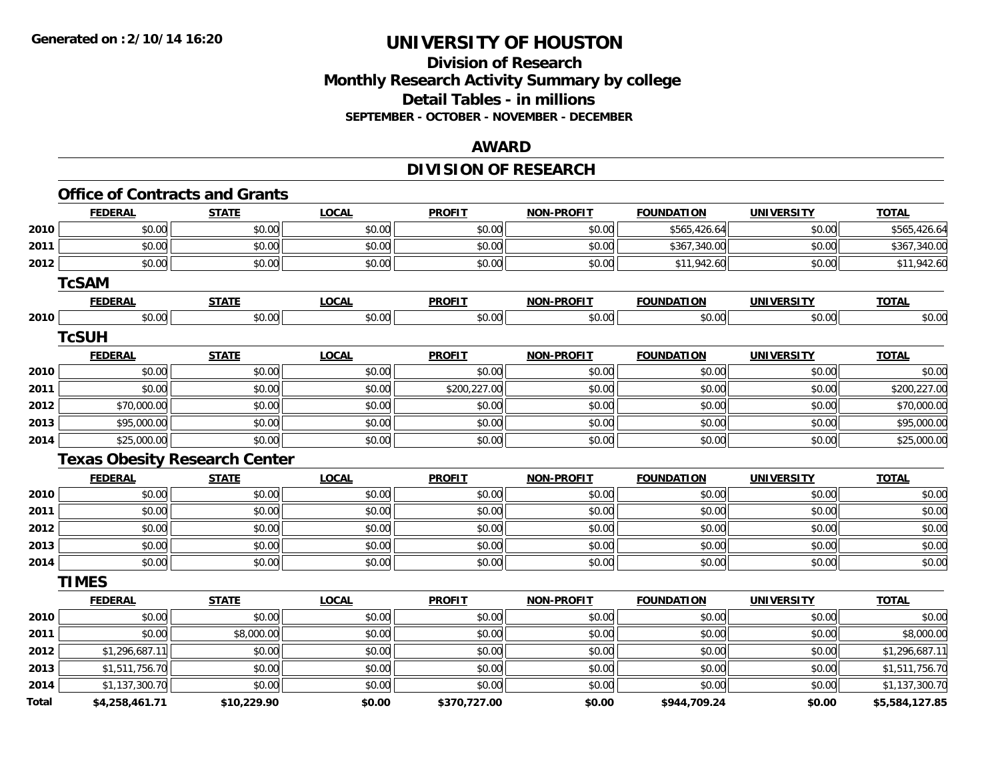# **Division of ResearchMonthly Research Activity Summary by college Detail Tables - in millions SEPTEMBER - OCTOBER - NOVEMBER - DECEMBER**

### **AWARD**

# **DIVISION OF RESEARCH**

|       | <b>FEDERAL</b> | <b>STATE</b>                         | <b>LOCAL</b> | <b>PROFIT</b> | <b>NON-PROFIT</b> | <b>FOUNDATION</b> | <b>UNIVERSITY</b> | <b>TOTAL</b>   |
|-------|----------------|--------------------------------------|--------------|---------------|-------------------|-------------------|-------------------|----------------|
| 2010  | \$0.00         | \$0.00                               | \$0.00       | \$0.00        | \$0.00            | \$565,426.64      | \$0.00            | \$565,426.64   |
| 2011  | \$0.00         | \$0.00                               | \$0.00       | \$0.00        | \$0.00            | \$367,340.00      | \$0.00            | \$367,340.00   |
| 2012  | \$0.00         | \$0.00                               | \$0.00       | \$0.00        | \$0.00            | \$11,942.60       | \$0.00            | \$11,942.60    |
|       | <b>TcSAM</b>   |                                      |              |               |                   |                   |                   |                |
|       | <b>FEDERAL</b> | <b>STATE</b>                         | <b>LOCAL</b> | <b>PROFIT</b> | <b>NON-PROFIT</b> | <b>FOUNDATION</b> | <b>UNIVERSITY</b> | <b>TOTAL</b>   |
| 2010  | \$0.00         | \$0.00                               | \$0.00       | \$0.00        | \$0.00            | \$0.00            | \$0.00            | \$0.00         |
|       | <b>TcSUH</b>   |                                      |              |               |                   |                   |                   |                |
|       | <b>FEDERAL</b> | <b>STATE</b>                         | <b>LOCAL</b> | <b>PROFIT</b> | <b>NON-PROFIT</b> | <b>FOUNDATION</b> | <b>UNIVERSITY</b> | <b>TOTAL</b>   |
| 2010  | \$0.00         | \$0.00                               | \$0.00       | \$0.00        | \$0.00            | \$0.00            | \$0.00            | \$0.00         |
| 2011  | \$0.00         | \$0.00                               | \$0.00       | \$200,227.00  | \$0.00            | \$0.00            | \$0.00            | \$200,227.00   |
| 2012  | \$70,000.00    | \$0.00                               | \$0.00       | \$0.00        | \$0.00            | \$0.00            | \$0.00            | \$70,000.00    |
| 2013  | \$95,000.00    | \$0.00                               | \$0.00       | \$0.00        | \$0.00            | \$0.00            | \$0.00            | \$95,000.00    |
| 2014  | \$25,000.00    | \$0.00                               | \$0.00       | \$0.00        | \$0.00            | \$0.00            | \$0.00            | \$25,000.00    |
|       |                | <b>Texas Obesity Research Center</b> |              |               |                   |                   |                   |                |
|       | <b>FEDERAL</b> | <b>STATE</b>                         | <b>LOCAL</b> | <b>PROFIT</b> | <b>NON-PROFIT</b> | <b>FOUNDATION</b> | <b>UNIVERSITY</b> | <b>TOTAL</b>   |
| 2010  | \$0.00         | \$0.00                               | \$0.00       | \$0.00        | \$0.00            | \$0.00            | \$0.00            | \$0.00         |
| 2011  | \$0.00         | \$0.00                               | \$0.00       | \$0.00        | \$0.00            | \$0.00            | \$0.00            | \$0.00         |
| 2012  | \$0.00         | \$0.00                               | \$0.00       | \$0.00        | \$0.00            | \$0.00            | \$0.00            | \$0.00         |
| 2013  | \$0.00         | \$0.00                               | \$0.00       | \$0.00        | \$0.00            | \$0.00            | \$0.00            | \$0.00         |
| 2014  | \$0.00         | \$0.00                               | \$0.00       | \$0.00        | \$0.00            | \$0.00            | \$0.00            | \$0.00         |
|       | <b>TIMES</b>   |                                      |              |               |                   |                   |                   |                |
|       | <b>FEDERAL</b> | <b>STATE</b>                         | <b>LOCAL</b> | <b>PROFIT</b> | <b>NON-PROFIT</b> | <b>FOUNDATION</b> | <b>UNIVERSITY</b> | <b>TOTAL</b>   |
| 2010  | \$0.00         | \$0.00                               | \$0.00       | \$0.00        | \$0.00            | \$0.00            | \$0.00            | \$0.00         |
| 2011  | \$0.00         | \$8,000.00                           | \$0.00       | \$0.00        | \$0.00            | \$0.00            | \$0.00            | \$8,000.00     |
| 2012  | \$1,296,687.11 | \$0.00                               | \$0.00       | \$0.00        | \$0.00            | \$0.00            | \$0.00            | \$1,296,687.11 |
| 2013  | \$1,511,756.70 | \$0.00                               | \$0.00       | \$0.00        | \$0.00            | \$0.00            | \$0.00            | \$1,511,756.70 |
| 2014  | \$1,137,300.70 | \$0.00                               | \$0.00       | \$0.00        | \$0.00            | \$0.00            | \$0.00            | \$1,137,300.70 |
| Total | \$4,258,461.71 | \$10,229.90                          | \$0.00       | \$370,727.00  | \$0.00            | \$944,709.24      | \$0.00            | \$5,584,127.85 |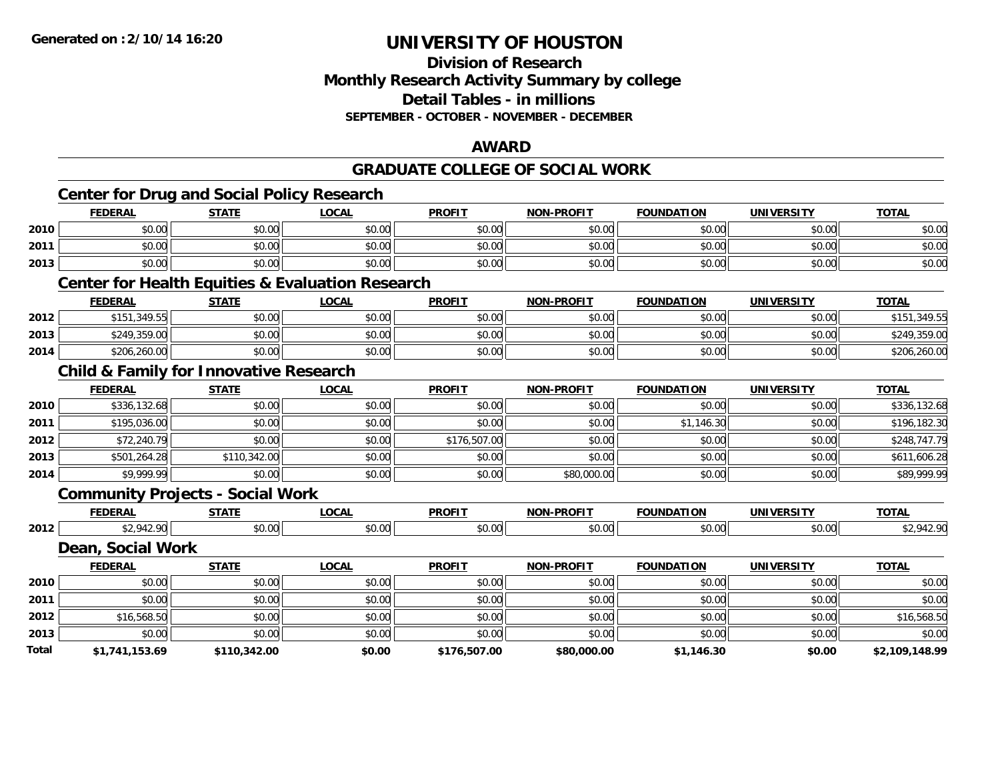### **Division of Research Monthly Research Activity Summary by college Detail Tables - in millions SEPTEMBER - OCTOBER - NOVEMBER - DECEMBER**

### **AWARD**

### **GRADUATE COLLEGE OF SOCIAL WORK**

|       | <b>Center for Drug and Social Policy Research</b> |              |                                                             |               |                   |                   |                   |                |
|-------|---------------------------------------------------|--------------|-------------------------------------------------------------|---------------|-------------------|-------------------|-------------------|----------------|
|       | <b>FEDERAL</b>                                    | <b>STATE</b> | <b>LOCAL</b>                                                | <b>PROFIT</b> | <b>NON-PROFIT</b> | <b>FOUNDATION</b> | <b>UNIVERSITY</b> | <b>TOTAL</b>   |
| 2010  | \$0.00                                            | \$0.00       | \$0.00                                                      | \$0.00        | \$0.00            | \$0.00            | \$0.00            | \$0.00         |
| 2011  | \$0.00                                            | \$0.00       | \$0.00                                                      | \$0.00        | \$0.00            | \$0.00            | \$0.00            | \$0.00         |
| 2013  | \$0.00                                            | \$0.00       | \$0.00                                                      | \$0.00        | \$0.00            | \$0.00            | \$0.00            | \$0.00         |
|       |                                                   |              | <b>Center for Health Equities &amp; Evaluation Research</b> |               |                   |                   |                   |                |
|       | <b>FEDERAL</b>                                    | <b>STATE</b> | <b>LOCAL</b>                                                | <b>PROFIT</b> | <b>NON-PROFIT</b> | <b>FOUNDATION</b> | <b>UNIVERSITY</b> | <b>TOTAL</b>   |
| 2012  | \$151,349.55                                      | \$0.00       | \$0.00                                                      | \$0.00        | \$0.00            | \$0.00            | \$0.00            | \$151,349.55   |
| 2013  | \$249,359.00                                      | \$0.00       | \$0.00                                                      | \$0.00        | \$0.00            | \$0.00            | \$0.00            | \$249,359.00   |
| 2014  | \$206,260.00                                      | \$0.00       | \$0.00                                                      | \$0.00        | \$0.00            | \$0.00            | \$0.00            | \$206,260.00   |
|       | <b>Child &amp; Family for Innovative Research</b> |              |                                                             |               |                   |                   |                   |                |
|       | <b>FEDERAL</b>                                    | <b>STATE</b> | <b>LOCAL</b>                                                | <b>PROFIT</b> | <b>NON-PROFIT</b> | <b>FOUNDATION</b> | <b>UNIVERSITY</b> | <b>TOTAL</b>   |
| 2010  | \$336,132.68                                      | \$0.00       | \$0.00                                                      | \$0.00        | \$0.00            | \$0.00            | \$0.00            | \$336,132.68   |
| 2011  | \$195,036.00                                      | \$0.00       | \$0.00                                                      | \$0.00        | \$0.00            | \$1,146.30        | \$0.00            | \$196,182.30   |
| 2012  | \$72,240.79                                       | \$0.00       | \$0.00                                                      | \$176,507.00  | \$0.00            | \$0.00            | \$0.00            | \$248,747.79   |
| 2013  | \$501,264.28                                      | \$110,342.00 | \$0.00                                                      | \$0.00        | \$0.00            | \$0.00            | \$0.00            | \$611,606.28   |
| 2014  | \$9,999.99                                        | \$0.00       | \$0.00                                                      | \$0.00        | \$80,000.00       | \$0.00            | \$0.00            | \$89,999.99    |
|       | <b>Community Projects - Social Work</b>           |              |                                                             |               |                   |                   |                   |                |
|       | <b>FEDERAL</b>                                    | <b>STATE</b> | <b>LOCAL</b>                                                | <b>PROFIT</b> | <b>NON-PROFIT</b> | <b>FOUNDATION</b> | <b>UNIVERSITY</b> | <b>TOTAL</b>   |
| 2012  | \$2,942.90                                        | \$0.00       | \$0.00                                                      | \$0.00        | \$0.00            | \$0.00            | \$0.00            | \$2,942.90     |
|       | Dean, Social Work                                 |              |                                                             |               |                   |                   |                   |                |
|       | <b>FEDERAL</b>                                    | <b>STATE</b> | <b>LOCAL</b>                                                | <b>PROFIT</b> | <b>NON-PROFIT</b> | <b>FOUNDATION</b> | <b>UNIVERSITY</b> | <b>TOTAL</b>   |
| 2010  | \$0.00                                            | \$0.00       | \$0.00                                                      | \$0.00        | \$0.00            | \$0.00            | \$0.00            | \$0.00         |
| 2011  | \$0.00                                            | \$0.00       | \$0.00                                                      | \$0.00        | \$0.00            | \$0.00            | \$0.00            | \$0.00         |
| 2012  | \$16,568.50                                       | \$0.00       | \$0.00                                                      | \$0.00        | \$0.00            | \$0.00            | \$0.00            | \$16,568.50    |
| 2013  | \$0.00                                            | \$0.00       | \$0.00                                                      | \$0.00        | \$0.00            | \$0.00            | \$0.00            | \$0.00         |
| Total | \$1,741,153.69                                    | \$110,342.00 | \$0.00                                                      | \$176,507.00  | \$80,000.00       | \$1,146.30        | \$0.00            | \$2,109,148.99 |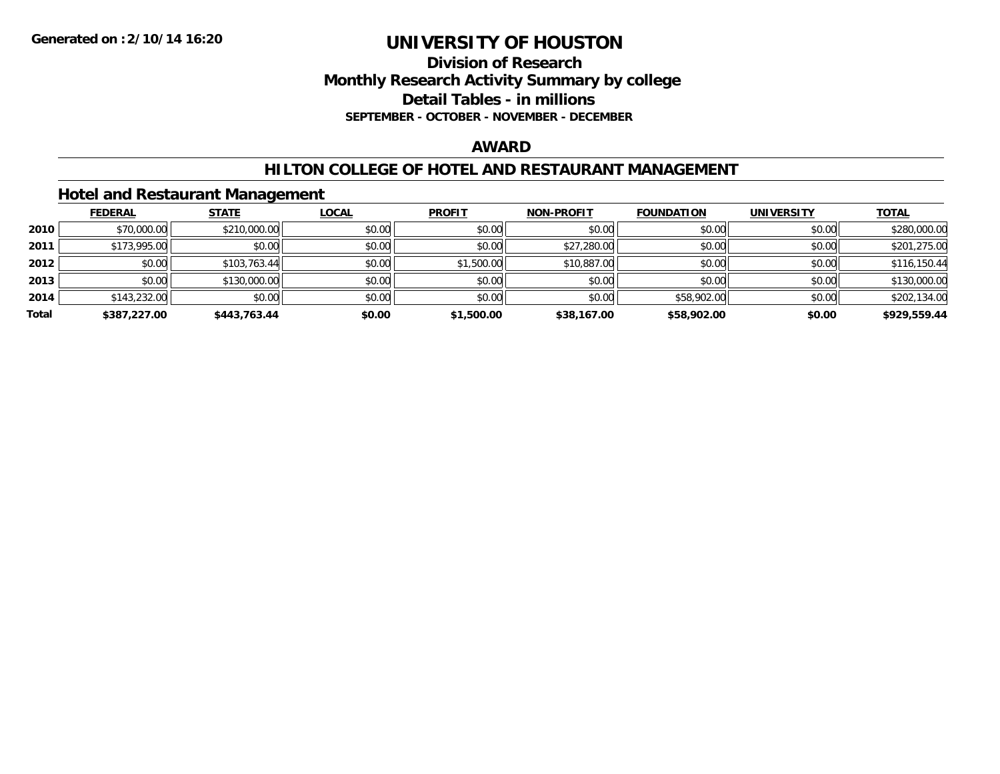### **Division of Research Monthly Research Activity Summary by college Detail Tables - in millions SEPTEMBER - OCTOBER - NOVEMBER - DECEMBER**

#### **AWARD**

### **HILTON COLLEGE OF HOTEL AND RESTAURANT MANAGEMENT**

# **Hotel and Restaurant Management**

|       | <b>FEDERAL</b> | <b>STATE</b> | <u>LOCAL</u> | <b>PROFIT</b> | <b>NON-PROFIT</b> | <b>FOUNDATION</b> | <b>UNIVERSITY</b> | <b>TOTAL</b> |
|-------|----------------|--------------|--------------|---------------|-------------------|-------------------|-------------------|--------------|
| 2010  | \$70,000.00    | \$210,000.00 | \$0.00       | \$0.00        | \$0.00            | \$0.00            | \$0.00            | \$280,000.00 |
| 2011  | \$173,995.00   | \$0.00       | \$0.00       | \$0.00        | \$27,280.00       | \$0.00            | \$0.00            | \$201,275.00 |
| 2012  | \$0.00         | \$103,763.44 | \$0.00       | \$1,500.00    | \$10,887.00       | \$0.00            | \$0.00            | \$116,150.44 |
| 2013  | \$0.00         | \$130,000.00 | \$0.00       | \$0.00        | \$0.00            | \$0.00            | \$0.00            | \$130,000.00 |
| 2014  | \$143,232.00   | \$0.00       | \$0.00       | \$0.00        | \$0.00            | \$58,902.00       | \$0.00            | \$202,134.00 |
| Total | \$387,227.00   | \$443.763.44 | \$0.00       | \$1,500.00    | \$38,167.00       | \$58,902.00       | \$0.00            | \$929,559.44 |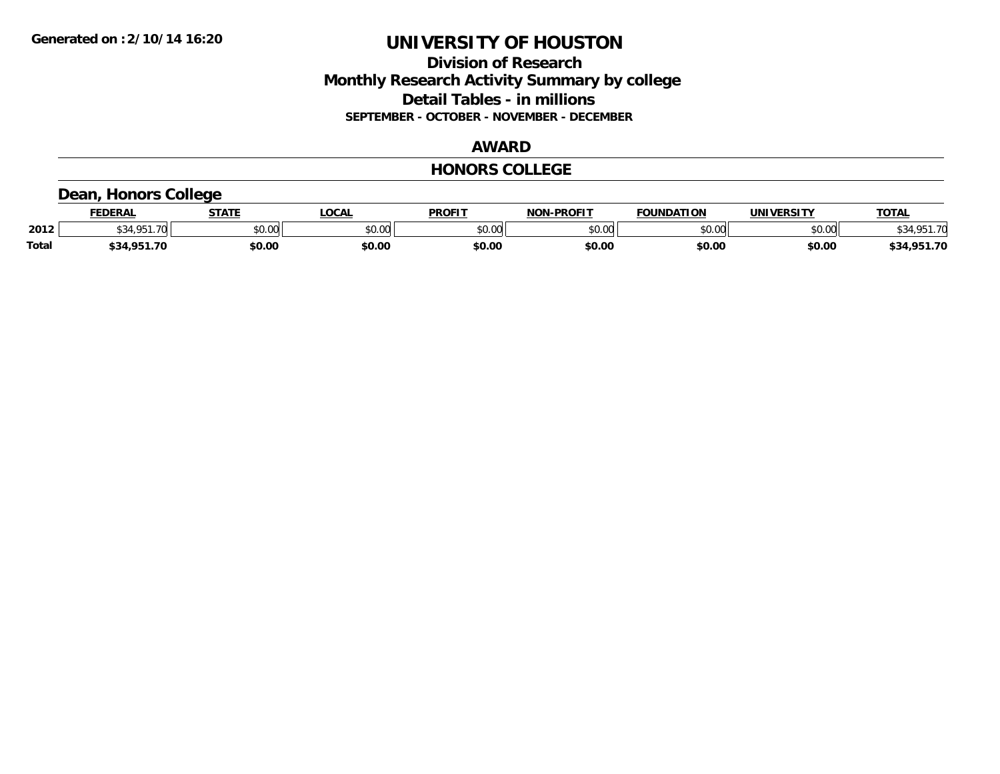# **Division of Research Monthly Research Activity Summary by college Detail Tables - in millions SEPTEMBER - OCTOBER - NOVEMBER - DECEMBER**

# **AWARD**

#### **HONORS COLLEGE**

### **Dean, Honors College**

|              | <b>FEDERAL</b>           | CTATE  | <b>OCAL</b> | <b>PROFIT</b> | -PROFIT<br>លកា | <b>FOUNDATION</b>          | UNIVERSITY | <b>TOTAL</b>     |
|--------------|--------------------------|--------|-------------|---------------|----------------|----------------------------|------------|------------------|
| 2012         | $\overline{\phantom{a}}$ | \$0.00 | JU.UU       | \$0.00        | 0000<br>JU.UU  | 0000<br>- ال <b>UU</b> ، ب | \$0.00     | <b>70</b>        |
| <b>Total</b> | 1.70<br>\$34<br>05       | \$0.00 | \$0.00      | \$0.00        | \$0.00         | \$0.00                     | \$0.00     | .951.70<br>\$34, |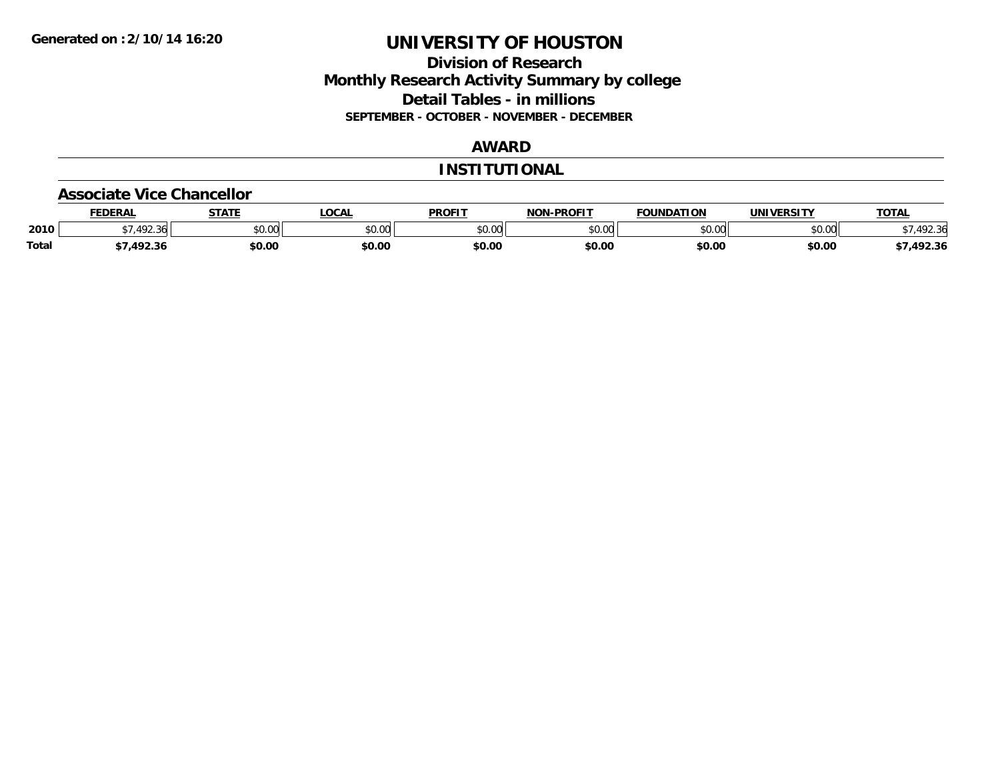# **Division of Research Monthly Research Activity Summary by college Detail Tables - in millions SEPTEMBER - OCTOBER - NOVEMBER - DECEMBER**

# **AWARD**

#### **INSTITUTIONAL**

#### **Associate Vice Chancellor**

|              | <b>FEDERAL</b> | <b>STATE</b> | <b>OCAL</b>   | <b>PROFIT</b> | <b>NON-PROFIT</b> | <b>FOUNDATION</b> | <b>UNIVERSITY</b> | <b>TOTAL</b> |
|--------------|----------------|--------------|---------------|---------------|-------------------|-------------------|-------------------|--------------|
| 2010         | .492.36        | \$0.00       | 0000<br>vu.uu | \$0.00        | ልስ ሀህ<br>pu.uu    | \$0.00            | \$0.00            | 92.36        |
| <b>Total</b> | 1022           | \$0.00       | \$0.00        | \$0.00        | \$0.00            | \$0.00            | \$0.00            | /,492.36     |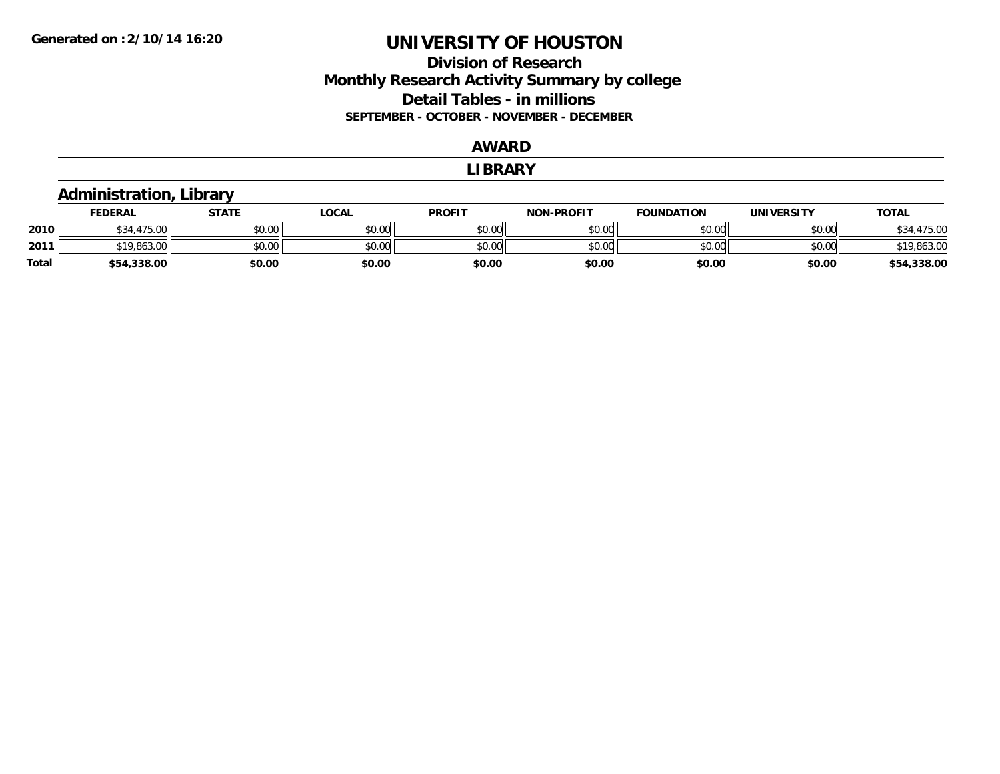# **Division of ResearchMonthly Research Activity Summary by college Detail Tables - in millions SEPTEMBER - OCTOBER - NOVEMBER - DECEMBER**

### **AWARD**

#### **LIBRARY**

#### **Administration, Library FEDERAL STATE LOCAL PROFIT NON-PROFIT FOUNDATION UNIVERSITY TOTALTOTAL 2010** $\textsf{0} \parallel \textsf{0} \parallel \textsf{0} \parallel \textsf{0} \parallel \textsf{0} \parallel \textsf{0} \parallel \textsf{0} \parallel \textsf{0} \parallel \textsf{0} \parallel \textsf{0} \parallel \textsf{0} \parallel \textsf{0} \parallel \textsf{0} \parallel \textsf{0} \parallel \textsf{0} \parallel \textsf{0} \parallel \textsf{0} \parallel \textsf{0} \parallel \textsf{0} \parallel \textsf{0} \parallel \textsf{0} \parallel \textsf{0} \parallel \textsf{0} \parallel \textsf{0} \parallel \textsf{0} \parallel \textsf{0} \parallel \textsf{0} \parallel \textsf{$ **2011**1 \$19,863.00 \$0.00 \$0.00 \$0.00 \$0.00 \$0.00 \$0.00 \$0.00 \$0.00 \$0.00 \$0.00 \$0.00 \$0.00 \$19,863.00 **Total\$54,338.00 \$0.00 \$0.00 \$0.00 \$0.00 \$0.00 \$0.00 \$54,338.00**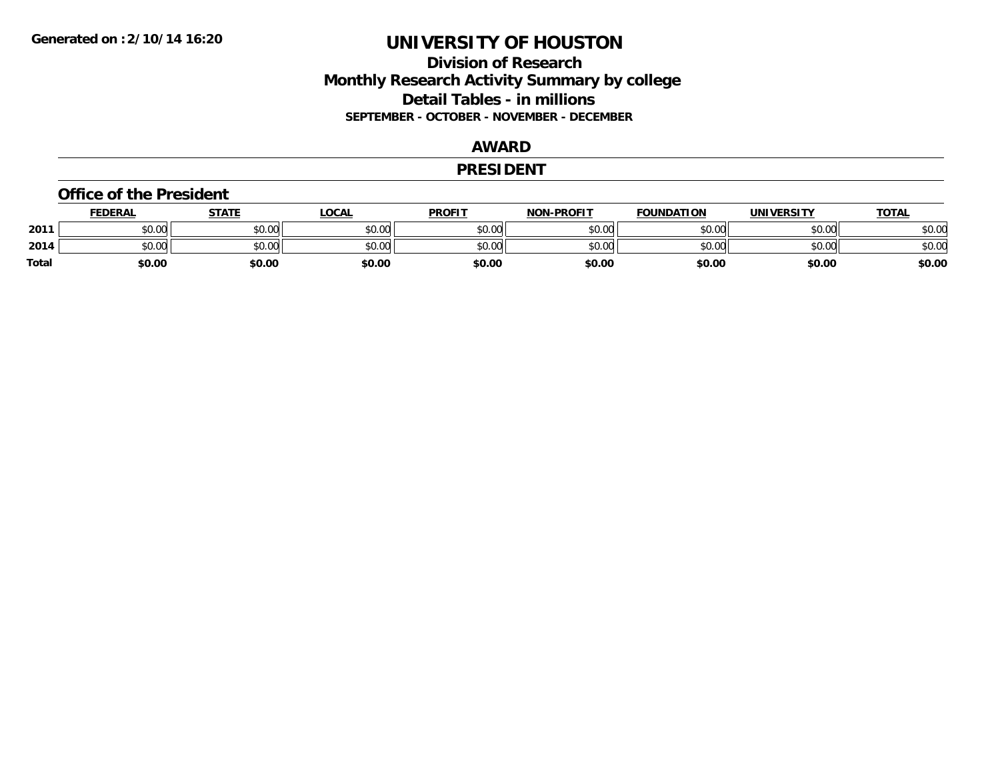# **Division of Research Monthly Research Activity Summary by college Detail Tables - in millions SEPTEMBER - OCTOBER - NOVEMBER - DECEMBER**

#### **AWARD**

#### **PRESIDENT**

#### **Office of the President**

|       | <b>FEDERAL</b> | <b>STATE</b> | LOCAL  | <b>PROFIT</b> | <b>NON-PROFIT</b> | <b>FOUNDATION</b> | <b>UNIVERSITY</b> | <b>TOTAL</b> |
|-------|----------------|--------------|--------|---------------|-------------------|-------------------|-------------------|--------------|
| 2011  | nn nn<br>JU.UU | \$0.00       | \$0.00 | \$0.00        | \$0.00            | \$0.00            | \$0.00            | \$0.00       |
| 2014  | \$0.00         | \$0.00       | \$0.00 | \$0.00        | \$0.00            | \$0.00            | \$0.00            | \$0.00       |
| Total | \$0.00         | \$0.00       | \$0.00 | \$0.00        | \$0.00            | \$0.00            | \$0.00            | \$0.00       |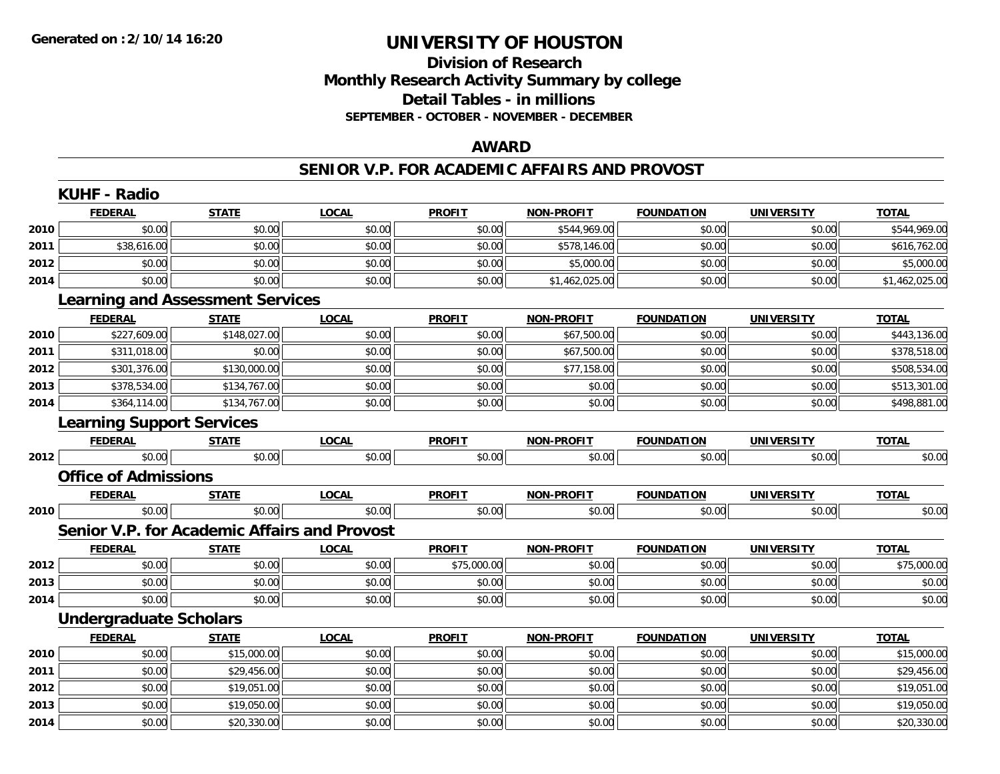# **Division of ResearchMonthly Research Activity Summary by college Detail Tables - in millions SEPTEMBER - OCTOBER - NOVEMBER - DECEMBER**

### **AWARD**

### **SENIOR V.P. FOR ACADEMIC AFFAIRS AND PROVOST**

|      | <b>KUHF - Radio</b>                                 |              |              |               |                   |                   |                   |                |  |  |  |
|------|-----------------------------------------------------|--------------|--------------|---------------|-------------------|-------------------|-------------------|----------------|--|--|--|
|      | <b>FEDERAL</b>                                      | <b>STATE</b> | <b>LOCAL</b> | <b>PROFIT</b> | <b>NON-PROFIT</b> | <b>FOUNDATION</b> | <b>UNIVERSITY</b> | <b>TOTAL</b>   |  |  |  |
| 2010 | \$0.00                                              | \$0.00       | \$0.00       | \$0.00        | \$544,969.00      | \$0.00            | \$0.00            | \$544,969.00   |  |  |  |
| 2011 | \$38,616.00                                         | \$0.00       | \$0.00       | \$0.00        | \$578,146.00      | \$0.00            | \$0.00            | \$616,762.00   |  |  |  |
| 2012 | \$0.00                                              | \$0.00       | \$0.00       | \$0.00        | \$5,000.00        | \$0.00            | \$0.00            | \$5,000.00     |  |  |  |
| 2014 | \$0.00                                              | \$0.00       | \$0.00       | \$0.00        | \$1,462,025.00    | \$0.00            | \$0.00            | \$1,462,025.00 |  |  |  |
|      | <b>Learning and Assessment Services</b>             |              |              |               |                   |                   |                   |                |  |  |  |
|      | <b>FEDERAL</b>                                      | <b>STATE</b> | <b>LOCAL</b> | <b>PROFIT</b> | <b>NON-PROFIT</b> | <b>FOUNDATION</b> | <b>UNIVERSITY</b> | <b>TOTAL</b>   |  |  |  |
| 2010 | \$227,609.00                                        | \$148,027.00 | \$0.00       | \$0.00        | \$67,500.00       | \$0.00            | \$0.00            | \$443,136.00   |  |  |  |
| 2011 | \$311,018.00                                        | \$0.00       | \$0.00       | \$0.00        | \$67,500.00       | \$0.00            | \$0.00            | \$378,518.00   |  |  |  |
| 2012 | \$301,376.00                                        | \$130,000.00 | \$0.00       | \$0.00        | \$77,158.00       | \$0.00            | \$0.00            | \$508,534.00   |  |  |  |
| 2013 | \$378,534.00                                        | \$134,767.00 | \$0.00       | \$0.00        | \$0.00            | \$0.00            | \$0.00            | \$513,301.00   |  |  |  |
| 2014 | \$364,114.00                                        | \$134,767.00 | \$0.00       | \$0.00        | \$0.00            | \$0.00            | \$0.00            | \$498,881.00   |  |  |  |
|      | <b>Learning Support Services</b>                    |              |              |               |                   |                   |                   |                |  |  |  |
|      | <b>FEDERAL</b>                                      | <b>STATE</b> | <b>LOCAL</b> | <b>PROFIT</b> | <b>NON-PROFIT</b> | <b>FOUNDATION</b> | <b>UNIVERSITY</b> | <b>TOTAL</b>   |  |  |  |
| 2012 | \$0.00                                              | \$0.00       | \$0.00       | \$0.00        | \$0.00            | \$0.00            | \$0.00            | \$0.00         |  |  |  |
|      | <b>Office of Admissions</b>                         |              |              |               |                   |                   |                   |                |  |  |  |
|      | <b>FEDERAL</b>                                      | <b>STATE</b> | <b>LOCAL</b> | <b>PROFIT</b> | <b>NON-PROFIT</b> | <b>FOUNDATION</b> | <b>UNIVERSITY</b> | <b>TOTAL</b>   |  |  |  |
| 2010 | \$0.00                                              | \$0.00       | \$0.00       | \$0.00        | \$0.00            | \$0.00            | \$0.00            | \$0.00         |  |  |  |
|      | <b>Senior V.P. for Academic Affairs and Provost</b> |              |              |               |                   |                   |                   |                |  |  |  |
|      | <b>FEDERAL</b>                                      | <b>STATE</b> | <b>LOCAL</b> | <b>PROFIT</b> | <b>NON-PROFIT</b> | <b>FOUNDATION</b> | <b>UNIVERSITY</b> | <b>TOTAL</b>   |  |  |  |
| 2012 | \$0.00                                              | \$0.00       | \$0.00       | \$75,000.00   | \$0.00            | \$0.00            | \$0.00            | \$75,000.00    |  |  |  |
| 2013 | \$0.00                                              | \$0.00       | \$0.00       | \$0.00        | \$0.00            | \$0.00            | \$0.00            | \$0.00         |  |  |  |
| 2014 | \$0.00                                              | \$0.00       | \$0.00       | \$0.00        | \$0.00            | \$0.00            | \$0.00            | \$0.00         |  |  |  |
|      | <b>Undergraduate Scholars</b>                       |              |              |               |                   |                   |                   |                |  |  |  |
|      | <b>FEDERAL</b>                                      | <b>STATE</b> | <b>LOCAL</b> | <b>PROFIT</b> | <b>NON-PROFIT</b> | <b>FOUNDATION</b> | <b>UNIVERSITY</b> | <b>TOTAL</b>   |  |  |  |
| 2010 | \$0.00                                              | \$15,000.00  | \$0.00       | \$0.00        | \$0.00            | \$0.00            | \$0.00            | \$15,000.00    |  |  |  |
| 2011 | \$0.00                                              | \$29,456.00  | \$0.00       | \$0.00        | \$0.00            | \$0.00            | \$0.00            | \$29,456.00    |  |  |  |
| 2012 | \$0.00                                              | \$19,051.00  | \$0.00       | \$0.00        | \$0.00            | \$0.00            | \$0.00            | \$19,051.00    |  |  |  |
| 2013 | \$0.00                                              | \$19,050.00  | \$0.00       | \$0.00        | \$0.00            | \$0.00            | \$0.00            | \$19,050.00    |  |  |  |
| 2014 | \$0.00                                              | \$20,330.00  | \$0.00       | \$0.00        | \$0.00            | \$0.00            | \$0.00            | \$20,330.00    |  |  |  |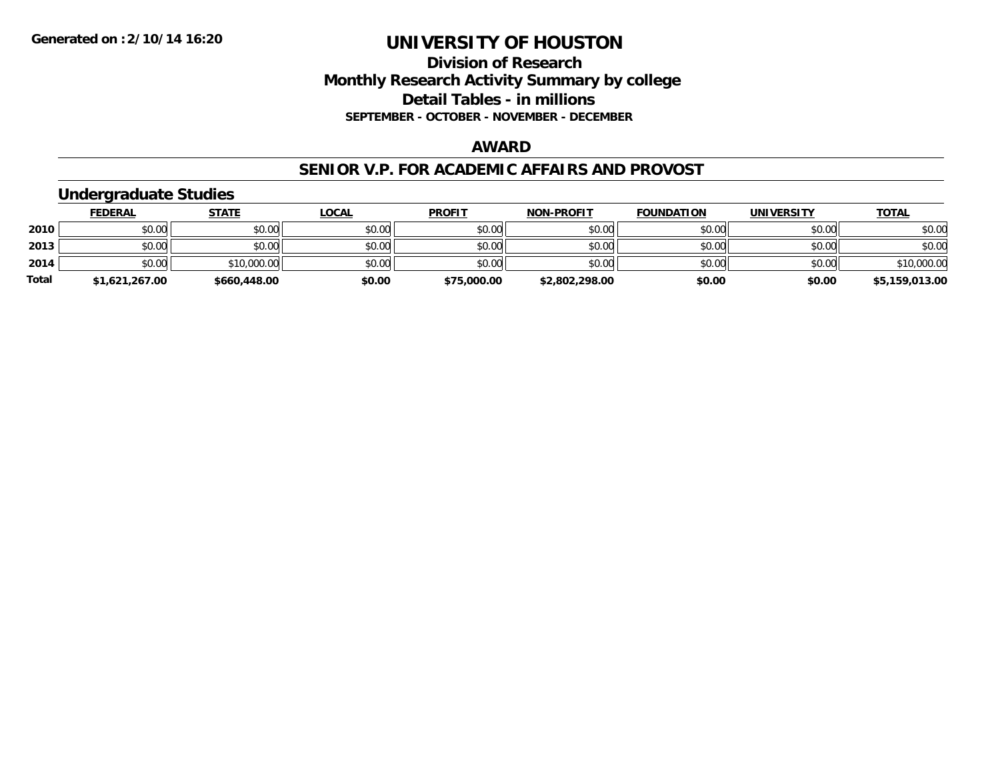### **Division of Research Monthly Research Activity Summary by college Detail Tables - in millions SEPTEMBER - OCTOBER - NOVEMBER - DECEMBER**

### **AWARD**

#### **SENIOR V.P. FOR ACADEMIC AFFAIRS AND PROVOST**

# **Undergraduate Studies**

|              | <b>FEDERAL</b> | <b>STATE</b> | <u>LOCAL</u> | <b>PROFIT</b> | <b>NON-PROFIT</b> | <b>FOUNDATION</b> | <b>UNIVERSITY</b> | <b>TOTAL</b>   |
|--------------|----------------|--------------|--------------|---------------|-------------------|-------------------|-------------------|----------------|
| 2010         | \$0.00         | \$0.00       | \$0.00       | \$0.00        | \$0.00            | \$0.00            | \$0.00            | \$0.00         |
| 2013         | \$0.00         | \$0.00       | \$0.00       | \$0.00        | \$0.00            | \$0.00            | \$0.00            | \$0.00         |
| 2014         | \$0.00         | \$10,000.00  | \$0.00       | \$0.00        | \$0.00            | \$0.00            | \$0.00            | \$10,000.00    |
| <b>Total</b> | \$1,621,267.00 | \$660,448.00 | \$0.00       | \$75,000.00   | \$2,802,298.00    | \$0.00            | \$0.00            | \$5,159,013.00 |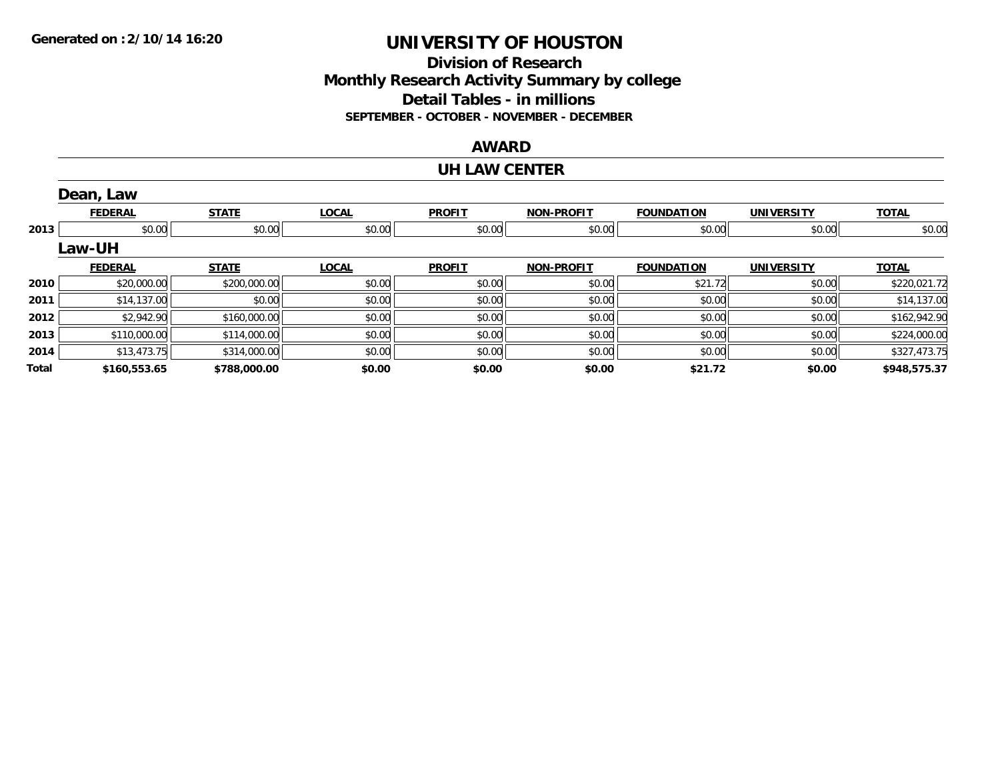# **Division of ResearchMonthly Research Activity Summary by college Detail Tables - in millions SEPTEMBER - OCTOBER - NOVEMBER - DECEMBER**

### **AWARD**

#### **UH LAW CENTER**

|       | Dean, Law      |              |              |               |                   |                   |                   |              |
|-------|----------------|--------------|--------------|---------------|-------------------|-------------------|-------------------|--------------|
|       | <b>FEDERAL</b> | <b>STATE</b> | <b>LOCAL</b> | <b>PROFIT</b> | <b>NON-PROFIT</b> | <b>FOUNDATION</b> | <b>UNIVERSITY</b> | <b>TOTAL</b> |
| 2013  | \$0.00         | \$0.00       | \$0.00       | \$0.00        | \$0.00            | \$0.00            | \$0.00            | \$0.00       |
|       | Law-UH         |              |              |               |                   |                   |                   |              |
|       | <b>FEDERAL</b> | <b>STATE</b> | <b>LOCAL</b> | <b>PROFIT</b> | <b>NON-PROFIT</b> | <b>FOUNDATION</b> | <b>UNIVERSITY</b> | <b>TOTAL</b> |
| 2010  | \$20,000.00    | \$200,000.00 | \$0.00       | \$0.00        | \$0.00            | \$21.72           | \$0.00            | \$220,021.72 |
| 2011  | \$14,137.00    | \$0.00       | \$0.00       | \$0.00        | \$0.00            | \$0.00            | \$0.00            | \$14,137.00  |
| 2012  | \$2,942.90     | \$160,000.00 | \$0.00       | \$0.00        | \$0.00            | \$0.00            | \$0.00            | \$162,942.90 |
| 2013  | \$110,000.00   | \$114,000.00 | \$0.00       | \$0.00        | \$0.00            | \$0.00            | \$0.00            | \$224,000.00 |
| 2014  | \$13,473.75    | \$314,000.00 | \$0.00       | \$0.00        | \$0.00            | \$0.00            | \$0.00            | \$327,473.75 |
| Total | \$160,553.65   | \$788,000.00 | \$0.00       | \$0.00        | \$0.00            | \$21.72           | \$0.00            | \$948,575.37 |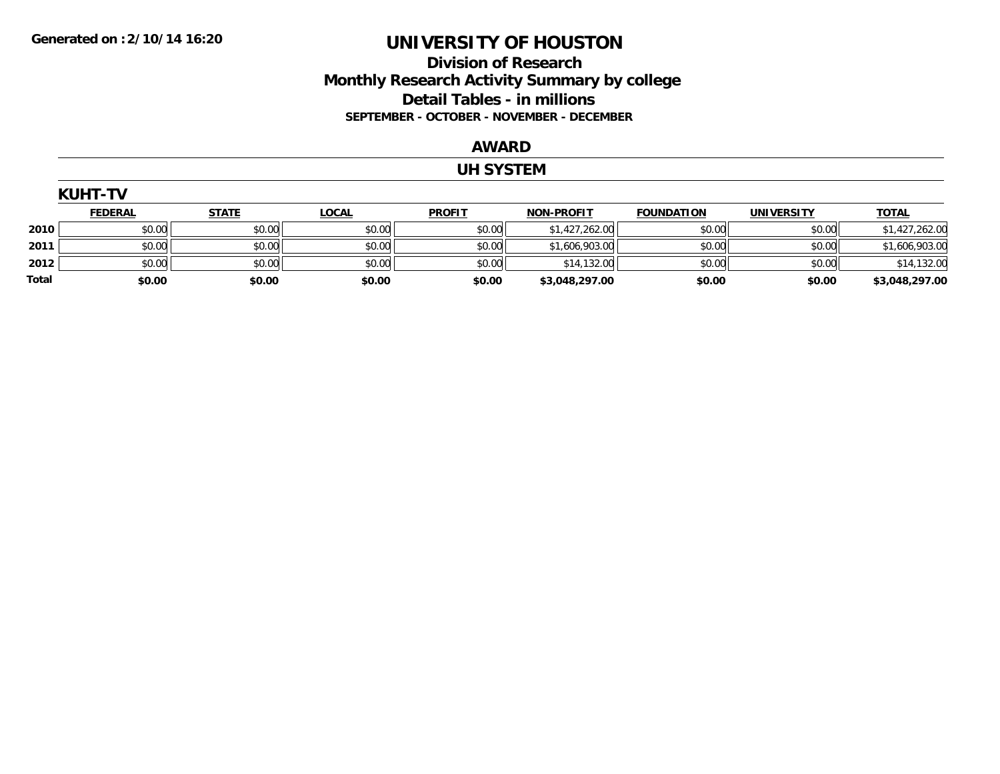# **Division of Research Monthly Research Activity Summary by college Detail Tables - in millions SEPTEMBER - OCTOBER - NOVEMBER - DECEMBER**

#### **AWARD**

### **UH SYSTEM**

|       | <b>KUHT-TV</b> |              |              |               |                   |                   |                   |                |  |  |
|-------|----------------|--------------|--------------|---------------|-------------------|-------------------|-------------------|----------------|--|--|
|       | <u>FEDERAL</u> | <b>STATE</b> | <b>LOCAL</b> | <b>PROFIT</b> | <b>NON-PROFIT</b> | <b>FOUNDATION</b> | <b>UNIVERSITY</b> | <b>TOTAL</b>   |  |  |
| 2010  | \$0.00         | \$0.00       | \$0.00       | \$0.00        | \$1,427,262.00    | \$0.00            | \$0.00            | \$1,427,262.00 |  |  |
| 2011  | \$0.00         | \$0.00       | \$0.00       | \$0.00        | \$1,606,903.00    | \$0.00            | \$0.00            | \$1,606,903.00 |  |  |
| 2012  | \$0.00         | \$0.00       | \$0.00       | \$0.00        | \$14,132.00       | \$0.00            | \$0.00            | \$14,132.00    |  |  |
| Total | \$0.00         | \$0.00       | \$0.00       | \$0.00        | \$3,048,297.00    | \$0.00            | \$0.00            | \$3,048,297.00 |  |  |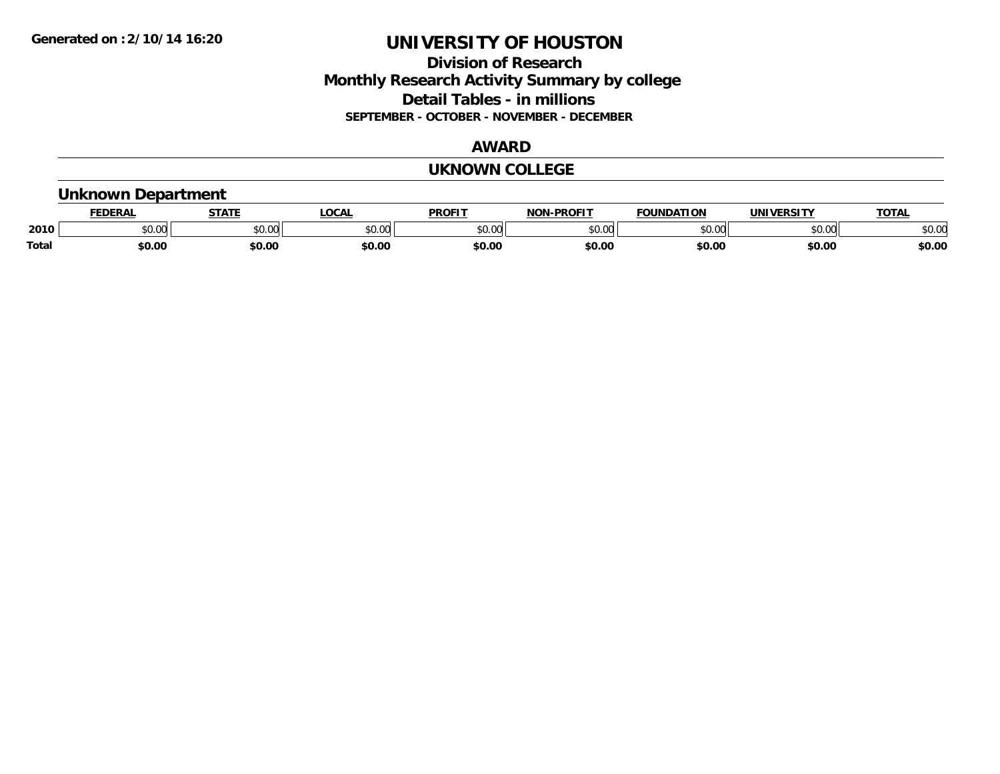# **Division of Research Monthly Research Activity Summary by college Detail Tables - in millions SEPTEMBER - OCTOBER - NOVEMBER - DECEMBER**

#### **AWARD**

#### **UKNOWN COLLEGE**

### **Unknown Department**

|              | DERAI         | CTATL         | .OCAI          | <b>PROFIT</b> | <b>DDOEL1</b><br>810 R | <b>FOUNDATION</b> | UNIVERSITY | TOTA.  |
|--------------|---------------|---------------|----------------|---------------|------------------------|-------------------|------------|--------|
| 2010         | 0.00<br>JU.UU | 0.00<br>JU.UU | ≮∩ ∩r<br>JU.UL | 0000<br>JU.UU | $\sim$ 00<br>טט.טי     | 0000              | \$0.00     | \$0.00 |
| <b>Total</b> | \$0.00        | \$0.00        | \$0.00         | \$0.00        | \$0.00                 | \$0.00            | \$0.00     | \$0.00 |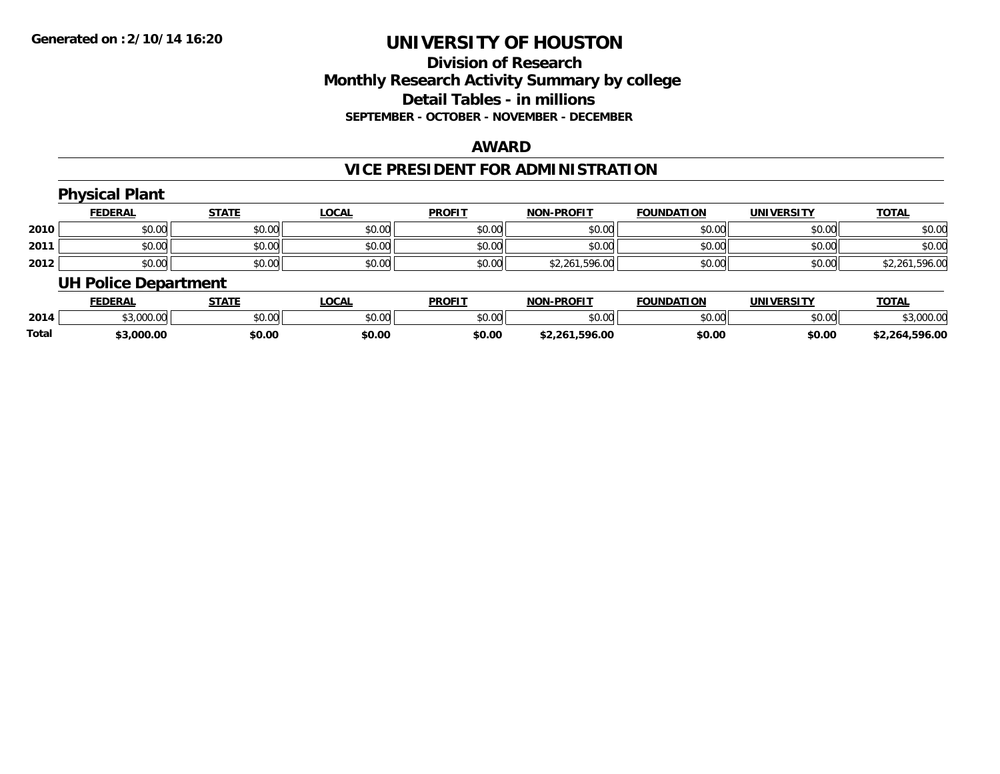## **Division of Research Monthly Research Activity Summary by college Detail Tables - in millions SEPTEMBER - OCTOBER - NOVEMBER - DECEMBER**

#### **AWARD**

# **VICE PRESIDENT FOR ADMINISTRATION**

|      | <b>Physical Plant</b>       |              |              |               |                   |                   |                   |                |
|------|-----------------------------|--------------|--------------|---------------|-------------------|-------------------|-------------------|----------------|
|      | <b>FEDERAL</b>              | <b>STATE</b> | <b>LOCAL</b> | <b>PROFIT</b> | <b>NON-PROFIT</b> | <b>FOUNDATION</b> | <b>UNIVERSITY</b> | <b>TOTAL</b>   |
| 2010 | \$0.00                      | \$0.00       | \$0.00       | \$0.00        | \$0.00            | \$0.00            | \$0.00            | \$0.00         |
| 2011 | \$0.00                      | \$0.00       | \$0.00       | \$0.00        | \$0.00            | \$0.00            | \$0.00            | \$0.00         |
| 2012 | \$0.00                      | \$0.00       | \$0.00       | \$0.00        | \$2,261,596.00    | \$0.00            | \$0.00            | \$2,261,596.00 |
|      | <b>UH Police Department</b> |              |              |               |                   |                   |                   |                |

|              | <b>FEDERAL</b>                             | <b>STATE</b> | <b>OCAL</b>                   | <b>PROFIT</b> | <b>I-PROFIT</b><br>NON | <b>FOUNDATION</b> | UNIVERSITY | <b>TOTAL</b>   |
|--------------|--------------------------------------------|--------------|-------------------------------|---------------|------------------------|-------------------|------------|----------------|
| 2014         | $\leftrightarrow$ $\sim$ $\sim$<br>,uuu.uu | \$0.00       | $\sim$ $\sim$<br><b>JU.UU</b> | \$0.00        | \$0.00                 | \$0.00            | \$0.00     | .000.00        |
| <b>Total</b> | \$3,000.00                                 | \$0.00       | \$0.00                        | \$0.00        | .596.00<br>\$2.261.    | \$0.00            | \$0.00     | \$2,264,596.00 |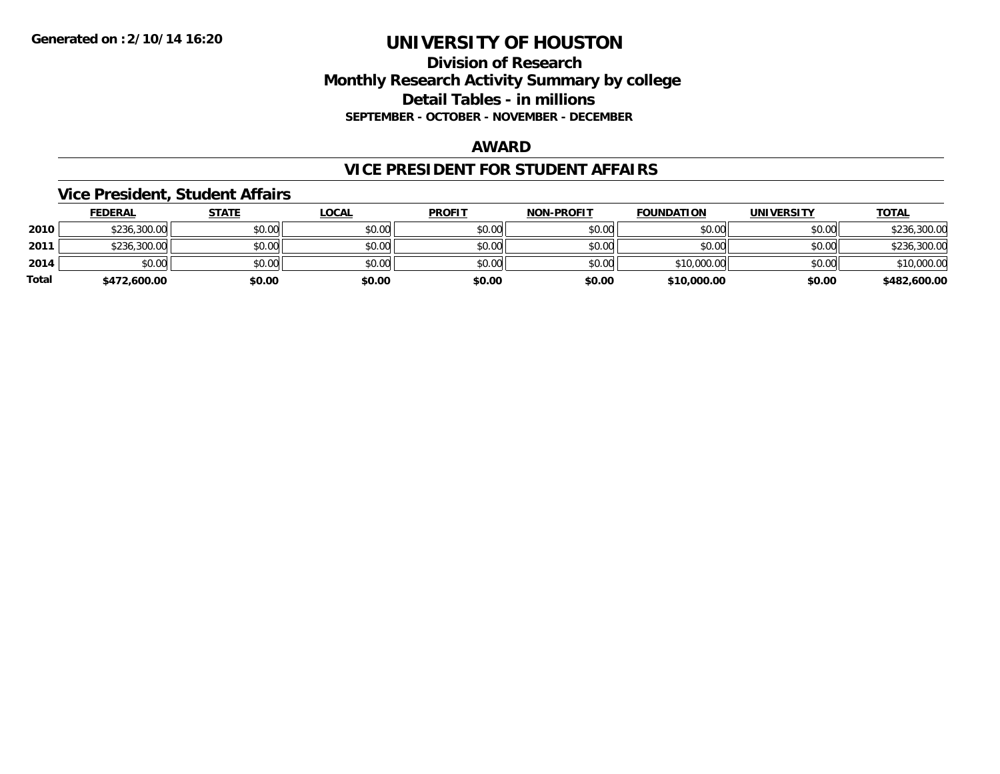# **Division of Research Monthly Research Activity Summary by college Detail Tables - in millions SEPTEMBER - OCTOBER - NOVEMBER - DECEMBER**

#### **AWARD**

### **VICE PRESIDENT FOR STUDENT AFFAIRS**

### **Vice President, Student Affairs**

|       | <b>FEDERAL</b> | <u>STATE</u> | <u>LOCAL</u> | <b>PROFIT</b> | <b>NON-PROFIT</b> | <b>FOUNDATION</b> | <b>UNIVERSITY</b> | <b>TOTAL</b> |
|-------|----------------|--------------|--------------|---------------|-------------------|-------------------|-------------------|--------------|
| 2010  | \$236,300.00   | \$0.00       | \$0.00       | \$0.00        | \$0.00            | \$0.00            | \$0.00            | \$236,300.00 |
| 2011  | \$236,300.00   | \$0.00       | \$0.00       | \$0.00        | \$0.00            | \$0.00            | \$0.00            | \$236,300.00 |
| 2014  | \$0.00         | \$0.00       | \$0.00       | \$0.00        | \$0.00            | \$10,000.00       | \$0.00            | \$10,000.00  |
| Total | \$472,600.00   | \$0.00       | \$0.00       | \$0.00        | \$0.00            | \$10,000.00       | \$0.00            | \$482,600.00 |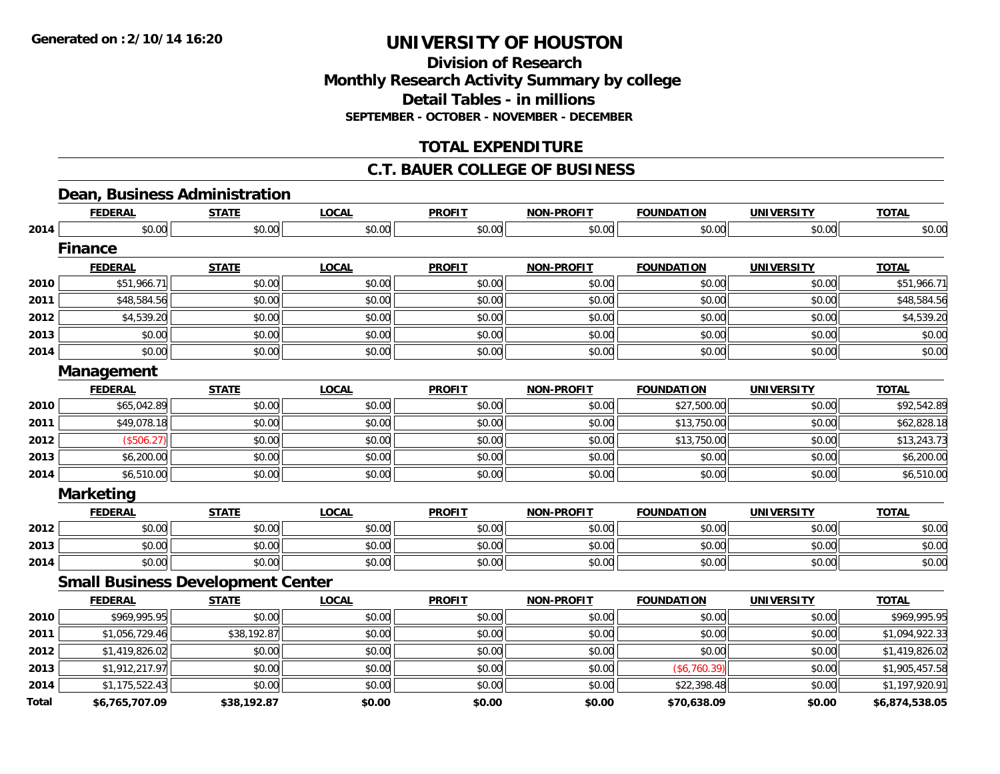**Division of ResearchMonthly Research Activity Summary by college Detail Tables - in millions SEPTEMBER - OCTOBER - NOVEMBER - DECEMBER**

# **TOTAL EXPENDITURE**

# **C.T. BAUER COLLEGE OF BUSINESS**

### **Dean, Business Administration**

|              | <b>FEDERAL</b>                           | <b>STATE</b> | <b>LOCAL</b> | <b>PROFIT</b> | <b>NON-PROFIT</b> | <b>FOUNDATION</b> | <b>UNIVERSITY</b> | <b>TOTAL</b>   |
|--------------|------------------------------------------|--------------|--------------|---------------|-------------------|-------------------|-------------------|----------------|
| 2014         | \$0.00                                   | \$0.00       | \$0.00       | \$0.00        | \$0.00            | \$0.00            | \$0.00            | \$0.00         |
|              | <b>Finance</b>                           |              |              |               |                   |                   |                   |                |
|              | <b>FEDERAL</b>                           | <b>STATE</b> | <b>LOCAL</b> | <b>PROFIT</b> | <b>NON-PROFIT</b> | <b>FOUNDATION</b> | <b>UNIVERSITY</b> | <b>TOTAL</b>   |
| 2010         | \$51,966.71                              | \$0.00       | \$0.00       | \$0.00        | \$0.00            | \$0.00            | \$0.00            | \$51,966.71    |
| 2011         | \$48,584.56                              | \$0.00       | \$0.00       | \$0.00        | \$0.00            | \$0.00            | \$0.00            | \$48,584.56    |
| 2012         | \$4,539.20                               | \$0.00       | \$0.00       | \$0.00        | \$0.00            | \$0.00            | \$0.00            | \$4,539.20     |
| 2013         | \$0.00                                   | \$0.00       | \$0.00       | \$0.00        | \$0.00            | \$0.00            | \$0.00            | \$0.00         |
| 2014         | \$0.00                                   | \$0.00       | \$0.00       | \$0.00        | \$0.00            | \$0.00            | \$0.00            | \$0.00         |
|              | Management                               |              |              |               |                   |                   |                   |                |
|              | <b>FEDERAL</b>                           | <b>STATE</b> | <b>LOCAL</b> | <b>PROFIT</b> | <b>NON-PROFIT</b> | <b>FOUNDATION</b> | <b>UNIVERSITY</b> | <b>TOTAL</b>   |
| 2010         | \$65,042.89                              | \$0.00       | \$0.00       | \$0.00        | \$0.00            | \$27,500.00       | \$0.00            | \$92,542.89    |
| 2011         | \$49,078.18                              | \$0.00       | \$0.00       | \$0.00        | \$0.00            | \$13,750.00       | \$0.00            | \$62,828.18    |
| 2012         | (\$506.27)                               | \$0.00       | \$0.00       | \$0.00        | \$0.00            | \$13,750.00       | \$0.00            | \$13,243.73    |
| 2013         | \$6,200.00                               | \$0.00       | \$0.00       | \$0.00        | \$0.00            | \$0.00            | \$0.00            | \$6,200.00     |
| 2014         | \$6,510.00                               | \$0.00       | \$0.00       | \$0.00        | \$0.00            | \$0.00            | \$0.00            | \$6,510.00     |
|              | <b>Marketing</b>                         |              |              |               |                   |                   |                   |                |
|              | <b>FEDERAL</b>                           | <b>STATE</b> | <b>LOCAL</b> | <b>PROFIT</b> | <b>NON-PROFIT</b> | <b>FOUNDATION</b> | <b>UNIVERSITY</b> | <b>TOTAL</b>   |
| 2012         | \$0.00                                   | \$0.00       | \$0.00       | \$0.00        | \$0.00            | \$0.00            | \$0.00            | \$0.00         |
| 2013         | \$0.00                                   | \$0.00       | \$0.00       | \$0.00        | \$0.00            | \$0.00            | \$0.00            | \$0.00         |
| 2014         | \$0.00                                   | \$0.00       | \$0.00       | \$0.00        | \$0.00            | \$0.00            | \$0.00            | \$0.00         |
|              | <b>Small Business Development Center</b> |              |              |               |                   |                   |                   |                |
|              | <b>FEDERAL</b>                           | <b>STATE</b> | <b>LOCAL</b> | <b>PROFIT</b> | <b>NON-PROFIT</b> | <b>FOUNDATION</b> | <b>UNIVERSITY</b> | <b>TOTAL</b>   |
| 2010         | \$969,995.95                             | \$0.00       | \$0.00       | \$0.00        | \$0.00            | \$0.00            | \$0.00            | \$969,995.95   |
| 2011         | \$1,056,729.46                           | \$38,192.87  | \$0.00       | \$0.00        | \$0.00            | \$0.00            | \$0.00            | \$1,094,922.33 |
| 2012         | \$1,419,826.02                           | \$0.00       | \$0.00       | \$0.00        | \$0.00            | \$0.00            | \$0.00            | \$1,419,826.02 |
| 2013         | \$1,912,217.97                           | \$0.00       | \$0.00       | \$0.00        | \$0.00            | (\$6,760.39)      | \$0.00            | \$1,905,457.58 |
| 2014         | \$1,175,522.43                           | \$0.00       | \$0.00       | \$0.00        | \$0.00            | \$22,398.48       | \$0.00            | \$1,197,920.91 |
| <b>Total</b> | \$6,765,707.09                           | \$38,192.87  | \$0.00       | \$0.00        | \$0.00            | \$70,638.09       | \$0.00            | \$6,874,538.05 |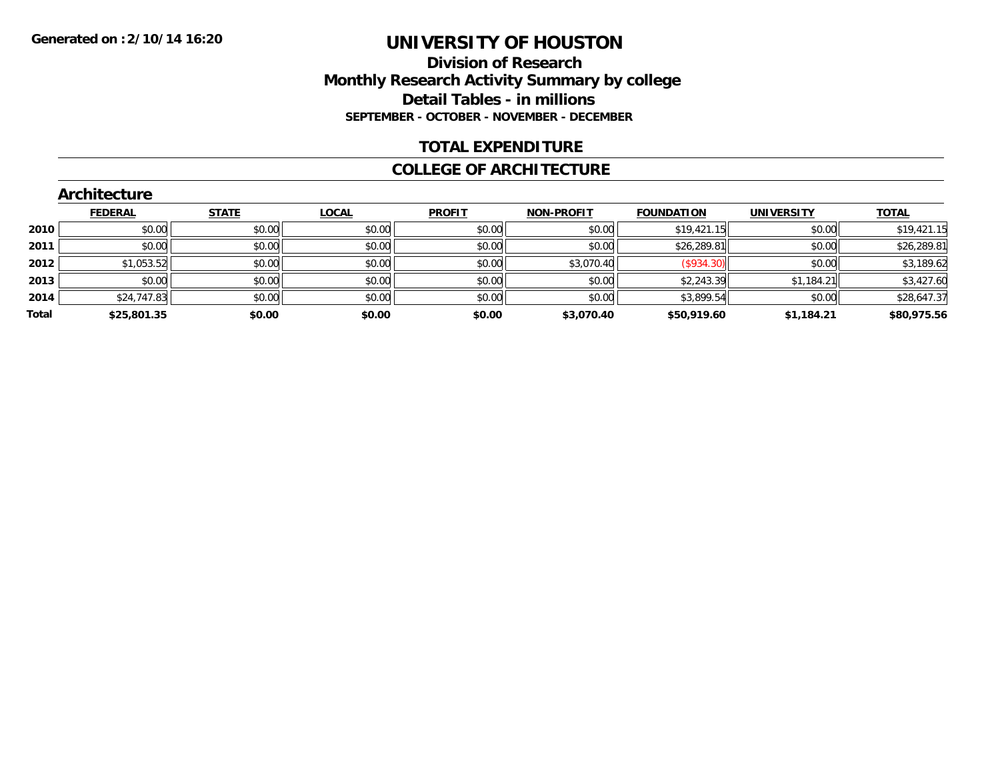### **Division of Research Monthly Research Activity Summary by college Detail Tables - in millions SEPTEMBER - OCTOBER - NOVEMBER - DECEMBER**

### **TOTAL EXPENDITURE**

#### **COLLEGE OF ARCHITECTURE**

|       | <b>Architecture</b> |              |              |               |                   |                   |                   |              |
|-------|---------------------|--------------|--------------|---------------|-------------------|-------------------|-------------------|--------------|
|       | <b>FEDERAL</b>      | <b>STATE</b> | <b>LOCAL</b> | <b>PROFIT</b> | <b>NON-PROFIT</b> | <b>FOUNDATION</b> | <b>UNIVERSITY</b> | <b>TOTAL</b> |
| 2010  | \$0.00              | \$0.00       | \$0.00       | \$0.00        | \$0.00            | \$19,421.15       | \$0.00            | \$19,421.15  |
| 2011  | \$0.00              | \$0.00       | \$0.00       | \$0.00        | \$0.00            | \$26,289.81       | \$0.00            | \$26,289.81  |
| 2012  | \$1,053.52          | \$0.00       | \$0.00       | \$0.00        | \$3,070.40        | (S934.30)         | \$0.00            | \$3,189.62   |
| 2013  | \$0.00              | \$0.00       | \$0.00       | \$0.00        | \$0.00            | \$2,243.39        | \$1,184.21        | \$3,427.60   |
| 2014  | \$24,747.83         | \$0.00       | \$0.00       | \$0.00        | \$0.00            | \$3,899.54        | \$0.00            | \$28,647.37  |
| Total | \$25,801.35         | \$0.00       | \$0.00       | \$0.00        | \$3,070.40        | \$50,919.60       | \$1,184.21        | \$80,975.56  |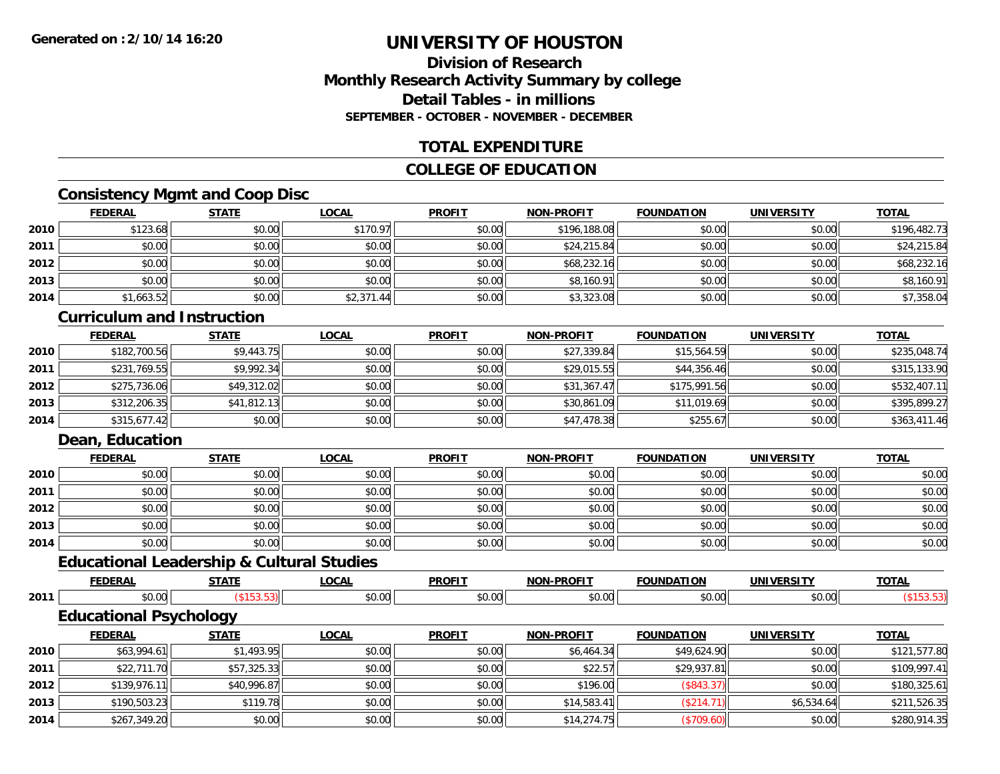# **Division of ResearchMonthly Research Activity Summary by college Detail Tables - in millions SEPTEMBER - OCTOBER - NOVEMBER - DECEMBER**

# **TOTAL EXPENDITURE**

# **COLLEGE OF EDUCATION**

# **Consistency Mgmt and Coop Disc**

|      | <b>FEDERAL</b> | <b>STATE</b> | <u>LOCAL</u> | <b>PROFIT</b> | <b>NON-PROFIT</b> | <b>FOUNDATION</b> | <b>UNIVERSITY</b> | <b>TOTAL</b> |
|------|----------------|--------------|--------------|---------------|-------------------|-------------------|-------------------|--------------|
| 2010 | \$123.68       | \$0.00       | \$170.97     | \$0.00        | \$196,188.08      | \$0.00            | \$0.00            | \$196,482.73 |
| 2011 | \$0.00         | \$0.00       | \$0.00       | \$0.00        | \$24,215.84       | \$0.00            | \$0.00            | \$24,215.84  |
| 2012 | \$0.00         | \$0.00       | \$0.00       | \$0.00        | \$68,232.16       | \$0.00            | \$0.00            | \$68,232.16  |
| 2013 | \$0.00         | \$0.00       | \$0.00       | \$0.00        | \$8,160.91        | \$0.00            | \$0.00            | \$8,160.91   |
| 2014 | \$1,663.52     | \$0.00       | \$2,371.44   | \$0.00        | \$3,323.08        | \$0.00            | \$0.00            | \$7,358.04   |

# **Curriculum and Instruction**

|      | <b>FEDERAL</b> | <b>STATE</b> | <u>LOCAL</u> | <b>PROFIT</b> | <b>NON-PROFIT</b> | <b>FOUNDATION</b> | <b>UNIVERSITY</b> | <b>TOTAL</b> |
|------|----------------|--------------|--------------|---------------|-------------------|-------------------|-------------------|--------------|
| 2010 | \$182,700.56   | \$9,443.75   | \$0.00       | \$0.00        | \$27,339.84       | \$15,564.59       | \$0.00            | \$235,048.74 |
| 2011 | \$231,769.55   | \$9.992.34   | \$0.00       | \$0.00        | \$29,015.55       | \$44,356.46       | \$0.00            | \$315,133.90 |
| 2012 | \$275,736.06   | \$49,312.02  | \$0.00       | \$0.00        | \$31,367.47       | \$175,991.56      | \$0.00            | \$532,407.11 |
| 2013 | \$312,206.35   | \$41,812.13  | \$0.00       | \$0.00        | \$30,861.09       | \$11,019.69       | \$0.00            | \$395.899.27 |
| 2014 | \$315,677.42   | \$0.00       | \$0.00       | \$0.00        | \$47,478.38       | \$255.67          | \$0.00            | \$363,411.46 |

# **Dean, Education**

|      | <b>FEDERAL</b> | <b>STATE</b> | <u>LOCAL</u> | <b>PROFIT</b> | <b>NON-PROFIT</b> | <b>FOUNDATION</b> | <b>UNIVERSITY</b> | <b>TOTAL</b> |
|------|----------------|--------------|--------------|---------------|-------------------|-------------------|-------------------|--------------|
| 2010 | \$0.00         | \$0.00       | \$0.00       | \$0.00        | \$0.00            | \$0.00            | \$0.00            | \$0.00       |
| 2011 | \$0.00         | \$0.00       | \$0.00       | \$0.00        | \$0.00            | \$0.00            | \$0.00            | \$0.00       |
| 2012 | \$0.00         | \$0.00       | \$0.00       | \$0.00        | \$0.00            | \$0.00            | \$0.00            | \$0.00       |
| 2013 | \$0.00         | \$0.00       | \$0.00       | \$0.00        | \$0.00            | \$0.00            | \$0.00            | \$0.00       |
| 2014 | \$0.00         | \$0.00       | \$0.00       | \$0.00        | \$0.00            | \$0.00            | \$0.00            | \$0.00       |

# **Educational Leadership & Cultural Studies**

|      |                               | ----------        |              |               |                   |                   |                   |              |
|------|-------------------------------|-------------------|--------------|---------------|-------------------|-------------------|-------------------|--------------|
|      | <b>FEDERAL</b>                | <b>STATE</b>      | <b>LOCAL</b> | <b>PROFIT</b> | <b>NON-PROFIT</b> | <b>FOUNDATION</b> | <b>UNIVERSITY</b> | <b>TOTAL</b> |
| 2011 | \$0.00                        | $($ \$153.53) $ $ | \$0.00       | \$0.00        | \$0.00            | \$0.00            | \$0.00            | (\$153.53)   |
|      | <b>Educational Psychology</b> |                   |              |               |                   |                   |                   |              |
|      | <b>FEDERAL</b>                | <b>STATE</b>      | <b>LOCAL</b> | <b>PROFIT</b> | <b>NON-PROFIT</b> | <b>FOUNDATION</b> | <b>UNIVERSITY</b> | <b>TOTAL</b> |
| 2010 | \$63,994.61                   | \$1,493.95        | \$0.00       | \$0.00        | \$6,464.34        | \$49,624.90       | \$0.00            | \$121,577.80 |
| 2011 | \$22,711.70                   | \$57,325.33       | \$0.00       | \$0.00        | \$22.57           | \$29,937.81       | \$0.00            | \$109,997.41 |
| 2012 | \$139,976.11                  | \$40,996.87       | \$0.00       | \$0.00        | \$196.00          | (\$843.37)        | \$0.00            | \$180,325.61 |
| 2013 | \$190,503.23                  | \$119.78          | \$0.00       | \$0.00        | \$14,583.41       | (\$214.71)        | \$6,534.64        | \$211,526.35 |
| 2014 | \$267,349.20                  | \$0.00            | \$0.00       | \$0.00        | \$14,274.75       | (\$709.60)        | \$0.00            | \$280,914.35 |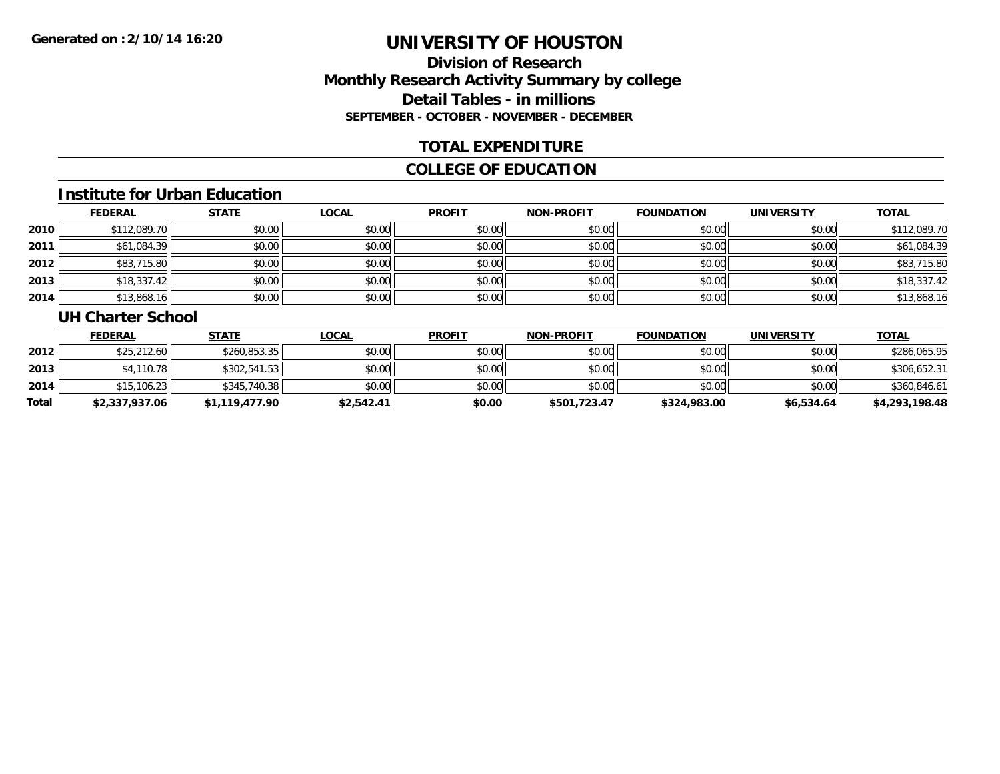# **Division of ResearchMonthly Research Activity Summary by college Detail Tables - in millions SEPTEMBER - OCTOBER - NOVEMBER - DECEMBER**

# **TOTAL EXPENDITURE**

# **COLLEGE OF EDUCATION**

#### **Institute for Urban Education**

|      | <b>FEDERAL</b> | <b>STATE</b> | <u>LOCAL</u> | <b>PROFIT</b> | <b>NON-PROFIT</b> | <b>FOUNDATION</b> | <b>UNIVERSITY</b> | <b>TOTAL</b> |
|------|----------------|--------------|--------------|---------------|-------------------|-------------------|-------------------|--------------|
| 2010 | \$112,089.70   | \$0.00       | \$0.00       | \$0.00        | \$0.00            | \$0.00            | \$0.00            | \$112,089.70 |
| 2011 | \$61,084.39    | \$0.00       | \$0.00       | \$0.00        | \$0.00            | \$0.00            | \$0.00            | \$61,084.39  |
| 2012 | \$83,715.80    | \$0.00       | \$0.00       | \$0.00        | \$0.00            | \$0.00            | \$0.00            | \$83,715.80  |
| 2013 | \$18,337.42    | \$0.00       | \$0.00       | \$0.00        | \$0.00            | \$0.00            | \$0.00            | \$18,337.42  |
| 2014 | \$13,868.16    | \$0.00       | \$0.00       | \$0.00        | \$0.00            | \$0.00            | \$0.00            | \$13,868.16  |

#### **UH Charter School**

|       | <b>FEDERAL</b> | <u>STATE</u>   | <u>LOCAL</u> | <b>PROFIT</b> | <b>NON-PROFIT</b> | <b>FOUNDATION</b> | <b>UNIVERSITY</b> | <b>TOTAL</b>   |
|-------|----------------|----------------|--------------|---------------|-------------------|-------------------|-------------------|----------------|
| 2012  | \$25,212.60    | \$260.853.35   | \$0.00       | \$0.00        | \$0.00            | \$0.00            | \$0.00            | \$286,065.95   |
| 2013  | \$4,110.78     | \$302,541.53   | \$0.00       | \$0.00        | \$0.00            | \$0.00            | \$0.00            | \$306,652.31   |
| 2014  | \$15,106.23    | \$345,740.38   | \$0.00       | \$0.00        | \$0.00            | \$0.00            | \$0.00            | \$360,846.61   |
| Total | \$2,337,937.06 | \$1,119,477.90 | \$2,542.41   | \$0.00        | \$501,723.47      | \$324,983.00      | \$6,534.64        | \$4,293,198.48 |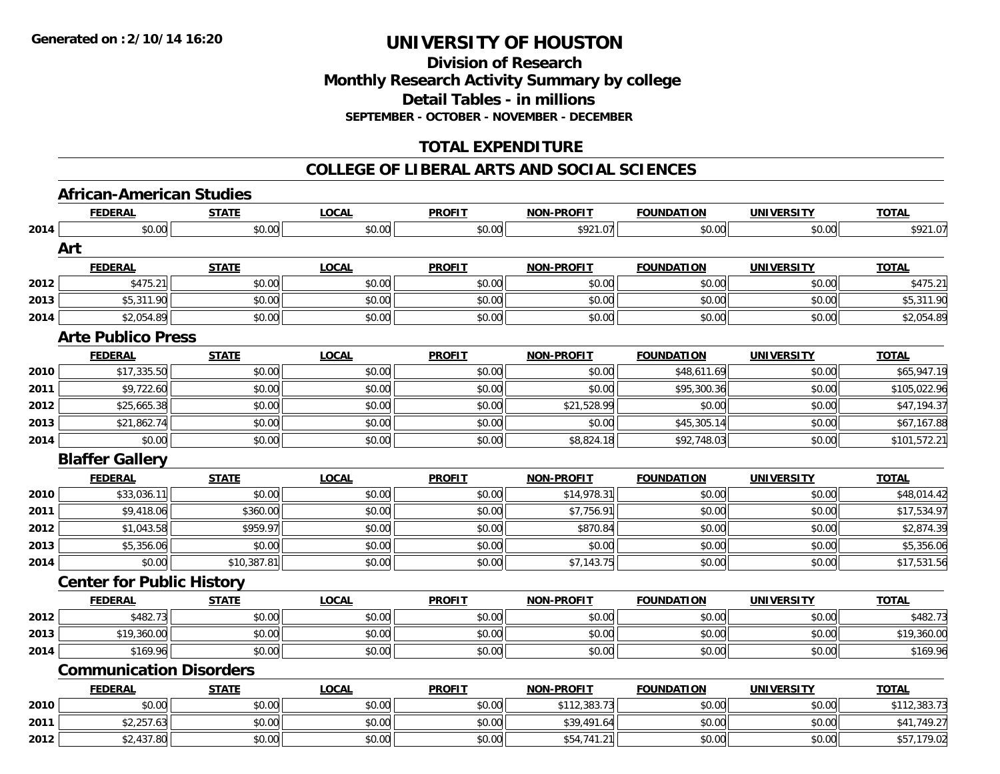# **Division of ResearchMonthly Research Activity Summary by college Detail Tables - in millions SEPTEMBER - OCTOBER - NOVEMBER - DECEMBER**

# **TOTAL EXPENDITURE**

#### **COLLEGE OF LIBERAL ARTS AND SOCIAL SCIENCES**

# **African-American Studies**

|      | <b>FEDERAL</b>                   | <b>STATE</b> | <b>LOCAL</b> | <b>PROFIT</b> | <b>NON-PROFIT</b> | <b>FOUNDATION</b> | <b>UNIVERSITY</b> | <b>TOTAL</b> |
|------|----------------------------------|--------------|--------------|---------------|-------------------|-------------------|-------------------|--------------|
| 2014 | \$0.00                           | \$0.00       | \$0.00       | \$0.00        | \$921.07          | \$0.00            | \$0.00            | \$921.07     |
|      | Art                              |              |              |               |                   |                   |                   |              |
|      | <b>FEDERAL</b>                   | <b>STATE</b> | <b>LOCAL</b> | <b>PROFIT</b> | <b>NON-PROFIT</b> | <b>FOUNDATION</b> | <b>UNIVERSITY</b> | <b>TOTAL</b> |
| 2012 | \$475.21                         | \$0.00       | \$0.00       | \$0.00        | \$0.00            | \$0.00            | \$0.00            | \$475.21     |
| 2013 | \$5,311.90                       | \$0.00       | \$0.00       | \$0.00        | \$0.00            | \$0.00            | \$0.00            | \$5,311.90   |
| 2014 | \$2,054.89                       | \$0.00       | \$0.00       | \$0.00        | \$0.00            | \$0.00            | \$0.00            | \$2,054.89   |
|      | <b>Arte Publico Press</b>        |              |              |               |                   |                   |                   |              |
|      | <b>FEDERAL</b>                   | <b>STATE</b> | <b>LOCAL</b> | <b>PROFIT</b> | <b>NON-PROFIT</b> | <b>FOUNDATION</b> | <b>UNIVERSITY</b> | <b>TOTAL</b> |
| 2010 | \$17,335.50                      | \$0.00       | \$0.00       | \$0.00        | \$0.00            | \$48,611.69       | \$0.00            | \$65,947.19  |
| 2011 | \$9,722.60                       | \$0.00       | \$0.00       | \$0.00        | \$0.00            | \$95,300.36       | \$0.00            | \$105,022.96 |
| 2012 | \$25,665.38                      | \$0.00       | \$0.00       | \$0.00        | \$21,528.99       | \$0.00            | \$0.00            | \$47,194.37  |
| 2013 | \$21,862.74                      | \$0.00       | \$0.00       | \$0.00        | \$0.00            | \$45,305.14       | \$0.00            | \$67,167.88  |
| 2014 | \$0.00                           | \$0.00       | \$0.00       | \$0.00        | \$8,824.18        | \$92,748.03       | \$0.00            | \$101,572.21 |
|      | <b>Blaffer Gallery</b>           |              |              |               |                   |                   |                   |              |
|      | <b>FEDERAL</b>                   | <b>STATE</b> | <b>LOCAL</b> | <b>PROFIT</b> | <b>NON-PROFIT</b> | <b>FOUNDATION</b> | <b>UNIVERSITY</b> | <b>TOTAL</b> |
| 2010 | \$33,036.11                      | \$0.00       | \$0.00       | \$0.00        | \$14,978.31       | \$0.00            | \$0.00            | \$48,014.42  |
| 2011 | \$9,418.06                       | \$360.00     | \$0.00       | \$0.00        | \$7,756.91        | \$0.00            | \$0.00            | \$17,534.97  |
| 2012 | \$1,043.58                       | \$959.97     | \$0.00       | \$0.00        | \$870.84          | \$0.00            | \$0.00            | \$2,874.39   |
| 2013 | \$5,356.06                       | \$0.00       | \$0.00       | \$0.00        | \$0.00            | \$0.00            | \$0.00            | \$5,356.06   |
| 2014 | \$0.00                           | \$10,387.81  | \$0.00       | \$0.00        | \$7,143.75        | \$0.00            | \$0.00            | \$17,531.56  |
|      | <b>Center for Public History</b> |              |              |               |                   |                   |                   |              |
|      | <b>FEDERAL</b>                   | <b>STATE</b> | <b>LOCAL</b> | <b>PROFIT</b> | NON-PROFIT        | <b>FOUNDATION</b> | <b>UNIVERSITY</b> | <b>TOTAL</b> |
| 2012 | \$482.73                         | \$0.00       | \$0.00       | \$0.00        | \$0.00            | \$0.00            | \$0.00            | \$482.73     |
| 2013 | \$19,360.00                      | \$0.00       | \$0.00       | \$0.00        | \$0.00            | \$0.00            | \$0.00            | \$19,360.00  |
| 2014 | \$169.96                         | \$0.00       | \$0.00       | \$0.00        | \$0.00            | \$0.00            | \$0.00            | \$169.96     |
|      | <b>Communication Disorders</b>   |              |              |               |                   |                   |                   |              |
|      | <b>FEDERAL</b>                   | <b>STATE</b> | <b>LOCAL</b> | <b>PROFIT</b> | <b>NON-PROFIT</b> | <b>FOUNDATION</b> | <b>UNIVERSITY</b> | <b>TOTAL</b> |
| 2010 | \$0.00                           | \$0.00       | \$0.00       | \$0.00        | \$112,383.73      | \$0.00            | \$0.00            | \$112,383.73 |
| 2011 | \$2,257.63                       | \$0.00       | \$0.00       | \$0.00        | \$39,491.64       | \$0.00            | \$0.00            | \$41,749.27  |
| 2012 | \$2,437.80                       | \$0.00       | \$0.00       | \$0.00        | \$54,741.21       | \$0.00            | \$0.00            | \$57,179.02  |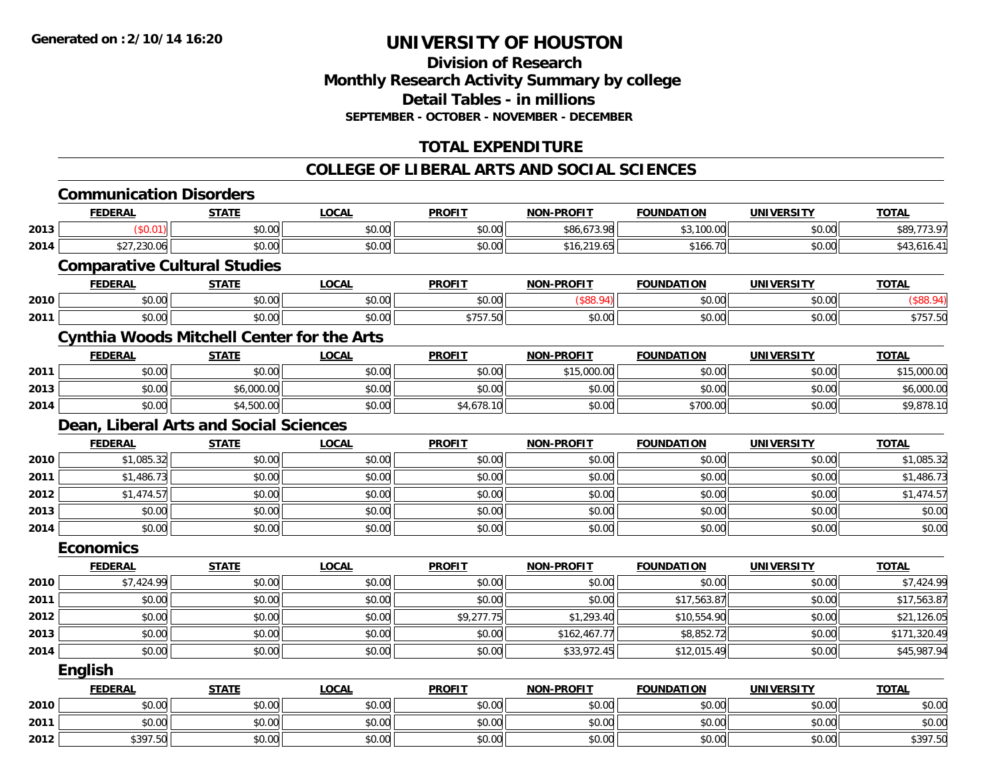# **Division of ResearchMonthly Research Activity Summary by college Detail Tables - in millions SEPTEMBER - OCTOBER - NOVEMBER - DECEMBER**

# **TOTAL EXPENDITURE**

#### **COLLEGE OF LIBERAL ARTS AND SOCIAL SCIENCES**

|      | <b>Communication Disorders</b>                    |              |              |               |                   |                   |                   |              |
|------|---------------------------------------------------|--------------|--------------|---------------|-------------------|-------------------|-------------------|--------------|
|      | <b>FEDERAL</b>                                    | <b>STATE</b> | <b>LOCAL</b> | <b>PROFIT</b> | <b>NON-PROFIT</b> | <b>FOUNDATION</b> | <b>UNIVERSITY</b> | <b>TOTAL</b> |
| 2013 | (S0.01)                                           | \$0.00       | \$0.00       | \$0.00        | \$86,673.98       | \$3,100.00        | \$0.00            | \$89,773.97  |
| 2014 | \$27,230.06                                       | \$0.00       | \$0.00       | \$0.00        | \$16,219.65       | \$166.70          | \$0.00            | \$43,616.41  |
|      | <b>Comparative Cultural Studies</b>               |              |              |               |                   |                   |                   |              |
|      | <b>FEDERAL</b>                                    | <b>STATE</b> | <b>LOCAL</b> | <b>PROFIT</b> | <b>NON-PROFIT</b> | <b>FOUNDATION</b> | <b>UNIVERSITY</b> | <b>TOTAL</b> |
| 2010 | \$0.00                                            | \$0.00       | \$0.00       | \$0.00        | (\$88.94)         | \$0.00            | \$0.00            | (\$88.94)    |
| 2011 | \$0.00                                            | \$0.00       | \$0.00       | \$757.50      | \$0.00            | \$0.00            | \$0.00            | \$757.50     |
|      | <b>Cynthia Woods Mitchell Center for the Arts</b> |              |              |               |                   |                   |                   |              |
|      | <b>FEDERAL</b>                                    | <b>STATE</b> | <b>LOCAL</b> | <b>PROFIT</b> | <b>NON-PROFIT</b> | <b>FOUNDATION</b> | <b>UNIVERSITY</b> | <b>TOTAL</b> |
| 2011 | \$0.00                                            | \$0.00       | \$0.00       | \$0.00        | \$15,000.00       | \$0.00            | \$0.00            | \$15,000.00  |
| 2013 | \$0.00                                            | \$6,000.00   | \$0.00       | \$0.00        | \$0.00            | \$0.00            | \$0.00            | \$6,000.00   |
| 2014 | \$0.00                                            | \$4,500.00   | \$0.00       | \$4,678.10    | \$0.00            | \$700.00          | \$0.00            | \$9,878.10   |
|      | Dean, Liberal Arts and Social Sciences            |              |              |               |                   |                   |                   |              |
|      | <b>FEDERAL</b>                                    | <b>STATE</b> | <b>LOCAL</b> | <b>PROFIT</b> | <b>NON-PROFIT</b> | <b>FOUNDATION</b> | <b>UNIVERSITY</b> | <b>TOTAL</b> |
| 2010 | \$1,085.32                                        | \$0.00       | \$0.00       | \$0.00        | \$0.00            | \$0.00            | \$0.00            | \$1,085.32   |
| 2011 | \$1,486.73                                        | \$0.00       | \$0.00       | \$0.00        | \$0.00            | \$0.00            | \$0.00            | \$1,486.73   |
| 2012 | \$1,474.57                                        | \$0.00       | \$0.00       | \$0.00        | \$0.00            | \$0.00            | \$0.00            | \$1,474.57   |
| 2013 | \$0.00                                            | \$0.00       | \$0.00       | \$0.00        | \$0.00            | \$0.00            | \$0.00            | \$0.00       |
| 2014 | \$0.00                                            | \$0.00       | \$0.00       | \$0.00        | \$0.00            | \$0.00            | \$0.00            | \$0.00       |
|      | <b>Economics</b>                                  |              |              |               |                   |                   |                   |              |
|      | <b>FEDERAL</b>                                    | <b>STATE</b> | <b>LOCAL</b> | <b>PROFIT</b> | <b>NON-PROFIT</b> | <b>FOUNDATION</b> | <b>UNIVERSITY</b> | <b>TOTAL</b> |
| 2010 | \$7,424.99                                        | \$0.00       | \$0.00       | \$0.00        | \$0.00            | \$0.00            | \$0.00            | \$7,424.99   |
| 2011 | \$0.00                                            | \$0.00       | \$0.00       | \$0.00        | \$0.00            | \$17,563.87       | \$0.00            | \$17,563.87  |
| 2012 | \$0.00                                            | \$0.00       | \$0.00       | \$9,277.75    | \$1,293.40        | \$10,554.90       | \$0.00            | \$21,126.05  |
| 2013 | \$0.00                                            | \$0.00       | \$0.00       | \$0.00        | \$162,467.77      | \$8,852.72        | \$0.00            | \$171,320.49 |
| 2014 | \$0.00                                            | \$0.00       | \$0.00       | \$0.00        | \$33,972.45       | \$12,015.49       | \$0.00            | \$45,987.94  |
|      | <b>English</b>                                    |              |              |               |                   |                   |                   |              |
|      | <b>FEDERAL</b>                                    | <b>STATE</b> | <b>LOCAL</b> | <b>PROFIT</b> | <b>NON-PROFIT</b> | <b>FOUNDATION</b> | <b>UNIVERSITY</b> | <b>TOTAL</b> |
| 2010 | \$0.00                                            | \$0.00       | \$0.00       | \$0.00        | \$0.00            | \$0.00            | \$0.00            | \$0.00       |
| 2011 | \$0.00                                            | \$0.00       | \$0.00       | \$0.00        | \$0.00            | \$0.00            | \$0.00            | \$0.00       |
| 2012 | \$397.50                                          | \$0.00       | \$0.00       | \$0.00        | \$0.00            | \$0.00            | \$0.00            | \$397.50     |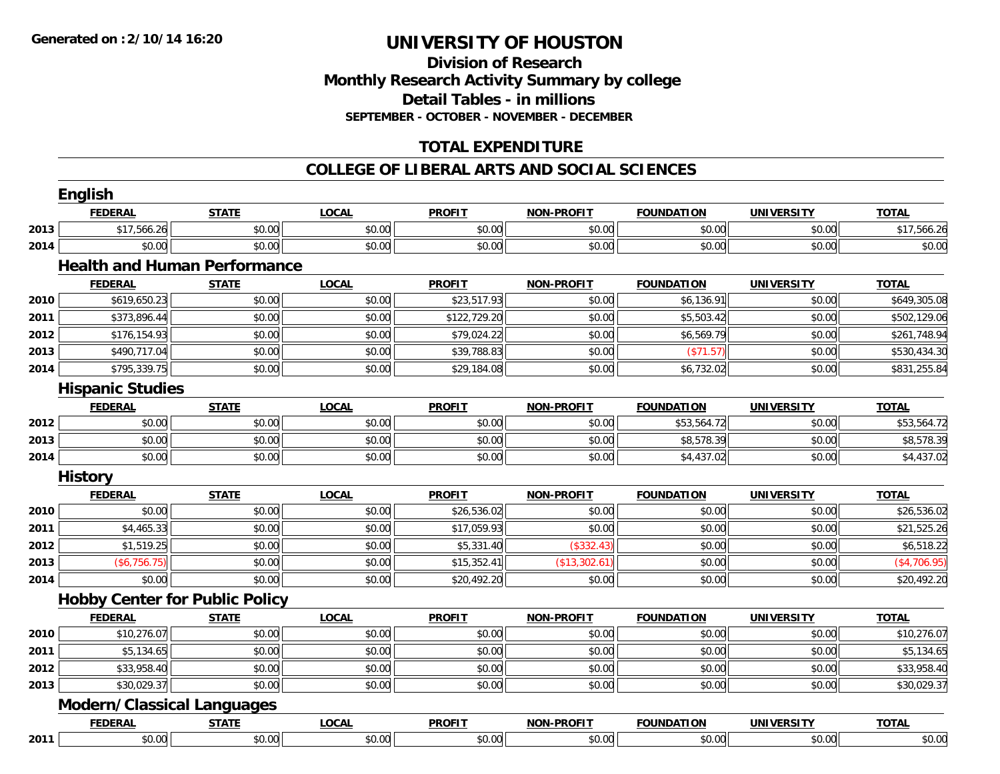### **Division of Research Monthly Research Activity Summary by college Detail Tables - in millions SEPTEMBER - OCTOBER - NOVEMBER - DECEMBER**

# **TOTAL EXPENDITURE**

#### **COLLEGE OF LIBERAL ARTS AND SOCIAL SCIENCES**

|      | <b>English</b>                        |              |              |               |                   |                   |                   |              |
|------|---------------------------------------|--------------|--------------|---------------|-------------------|-------------------|-------------------|--------------|
|      | <b>FEDERAL</b>                        | <b>STATE</b> | <b>LOCAL</b> | <b>PROFIT</b> | <b>NON-PROFIT</b> | <b>FOUNDATION</b> | <b>UNIVERSITY</b> | <b>TOTAL</b> |
| 2013 | \$17,566.26                           | \$0.00       | \$0.00       | \$0.00        | \$0.00            | \$0.00            | \$0.00            | \$17,566.26  |
| 2014 | \$0.00                                | \$0.00       | \$0.00       | \$0.00        | \$0.00            | \$0.00            | \$0.00            | \$0.00       |
|      | <b>Health and Human Performance</b>   |              |              |               |                   |                   |                   |              |
|      | <b>FEDERAL</b>                        | <b>STATE</b> | <b>LOCAL</b> | <b>PROFIT</b> | <b>NON-PROFIT</b> | <b>FOUNDATION</b> | <b>UNIVERSITY</b> | <b>TOTAL</b> |
| 2010 | \$619,650.23                          | \$0.00       | \$0.00       | \$23,517.93   | \$0.00            | \$6,136.91        | \$0.00            | \$649,305.08 |
| 2011 | \$373,896.44                          | \$0.00       | \$0.00       | \$122,729.20  | \$0.00            | \$5,503.42        | \$0.00            | \$502,129.06 |
| 2012 | \$176,154.93                          | \$0.00       | \$0.00       | \$79,024.22   | \$0.00            | \$6,569.79        | \$0.00            | \$261,748.94 |
| 2013 | \$490,717.04                          | \$0.00       | \$0.00       | \$39,788.83   | \$0.00            | (\$71.57)         | \$0.00            | \$530,434.30 |
| 2014 | \$795,339.75                          | \$0.00       | \$0.00       | \$29,184.08   | \$0.00            | \$6,732.02        | \$0.00            | \$831,255.84 |
|      | <b>Hispanic Studies</b>               |              |              |               |                   |                   |                   |              |
|      | <b>FEDERAL</b>                        | <b>STATE</b> | <b>LOCAL</b> | <b>PROFIT</b> | <b>NON-PROFIT</b> | <b>FOUNDATION</b> | <b>UNIVERSITY</b> | <b>TOTAL</b> |
| 2012 | \$0.00                                | \$0.00       | \$0.00       | \$0.00        | \$0.00            | \$53,564.72       | \$0.00            | \$53,564.72  |
| 2013 | \$0.00                                | \$0.00       | \$0.00       | \$0.00        | \$0.00            | \$8,578.39        | \$0.00            | \$8,578.39   |
| 2014 | \$0.00                                | \$0.00       | \$0.00       | \$0.00        | \$0.00            | \$4,437.02        | \$0.00            | \$4,437.02   |
|      | <b>History</b>                        |              |              |               |                   |                   |                   |              |
|      | <b>FEDERAL</b>                        | <b>STATE</b> | <b>LOCAL</b> | <b>PROFIT</b> | <b>NON-PROFIT</b> | <b>FOUNDATION</b> | <b>UNIVERSITY</b> | <b>TOTAL</b> |
| 2010 | \$0.00                                | \$0.00       | \$0.00       | \$26,536.02   | \$0.00            | \$0.00            | \$0.00            | \$26,536.02  |
| 2011 | \$4,465.33                            | \$0.00       | \$0.00       | \$17,059.93   | \$0.00            | \$0.00            | \$0.00            | \$21,525.26  |
| 2012 | \$1,519.25                            | \$0.00       | \$0.00       | \$5,331.40    | (\$332.43)        | \$0.00            | \$0.00            | \$6,518.22   |
| 2013 | (\$6,756.75)                          | \$0.00       | \$0.00       | \$15,352.41   | (\$13,302.61      | \$0.00            | \$0.00            | (\$4,706.95) |
| 2014 | \$0.00                                | \$0.00       | \$0.00       | \$20,492.20   | \$0.00            | \$0.00            | \$0.00            | \$20,492.20  |
|      | <b>Hobby Center for Public Policy</b> |              |              |               |                   |                   |                   |              |
|      | <b>FEDERAL</b>                        | <b>STATE</b> | <b>LOCAL</b> | <b>PROFIT</b> | <b>NON-PROFIT</b> | <b>FOUNDATION</b> | <b>UNIVERSITY</b> | <b>TOTAL</b> |
| 2010 | \$10,276.07                           | \$0.00       | \$0.00       | \$0.00        | \$0.00            | \$0.00            | \$0.00            | \$10,276.07  |
| 2011 | \$5,134.65                            | \$0.00       | \$0.00       | \$0.00        | \$0.00            | \$0.00            | \$0.00            | \$5,134.65   |
| 2012 | \$33,958.40                           | \$0.00       | \$0.00       | \$0.00        | \$0.00            | \$0.00            | \$0.00            | \$33,958.40  |
| 2013 | \$30,029.37                           | \$0.00       | \$0.00       | \$0.00        | \$0.00            | \$0.00            | \$0.00            | \$30,029.37  |
|      | <b>Modern/Classical Languages</b>     |              |              |               |                   |                   |                   |              |
|      | <b>FEDERAL</b>                        | <b>STATE</b> | <b>LOCAL</b> | <b>PROFIT</b> | <b>NON-PROFIT</b> | <b>FOUNDATION</b> | <b>UNIVERSITY</b> | <b>TOTAL</b> |
| 2011 | \$0.00                                | \$0.00       | \$0.00       | \$0.00        | \$0.00            | \$0.00            | \$0.00            | \$0.00       |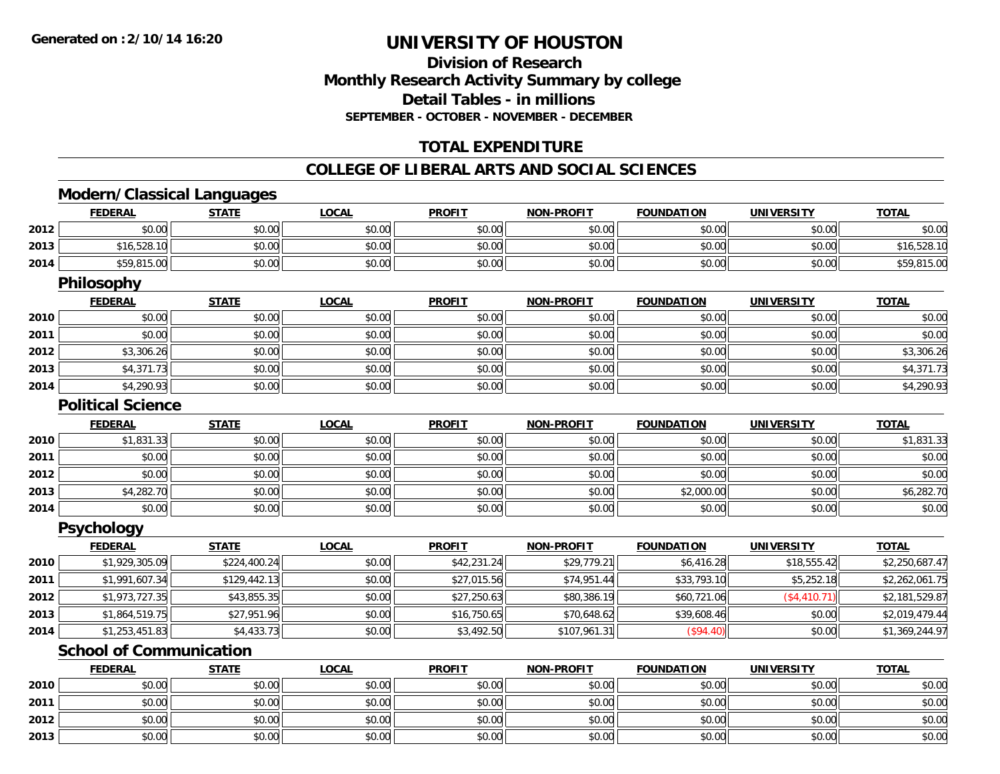# **Division of ResearchMonthly Research Activity Summary by college Detail Tables - in millions SEPTEMBER - OCTOBER - NOVEMBER - DECEMBER**

# **TOTAL EXPENDITURE**

#### **COLLEGE OF LIBERAL ARTS AND SOCIAL SCIENCES**

# **Modern/Classical Languages**

|      | <b>FEDERAL</b>                 | <b>STATE</b> | <b>LOCAL</b> | <b>PROFIT</b> | <b>NON-PROFIT</b> | <b>FOUNDATION</b> | <b>UNIVERSITY</b> | <b>TOTAL</b>   |
|------|--------------------------------|--------------|--------------|---------------|-------------------|-------------------|-------------------|----------------|
| 2012 | \$0.00                         | \$0.00       | \$0.00       | \$0.00        | \$0.00            | \$0.00            | \$0.00            | \$0.00         |
| 2013 | \$16,528.10                    | \$0.00       | \$0.00       | \$0.00        | \$0.00            | \$0.00            | \$0.00            | \$16,528.10    |
| 2014 | \$59,815.00                    | \$0.00       | \$0.00       | \$0.00        | \$0.00            | \$0.00            | \$0.00            | \$59,815.00    |
|      | Philosophy                     |              |              |               |                   |                   |                   |                |
|      | <b>FEDERAL</b>                 | <b>STATE</b> | <b>LOCAL</b> | <b>PROFIT</b> | <b>NON-PROFIT</b> | <b>FOUNDATION</b> | <b>UNIVERSITY</b> | <b>TOTAL</b>   |
| 2010 | \$0.00                         | \$0.00       | \$0.00       | \$0.00        | \$0.00            | \$0.00            | \$0.00            | \$0.00         |
| 2011 | \$0.00                         | \$0.00       | \$0.00       | \$0.00        | \$0.00            | \$0.00            | \$0.00            | \$0.00         |
| 2012 | \$3,306.26                     | \$0.00       | \$0.00       | \$0.00        | \$0.00            | \$0.00            | \$0.00            | \$3,306.26     |
| 2013 | \$4,371.73                     | \$0.00       | \$0.00       | \$0.00        | \$0.00            | \$0.00            | \$0.00            | \$4,371.73     |
| 2014 | \$4,290.93                     | \$0.00       | \$0.00       | \$0.00        | \$0.00            | \$0.00            | \$0.00            | \$4,290.93     |
|      | <b>Political Science</b>       |              |              |               |                   |                   |                   |                |
|      | <b>FEDERAL</b>                 | <b>STATE</b> | <b>LOCAL</b> | <b>PROFIT</b> | <b>NON-PROFIT</b> | <b>FOUNDATION</b> | <b>UNIVERSITY</b> | <b>TOTAL</b>   |
| 2010 | \$1,831.33                     | \$0.00       | \$0.00       | \$0.00        | \$0.00            | \$0.00            | \$0.00            | \$1,831.33     |
| 2011 | \$0.00                         | \$0.00       | \$0.00       | \$0.00        | \$0.00            | \$0.00            | \$0.00            | \$0.00         |
| 2012 | \$0.00                         | \$0.00       | \$0.00       | \$0.00        | \$0.00            | \$0.00            | \$0.00            | \$0.00         |
| 2013 | \$4,282.70                     | \$0.00       | \$0.00       | \$0.00        | \$0.00            | \$2,000.00        | \$0.00            | \$6,282.70     |
| 2014 | \$0.00                         | \$0.00       | \$0.00       | \$0.00        | \$0.00            | \$0.00            | \$0.00            | \$0.00         |
|      | <b>Psychology</b>              |              |              |               |                   |                   |                   |                |
|      | <b>FEDERAL</b>                 | <b>STATE</b> | <b>LOCAL</b> | <b>PROFIT</b> | <b>NON-PROFIT</b> | <b>FOUNDATION</b> | <b>UNIVERSITY</b> | <b>TOTAL</b>   |
| 2010 | \$1,929,305.09                 | \$224,400.24 | \$0.00       | \$42,231.24   | \$29,779.21       | \$6,416.28        | \$18,555.42       | \$2,250,687.47 |
| 2011 | \$1,991,607.34                 | \$129,442.13 | \$0.00       | \$27,015.56   | \$74,951.44       | \$33,793.10       | \$5,252.18        | \$2,262,061.75 |
| 2012 | \$1,973,727.35                 | \$43,855.35  | \$0.00       | \$27,250.63   | \$80,386.19       | \$60,721.06       | (\$4,410.71)      | \$2,181,529.87 |
| 2013 | \$1,864,519.75                 | \$27,951.96  | \$0.00       | \$16,750.65   | \$70,648.62       | \$39,608.46       | \$0.00            | \$2,019,479.44 |
| 2014 | \$1,253,451.83                 | \$4,433.73   | \$0.00       | \$3,492.50    | \$107,961.31      | (\$94.40)         | \$0.00            | \$1,369,244.97 |
|      | <b>School of Communication</b> |              |              |               |                   |                   |                   |                |

|      | <b>FEDERAL</b> | <b>STATE</b> | <b>LOCAL</b> | <b>PROFIT</b> | <b>NON-PROFIT</b> | <b>FOUNDATION</b> | <b>UNIVERSITY</b> | <b>TOTAL</b> |
|------|----------------|--------------|--------------|---------------|-------------------|-------------------|-------------------|--------------|
| 2010 | \$0.00         | \$0.00       | \$0.00       | \$0.00        | \$0.00            | \$0.00            | \$0.00            | \$0.00       |
| 2011 | \$0.00         | \$0.00       | \$0.00       | \$0.00        | \$0.00            | \$0.00            | \$0.00            | \$0.00       |
| 2012 | \$0.00         | \$0.00       | \$0.00       | \$0.00        | \$0.00            | \$0.00            | \$0.00            | \$0.00       |
| 2013 | \$0.00         | \$0.00       | \$0.00       | \$0.00        | \$0.00            | \$0.00            | \$0.00            | \$0.00       |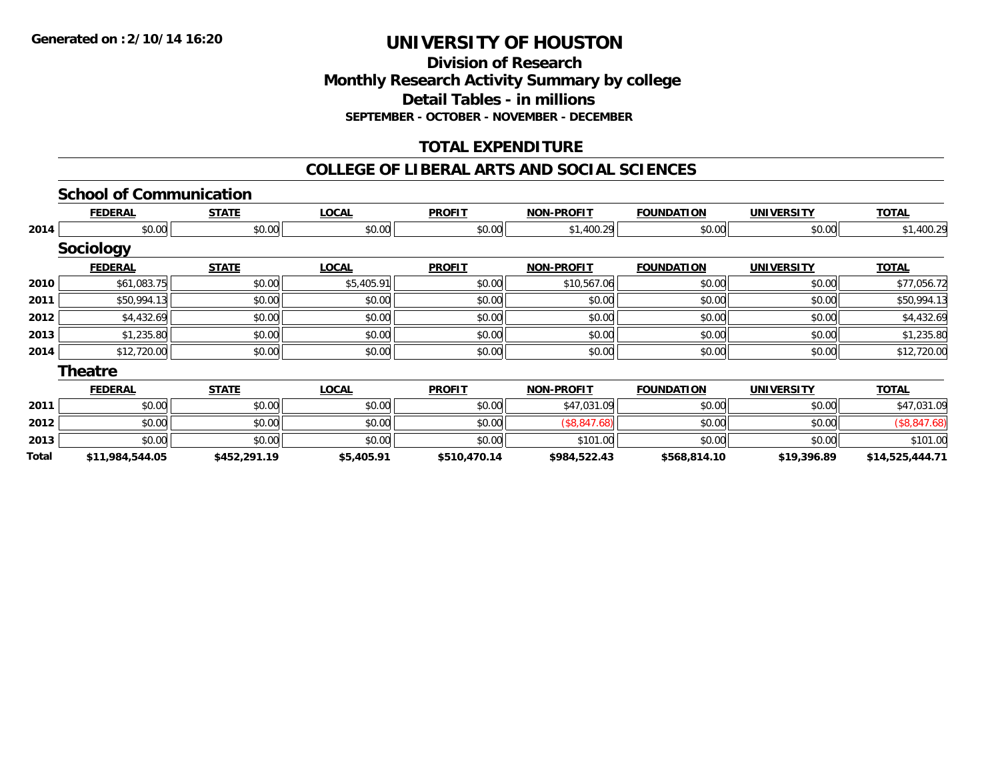**Division of ResearchMonthly Research Activity Summary by college Detail Tables - in millions SEPTEMBER - OCTOBER - NOVEMBER - DECEMBER**

# **TOTAL EXPENDITURE**

#### **COLLEGE OF LIBERAL ARTS AND SOCIAL SCIENCES**

#### **School of Communication**

|       | <b>FEDERAL</b>   | <b>STATE</b> | <b>LOCAL</b> | <b>PROFIT</b> | <b>NON-PROFIT</b> | <b>FOUNDATION</b> | <b>UNIVERSITY</b> | <b>TOTAL</b>    |
|-------|------------------|--------------|--------------|---------------|-------------------|-------------------|-------------------|-----------------|
| 2014  | \$0.00           | \$0.00       | \$0.00       | \$0.00        | \$1,400.29        | \$0.00            | \$0.00            | \$1,400.29      |
|       | <b>Sociology</b> |              |              |               |                   |                   |                   |                 |
|       | <b>FEDERAL</b>   | <b>STATE</b> | <b>LOCAL</b> | <b>PROFIT</b> | <b>NON-PROFIT</b> | <b>FOUNDATION</b> | <b>UNIVERSITY</b> | <b>TOTAL</b>    |
| 2010  | \$61,083.75      | \$0.00       | \$5,405.91   | \$0.00        | \$10,567.06       | \$0.00            | \$0.00            | \$77,056.72     |
| 2011  | \$50,994.13      | \$0.00       | \$0.00       | \$0.00        | \$0.00            | \$0.00            | \$0.00            | \$50,994.13     |
| 2012  | \$4,432.69       | \$0.00       | \$0.00       | \$0.00        | \$0.00            | \$0.00            | \$0.00            | \$4,432.69      |
| 2013  | \$1,235.80       | \$0.00       | \$0.00       | \$0.00        | \$0.00            | \$0.00            | \$0.00            | \$1,235.80      |
| 2014  | \$12,720.00      | \$0.00       | \$0.00       | \$0.00        | \$0.00            | \$0.00            | \$0.00            | \$12,720.00     |
|       | <b>Theatre</b>   |              |              |               |                   |                   |                   |                 |
|       | <b>FEDERAL</b>   | <b>STATE</b> | <b>LOCAL</b> | <b>PROFIT</b> | <b>NON-PROFIT</b> | <b>FOUNDATION</b> | <b>UNIVERSITY</b> | <b>TOTAL</b>    |
| 2011  | \$0.00           | \$0.00       | \$0.00       | \$0.00        | \$47,031.09       | \$0.00            | \$0.00            | \$47,031.09     |
| 2012  | \$0.00           | \$0.00       | \$0.00       | \$0.00        | (\$8,847.68)      | \$0.00            | \$0.00            | (\$8,847.68)    |
| 2013  | \$0.00           | \$0.00       | \$0.00       | \$0.00        | \$101.00          | \$0.00            | \$0.00            | \$101.00        |
| Total | \$11,984,544.05  | \$452,291.19 | \$5,405.91   | \$510,470.14  | \$984,522.43      | \$568,814.10      | \$19,396.89       | \$14,525,444.71 |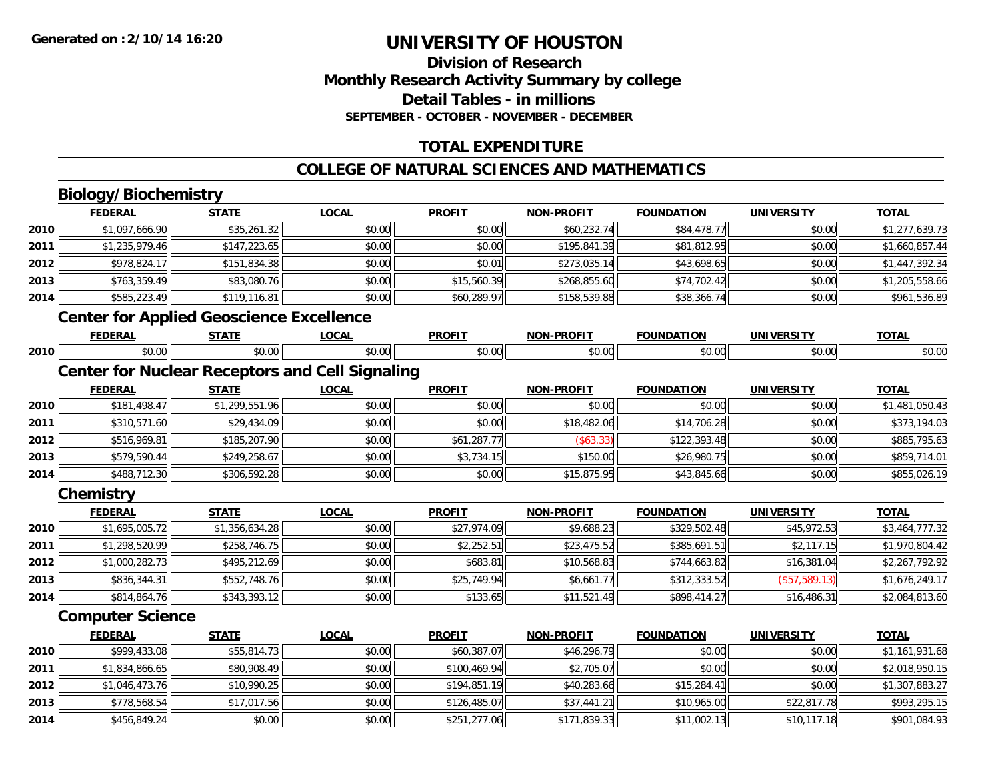# **Division of ResearchMonthly Research Activity Summary by college Detail Tables - in millions SEPTEMBER - OCTOBER - NOVEMBER - DECEMBER**

# **TOTAL EXPENDITURE**

#### **COLLEGE OF NATURAL SCIENCES AND MATHEMATICS**

# **Biology/Biochemistry**

**2014**

|      | <b>FEDERAL</b>                                  | <b>STATE</b>   | <b>LOCAL</b>                                           | <b>PROFIT</b> | <b>NON-PROFIT</b> | <b>FOUNDATION</b> | <b>UNIVERSITY</b> | <b>TOTAL</b>   |
|------|-------------------------------------------------|----------------|--------------------------------------------------------|---------------|-------------------|-------------------|-------------------|----------------|
| 2010 | \$1,097,666.90                                  | \$35,261.32    | \$0.00                                                 | \$0.00        | \$60,232.74       | \$84,478.77       | \$0.00            | \$1,277,639.73 |
| 2011 | \$1,235,979.46                                  | \$147,223.65   | \$0.00                                                 | \$0.00        | \$195,841.39      | \$81,812.95       | \$0.00            | \$1,660,857.44 |
| 2012 | \$978,824.17                                    | \$151,834.38   | \$0.00                                                 | \$0.01        | \$273,035.14      | \$43,698.65       | \$0.00            | \$1,447,392.34 |
| 2013 | \$763,359.49                                    | \$83,080.76    | \$0.00                                                 | \$15,560.39   | \$268,855.60      | \$74,702.42       | \$0.00            | \$1,205,558.66 |
| 2014 | \$585,223.49                                    | \$119,116.81   | \$0.00                                                 | \$60,289.97   | \$158,539.88      | \$38,366.74       | \$0.00            | \$961,536.89   |
|      | <b>Center for Applied Geoscience Excellence</b> |                |                                                        |               |                   |                   |                   |                |
|      | <b>FEDERAL</b>                                  | <b>STATE</b>   | <b>LOCAL</b>                                           | <b>PROFIT</b> | <b>NON-PROFIT</b> | <b>FOUNDATION</b> | <b>UNIVERSITY</b> | <b>TOTAL</b>   |
| 2010 | \$0.00                                          | \$0.00         | \$0.00                                                 | \$0.00        | \$0.00            | \$0.00            | \$0.00            | \$0.00         |
|      |                                                 |                | <b>Center for Nuclear Receptors and Cell Signaling</b> |               |                   |                   |                   |                |
|      | <b>FEDERAL</b>                                  | <b>STATE</b>   | <b>LOCAL</b>                                           | <b>PROFIT</b> | <b>NON-PROFIT</b> | <b>FOUNDATION</b> | <b>UNIVERSITY</b> | <b>TOTAL</b>   |
| 2010 | \$181,498.47                                    | \$1,299,551.96 | \$0.00                                                 | \$0.00        | \$0.00            | \$0.00            | \$0.00            | \$1,481,050.43 |
| 2011 | \$310,571.60                                    | \$29,434.09    | \$0.00                                                 | \$0.00        | \$18,482.06       | \$14,706.28       | \$0.00            | \$373,194.03   |
| 2012 | \$516,969.81                                    | \$185,207.90   | \$0.00                                                 | \$61,287.77   | (\$63.33)         | \$122,393.48      | \$0.00            | \$885,795.63   |
| 2013 | \$579,590.44                                    | \$249,258.67   | \$0.00                                                 | \$3,734.15    | \$150.00          | \$26,980.75       | \$0.00            | \$859,714.01   |
| 2014 | \$488,712.30                                    | \$306,592.28   | \$0.00                                                 | \$0.00        | \$15,875.95       | \$43,845.66       | \$0.00            | \$855,026.19   |
|      | Chemistry                                       |                |                                                        |               |                   |                   |                   |                |
|      | <b>FEDERAL</b>                                  | <b>STATE</b>   | <b>LOCAL</b>                                           | <b>PROFIT</b> | <b>NON-PROFIT</b> | <b>FOUNDATION</b> | <b>UNIVERSITY</b> | <b>TOTAL</b>   |
| 2010 | \$1,695,005.72                                  | \$1,356,634.28 | \$0.00                                                 | \$27,974.09   | \$9,688.23        | \$329,502.48      | \$45,972.53       | \$3,464,777.32 |
| 2011 | \$1,298,520.99                                  | \$258,746.75   | \$0.00                                                 | \$2,252.51    | \$23,475.52       | \$385,691.51      | \$2,117.15        | \$1,970,804.42 |
| 2012 | \$1,000,282.73                                  | \$495,212.69   | \$0.00                                                 | \$683.81      | \$10,568.83       | \$744,663.82      | \$16,381.04       | \$2,267,792.92 |
| 2013 | \$836,344.31                                    | \$552,748.76   | \$0.00                                                 | \$25,749.94   | \$6,661.77        | \$312,333.52      | (\$57,589.13)     | \$1,676,249.17 |
| 2014 | \$814,864.76                                    | \$343,393.12   | \$0.00                                                 | \$133.65      | \$11,521.49       | \$898,414.27      | \$16,486.31       | \$2,084,813.60 |
|      | <b>Computer Science</b>                         |                |                                                        |               |                   |                   |                   |                |
|      | <b>FEDERAL</b>                                  | <b>STATE</b>   | <b>LOCAL</b>                                           | <b>PROFIT</b> | <b>NON-PROFIT</b> | <b>FOUNDATION</b> | <b>UNIVERSITY</b> | <b>TOTAL</b>   |
| 2010 | \$999,433.08                                    | \$55,814.73    | \$0.00                                                 | \$60,387.07   | \$46,296.79       | \$0.00            | \$0.00            | \$1,161,931.68 |
| 2011 | \$1,834,866.65                                  | \$80,908.49    | \$0.00                                                 | \$100,469.94  | \$2,705.07        | \$0.00            | \$0.00            | \$2,018,950.15 |
| 2012 | \$1,046,473.76                                  | \$10,990.25    | \$0.00                                                 | \$194,851.19  | \$40,283.66       | \$15,284.41       | \$0.00            | \$1,307,883.27 |
| 2013 | \$778,568.54                                    | \$17,017.56    | \$0.00                                                 | \$126,485.07  | \$37,441.21       | \$10,965.00       | \$22,817.78       | \$993,295.15   |

4 \$456,849.24 \$0.00 \$0.00 \$0.00 \$0.00 \$251,277.06 \$171,839.33 \$11,002.13 \$10,117.18 \$10,117.18 \$901,084.93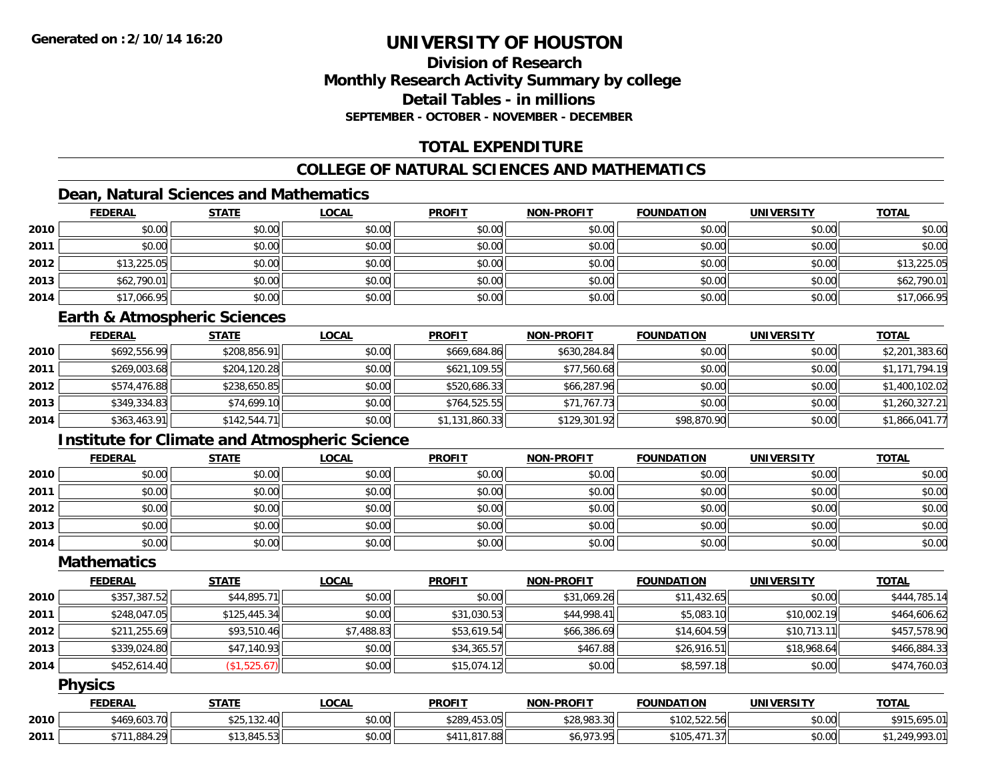# **Division of ResearchMonthly Research Activity Summary by college Detail Tables - in millionsSEPTEMBER - OCTOBER - NOVEMBER - DECEMBER**

# **TOTAL EXPENDITURE**

# **COLLEGE OF NATURAL SCIENCES AND MATHEMATICS**

# **Dean, Natural Sciences and Mathematics**

|      | <b>FEDERAL</b> | <b>STATE</b> | <u>LOCAL</u> | <b>PROFIT</b> | <b>NON-PROFIT</b> | <b>FOUNDATION</b> | <b>UNIVERSITY</b> | <b>TOTAL</b> |
|------|----------------|--------------|--------------|---------------|-------------------|-------------------|-------------------|--------------|
| 2010 | \$0.00         | \$0.00       | \$0.00       | \$0.00        | \$0.00            | \$0.00            | \$0.00            | \$0.00       |
| 2011 | \$0.00         | \$0.00       | \$0.00       | \$0.00        | \$0.00            | \$0.00            | \$0.00            | \$0.00       |
| 2012 | \$13,225.05    | \$0.00       | \$0.00       | \$0.00        | \$0.00            | \$0.00            | \$0.00            | \$13,225.05  |
| 2013 | \$62,790.01    | \$0.00       | \$0.00       | \$0.00        | \$0.00            | \$0.00            | \$0.00            | \$62,790.01  |
| 2014 | \$17,066.95    | \$0.00       | \$0.00       | \$0.00        | \$0.00            | \$0.00            | \$0.00            | \$17,066.95  |

#### **Earth & Atmospheric Sciences**

|      | <b>FEDERAL</b> | <b>STATE</b> | <u>LOCAL</u> | <b>PROFIT</b>  | <b>NON-PROFIT</b> | <b>FOUNDATION</b> | <b>UNIVERSITY</b> | <b>TOTAL</b>   |
|------|----------------|--------------|--------------|----------------|-------------------|-------------------|-------------------|----------------|
| 2010 | \$692,556.99   | \$208,856.91 | \$0.00       | \$669,684.86   | \$630,284.84      | \$0.00            | \$0.00            | \$2,201,383.60 |
| 2011 | \$269,003.68   | \$204,120.28 | \$0.00       | \$621,109.55   | \$77,560.68       | \$0.00            | \$0.00            | \$1,171,794.19 |
| 2012 | \$574,476.88   | \$238,650.85 | \$0.00       | \$520,686.33   | \$66,287.96       | \$0.00            | \$0.00            | \$1,400,102.02 |
| 2013 | \$349,334.83   | \$74,699.10  | \$0.00       | \$764,525.55   | \$71,767.73       | \$0.00            | \$0.00            | \$1,260,327.21 |
| 2014 | \$363,463.91   | \$142,544.71 | \$0.00       | \$1,131,860.33 | \$129,301.92      | \$98,870.90       | \$0.00            | \$1,866,041.77 |

# **Institute for Climate and Atmospheric Science**

|      | <b>FEDERAL</b> | <b>STATE</b> | <b>LOCAL</b> | <b>PROFIT</b> | <b>NON-PROFIT</b> | <b>FOUNDATION</b> | <b>UNIVERSITY</b> | <b>TOTAL</b> |
|------|----------------|--------------|--------------|---------------|-------------------|-------------------|-------------------|--------------|
| 2010 | \$0.00         | \$0.00       | \$0.00       | \$0.00        | \$0.00            | \$0.00            | \$0.00            | \$0.00       |
| 2011 | \$0.00         | \$0.00       | \$0.00       | \$0.00        | \$0.00            | \$0.00            | \$0.00            | \$0.00       |
| 2012 | \$0.00         | \$0.00       | \$0.00       | \$0.00        | \$0.00            | \$0.00            | \$0.00            | \$0.00       |
| 2013 | \$0.00         | \$0.00       | \$0.00       | \$0.00        | \$0.00            | \$0.00            | \$0.00            | \$0.00       |
| 2014 | \$0.00         | \$0.00       | \$0.00       | \$0.00        | \$0.00            | \$0.00            | \$0.00            | \$0.00       |

### **Mathematics**

|      | <b>FEDERAL</b> | <b>STATE</b> | <b>LOCAL</b> | <b>PROFIT</b> | <b>NON-PROFIT</b> | <b>FOUNDATION</b> | <b>UNIVERSITY</b> | <b>TOTAL</b> |
|------|----------------|--------------|--------------|---------------|-------------------|-------------------|-------------------|--------------|
| 2010 | \$357,387.52   | \$44,895.71  | \$0.00       | \$0.00        | \$31,069.26       | \$11,432.65       | \$0.00            | \$444,785.14 |
| 2011 | \$248,047.05   | \$125,445.34 | \$0.00       | \$31,030.53   | \$44,998.41       | \$5,083.10        | \$10,002.19       | \$464,606.62 |
| 2012 | \$211,255.69   | \$93,510.46  | \$7,488.83   | \$53,619.54   | \$66,386.69       | \$14,604.59       | \$10,713.11       | \$457,578.90 |
| 2013 | \$339,024.80   | \$47,140.93  | \$0.00       | \$34,365.57   | \$467.88          | \$26,916.51       | \$18,968.64       | \$466,884.33 |
| 2014 | \$452,614.40   | (\$1,525.67) | \$0.00       | \$15,074.12   | \$0.00            | \$8,597.18        | \$0.00            | \$474,760.03 |

# **Physics**

|      | <b>FEDERAL</b> | STATE                        | LOCAL  | <b>PROFIT</b>                                 | <b>NON-PROFIT</b> | <b>FOUNDATION</b> | <b>UNIVERSITY</b> | <b>TOTAL</b>       |
|------|----------------|------------------------------|--------|-----------------------------------------------|-------------------|-------------------|-------------------|--------------------|
| 2010 | \$469,603.70   | .132.40<br><b>ሐገር</b><br>ن∠ت | \$0.00 | \$289,453.05                                  | \$28,983.30       | \$102,522.56      | \$0.00            | \$915,695.01       |
| 2011 | \$711.884.29   | 13.845.53                    | \$0.00 | .817.88<br><b>¢</b> 111<br>$\overline{1}$ . O | \$6,973.95        | \$105,471.37      | \$0.00            | 249.993.01<br>949. |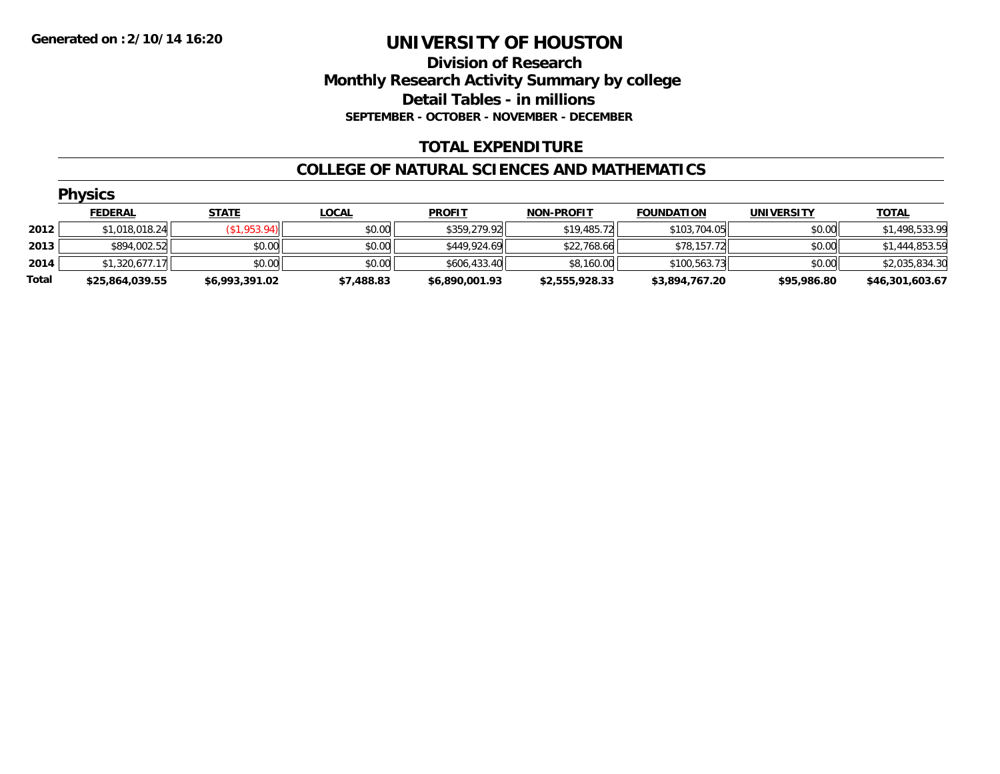# **Division of Research Monthly Research Activity Summary by college Detail Tables - in millions SEPTEMBER - OCTOBER - NOVEMBER - DECEMBER**

# **TOTAL EXPENDITURE**

#### **COLLEGE OF NATURAL SCIENCES AND MATHEMATICS**

|       | <b>Physics</b>  |                |              |                |                   |                   |             |                 |  |  |  |  |
|-------|-----------------|----------------|--------------|----------------|-------------------|-------------------|-------------|-----------------|--|--|--|--|
|       | <b>FEDERAL</b>  | <b>STATE</b>   | <b>LOCAL</b> | <b>PROFIT</b>  | <b>NON-PROFIT</b> | <b>FOUNDATION</b> | UNIVERSITY  | <b>TOTAL</b>    |  |  |  |  |
| 2012  | \$1,018,018.24  | \$1,953.94)    | \$0.00       | \$359,279.92   | \$19,485.72       | \$103,704.05      | \$0.00      | \$1,498,533.99  |  |  |  |  |
| 2013  | \$894,002.52    | \$0.00         | \$0.00       | \$449,924.69   | \$22,768.66       | \$78,157.72       | \$0.00      | \$1,444,853.59  |  |  |  |  |
| 2014  | \$1,320,677.17  | \$0.00         | \$0.00       | \$606,433.40   | \$8,160.00        | \$100.563.73      | \$0.00      | \$2,035,834.30  |  |  |  |  |
| Total | \$25,864,039.55 | \$6,993,391.02 | \$7,488.83   | \$6,890,001.93 | \$2,555,928.33    | \$3,894,767.20    | \$95,986.80 | \$46,301,603.67 |  |  |  |  |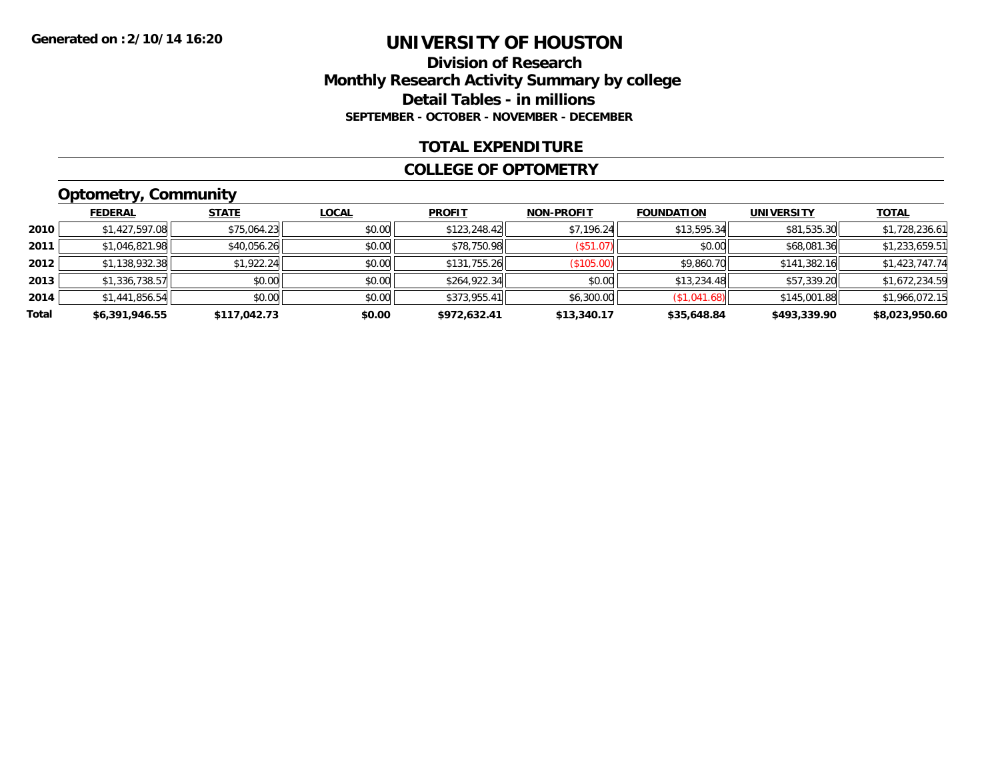### **Division of Research Monthly Research Activity Summary by college Detail Tables - in millions SEPTEMBER - OCTOBER - NOVEMBER - DECEMBER**

### **TOTAL EXPENDITURE**

#### **COLLEGE OF OPTOMETRY**

# **Optometry, Community**

|       | <b>FEDERAL</b> | <b>STATE</b> | <b>LOCAL</b> | <b>PROFIT</b> | <b>NON-PROFIT</b> | <b>FOUNDATION</b> | <b>UNIVERSITY</b> | <u>TOTAL</u>   |
|-------|----------------|--------------|--------------|---------------|-------------------|-------------------|-------------------|----------------|
| 2010  | \$1,427,597.08 | \$75,064.23  | \$0.00       | \$123,248.42  | \$7,196.24        | \$13,595.34       | \$81,535.30       | \$1,728,236.61 |
| 2011  | \$1,046,821.98 | \$40,056.26  | \$0.00       | \$78,750.98   | (\$51.07)         | \$0.00            | \$68,081.36       | \$1,233,659.51 |
| 2012  | \$1,138,932.38 | \$1,922.24   | \$0.00       | \$131,755.26  | (\$105.00)        | \$9,860.70        | \$141,382.16      | \$1,423,747.74 |
| 2013  | \$1,336,738.57 | \$0.00       | \$0.00       | \$264,922.34  | \$0.00            | \$13,234.48       | \$57,339.20       | \$1,672,234.59 |
| 2014  | \$1,441,856.54 | \$0.00       | \$0.00       | \$373,955.41  | \$6,300.00        | (\$1,041.68)      | \$145,001.88      | \$1,966,072.15 |
| Total | \$6,391,946.55 | \$117,042.73 | \$0.00       | \$972,632.41  | \$13,340.17       | \$35,648.84       | \$493,339.90      | \$8,023,950.60 |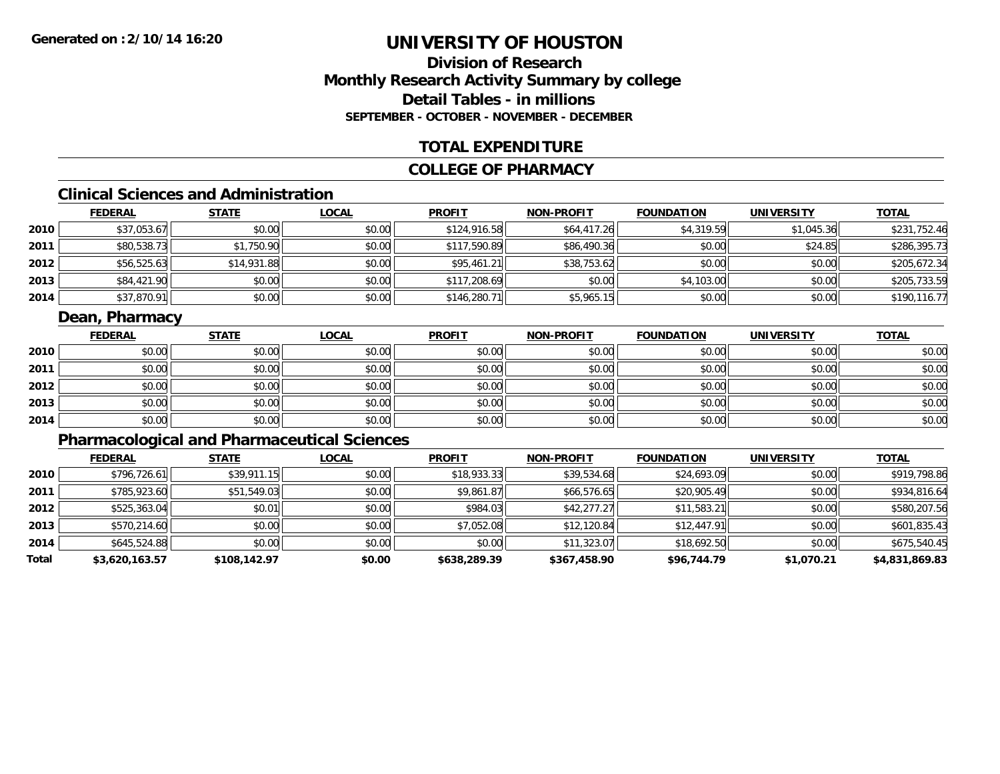# **Division of ResearchMonthly Research Activity Summary by college Detail Tables - in millionsSEPTEMBER - OCTOBER - NOVEMBER - DECEMBER**

# **TOTAL EXPENDITURE**

### **COLLEGE OF PHARMACY**

# **Clinical Sciences and Administration**

|      | <b>FEDERAL</b> | <u>STATE</u> | <b>LOCAL</b> | <b>PROFIT</b> | <b>NON-PROFIT</b> | <b>FOUNDATION</b> | <b>UNIVERSITY</b> | <b>TOTAL</b> |
|------|----------------|--------------|--------------|---------------|-------------------|-------------------|-------------------|--------------|
| 2010 | \$37,053.67    | \$0.00       | \$0.00       | \$124,916.58  | \$64,417.26       | \$4,319.59        | \$1,045.36        | \$231,752.46 |
| 2011 | \$80,538.73    | \$1,750.90   | \$0.00       | \$117,590.89  | \$86,490.36       | \$0.00            | \$24.85           | \$286,395.73 |
| 2012 | \$56,525.63    | \$14,931.88  | \$0.00       | \$95,461.21   | \$38,753.62       | \$0.00            | \$0.00            | \$205,672.34 |
| 2013 | \$84,421.90    | \$0.00       | \$0.00       | \$117,208.69  | \$0.00            | \$4,103.00        | \$0.00            | \$205,733.59 |
| 2014 | \$37,870.91    | \$0.00       | \$0.00       | \$146,280.71  | \$5,965.15        | \$0.00            | \$0.00            | \$190,116.77 |

# **Dean, Pharmacy**

|      | <b>FEDERAL</b> | <b>STATE</b> | <b>LOCAL</b> | <b>PROFIT</b> | <b>NON-PROFIT</b> | <b>FOUNDATION</b> | <b>UNIVERSITY</b> | <b>TOTAL</b> |
|------|----------------|--------------|--------------|---------------|-------------------|-------------------|-------------------|--------------|
| 2010 | \$0.00         | \$0.00       | \$0.00       | \$0.00        | \$0.00            | \$0.00            | \$0.00            | \$0.00       |
| 2011 | \$0.00         | \$0.00       | \$0.00       | \$0.00        | \$0.00            | \$0.00            | \$0.00            | \$0.00       |
| 2012 | \$0.00         | \$0.00       | \$0.00       | \$0.00        | \$0.00            | \$0.00            | \$0.00            | \$0.00       |
| 2013 | \$0.00         | \$0.00       | \$0.00       | \$0.00        | \$0.00            | \$0.00            | \$0.00            | \$0.00       |
| 2014 | \$0.00         | \$0.00       | \$0.00       | \$0.00        | \$0.00            | \$0.00            | \$0.00            | \$0.00       |

# **Pharmacological and Pharmaceutical Sciences**

|       | <b>FEDERAL</b> | <b>STATE</b> | <b>LOCAL</b> | <b>PROFIT</b> | <b>NON-PROFIT</b> | <b>FOUNDATION</b> | <b>UNIVERSITY</b> | <u>TOTAL</u>   |
|-------|----------------|--------------|--------------|---------------|-------------------|-------------------|-------------------|----------------|
| 2010  | \$796,726.61   | \$39,911.15  | \$0.00       | \$18,933.33   | \$39,534.68       | \$24,693.09       | \$0.00            | \$919,798.86   |
| 2011  | \$785,923.60   | \$51,549.03  | \$0.00       | \$9,861.87    | \$66,576.65       | \$20,905.49       | \$0.00            | \$934,816.64   |
| 2012  | \$525,363.04   | \$0.01       | \$0.00       | \$984.03      | \$42,277.27       | \$11,583.21       | \$0.00            | \$580,207.56   |
| 2013  | \$570,214.60   | \$0.00       | \$0.00       | \$7,052.08    | \$12,120.84       | \$12,447.91       | \$0.00            | \$601,835.43   |
| 2014  | \$645,524.88   | \$0.00       | \$0.00       | \$0.00        | \$11,323.07       | \$18,692.50       | \$0.00            | \$675,540.45   |
| Total | \$3,620,163.57 | \$108,142.97 | \$0.00       | \$638,289.39  | \$367,458.90      | \$96,744.79       | \$1,070.21        | \$4,831,869.83 |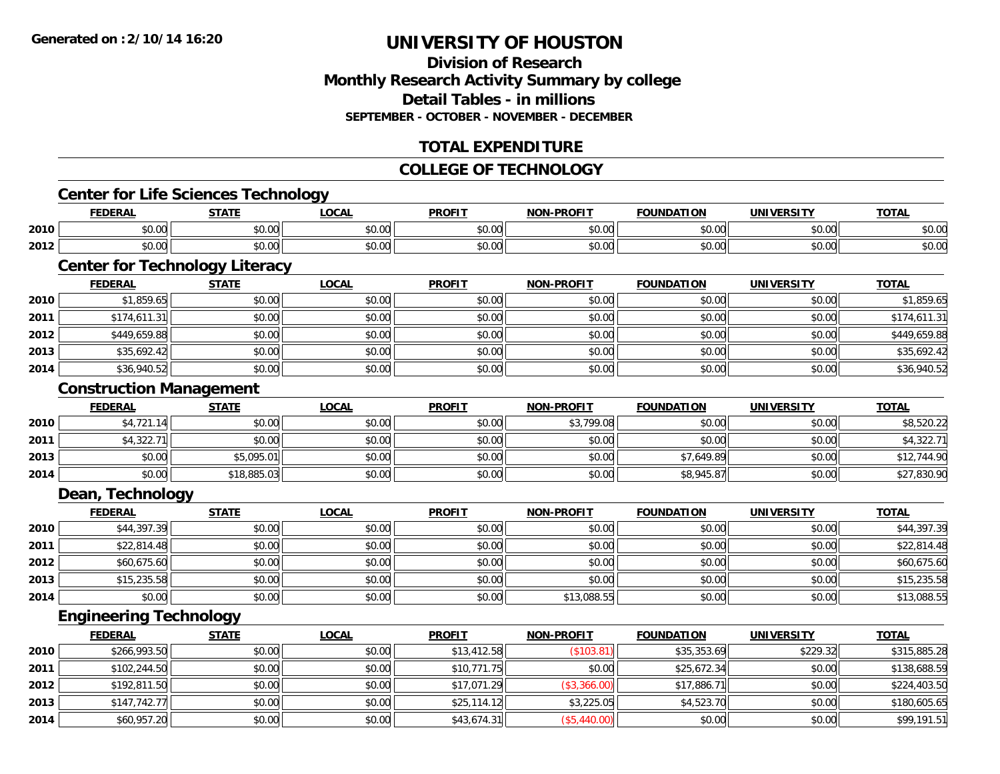# **Division of ResearchMonthly Research Activity Summary by college Detail Tables - in millionsSEPTEMBER - OCTOBER - NOVEMBER - DECEMBER**

# **TOTAL EXPENDITURE**

#### **COLLEGE OF TECHNOLOGY**

# **Center for Life Sciences Technology**

|      | .                                | $C = A + C$                                                                             | $\sim$<br>UUM. | <b>PROFI</b>                        | <b>PROFIT</b><br><b>NON</b> | ΊΩΝ           | <br>un"        | <b>TOTAL</b>                        |
|------|----------------------------------|-----------------------------------------------------------------------------------------|----------------|-------------------------------------|-----------------------------|---------------|----------------|-------------------------------------|
| 2010 | 0.001<br>וטט.                    | $\cdots$<br>DU.UU                                                                       | 0.00<br>vu.vu  | $\mathbf{A} \cap \mathbf{A}$<br>υv. | 0000<br>vv.vv               | 0.00          | 0000<br>. UU   | ቀስ ስር<br>DU.UC                      |
| 2012 | $\sim$<br>$\sim$ $\sim$<br>vv.vv | $\begin{array}{c} \hline \text{A} & \text{A} & \text{A} \\ \hline \end{array}$<br>JU.UU | 0.00<br>JU.UU  | JU.U                                | 0000<br>JU.UU               | 0000<br>וט.טי | 60.00<br>JU.UU | $\uparrow$ $\land$ $\land$<br>DU.UG |

# **Center for Technology Literacy**

|      | <b>FEDERAL</b> | <b>STATE</b> | <b>LOCAL</b> | <b>PROFIT</b> | <b>NON-PROFIT</b> | <b>FOUNDATION</b> | <b>UNIVERSITY</b> | <b>TOTAL</b> |
|------|----------------|--------------|--------------|---------------|-------------------|-------------------|-------------------|--------------|
| 2010 | \$1,859.65     | \$0.00       | \$0.00       | \$0.00        | \$0.00            | \$0.00            | \$0.00            | \$1,859.65   |
| 2011 | \$174,611.31   | \$0.00       | \$0.00       | \$0.00        | \$0.00            | \$0.00            | \$0.00            | \$174,611.31 |
| 2012 | \$449,659.88   | \$0.00       | \$0.00       | \$0.00        | \$0.00            | \$0.00            | \$0.00            | \$449,659.88 |
| 2013 | \$35,692.42    | \$0.00       | \$0.00       | \$0.00        | \$0.00            | \$0.00            | \$0.00            | \$35,692.42  |
| 2014 | \$36,940.52    | \$0.00       | \$0.00       | \$0.00        | \$0.00            | \$0.00            | \$0.00            | \$36,940.52  |

### **Construction Management**

|      | <b>FEDERAL</b> | <u>STATE</u> | <u>LOCAL</u> | <b>PROFIT</b> | <b>NON-PROFIT</b> | <b>FOUNDATION</b> | <b>UNIVERSITY</b> | <b>TOTAL</b> |
|------|----------------|--------------|--------------|---------------|-------------------|-------------------|-------------------|--------------|
| 2010 | \$4,721.14     | \$0.00       | \$0.00       | \$0.00        | \$3,799.08        | \$0.00            | \$0.00            | \$8,520.22   |
| 2011 | \$4,322.71     | \$0.00       | \$0.00       | \$0.00        | \$0.00            | \$0.00            | \$0.00            | \$4,322.71   |
| 2013 | \$0.00         | \$5,095.01   | \$0.00       | \$0.00        | \$0.00            | \$7,649.89        | \$0.00            | \$12,744.90  |
| 2014 | \$0.00         | \$18,885.03  | \$0.00       | \$0.00        | \$0.00            | \$8,945.87        | \$0.00            | \$27,830.90  |

### **Dean, Technology**

|      | <u>FEDERAL</u> | <b>STATE</b> | <b>LOCAL</b> | <b>PROFIT</b> | <b>NON-PROFIT</b> | <b>FOUNDATION</b> | <b>UNIVERSITY</b> | <b>TOTAL</b> |
|------|----------------|--------------|--------------|---------------|-------------------|-------------------|-------------------|--------------|
| 2010 | \$44,397.39    | \$0.00       | \$0.00       | \$0.00        | \$0.00            | \$0.00            | \$0.00            | \$44,397.39  |
| 2011 | \$22,814.48    | \$0.00       | \$0.00       | \$0.00        | \$0.00            | \$0.00            | \$0.00            | \$22,814.48  |
| 2012 | \$60,675.60    | \$0.00       | \$0.00       | \$0.00        | \$0.00            | \$0.00            | \$0.00            | \$60,675.60  |
| 2013 | \$15,235.58    | \$0.00       | \$0.00       | \$0.00        | \$0.00            | \$0.00            | \$0.00            | \$15,235.58  |
| 2014 | \$0.00         | \$0.00       | \$0.00       | \$0.00        | \$13,088.55       | \$0.00            | \$0.00            | \$13,088.55  |

### **Engineering Technology**

|      | <b>FEDERAL</b> | <b>STATE</b> | <b>LOCAL</b> | <b>PROFIT</b> | <b>NON-PROFIT</b> | <b>FOUNDATION</b> | <b>UNIVERSITY</b> | <b>TOTAL</b> |
|------|----------------|--------------|--------------|---------------|-------------------|-------------------|-------------------|--------------|
| 2010 | \$266,993.50   | \$0.00       | \$0.00       | \$13,412.58   | (\$103.81)        | \$35,353.69       | \$229.32          | \$315,885.28 |
| 2011 | \$102,244.50   | \$0.00       | \$0.00       | \$10.771.75   | \$0.00            | \$25,672.34       | \$0.00            | \$138,688.59 |
| 2012 | \$192,811.50   | \$0.00       | \$0.00       | \$17,071.29   | (\$3,366.00)      | \$17,886.71       | \$0.00            | \$224,403.50 |
| 2013 | \$147.742.77   | \$0.00       | \$0.00       | \$25.114.12   | \$3,225.05        | \$4,523.70        | \$0.00            | \$180,605.65 |
| 2014 | \$60,957.20    | \$0.00       | \$0.00       | \$43,674.31   | (\$5,440.00)      | \$0.00            | \$0.00            | \$99,191.51  |

<u> 1989 - Johann Stoff, deutscher Stoffen und der Stoffen und der Stoffen und der Stoffen und der Stoffen und de</u>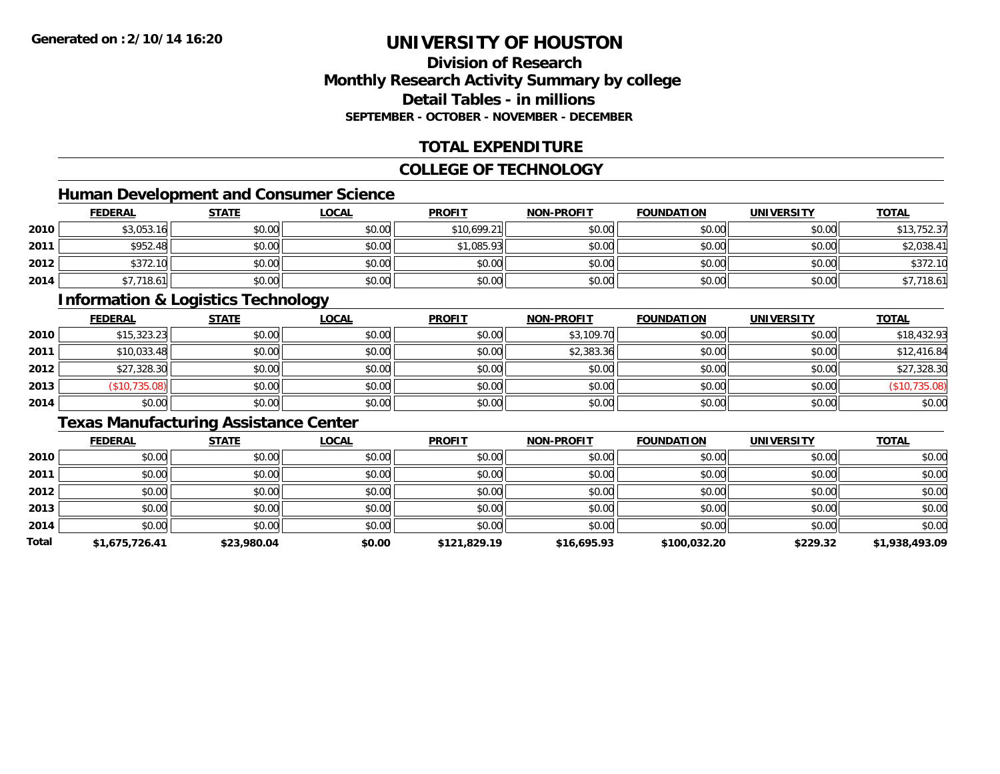## **Division of ResearchMonthly Research Activity Summary by college Detail Tables - in millionsSEPTEMBER - OCTOBER - NOVEMBER - DECEMBER**

## **TOTAL EXPENDITURE**

#### **COLLEGE OF TECHNOLOGY**

## **Human Development and Consumer Science**

|      | <b>FEDERAL</b> | <b>STATE</b> | <u>LOCAL</u> | <b>PROFIT</b> | <b>NON-PROFIT</b> | <b>FOUNDATION</b> | <b>UNIVERSITY</b> | <b>TOTAL</b> |
|------|----------------|--------------|--------------|---------------|-------------------|-------------------|-------------------|--------------|
| 2010 | \$3,053.16     | \$0.00       | \$0.00       | \$10,699.21   | \$0.00            | \$0.00            | \$0.00            | \$13,752.37  |
| 2011 | \$952.48       | \$0.00       | \$0.00       | \$1,085.93    | \$0.00            | \$0.00            | \$0.00            | \$2,038.41   |
| 2012 | \$372.10       | \$0.00       | \$0.00       | \$0.00        | \$0.00            | \$0.00            | \$0.00            | \$372.10     |
| 2014 | \$7,718.61     | \$0.00       | \$0.00       | \$0.00        | \$0.00            | \$0.00            | \$0.00            | 7,718.61     |

#### **Information & Logistics Technology**

|      | <b>FEDERAL</b> | <b>STATE</b> | <u>LOCAL</u> | <b>PROFIT</b> | <b>NON-PROFIT</b> | <b>FOUNDATION</b> | <b>UNIVERSITY</b> | <b>TOTAL</b>  |
|------|----------------|--------------|--------------|---------------|-------------------|-------------------|-------------------|---------------|
| 2010 | \$15,323.23    | \$0.00       | \$0.00       | \$0.00        | \$3,109.70        | \$0.00            | \$0.00            | \$18,432.93   |
| 2011 | \$10,033.48    | \$0.00       | \$0.00       | \$0.00        | \$2,383.36        | \$0.00            | \$0.00            | \$12,416.84   |
| 2012 | \$27,328.30    | \$0.00       | \$0.00       | \$0.00        | \$0.00            | \$0.00            | \$0.00            | \$27,328.30   |
| 2013 | \$10,735.08    | \$0.00       | \$0.00       | \$0.00        | \$0.00            | \$0.00            | \$0.00            | (\$10,735.08) |
| 2014 | \$0.00         | \$0.00       | \$0.00       | \$0.00        | \$0.00            | \$0.00            | \$0.00            | \$0.00        |

# **Texas Manufacturing Assistance Center**

|       | <b>FEDERAL</b> | <b>STATE</b> | <b>LOCAL</b> | <b>PROFIT</b> | NON-PROFIT  | <b>FOUNDATION</b> | <b>UNIVERSITY</b> | <b>TOTAL</b>   |
|-------|----------------|--------------|--------------|---------------|-------------|-------------------|-------------------|----------------|
| 2010  | \$0.00         | \$0.00       | \$0.00       | \$0.00        | \$0.00      | \$0.00            | \$0.00            | \$0.00         |
| 2011  | \$0.00         | \$0.00       | \$0.00       | \$0.00        | \$0.00      | \$0.00            | \$0.00            | \$0.00         |
| 2012  | \$0.00         | \$0.00       | \$0.00       | \$0.00        | \$0.00      | \$0.00            | \$0.00            | \$0.00         |
| 2013  | \$0.00         | \$0.00       | \$0.00       | \$0.00        | \$0.00      | \$0.00            | \$0.00            | \$0.00         |
| 2014  | \$0.00         | \$0.00       | \$0.00       | \$0.00        | \$0.00      | \$0.00            | \$0.00            | \$0.00         |
| Total | \$1,675,726.41 | \$23,980.04  | \$0.00       | \$121,829.19  | \$16,695.93 | \$100,032.20      | \$229.32          | \$1,938,493.09 |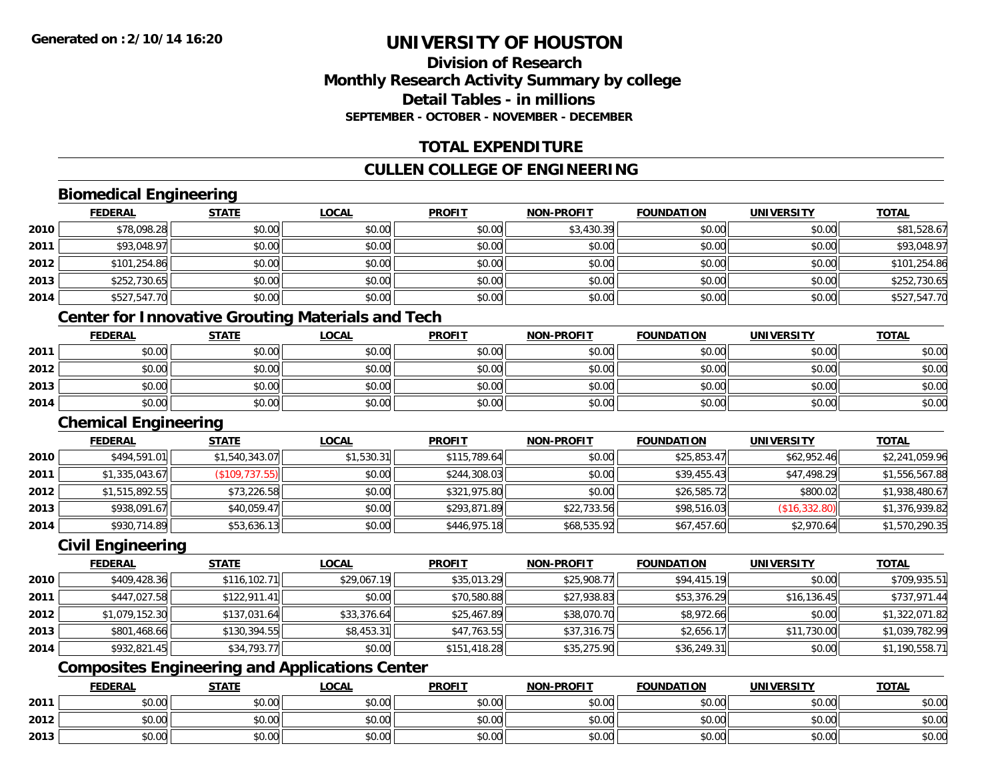## **Division of ResearchMonthly Research Activity Summary by college Detail Tables - in millionsSEPTEMBER - OCTOBER - NOVEMBER - DECEMBER**

## **TOTAL EXPENDITURE**

## **CULLEN COLLEGE OF ENGINEERING**

# **Biomedical Engineering**

|      | <b>FEDERAL</b> | <b>STATE</b> | <b>LOCAL</b> | <b>PROFIT</b> | <b>NON-PROFIT</b> | <b>FOUNDATION</b> | <b>UNIVERSITY</b> | <b>TOTAL</b> |
|------|----------------|--------------|--------------|---------------|-------------------|-------------------|-------------------|--------------|
| 2010 | \$78,098.28    | \$0.00       | \$0.00       | \$0.00        | \$3,430.39        | \$0.00            | \$0.00            | \$81,528.67  |
| 2011 | \$93,048.97    | \$0.00       | \$0.00       | \$0.00        | \$0.00            | \$0.00            | \$0.00            | \$93,048.97  |
| 2012 | \$101,254.86   | \$0.00       | \$0.00       | \$0.00        | \$0.00            | \$0.00            | \$0.00            | \$101,254.86 |
| 2013 | \$252,730.65   | \$0.00       | \$0.00       | \$0.00        | \$0.00            | \$0.00            | \$0.00            | \$252,730.65 |
| 2014 | \$527,547.70   | \$0.00       | \$0.00       | \$0.00        | \$0.00            | \$0.00            | \$0.00            | \$527,547.70 |

## **Center for Innovative Grouting Materials and Tech**

|      | <b>FEDERAL</b> | <b>STATE</b> | <u>LOCAL</u> | <b>PROFIT</b> | <b>NON-PROFIT</b> | <b>FOUNDATION</b> | UNIVERSITY | <b>TOTAL</b> |
|------|----------------|--------------|--------------|---------------|-------------------|-------------------|------------|--------------|
| 2011 | \$0.00         | \$0.00       | \$0.00       | \$0.00        | \$0.00            | \$0.00            | \$0.00     | \$0.00       |
| 2012 | \$0.00         | \$0.00       | \$0.00       | \$0.00        | \$0.00            | \$0.00            | \$0.00     | \$0.00       |
| 2013 | \$0.00         | \$0.00       | \$0.00       | \$0.00        | \$0.00            | \$0.00            | \$0.00     | \$0.00       |
| 2014 | \$0.00         | \$0.00       | \$0.00       | \$0.00        | \$0.00            | \$0.00            | \$0.00     | \$0.00       |

#### **Chemical Engineering**

|      | <b>FEDERAL</b> | <b>STATE</b>    | <u>LOCAL</u> | <b>PROFIT</b> | <b>NON-PROFIT</b> | <b>FOUNDATION</b> | UNIVERSITY    | <b>TOTAL</b>   |
|------|----------------|-----------------|--------------|---------------|-------------------|-------------------|---------------|----------------|
| 2010 | \$494,591.01   | \$1,540,343.07  | \$1,530.31   | \$115,789.64  | \$0.00            | \$25,853.47       | \$62,952.46   | \$2,241,059.96 |
| 2011 | \$1,335,043.67 | (\$109, 737.55) | \$0.00       | \$244,308.03  | \$0.00            | \$39,455.43       | \$47,498.29   | \$1,556,567.88 |
| 2012 | \$1,515,892.55 | \$73,226.58     | \$0.00       | \$321,975.80  | \$0.00            | \$26,585.72       | \$800.02      | \$1,938,480.67 |
| 2013 | \$938,091.67   | \$40,059.47     | \$0.00       | \$293,871.89  | \$22,733.56       | \$98,516.03       | (\$16,332.80) | \$1,376,939.82 |
| 2014 | \$930,714.89   | \$53,636.13     | \$0.00       | \$446,975.18  | \$68,535.92       | \$67,457.60       | \$2,970.64    | \$1,570,290.35 |

#### **Civil Engineering**

|      | <b>FEDERAL</b> | <b>STATE</b> | <u>LOCAL</u> | <b>PROFIT</b> | <b>NON-PROFIT</b> | <b>FOUNDATION</b> | <b>UNIVERSITY</b> | <b>TOTAL</b>   |
|------|----------------|--------------|--------------|---------------|-------------------|-------------------|-------------------|----------------|
| 2010 | \$409,428.36   | \$116,102.71 | \$29,067.19  | \$35,013.29   | \$25,908.77       | \$94,415.19       | \$0.00            | \$709,935.51   |
| 2011 | \$447,027.58   | \$122.911.41 | \$0.00       | \$70,580.88   | \$27,938.83       | \$53,376.29       | \$16, 136.45      | \$737,971.44   |
| 2012 | \$1,079,152.30 | \$137.031.64 | \$33,376.64  | \$25,467.89   | \$38,070.70       | \$8,972.66        | \$0.00            | \$1,322,071.82 |
| 2013 | \$801,468.66   | \$130,394.55 | \$8,453.31   | \$47,763.55   | \$37,316.75       | \$2,656.17        | \$11,730.00       | \$1,039,782.99 |
| 2014 | \$932,821.45   | \$34,793.77  | \$0.00       | \$151,418.28  | \$35,275.90       | \$36,249.31       | \$0.00            | \$1,190,558.71 |

# **Composites Engineering and Applications Center**

|      | <b>FEDERAL</b>     | <b>STATE</b> | <u>LOCAL</u> | <b>PROFIT</b> | <b>I-PROFIT</b><br>NON- | <b>FOUNDATION</b> | <b>UNIVERSITY</b> | <b>TOTAL</b> |
|------|--------------------|--------------|--------------|---------------|-------------------------|-------------------|-------------------|--------------|
| 2011 | <b>00</b><br>JU.UU | \$0.00       | \$0.00       | \$0.00        | \$0.00                  | \$0.00            | \$0.00            | \$0.00       |
| 2012 | ሶስ ሰሰ<br>PU.UU     | \$0.00       | \$0.00       | \$0.00        | \$0.00                  | \$0.00            | \$0.00            | \$0.00       |
| 2013 | 0000<br>JU.UU      | \$0.00       | \$0.00       | \$0.00        | \$0.00                  | \$0.00            | \$0.00            | \$0.00       |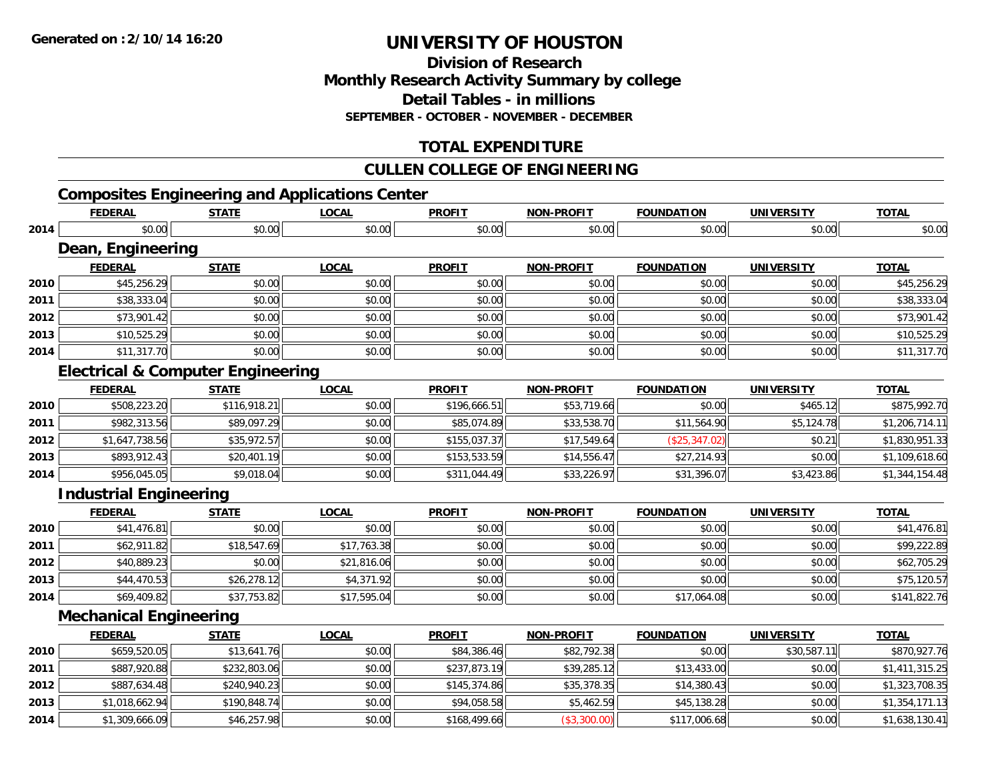**Division of ResearchMonthly Research Activity Summary by college Detail Tables - in millions SEPTEMBER - OCTOBER - NOVEMBER - DECEMBER**

## **TOTAL EXPENDITURE**

#### **CULLEN COLLEGE OF ENGINEERING**

# **Composites Engineering and Applications Center**

|      | <b>FEDERAL</b>                               | <b>STATE</b> | <b>LOCAL</b> | <b>PROFIT</b> | <b>NON-PROFIT</b> | <b>FOUNDATION</b> | <b>UNIVERSITY</b> | <b>TOTAL</b>   |
|------|----------------------------------------------|--------------|--------------|---------------|-------------------|-------------------|-------------------|----------------|
| 2014 | \$0.00                                       | \$0.00       | \$0.00       | \$0.00        | \$0.00            | \$0.00            | \$0.00            | \$0.00         |
|      | Dean, Engineering                            |              |              |               |                   |                   |                   |                |
|      | <b>FEDERAL</b>                               | <b>STATE</b> | <b>LOCAL</b> | <b>PROFIT</b> | <b>NON-PROFIT</b> | <b>FOUNDATION</b> | <b>UNIVERSITY</b> | <b>TOTAL</b>   |
| 2010 | \$45,256.29                                  | \$0.00       | \$0.00       | \$0.00        | \$0.00            | \$0.00            | \$0.00            | \$45,256.29    |
| 2011 | \$38,333.04                                  | \$0.00       | \$0.00       | \$0.00        | \$0.00            | \$0.00            | \$0.00            | \$38,333.04    |
| 2012 | \$73,901.42                                  | \$0.00       | \$0.00       | \$0.00        | \$0.00            | \$0.00            | \$0.00            | \$73,901.42    |
| 2013 | \$10,525.29                                  | \$0.00       | \$0.00       | \$0.00        | \$0.00            | \$0.00            | \$0.00            | \$10,525.29    |
| 2014 | \$11,317.70                                  | \$0.00       | \$0.00       | \$0.00        | \$0.00            | \$0.00            | \$0.00            | \$11,317.70    |
|      | <b>Electrical &amp; Computer Engineering</b> |              |              |               |                   |                   |                   |                |
|      | <b>FEDERAL</b>                               | <b>STATE</b> | <b>LOCAL</b> | <b>PROFIT</b> | <b>NON-PROFIT</b> | <b>FOUNDATION</b> | <b>UNIVERSITY</b> | <b>TOTAL</b>   |
| 2010 | \$508,223.20                                 | \$116,918.21 | \$0.00       | \$196,666.51  | \$53,719.66       | \$0.00            | \$465.12          | \$875,992.70   |
| 2011 | \$982,313.56                                 | \$89,097.29  | \$0.00       | \$85,074.89   | \$33,538.70       | \$11,564.90       | \$5,124.78        | \$1,206,714.11 |
| 2012 | \$1,647,738.56                               | \$35,972.57  | \$0.00       | \$155,037.37  | \$17,549.64       | (\$25,347.02)     | \$0.21            | \$1,830,951.33 |
| 2013 | \$893,912.43                                 | \$20,401.19  | \$0.00       | \$153,533.59  | \$14,556.47       | \$27,214.93       | \$0.00            | \$1,109,618.60 |
| 2014 | \$956,045.05                                 | \$9,018.04   | \$0.00       | \$311,044.49  | \$33,226.97       | \$31,396.07       | \$3,423.86        | \$1,344,154.48 |
|      | <b>Industrial Engineering</b>                |              |              |               |                   |                   |                   |                |
|      | <b>FEDERAL</b>                               | <b>STATE</b> | <b>LOCAL</b> | <b>PROFIT</b> | <b>NON-PROFIT</b> | <b>FOUNDATION</b> | <b>UNIVERSITY</b> | <b>TOTAL</b>   |
| 2010 | \$41,476.81                                  | \$0.00       | \$0.00       | \$0.00        | \$0.00            | \$0.00            | \$0.00            | \$41,476.81    |
| 2011 | \$62,911.82                                  | \$18,547.69  | \$17,763.38  | \$0.00        | \$0.00            | \$0.00            | \$0.00            | \$99,222.89    |
| 2012 | \$40,889.23                                  | \$0.00       | \$21,816.06  | \$0.00        | \$0.00            | \$0.00            | \$0.00            | \$62,705.29    |
| 2013 | \$44,470.53                                  | \$26,278.12  | \$4,371.92   | \$0.00        | \$0.00            | \$0.00            | \$0.00            | \$75,120.57    |
| 2014 | \$69,409.82                                  | \$37,753.82  | \$17,595.04  | \$0.00        | \$0.00            | \$17,064.08       | \$0.00            | \$141,822.76   |
|      | <b>Mechanical Engineering</b>                |              |              |               |                   |                   |                   |                |
|      | <b>FEDERAL</b>                               | <b>STATE</b> | <b>LOCAL</b> | <b>PROFIT</b> | <b>NON-PROFIT</b> | <b>FOUNDATION</b> | <b>UNIVERSITY</b> | <b>TOTAL</b>   |
| 2010 | \$659,520.05                                 | \$13,641.76  | \$0.00       | \$84,386.46   | \$82,792.38       | \$0.00            | \$30,587.11       | \$870,927.76   |
| 2011 | \$887,920.88                                 | \$232,803.06 | \$0.00       | \$237,873.19  | \$39,285.12       | \$13,433.00       | \$0.00            | \$1,411,315.25 |
| 2012 | \$887,634.48                                 | \$240,940.23 | \$0.00       | \$145,374.86  | \$35,378.35       | \$14,380.43       | \$0.00            | \$1,323,708.35 |
| 2013 | \$1,018,662.94                               | \$190,848.74 | \$0.00       | \$94,058.58   | \$5,462.59        | \$45,138.28       | \$0.00            | \$1,354,171.13 |
| 2014 | \$1,309,666.09                               | \$46,257.98  | \$0.00       | \$168,499.66  | (\$3,300.00)      | \$117,006.68      | \$0.00            | \$1,638,130.41 |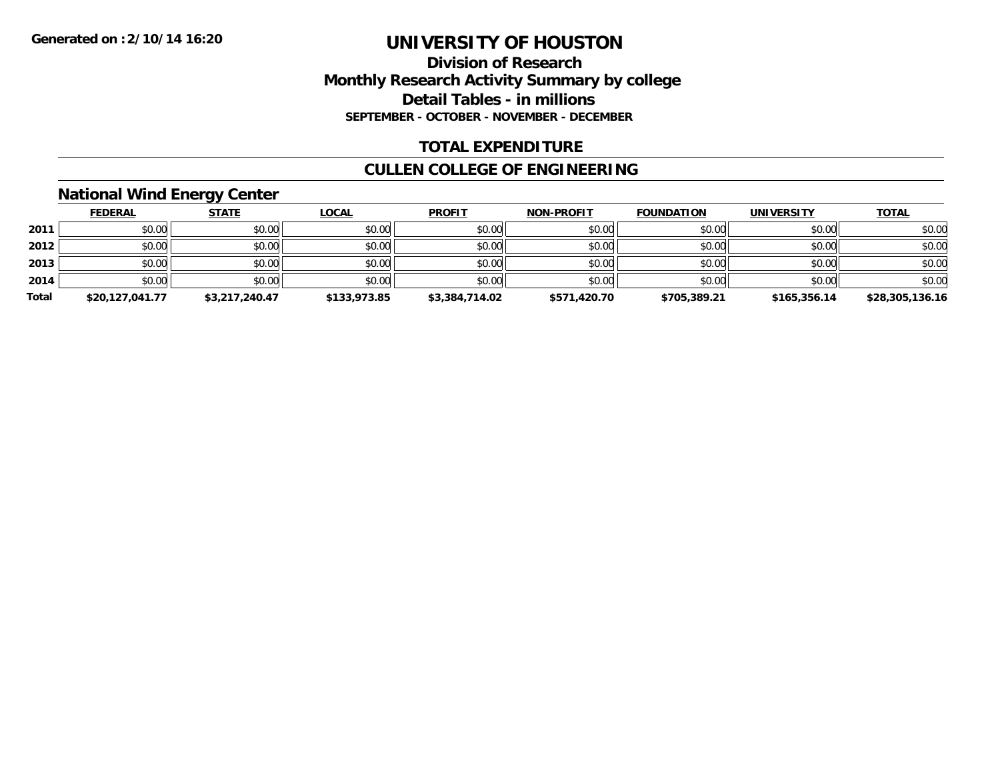#### **Division of Research Monthly Research Activity Summary by college Detail Tables - in millions SEPTEMBER - OCTOBER - NOVEMBER - DECEMBER**

#### **TOTAL EXPENDITURE**

## **CULLEN COLLEGE OF ENGINEERING**

#### **National Wind Energy Center**

|       | <b>FEDERAL</b>  | <b>STATE</b>   | <b>LOCAL</b> | <b>PROFIT</b>  | <b>NON-PROFIT</b> | <b>FOUNDATION</b> | <b>UNIVERSITY</b> | <b>TOTAL</b>    |
|-------|-----------------|----------------|--------------|----------------|-------------------|-------------------|-------------------|-----------------|
| 2011  | \$0.00          | \$0.00         | \$0.00       | \$0.00         | \$0.00            | \$0.00            | \$0.00            | \$0.00          |
| 2012  | \$0.00          | \$0.00         | \$0.00       | \$0.00         | \$0.00            | \$0.00            | \$0.00            | \$0.00          |
| 2013  | \$0.00          | \$0.00         | \$0.00       | \$0.00         | \$0.00            | \$0.00            | \$0.00            | \$0.00          |
| 2014  | \$0.00          | \$0.00         | \$0.00       | \$0.00         | \$0.00            | \$0.00            | \$0.00            | \$0.00          |
| Total | \$20,127,041.77 | \$3,217,240.47 | \$133,973.85 | \$3,384,714.02 | \$571,420.70      | \$705,389.21      | \$165,356.14      | \$28,305,136.16 |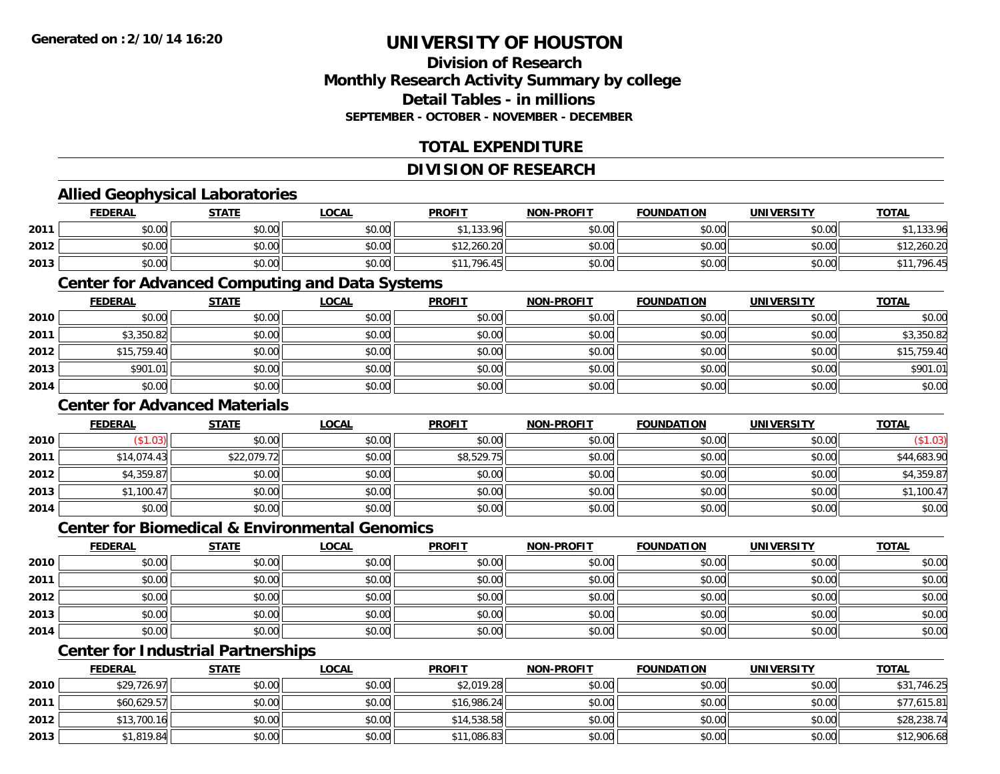## **Division of ResearchMonthly Research Activity Summary by college Detail Tables - in millionsSEPTEMBER - OCTOBER - NOVEMBER - DECEMBER**

## **TOTAL EXPENDITURE**

#### **DIVISION OF RESEARCH**

#### **Allied Geophysical Laboratories**

|      | <b>FEDERAL</b> | <b>STATE</b> | LOCAL  | <b>PROFIT</b>                | <b>NON-PROFIT</b> | <b>FOUNDATION</b> | <b>UNIVERSITY</b> | <b>TOTAL</b> |
|------|----------------|--------------|--------|------------------------------|-------------------|-------------------|-------------------|--------------|
| 2011 | \$0.00         | \$0.00       | \$0.00 | <b>\$113306</b>              | \$0.00            | \$0.00            | \$0.00            | 133.96       |
| 2012 | \$0.00         | \$0.00       | \$0.00 | \$12,260.20                  | \$0.00            | \$0.00            | \$0.00            | 12,260.20    |
| 2013 | \$0.00         | \$0.00       | \$0.00 | \$11,796.4<br>$\overline{A}$ | \$0.00            | \$0.00            | \$0.00            | .<br>,796.45 |

#### **Center for Advanced Computing and Data Systems**

|      | <u>FEDERAL</u> | <u>STATE</u> | <u>LOCAL</u> | <b>PROFIT</b> | <b>NON-PROFIT</b> | <b>FOUNDATION</b> | <b>UNIVERSITY</b> | <b>TOTAL</b> |
|------|----------------|--------------|--------------|---------------|-------------------|-------------------|-------------------|--------------|
| 2010 | \$0.00         | \$0.00       | \$0.00       | \$0.00        | \$0.00            | \$0.00            | \$0.00            | \$0.00       |
| 2011 | \$3,350.82     | \$0.00       | \$0.00       | \$0.00        | \$0.00            | \$0.00            | \$0.00            | \$3,350.82   |
| 2012 | \$15,759.40    | \$0.00       | \$0.00       | \$0.00        | \$0.00            | \$0.00            | \$0.00            | \$15,759.40  |
| 2013 | \$901.01       | \$0.00       | \$0.00       | \$0.00        | \$0.00            | \$0.00            | \$0.00            | \$901.01     |
| 2014 | \$0.00         | \$0.00       | \$0.00       | \$0.00        | \$0.00            | \$0.00            | \$0.00            | \$0.00       |

#### **Center for Advanced Materials**

|      | <b>FEDERAL</b> | <b>STATE</b> | <b>LOCAL</b> | <b>PROFIT</b> | <b>NON-PROFIT</b> | <b>FOUNDATION</b> | <b>UNIVERSITY</b> | <b>TOTAL</b> |
|------|----------------|--------------|--------------|---------------|-------------------|-------------------|-------------------|--------------|
| 2010 | \$1.03)        | \$0.00       | \$0.00       | \$0.00        | \$0.00            | \$0.00            | \$0.00            | (\$1.03)     |
| 2011 | \$14,074.43    | \$22,079.72  | \$0.00       | \$8,529.75    | \$0.00            | \$0.00            | \$0.00            | \$44,683.90  |
| 2012 | \$4,359.87     | \$0.00       | \$0.00       | \$0.00        | \$0.00            | \$0.00            | \$0.00            | \$4,359.87   |
| 2013 | \$1,100.47     | \$0.00       | \$0.00       | \$0.00        | \$0.00            | \$0.00            | \$0.00            | \$1,100.47   |
| 2014 | \$0.00         | \$0.00       | \$0.00       | \$0.00        | \$0.00            | \$0.00            | \$0.00            | \$0.00       |

#### **Center for Biomedical & Environmental Genomics**

|      | <u>FEDERAL</u> | <b>STATE</b> | <b>LOCAL</b> | <b>PROFIT</b> | <b>NON-PROFIT</b> | <b>FOUNDATION</b> | <b>UNIVERSITY</b> | <b>TOTAL</b> |
|------|----------------|--------------|--------------|---------------|-------------------|-------------------|-------------------|--------------|
| 2010 | \$0.00         | \$0.00       | \$0.00       | \$0.00        | \$0.00            | \$0.00            | \$0.00            | \$0.00       |
| 2011 | \$0.00         | \$0.00       | \$0.00       | \$0.00        | \$0.00            | \$0.00            | \$0.00            | \$0.00       |
| 2012 | \$0.00         | \$0.00       | \$0.00       | \$0.00        | \$0.00            | \$0.00            | \$0.00            | \$0.00       |
| 2013 | \$0.00         | \$0.00       | \$0.00       | \$0.00        | \$0.00            | \$0.00            | \$0.00            | \$0.00       |
| 2014 | \$0.00         | \$0.00       | \$0.00       | \$0.00        | \$0.00            | \$0.00            | \$0.00            | \$0.00       |

# **Center for Industrial Partnerships**

|      | <u>FEDERAL</u> | <b>STATE</b> | <b>LOCAL</b> | <b>PROFIT</b> | <b>NON-PROFIT</b> | <b>FOUNDATION</b> | <b>UNIVERSITY</b> | <b>TOTAL</b> |
|------|----------------|--------------|--------------|---------------|-------------------|-------------------|-------------------|--------------|
| 2010 | \$29,726.97    | \$0.00       | \$0.00       | \$2,019.28    | \$0.00            | \$0.00            | \$0.00            | \$31,746.25  |
| 2011 | \$60,629.57    | \$0.00       | \$0.00       | \$16,986.24   | \$0.00            | \$0.00            | \$0.00            | \$77,615.81  |
| 2012 | \$13,700.16    | \$0.00       | \$0.00       | \$14,538.58   | \$0.00            | \$0.00            | \$0.00            | \$28,238.74  |
| 2013 | \$1,819.84     | \$0.00       | \$0.00       | \$11,086.83   | \$0.00            | \$0.00            | \$0.00            | \$12,906.68  |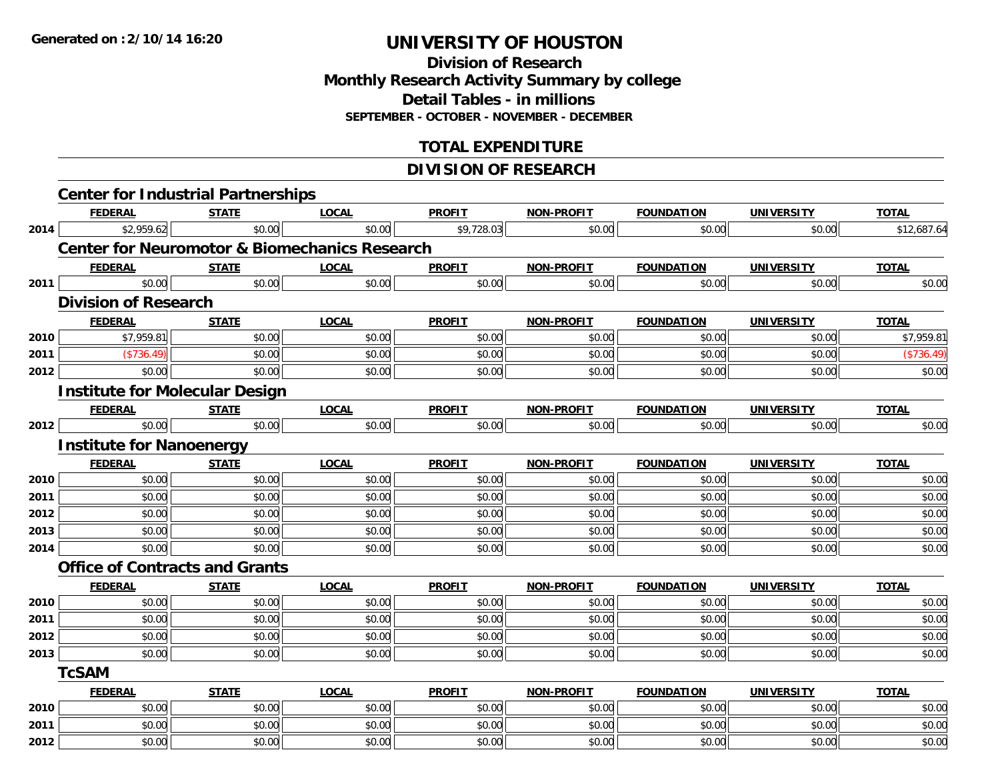**Division of Research Monthly Research Activity Summary by college Detail Tables - in millions SEPTEMBER - OCTOBER - NOVEMBER - DECEMBER**

## **TOTAL EXPENDITURE**

## **DIVISION OF RESEARCH**

|      | <b>Center for Industrial Partnerships</b>                |              |              |               |                   |                   |                   |              |
|------|----------------------------------------------------------|--------------|--------------|---------------|-------------------|-------------------|-------------------|--------------|
|      | <b>FEDERAL</b>                                           | <b>STATE</b> | <b>LOCAL</b> | <b>PROFIT</b> | NON-PROFIT        | <b>FOUNDATION</b> | <b>UNIVERSITY</b> | <b>TOTAL</b> |
| 2014 | \$2,959.62                                               | \$0.00       | \$0.00       | \$9,728.03    | \$0.00            | \$0.00            | \$0.00            | \$12,687.64  |
|      | <b>Center for Neuromotor &amp; Biomechanics Research</b> |              |              |               |                   |                   |                   |              |
|      | <b>FEDERAL</b>                                           | <b>STATE</b> | <b>LOCAL</b> | <b>PROFIT</b> | NON-PROFIT        | <b>FOUNDATION</b> | <b>UNIVERSITY</b> | <b>TOTAL</b> |
| 2011 | \$0.00                                                   | \$0.00       | \$0.00       | \$0.00        | \$0.00            | \$0.00            | \$0.00            | \$0.00       |
|      | <b>Division of Research</b>                              |              |              |               |                   |                   |                   |              |
|      | <b>FEDERAL</b>                                           | <b>STATE</b> | <b>LOCAL</b> | <b>PROFIT</b> | <b>NON-PROFIT</b> | <b>FOUNDATION</b> | <b>UNIVERSITY</b> | <b>TOTAL</b> |
| 2010 | \$7,959.81                                               | \$0.00       | \$0.00       | \$0.00        | \$0.00            | \$0.00            | \$0.00            | \$7,959.81   |
| 2011 | (\$736.49)                                               | \$0.00       | \$0.00       | \$0.00        | \$0.00            | \$0.00            | \$0.00            | (\$736.49)   |
| 2012 | \$0.00                                                   | \$0.00       | \$0.00       | \$0.00        | \$0.00            | \$0.00            | \$0.00            | \$0.00       |
|      | <b>Institute for Molecular Design</b>                    |              |              |               |                   |                   |                   |              |
|      | <b>FEDERAL</b>                                           | <b>STATE</b> | <b>LOCAL</b> | <b>PROFIT</b> | NON-PROFIT        | <b>FOUNDATION</b> | <b>UNIVERSITY</b> | <b>TOTAL</b> |
| 2012 | \$0.00                                                   | \$0.00       | \$0.00       | \$0.00        | \$0.00            | \$0.00            | \$0.00            | \$0.00       |
|      | <b>Institute for Nanoenergy</b>                          |              |              |               |                   |                   |                   |              |
|      | <b>FEDERAL</b>                                           | <b>STATE</b> | <b>LOCAL</b> | <b>PROFIT</b> | NON-PROFIT        | <b>FOUNDATION</b> | <b>UNIVERSITY</b> | <b>TOTAL</b> |
| 2010 | \$0.00                                                   | \$0.00       | \$0.00       | \$0.00        | \$0.00            | \$0.00            | \$0.00            | \$0.00       |
| 2011 | \$0.00                                                   | \$0.00       | \$0.00       | \$0.00        | \$0.00            | \$0.00            | \$0.00            | \$0.00       |
| 2012 | \$0.00                                                   | \$0.00       | \$0.00       | \$0.00        | \$0.00            | \$0.00            | \$0.00            | \$0.00       |
| 2013 | \$0.00                                                   | \$0.00       | \$0.00       | \$0.00        | \$0.00            | \$0.00            | \$0.00            | \$0.00       |
| 2014 | \$0.00                                                   | \$0.00       | \$0.00       | \$0.00        | \$0.00            | \$0.00            | \$0.00            | \$0.00       |
|      | <b>Office of Contracts and Grants</b>                    |              |              |               |                   |                   |                   |              |
|      | <b>FEDERAL</b>                                           | <b>STATE</b> | <b>LOCAL</b> | <b>PROFIT</b> | <b>NON-PROFIT</b> | <b>FOUNDATION</b> | <b>UNIVERSITY</b> | <b>TOTAL</b> |
| 2010 | \$0.00                                                   | \$0.00       | \$0.00       | \$0.00        | \$0.00            | \$0.00            | \$0.00            | \$0.00       |
| 2011 | \$0.00                                                   | \$0.00       | \$0.00       | \$0.00        | \$0.00            | \$0.00            | \$0.00            | \$0.00       |
| 2012 | \$0.00                                                   | \$0.00       | \$0.00       | \$0.00        | \$0.00            | \$0.00            | \$0.00            | \$0.00       |
| 2013 | \$0.00                                                   | \$0.00       | \$0.00       | \$0.00        | \$0.00            | \$0.00            | \$0.00            | \$0.00       |
|      | <b>TcSAM</b>                                             |              |              |               |                   |                   |                   |              |
|      | <b>FEDERAL</b>                                           | <b>STATE</b> | <b>LOCAL</b> | <b>PROFIT</b> | <b>NON-PROFIT</b> | <b>FOUNDATION</b> | <b>UNIVERSITY</b> | <b>TOTAL</b> |
| 2010 | \$0.00                                                   | \$0.00       | \$0.00       | \$0.00        | \$0.00            | \$0.00            | \$0.00            | \$0.00       |
| 2011 | \$0.00                                                   | \$0.00       | \$0.00       | \$0.00        | \$0.00            | \$0.00            | \$0.00            | \$0.00       |
| 2012 | \$0.00                                                   | \$0.00       | \$0.00       | \$0.00        | \$0.00            | \$0.00            | \$0.00            | \$0.00       |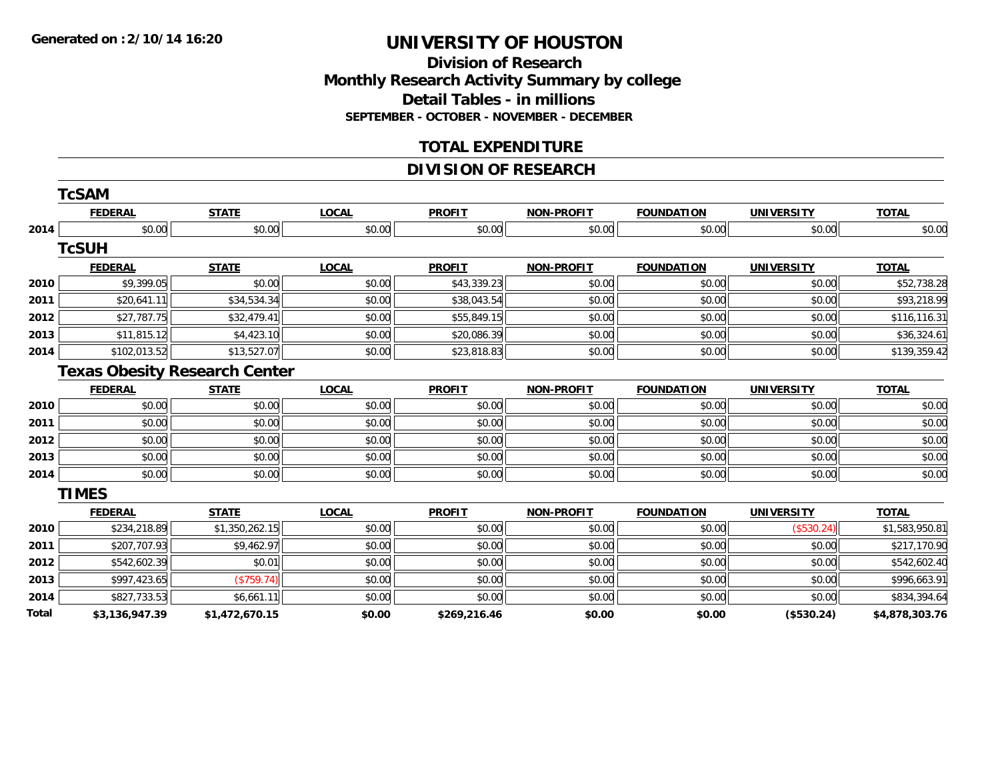**Division of Research Monthly Research Activity Summary by college Detail Tables - in millions SEPTEMBER - OCTOBER - NOVEMBER - DECEMBER**

#### **TOTAL EXPENDITURE**

## **DIVISION OF RESEARCH**

|              | <b>TcSAM</b>                         |                |              |               |                   |                   |                   |                |
|--------------|--------------------------------------|----------------|--------------|---------------|-------------------|-------------------|-------------------|----------------|
|              | <b>FEDERAL</b>                       | <b>STATE</b>   | <b>LOCAL</b> | <b>PROFIT</b> | <b>NON-PROFIT</b> | <b>FOUNDATION</b> | <b>UNIVERSITY</b> | <b>TOTAL</b>   |
| 2014         | \$0.00                               | \$0.00         | \$0.00       | \$0.00        | \$0.00            | \$0.00            | \$0.00            | \$0.00         |
|              | <b>TcSUH</b>                         |                |              |               |                   |                   |                   |                |
|              | <b>FEDERAL</b>                       | <b>STATE</b>   | <b>LOCAL</b> | <b>PROFIT</b> | <b>NON-PROFIT</b> | <b>FOUNDATION</b> | <b>UNIVERSITY</b> | <b>TOTAL</b>   |
| 2010         | \$9,399.05                           | \$0.00         | \$0.00       | \$43,339.23   | \$0.00            | \$0.00            | \$0.00            | \$52,738.28    |
| 2011         | \$20,641.11                          | \$34,534.34    | \$0.00       | \$38,043.54   | \$0.00            | \$0.00            | \$0.00            | \$93,218.99    |
| 2012         | \$27,787.75                          | \$32,479.41    | \$0.00       | \$55,849.15   | \$0.00            | \$0.00            | \$0.00            | \$116,116.31   |
| 2013         | \$11,815.12                          | \$4,423.10     | \$0.00       | \$20,086.39   | \$0.00            | \$0.00            | \$0.00            | \$36,324.61    |
| 2014         | \$102,013.52                         | \$13,527.07    | \$0.00       | \$23,818.83   | \$0.00            | \$0.00            | \$0.00            | \$139,359.42   |
|              | <b>Texas Obesity Research Center</b> |                |              |               |                   |                   |                   |                |
|              | <b>FEDERAL</b>                       | <b>STATE</b>   | <b>LOCAL</b> | <b>PROFIT</b> | <b>NON-PROFIT</b> | <b>FOUNDATION</b> | <b>UNIVERSITY</b> | <b>TOTAL</b>   |
| 2010         | \$0.00                               | \$0.00         | \$0.00       | \$0.00        | \$0.00            | \$0.00            | \$0.00            | \$0.00         |
| 2011         | \$0.00                               | \$0.00         | \$0.00       | \$0.00        | \$0.00            | \$0.00            | \$0.00            | \$0.00         |
| 2012         | \$0.00                               | \$0.00         | \$0.00       | \$0.00        | \$0.00            | \$0.00            | \$0.00            | \$0.00         |
| 2013         | \$0.00                               | \$0.00         | \$0.00       | \$0.00        | \$0.00            | \$0.00            | \$0.00            | \$0.00         |
| 2014         | \$0.00                               | \$0.00         | \$0.00       | \$0.00        | \$0.00            | \$0.00            | \$0.00            | \$0.00         |
|              | <b>TIMES</b>                         |                |              |               |                   |                   |                   |                |
|              | <b>FEDERAL</b>                       | <b>STATE</b>   | <b>LOCAL</b> | <b>PROFIT</b> | <b>NON-PROFIT</b> | <b>FOUNDATION</b> | <b>UNIVERSITY</b> | <b>TOTAL</b>   |
| 2010         | \$234,218.89                         | \$1,350,262.15 | \$0.00       | \$0.00        | \$0.00            | \$0.00            | (\$530.24)        | \$1,583,950.81 |
| 2011         | \$207,707.93                         | \$9,462.97     | \$0.00       | \$0.00        | \$0.00            | \$0.00            | \$0.00            | \$217,170.90   |
| 2012         | \$542,602.39                         | \$0.01         | \$0.00       | \$0.00        | \$0.00            | \$0.00            | \$0.00            | \$542,602.40   |
| 2013         | \$997,423.65                         | (\$759.74)     | \$0.00       | \$0.00        | \$0.00            | \$0.00            | \$0.00            | \$996,663.91   |
| 2014         | \$827,733.53                         | \$6,661.11     | \$0.00       | \$0.00        | \$0.00            | \$0.00            | \$0.00            | \$834,394.64   |
| <b>Total</b> | \$3,136,947.39                       | \$1,472,670.15 | \$0.00       | \$269,216.46  | \$0.00            | \$0.00            | (\$530.24)        | \$4,878,303.76 |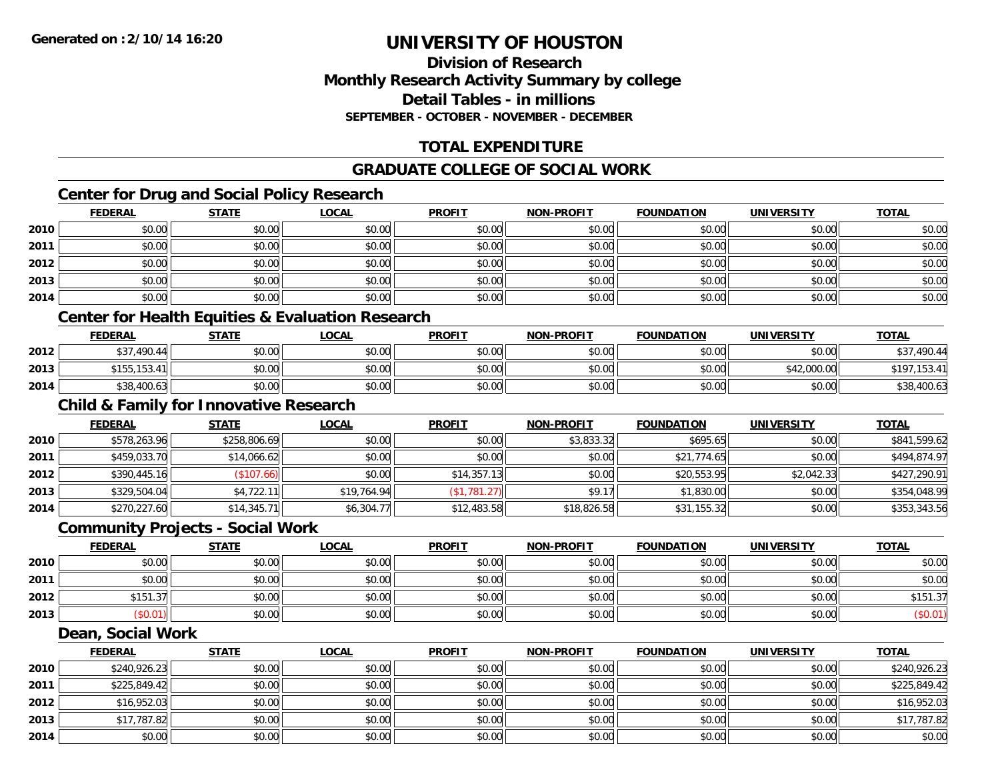## **Division of ResearchMonthly Research Activity Summary by college Detail Tables - in millionsSEPTEMBER - OCTOBER - NOVEMBER - DECEMBER**

# **TOTAL EXPENDITURE**

## **GRADUATE COLLEGE OF SOCIAL WORK**

# **Center for Drug and Social Policy Research**

|      | <b>FEDERAL</b>               | <b>STATE</b> | <u>LOCAL</u>                  | <b>PROFIT</b> | <b>NON-PROFIT</b> | <b>FOUNDATION</b> | <b>UNIVERSITY</b> | <b>TOTAL</b> |
|------|------------------------------|--------------|-------------------------------|---------------|-------------------|-------------------|-------------------|--------------|
| 2010 | \$0.00                       | \$0.00       | \$0.00                        | \$0.00        | \$0.00            | \$0.00            | \$0.00            | \$0.00       |
| 2011 | \$0.00                       | \$0.00       | \$0.00                        | \$0.00        | \$0.00            | \$0.00            | \$0.00            | \$0.00       |
| 2012 | \$0.00                       | \$0.00       | \$0.00                        | \$0.00        | \$0.00            | \$0.00            | \$0.00            | \$0.00       |
| 2013 | \$0.00                       | \$0.00       | \$0.00                        | \$0.00        | \$0.00            | \$0.00            | \$0.00            | \$0.00       |
| 2014 | \$0.00                       | \$0.00       | \$0.00                        | \$0.00        | \$0.00            | \$0.00            | \$0.00            | \$0.00       |
|      | .<br>$\rightarrow$<br>$\sim$ | .            | .<br>$\overline{\phantom{a}}$ |               |                   |                   |                   |              |

#### **Center for Health Equities & Evaluation Research**

|      | <b>FEDERAL</b> | <b>STATE</b> | <u>LOCAL</u> | <b>PROFIT</b> | <b>NON-PROFIT</b> | <b>FOUNDATION</b> | UNIVERSITY  | <b>TOTAL</b>   |
|------|----------------|--------------|--------------|---------------|-------------------|-------------------|-------------|----------------|
| 2012 | \$37,490.44    | \$0.00       | \$0.00       | \$0.00        | \$0.00            | \$0.00            | \$0.00      | .490.44        |
| 2013 | \$155,153.4    | \$0.00       | \$0.00       | \$0.00        | \$0.00            | \$0.00            | \$42,000.00 | 5197<br>153.41 |
| 2014 | \$38,400.63    | \$0.00       | \$0.00       | \$0.00        | \$0.00            | \$0.00            | \$0.00      | \$38,400.63    |

# **Child & Family for Innovative Research**

|      | <b>FEDERAL</b> | <b>STATE</b> | <b>LOCAL</b> | <b>PROFIT</b> | <b>NON-PROFIT</b> | <b>FOUNDATION</b> | <b>UNIVERSITY</b> | <b>TOTAL</b> |
|------|----------------|--------------|--------------|---------------|-------------------|-------------------|-------------------|--------------|
| 2010 | \$578,263.96   | \$258,806.69 | \$0.00       | \$0.00        | \$3,833.32        | \$695.65          | \$0.00            | \$841,599.62 |
| 2011 | \$459,033.70   | \$14,066.62  | \$0.00       | \$0.00        | \$0.00            | \$21,774.65       | \$0.00            | \$494,874.97 |
| 2012 | \$390,445.16   | (\$107.66)   | \$0.00       | \$14,357.13   | \$0.00            | \$20,553.95       | \$2,042.33        | \$427,290.91 |
| 2013 | \$329,504.04   | \$4,722.11   | \$19,764.94  | (\$1,781.27)  | \$9.17            | \$1,830.00        | \$0.00            | \$354,048.99 |
| 2014 | \$270,227.60   | \$14,345.71  | \$6,304.77   | \$12,483.58   | \$18,826.58       | \$31,155.32       | \$0.00            | \$353,343.56 |

#### **Community Projects - Social Work**

|      | <b>FEDERAL</b> | <b>STATE</b> | <b>LOCAL</b> | <b>PROFIT</b> | <b>NON-PROFIT</b> | <b>FOUNDATION</b> | UNIVERSITY | <b>TOTAL</b> |
|------|----------------|--------------|--------------|---------------|-------------------|-------------------|------------|--------------|
| 2010 | \$0.00         | \$0.00       | \$0.00       | \$0.00        | \$0.00            | \$0.00            | \$0.00     | \$0.00       |
| 2011 | \$0.00         | \$0.00       | \$0.00       | \$0.00        | \$0.00            | \$0.00            | \$0.00     | \$0.00       |
| 2012 | \$151.37       | \$0.00       | \$0.00       | \$0.00        | \$0.00            | \$0.00            | \$0.00     | \$151.37     |
| 2013 | \$0.01         | \$0.00       | \$0.00       | \$0.00        | \$0.00            | \$0.00            | \$0.00     | (\$0.01)     |

#### **Dean, Social Work**

|      | <b>FEDERAL</b> | <b>STATE</b> | <u>LOCAL</u> | <b>PROFIT</b> | <b>NON-PROFIT</b> | <b>FOUNDATION</b> | <b>UNIVERSITY</b> | <b>TOTAL</b> |
|------|----------------|--------------|--------------|---------------|-------------------|-------------------|-------------------|--------------|
| 2010 | \$240,926.23   | \$0.00       | \$0.00       | \$0.00        | \$0.00            | \$0.00            | \$0.00            | \$240,926.23 |
| 2011 | \$225,849.42   | \$0.00       | \$0.00       | \$0.00        | \$0.00            | \$0.00            | \$0.00            | \$225,849.42 |
| 2012 | \$16,952.03    | \$0.00       | \$0.00       | \$0.00        | \$0.00            | \$0.00            | \$0.00            | \$16,952.03  |
| 2013 | \$17,787.82    | \$0.00       | \$0.00       | \$0.00        | \$0.00            | \$0.00            | \$0.00            | \$17,787.82  |
| 2014 | \$0.00         | \$0.00       | \$0.00       | \$0.00        | \$0.00            | \$0.00            | \$0.00            | \$0.00       |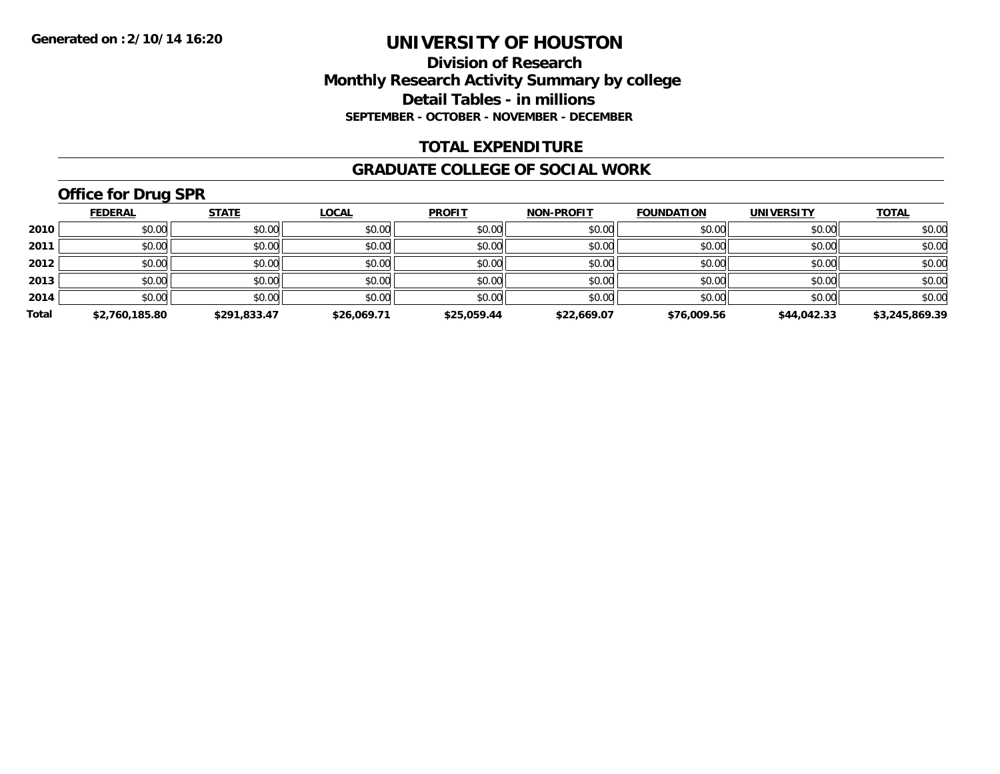#### **Division of Research Monthly Research Activity Summary by college Detail Tables - in millions SEPTEMBER - OCTOBER - NOVEMBER - DECEMBER**

#### **TOTAL EXPENDITURE**

#### **GRADUATE COLLEGE OF SOCIAL WORK**

# **Office for Drug SPR**

|       | <b>FEDERAL</b> | <b>STATE</b> | <b>LOCAL</b> | <b>PROFIT</b> | <b>NON-PROFIT</b> | <b>FOUNDATION</b> | <b>UNIVERSITY</b> | <b>TOTAL</b>   |
|-------|----------------|--------------|--------------|---------------|-------------------|-------------------|-------------------|----------------|
| 2010  | \$0.00         | \$0.00       | \$0.00       | \$0.00        | \$0.00            | \$0.00            | \$0.00            | \$0.00         |
| 2011  | \$0.00         | \$0.00       | \$0.00       | \$0.00        | \$0.00            | \$0.00            | \$0.00            | \$0.00         |
| 2012  | \$0.00         | \$0.00       | \$0.00       | \$0.00        | \$0.00            | \$0.00            | \$0.00            | \$0.00         |
| 2013  | \$0.00         | \$0.00       | \$0.00       | \$0.00        | \$0.00            | \$0.00            | \$0.00            | \$0.00         |
| 2014  | \$0.00         | \$0.00       | \$0.00       | \$0.00        | \$0.00            | \$0.00            | \$0.00            | \$0.00         |
| Total | \$2,760,185.80 | \$291.833.47 | \$26,069.71  | \$25,059.44   | \$22,669.07       | \$76,009.56       | \$44,042.33       | \$3,245,869.39 |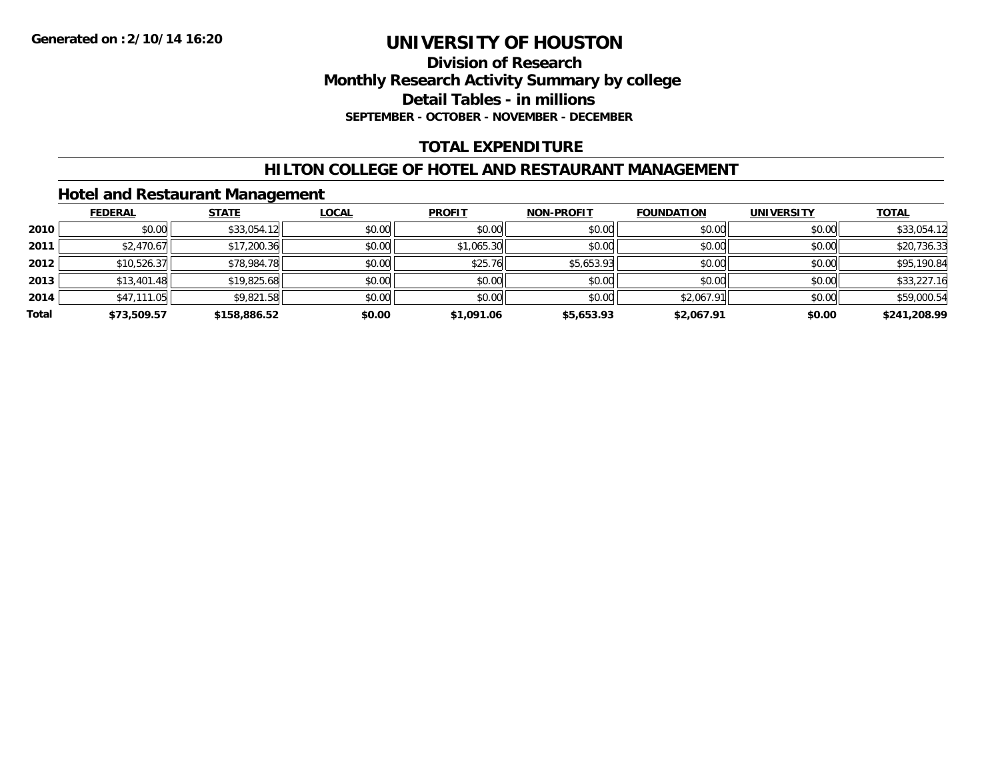#### **Division of Research Monthly Research Activity Summary by college Detail Tables - in millions SEPTEMBER - OCTOBER - NOVEMBER - DECEMBER**

## **TOTAL EXPENDITURE**

#### **HILTON COLLEGE OF HOTEL AND RESTAURANT MANAGEMENT**

## **Hotel and Restaurant Management**

|       | <b>FEDERAL</b> | <b>STATE</b> | <u>LOCAL</u> | <b>PROFIT</b> | <b>NON-PROFIT</b> | <b>FOUNDATION</b> | <b>UNIVERSITY</b> | <b>TOTAL</b> |
|-------|----------------|--------------|--------------|---------------|-------------------|-------------------|-------------------|--------------|
| 2010  | \$0.00         | \$33,054.12  | \$0.00       | \$0.00        | \$0.00            | \$0.00            | \$0.00            | \$33,054.12  |
| 2011  | \$2,470.67     | \$17,200.36  | \$0.00       | \$1,065.30    | \$0.00            | \$0.00            | \$0.00            | \$20,736.33  |
| 2012  | \$10,526.37    | \$78,984.78  | \$0.00       | \$25.76       | \$5,653.93        | \$0.00            | \$0.00            | \$95,190.84  |
| 2013  | \$13,401.48    | \$19,825.68  | \$0.00       | \$0.00        | \$0.00            | \$0.00            | \$0.00            | \$33,227.16  |
| 2014  | \$47,111.05    | \$9,821.58   | \$0.00       | \$0.00        | \$0.00            | \$2,067.91        | \$0.00            | \$59,000.54  |
| Total | \$73,509.57    | \$158,886.52 | \$0.00       | \$1,091.06    | \$5,653.93        | \$2,067.91        | \$0.00            | \$241,208.99 |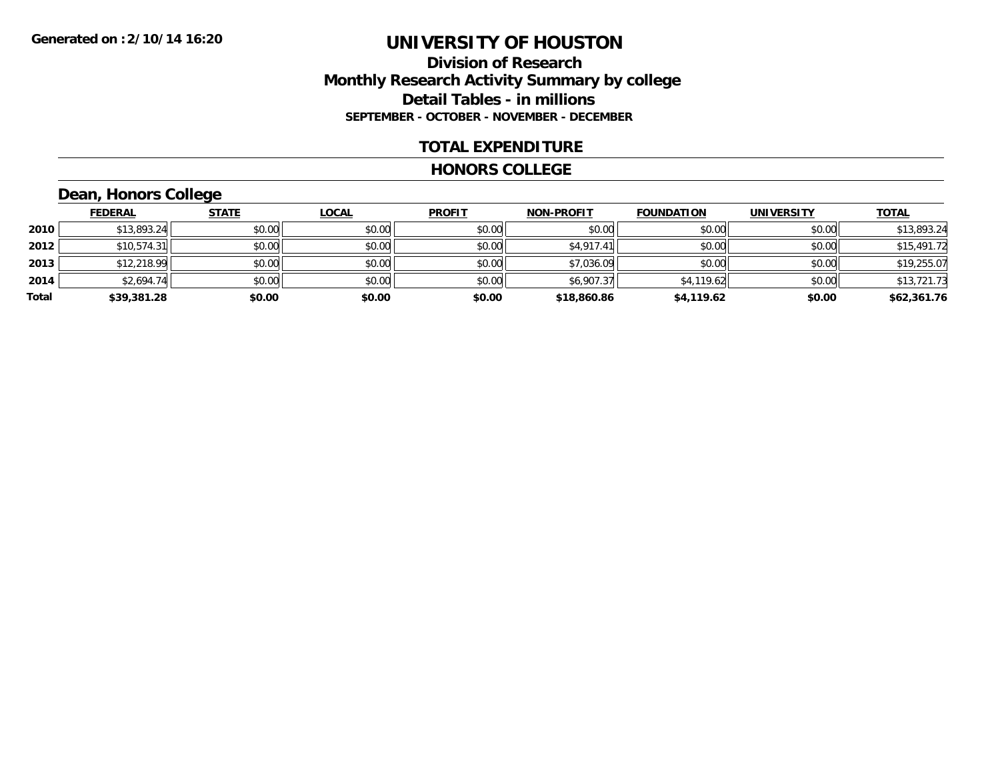#### **Division of Research Monthly Research Activity Summary by college Detail Tables - in millions SEPTEMBER - OCTOBER - NOVEMBER - DECEMBER**

#### **TOTAL EXPENDITURE**

#### **HONORS COLLEGE**

# **Dean, Honors College**

|       | <b>FEDERAL</b> | <b>STATE</b> | <b>LOCAL</b> | <b>PROFIT</b> | <b>NON-PROFIT</b> | <b>FOUNDATION</b> | <b>UNIVERSITY</b> | <b>TOTAL</b> |
|-------|----------------|--------------|--------------|---------------|-------------------|-------------------|-------------------|--------------|
| 2010  | \$13,893.24    | \$0.00       | \$0.00       | \$0.00        | \$0.00            | \$0.00            | \$0.00            | \$13,893.24  |
| 2012  | \$10,574.31    | \$0.00       | \$0.00       | \$0.00        | \$4,917.41        | \$0.00            | \$0.00            | \$15,491.72  |
| 2013  | \$12,218.99    | \$0.00       | \$0.00       | \$0.00        | \$7,036.09        | \$0.00            | \$0.00            | \$19,255.07  |
| 2014  | \$2,694.74     | \$0.00       | \$0.00       | \$0.00        | \$6,907.37        | \$4,119.62        | \$0.00            | \$13,721.73  |
| Total | \$39,381.28    | \$0.00       | \$0.00       | \$0.00        | \$18,860.86       | \$4,119.62        | \$0.00            | \$62,361.76  |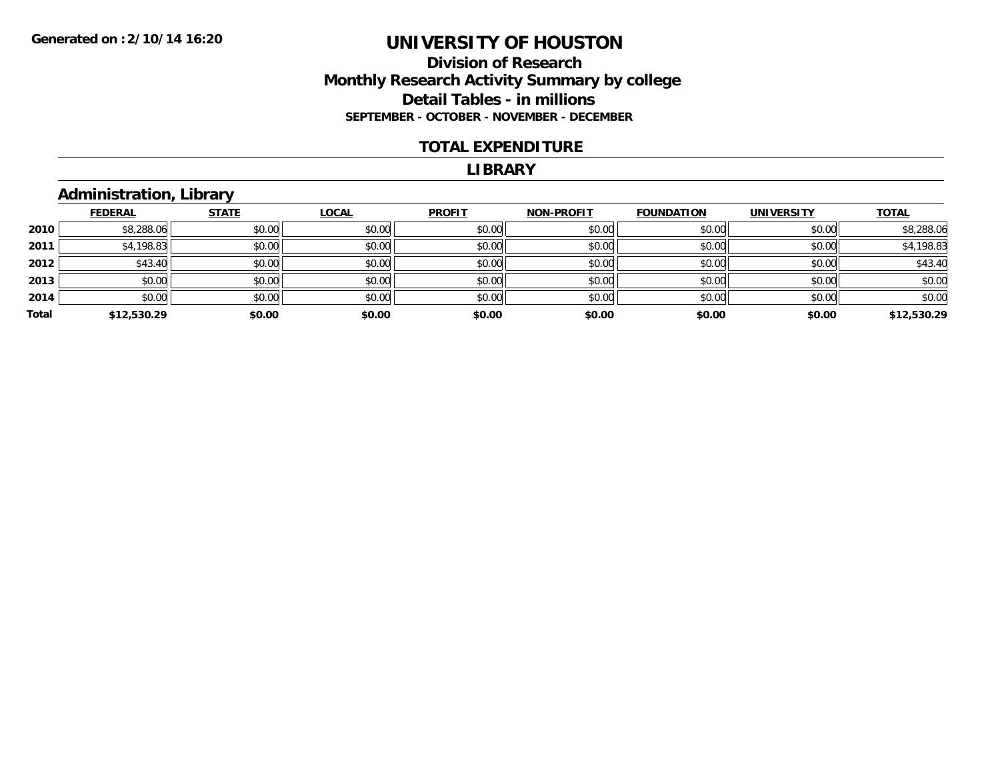#### **Division of Research Monthly Research Activity Summary by college Detail Tables - in millions SEPTEMBER - OCTOBER - NOVEMBER - DECEMBER**

#### **TOTAL EXPENDITURE**

#### **LIBRARY**

# **Administration, Library**

|       | <b>FEDERAL</b> | <b>STATE</b> | <b>LOCAL</b> | <b>PROFIT</b> | <b>NON-PROFIT</b> | <b>FOUNDATION</b> | <b>UNIVERSITY</b> | <b>TOTAL</b> |
|-------|----------------|--------------|--------------|---------------|-------------------|-------------------|-------------------|--------------|
| 2010  | \$8,288.06     | \$0.00       | \$0.00       | \$0.00        | \$0.00            | \$0.00            | \$0.00            | \$8,288.06   |
| 2011  | \$4,198.83     | \$0.00       | \$0.00       | \$0.00        | \$0.00            | \$0.00            | \$0.00            | \$4,198.83   |
| 2012  | \$43.40        | \$0.00       | \$0.00       | \$0.00        | \$0.00            | \$0.00            | \$0.00            | \$43.40      |
| 2013  | \$0.00         | \$0.00       | \$0.00       | \$0.00        | \$0.00            | \$0.00            | \$0.00            | \$0.00       |
| 2014  | \$0.00         | \$0.00       | \$0.00       | \$0.00        | \$0.00            | \$0.00            | \$0.00            | \$0.00       |
| Total | \$12,530.29    | \$0.00       | \$0.00       | \$0.00        | \$0.00            | \$0.00            | \$0.00            | \$12,530.29  |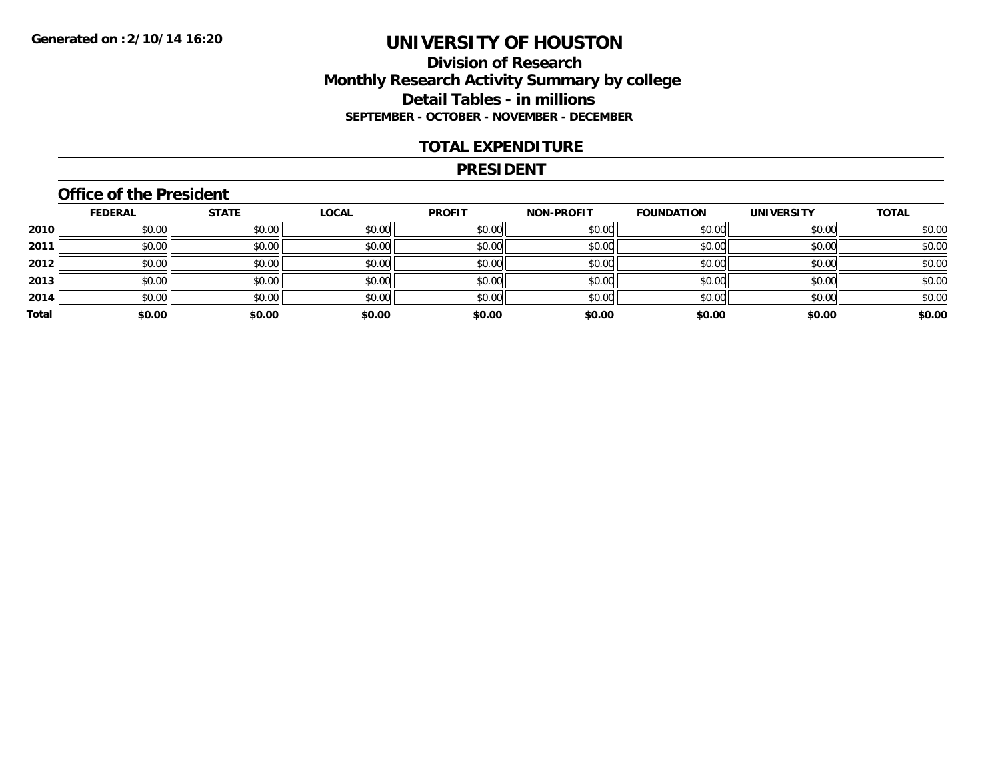#### **Division of Research Monthly Research Activity Summary by college Detail Tables - in millions SEPTEMBER - OCTOBER - NOVEMBER - DECEMBER**

#### **TOTAL EXPENDITURE**

#### **PRESIDENT**

## **Office of the President**

|       | <b>FEDERAL</b> | <b>STATE</b> | <b>LOCAL</b> | <b>PROFIT</b> | <b>NON-PROFIT</b> | <b>FOUNDATION</b> | <b>UNIVERSITY</b> | <b>TOTAL</b> |
|-------|----------------|--------------|--------------|---------------|-------------------|-------------------|-------------------|--------------|
| 2010  | \$0.00         | \$0.00       | \$0.00       | \$0.00        | \$0.00            | \$0.00            | \$0.00            | \$0.00       |
| 2011  | \$0.00         | \$0.00       | \$0.00       | \$0.00        | \$0.00            | \$0.00            | \$0.00            | \$0.00       |
| 2012  | \$0.00         | \$0.00       | \$0.00       | \$0.00        | \$0.00            | \$0.00            | \$0.00            | \$0.00       |
| 2013  | \$0.00         | \$0.00       | \$0.00       | \$0.00        | \$0.00            | \$0.00            | \$0.00            | \$0.00       |
| 2014  | \$0.00         | \$0.00       | \$0.00       | \$0.00        | \$0.00            | \$0.00            | \$0.00            | \$0.00       |
| Total | \$0.00         | \$0.00       | \$0.00       | \$0.00        | \$0.00            | \$0.00            | \$0.00            | \$0.00       |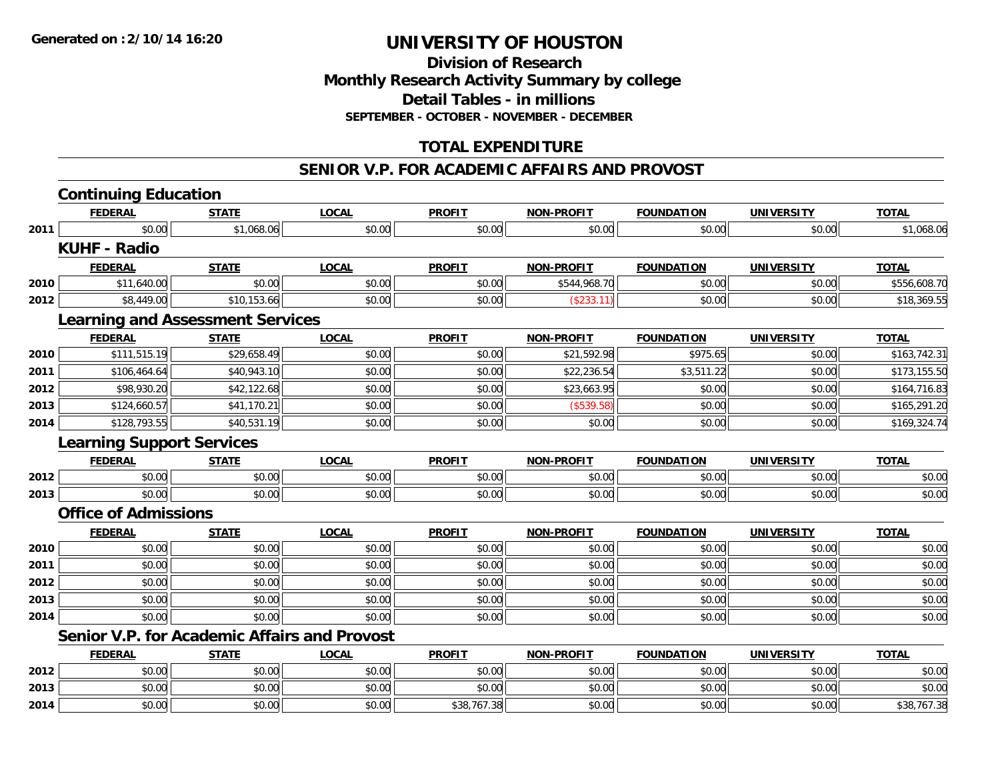**2014**

# **UNIVERSITY OF HOUSTON**

## **Division of ResearchMonthly Research Activity Summary by college Detail Tables - in millions SEPTEMBER - OCTOBER - NOVEMBER - DECEMBER**

# **TOTAL EXPENDITURE**

#### **SENIOR V.P. FOR ACADEMIC AFFAIRS AND PROVOST**

|      | <b>Continuing Education</b>             |              |                                                     |               |                   |                   |                   |              |
|------|-----------------------------------------|--------------|-----------------------------------------------------|---------------|-------------------|-------------------|-------------------|--------------|
|      | <b>FEDERAL</b>                          | <b>STATE</b> | <b>LOCAL</b>                                        | <b>PROFIT</b> | <b>NON-PROFIT</b> | <b>FOUNDATION</b> | <b>UNIVERSITY</b> | <b>TOTAL</b> |
| 2011 | \$0.00                                  | \$1,068.06   | \$0.00                                              | \$0.00        | \$0.00            | \$0.00            | \$0.00            | \$1,068.06   |
|      | <b>KUHF - Radio</b>                     |              |                                                     |               |                   |                   |                   |              |
|      | <b>FEDERAL</b>                          | <b>STATE</b> | <b>LOCAL</b>                                        | <b>PROFIT</b> | <b>NON-PROFIT</b> | <b>FOUNDATION</b> | <b>UNIVERSITY</b> | <b>TOTAL</b> |
| 2010 | \$11,640.00                             | \$0.00       | \$0.00                                              | \$0.00        | \$544,968.70      | \$0.00            | \$0.00            | \$556,608.70 |
| 2012 | \$8,449.00                              | \$10,153.66  | \$0.00                                              | \$0.00        | (\$233.11)        | \$0.00            | \$0.00            | \$18,369.55  |
|      | <b>Learning and Assessment Services</b> |              |                                                     |               |                   |                   |                   |              |
|      | <b>FEDERAL</b>                          | <b>STATE</b> | <b>LOCAL</b>                                        | <b>PROFIT</b> | <b>NON-PROFIT</b> | <b>FOUNDATION</b> | <b>UNIVERSITY</b> | <b>TOTAL</b> |
| 2010 | \$111,515.19                            | \$29,658.49  | \$0.00                                              | \$0.00        | \$21,592.98       | \$975.65          | \$0.00            | \$163,742.31 |
| 2011 | \$106,464.64                            | \$40,943.10  | \$0.00                                              | \$0.00        | \$22,236.54       | \$3,511.22        | \$0.00            | \$173,155.50 |
| 2012 | \$98,930.20                             | \$42,122.68  | \$0.00                                              | \$0.00        | \$23,663.95       | \$0.00            | \$0.00            | \$164,716.83 |
| 2013 | \$124,660.57                            | \$41,170.21  | \$0.00                                              | \$0.00        | (\$539.58)        | \$0.00            | \$0.00            | \$165,291.20 |
| 2014 | \$128,793.55                            | \$40,531.19  | \$0.00                                              | \$0.00        | \$0.00            | \$0.00            | \$0.00            | \$169,324.74 |
|      | <b>Learning Support Services</b>        |              |                                                     |               |                   |                   |                   |              |
|      | <b>FEDERAL</b>                          | <b>STATE</b> | <b>LOCAL</b>                                        | <b>PROFIT</b> | <b>NON-PROFIT</b> | <b>FOUNDATION</b> | <b>UNIVERSITY</b> | <b>TOTAL</b> |
| 2012 | \$0.00                                  | \$0.00       | \$0.00                                              | \$0.00        | \$0.00            | \$0.00            | \$0.00            | \$0.00       |
| 2013 | \$0.00                                  | \$0.00       | \$0.00                                              | \$0.00        | \$0.00            | \$0.00            | \$0.00            | \$0.00       |
|      | <b>Office of Admissions</b>             |              |                                                     |               |                   |                   |                   |              |
|      | <b>FEDERAL</b>                          | <b>STATE</b> | <b>LOCAL</b>                                        | <b>PROFIT</b> | <b>NON-PROFIT</b> | <b>FOUNDATION</b> | <b>UNIVERSITY</b> | <b>TOTAL</b> |
| 2010 | \$0.00                                  | \$0.00       | \$0.00                                              | \$0.00        | \$0.00            | \$0.00            | \$0.00            | \$0.00       |
| 2011 | \$0.00                                  | \$0.00       | \$0.00                                              | \$0.00        | \$0.00            | \$0.00            | \$0.00            | \$0.00       |
| 2012 | \$0.00                                  | \$0.00       | \$0.00                                              | \$0.00        | \$0.00            | \$0.00            | \$0.00            | \$0.00       |
| 2013 | \$0.00                                  | \$0.00       | \$0.00                                              | \$0.00        | \$0.00            | \$0.00            | \$0.00            | \$0.00       |
| 2014 | \$0.00                                  | \$0.00       | \$0.00                                              | \$0.00        | \$0.00            | \$0.00            | \$0.00            | \$0.00       |
|      |                                         |              | <b>Senior V.P. for Academic Affairs and Provost</b> |               |                   |                   |                   |              |
|      | <b>FEDERAL</b>                          | <b>STATE</b> | <b>LOCAL</b>                                        | <b>PROFIT</b> | <b>NON-PROFIT</b> | <b>FOUNDATION</b> | <b>UNIVERSITY</b> | <b>TOTAL</b> |
| 2012 | \$0.00                                  | \$0.00       | \$0.00                                              | \$0.00        | \$0.00            | \$0.00            | \$0.00            | \$0.00       |
| 2013 | \$0.00                                  | \$0.00       | \$0.00                                              | \$0.00        | \$0.00            | \$0.00            | \$0.00            | \$0.00       |

4 \$0.00 \$0.00 \$0.00 \$0.00 \$0.00 \$0.00 \$38,767.38 \$0.00 \$0.00 \$0.00 \$0.00 \$0.00 \$0.00 \$38,767.38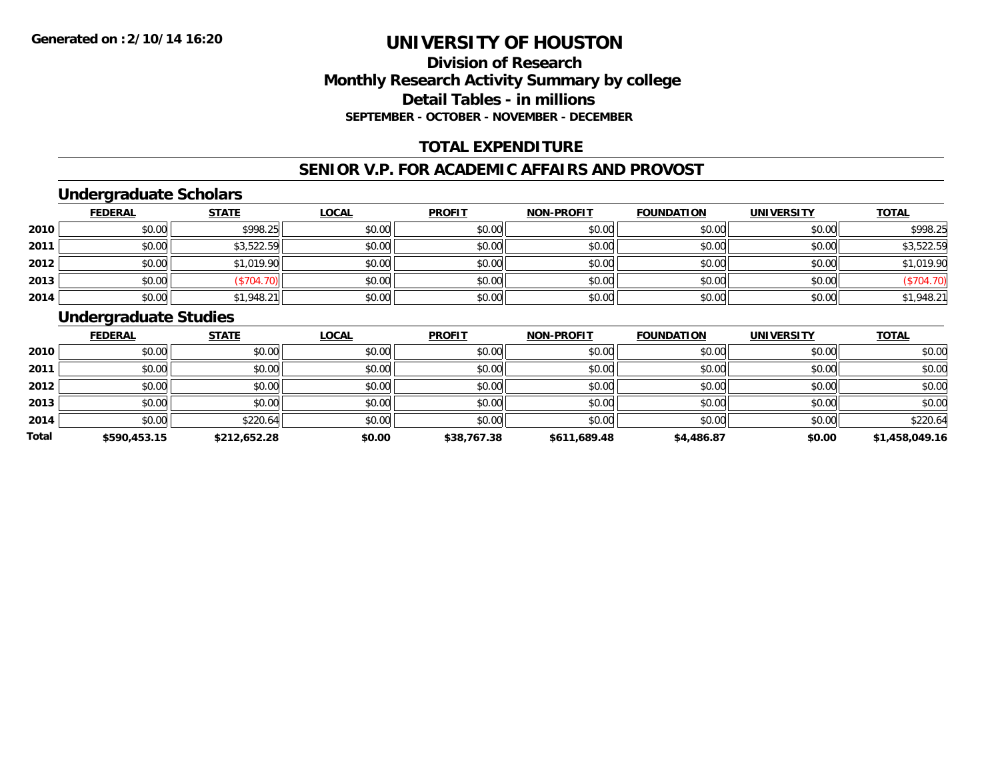## **Division of ResearchMonthly Research Activity Summary by college Detail Tables - in millions SEPTEMBER - OCTOBER - NOVEMBER - DECEMBER**

## **TOTAL EXPENDITURE**

#### **SENIOR V.P. FOR ACADEMIC AFFAIRS AND PROVOST**

## **Undergraduate Scholars**

|      | <b>FEDERAL</b> | <b>STATE</b> | <b>LOCAL</b> | <b>PROFIT</b> | <b>NON-PROFIT</b> | <b>FOUNDATION</b> | <b>UNIVERSITY</b> | <b>TOTAL</b> |
|------|----------------|--------------|--------------|---------------|-------------------|-------------------|-------------------|--------------|
| 2010 | \$0.00         | \$998.25     | \$0.00       | \$0.00        | \$0.00            | \$0.00            | \$0.00            | \$998.25     |
| 2011 | \$0.00         | \$3,522.59   | \$0.00       | \$0.00        | \$0.00            | \$0.00            | \$0.00            | \$3,522.59   |
| 2012 | \$0.00         | \$1,019.90   | \$0.00       | \$0.00        | \$0.00            | \$0.00            | \$0.00            | \$1,019.90   |
| 2013 | \$0.00         | (\$704.70)   | \$0.00       | \$0.00        | \$0.00            | \$0.00            | \$0.00            | (\$704.70)   |
| 2014 | \$0.00         | \$1,948.21   | \$0.00       | \$0.00        | \$0.00            | \$0.00            | \$0.00            | \$1,948.21   |

## **Undergraduate Studies**

|       | <b>FEDERAL</b> | <b>STATE</b> | <b>LOCAL</b> | <b>PROFIT</b> | <b>NON-PROFIT</b> | <b>FOUNDATION</b> | <b>UNIVERSITY</b> | <b>TOTAL</b>   |
|-------|----------------|--------------|--------------|---------------|-------------------|-------------------|-------------------|----------------|
| 2010  | \$0.00         | \$0.00       | \$0.00       | \$0.00        | \$0.00            | \$0.00            | \$0.00            | \$0.00         |
| 2011  | \$0.00         | \$0.00       | \$0.00       | \$0.00        | \$0.00            | \$0.00            | \$0.00            | \$0.00         |
| 2012  | \$0.00         | \$0.00       | \$0.00       | \$0.00        | \$0.00            | \$0.00            | \$0.00            | \$0.00         |
| 2013  | \$0.00         | \$0.00       | \$0.00       | \$0.00        | \$0.00            | \$0.00            | \$0.00            | \$0.00         |
| 2014  | \$0.00         | \$220.64     | \$0.00       | \$0.00        | \$0.00            | \$0.00            | \$0.00            | \$220.64       |
| Total | \$590,453.15   | \$212,652.28 | \$0.00       | \$38,767.38   | \$611,689.48      | \$4,486.87        | \$0.00            | \$1,458,049.16 |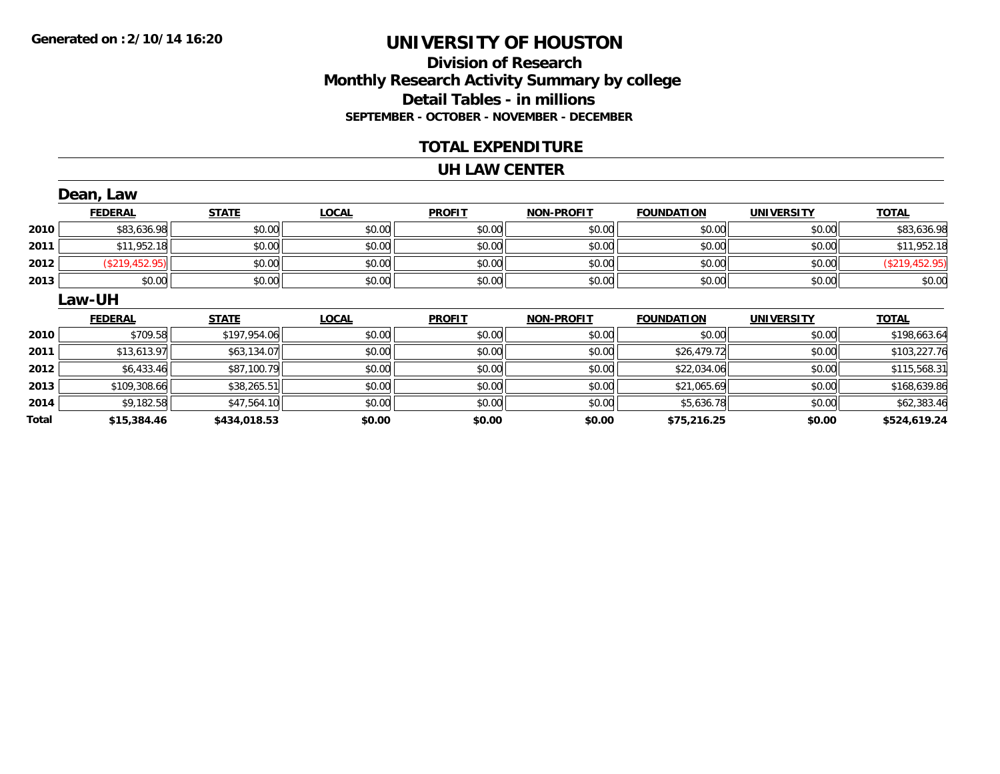#### **Division of Research Monthly Research Activity Summary by college Detail Tables - in millions SEPTEMBER - OCTOBER - NOVEMBER - DECEMBER**

#### **TOTAL EXPENDITURE**

#### **UH LAW CENTER**

|       | Dean, Law             |              |              |               |            |                   |                   |                |
|-------|-----------------------|--------------|--------------|---------------|------------|-------------------|-------------------|----------------|
|       | <b>FEDERAL</b>        | <b>STATE</b> | <b>LOCAL</b> | <b>PROFIT</b> | NON-PROFIT | <b>FOUNDATION</b> | <b>UNIVERSITY</b> | <b>TOTAL</b>   |
| 2010  | \$83,636.98           | \$0.00       | \$0.00       | \$0.00        | \$0.00     | \$0.00            | \$0.00            | \$83,636.98    |
| 2011  | \$11,952.18           | \$0.00       | \$0.00       | \$0.00        | \$0.00     | \$0.00            | \$0.00            | \$11,952.18    |
| 2012  | $($ \$219,452.95) $ $ | \$0.00       | \$0.00       | \$0.00        | \$0.00     | \$0.00            | \$0.00            | (\$219,452.95) |
| 2013  | \$0.00                | \$0.00       | \$0.00       | \$0.00        | \$0.00     | \$0.00            | \$0.00            | \$0.00         |
|       | <b>Law-UH</b>         |              |              |               |            |                   |                   |                |
|       | <b>FEDERAL</b>        | <b>STATE</b> | <b>LOCAL</b> | <b>PROFIT</b> | NON-PROFIT | <b>FOUNDATION</b> | <b>UNIVERSITY</b> | <b>TOTAL</b>   |
| 2010  | \$709.58              | \$197,954.06 | \$0.00       | \$0.00        | \$0.00     | \$0.00            | \$0.00            | \$198,663.64   |
| 2011  | \$13,613.97           | \$63,134.07  | \$0.00       | \$0.00        | \$0.00     | \$26,479.72       | \$0.00            | \$103,227.76   |
| 2012  | \$6,433.46            | \$87,100.79  | \$0.00       | \$0.00        | \$0.00     | \$22,034.06       | \$0.00            | \$115,568.31   |
| 2013  | \$109,308.66          | \$38,265.51  | \$0.00       | \$0.00        | \$0.00     | \$21,065.69       | \$0.00            | \$168,639.86   |
| 2014  | \$9,182.58            | \$47,564.10  | \$0.00       | \$0.00        | \$0.00     | \$5,636.78        | \$0.00            | \$62,383.46    |
| Total | \$15,384.46           | \$434,018.53 | \$0.00       | \$0.00        | \$0.00     | \$75,216.25       | \$0.00            | \$524,619.24   |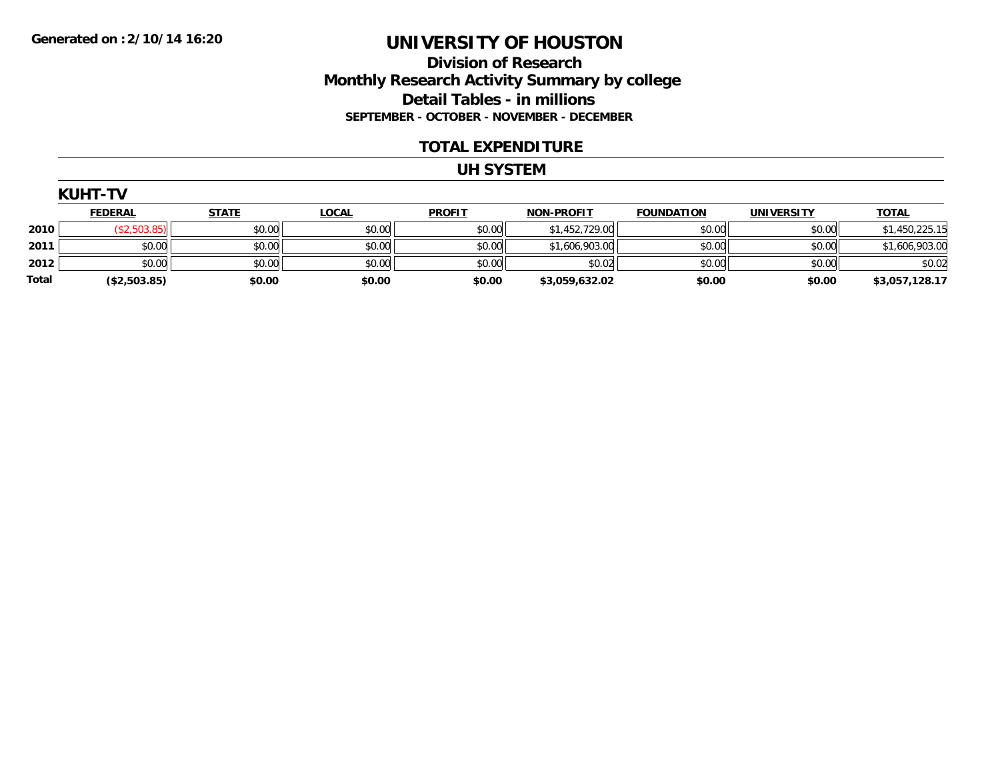#### **Division of Research Monthly Research Activity Summary by college Detail Tables - in millions SEPTEMBER - OCTOBER - NOVEMBER - DECEMBER**

#### **TOTAL EXPENDITURE**

#### **UH SYSTEM**

| UH<br>┍<br>۱L. |  |
|----------------|--|
|----------------|--|

|       | <u>FEDERAL</u>  | <b>STATE</b> | <u>LOCAL</u> | <b>PROFIT</b> | <b>NON-PROFIT</b> | <b>FOUNDATION</b> | <b>UNIVERSITY</b> | <b>TOTAL</b>   |
|-------|-----------------|--------------|--------------|---------------|-------------------|-------------------|-------------------|----------------|
| 2010  | $($ \$2,503.85) | \$0.00       | \$0.00       | \$0.00        | \$1,452,729.00    | \$0.00            | \$0.00            | \$1,450,225.15 |
| 2011  | \$0.00          | \$0.00       | \$0.00       | \$0.00        | \$1,606,903.00    | \$0.00            | \$0.00            | \$1,606,903.00 |
| 2012  | \$0.00          | \$0.00       | \$0.00       | \$0.00        | \$0.02            | \$0.00            | \$0.00            | \$0.02         |
| Total | (\$2,503.85)    | \$0.00       | \$0.00       | \$0.00        | \$3,059,632.02    | \$0.00            | \$0.00            | \$3,057,128.17 |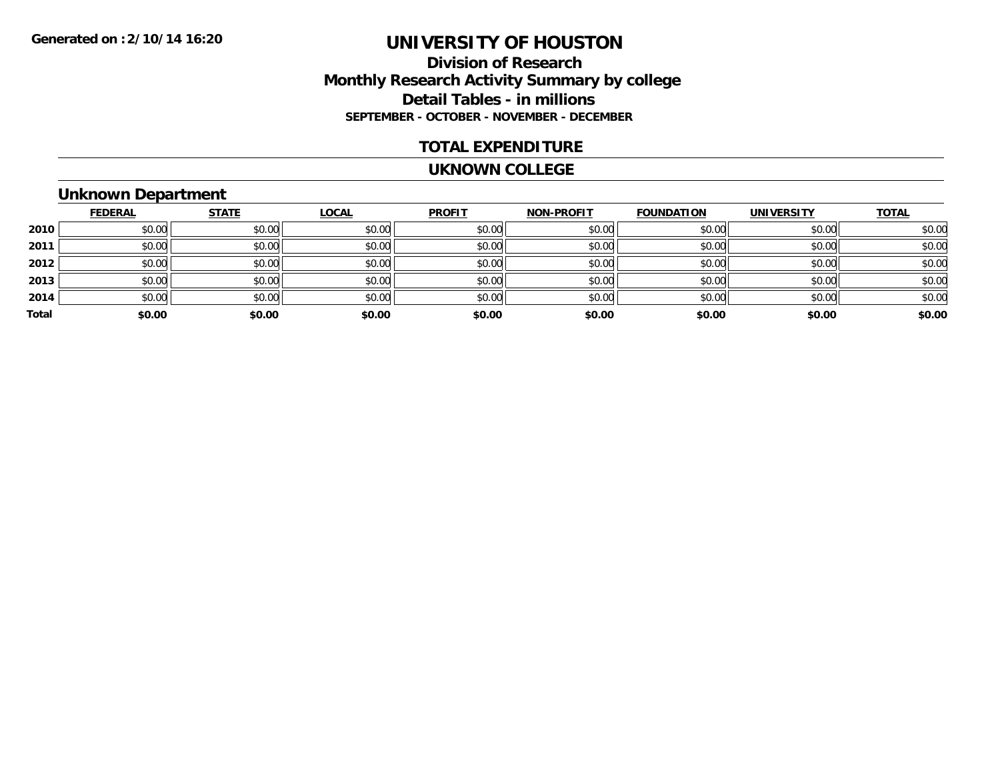#### **Division of Research Monthly Research Activity Summary by college Detail Tables - in millions SEPTEMBER - OCTOBER - NOVEMBER - DECEMBER**

#### **TOTAL EXPENDITURE**

#### **UKNOWN COLLEGE**

## **Unknown Department**

|       | <b>FEDERAL</b> | <b>STATE</b> | <b>LOCAL</b> | <b>PROFIT</b> | <b>NON-PROFIT</b> | <b>FOUNDATION</b> | <b>UNIVERSITY</b> | <b>TOTAL</b> |
|-------|----------------|--------------|--------------|---------------|-------------------|-------------------|-------------------|--------------|
| 2010  | \$0.00         | \$0.00       | \$0.00       | \$0.00        | \$0.00            | \$0.00            | \$0.00            | \$0.00       |
| 2011  | \$0.00         | \$0.00       | \$0.00       | \$0.00        | \$0.00            | \$0.00            | \$0.00            | \$0.00       |
| 2012  | \$0.00         | \$0.00       | \$0.00       | \$0.00        | \$0.00            | \$0.00            | \$0.00            | \$0.00       |
| 2013  | \$0.00         | \$0.00       | \$0.00       | \$0.00        | \$0.00            | \$0.00            | \$0.00            | \$0.00       |
| 2014  | \$0.00         | \$0.00       | \$0.00       | \$0.00        | \$0.00            | \$0.00            | \$0.00            | \$0.00       |
| Total | \$0.00         | \$0.00       | \$0.00       | \$0.00        | \$0.00            | \$0.00            | \$0.00            | \$0.00       |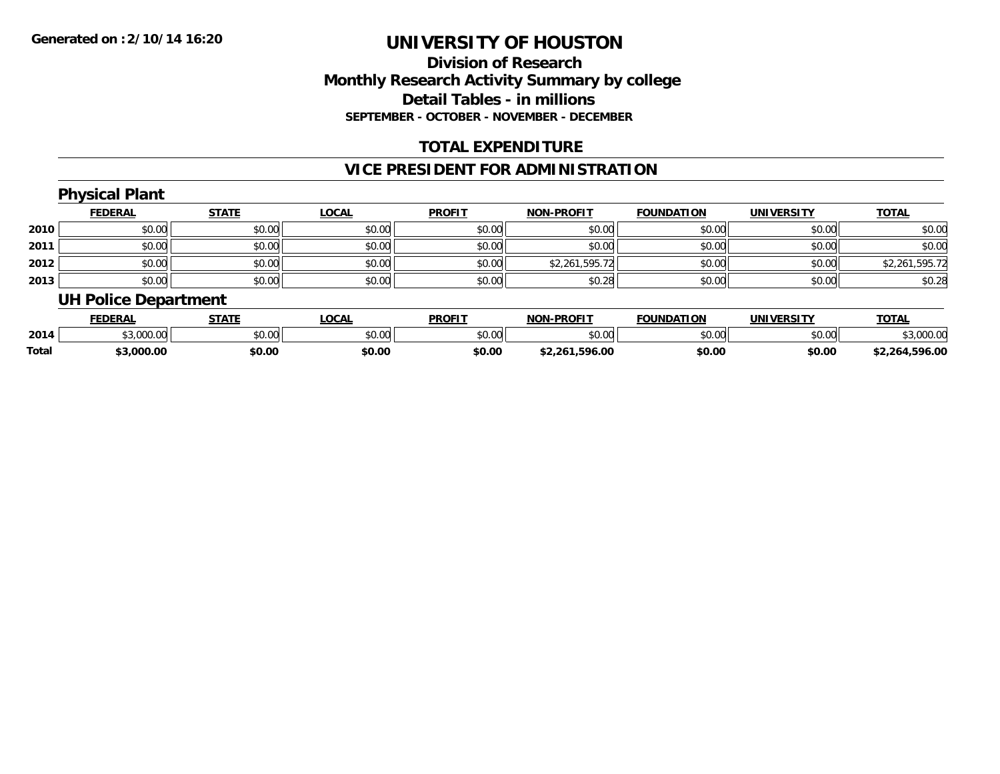## **Division of ResearchMonthly Research Activity Summary by college Detail Tables - in millionsSEPTEMBER - OCTOBER - NOVEMBER - DECEMBER**

## **TOTAL EXPENDITURE**

## **VICE PRESIDENT FOR ADMINISTRATION**

#### **Physical Plant FEDERAL STATE LOCAL PROFIT NON-PROFIT FOUNDATION UNIVERSITY TOTALTOTAL 2010** $\, \mathsf{D} \, | \,$   $\qquad \qquad \mathsf{80.00} | \,$   $\qquad \qquad \mathsf{80.00} | \,$   $\qquad \qquad \mathsf{80.00} | \,$   $\qquad \qquad \mathsf{80.00} | \,$   $\qquad \qquad \mathsf{80.00} | \,$   $\qquad \qquad \mathsf{80.00} | \,$   $\qquad \qquad \mathsf{80.00} |$ **2011** \$0.00 \$0.00 \$0.00 \$0.00 \$0.00 \$0.00 \$0.00 \$0.00 **2012** \$0.00 \$0.00 \$0.00 \$0.00 \$2,261,595.72 \$0.00 \$0.00 \$2,261,595.72 **2013** \$0.00 \$0.00 \$0.00 \$0.00 \$0.28 \$0.00 \$0.00 \$0.28 **UH Police Department**

|       | <b>FEDERAL</b>                 | <b>STATE</b> | .OCAL                         | <b>PROFIT</b>  | -PROFIT<br><b>NON</b>           | <b>FOUNDATION</b> | UNIVERSITY | <b>TOTAL</b>         |
|-------|--------------------------------|--------------|-------------------------------|----------------|---------------------------------|-------------------|------------|----------------------|
| 2014  | $\sim$ 000.00<br><u>uuu.uu</u> | \$0.00       | $\sim$ $\sim$ $\sim$<br>JU.UU | ≮∩ ∩∩<br>JU.UU | $\circ$ $\circ$ $\circ$<br>ט.טע | \$0.00            | \$0.00     | .000.00              |
| Total | .000.00                        | \$0.00       | \$0.00                        | \$0.00         | .596.00<br>$^{\star}$ 26 $\mu$  | \$0.00            | \$0.00     | .596.00<br>$*2.26$ - |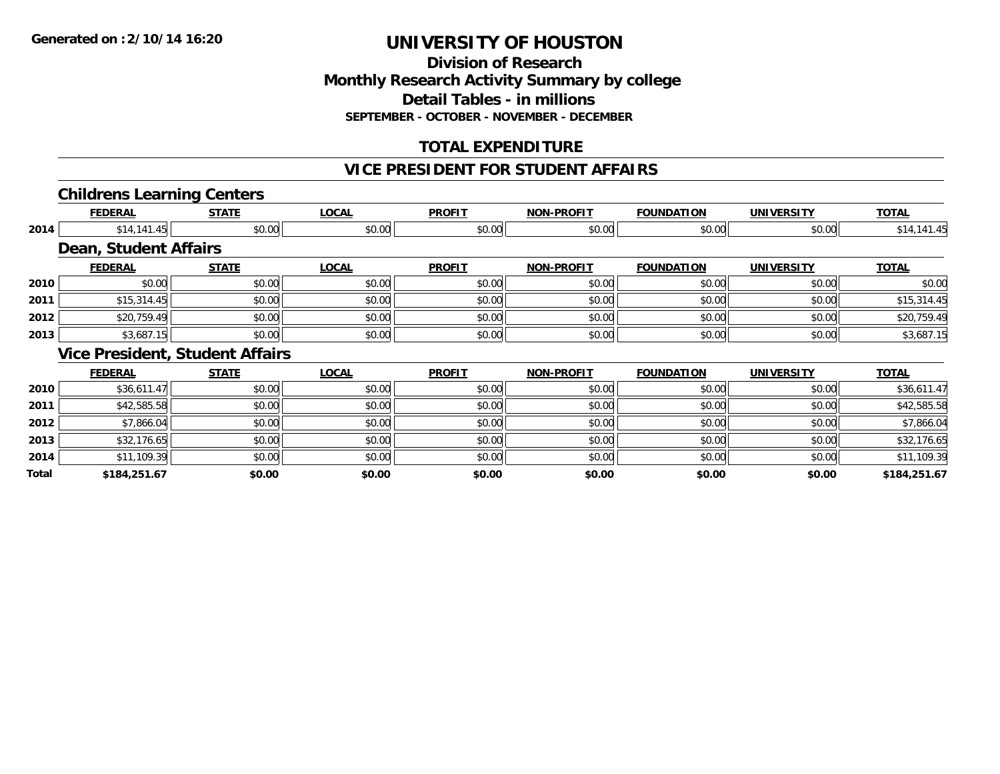# **Division of ResearchMonthly Research Activity Summary by college Detail Tables - in millions SEPTEMBER - OCTOBER - NOVEMBER - DECEMBER**

# **TOTAL EXPENDITURE**

#### **VICE PRESIDENT FOR STUDENT AFFAIRS**

# **Childrens Learning Centers**

|       | <b>FEDERAL</b>               | <b>STATE</b>                           | <b>LOCAL</b> | <b>PROFIT</b> | <b>NON-PROFIT</b> | <b>FOUNDATION</b> | <b>UNIVERSITY</b> | <b>TOTAL</b> |
|-------|------------------------------|----------------------------------------|--------------|---------------|-------------------|-------------------|-------------------|--------------|
| 2014  | \$14,141.45                  | \$0.00                                 | \$0.00       | \$0.00        | \$0.00            | \$0.00            | \$0.00            | \$14,141.45  |
|       | <b>Dean, Student Affairs</b> |                                        |              |               |                   |                   |                   |              |
|       | <b>FEDERAL</b>               | <b>STATE</b>                           | <b>LOCAL</b> | <b>PROFIT</b> | <b>NON-PROFIT</b> | <b>FOUNDATION</b> | <b>UNIVERSITY</b> | <b>TOTAL</b> |
| 2010  | \$0.00                       | \$0.00                                 | \$0.00       | \$0.00        | \$0.00            | \$0.00            | \$0.00            | \$0.00       |
| 2011  | \$15,314.45                  | \$0.00                                 | \$0.00       | \$0.00        | \$0.00            | \$0.00            | \$0.00            | \$15,314.45  |
| 2012  | \$20,759.49                  | \$0.00                                 | \$0.00       | \$0.00        | \$0.00            | \$0.00            | \$0.00            | \$20,759.49  |
| 2013  | \$3,687.15                   | \$0.00                                 | \$0.00       | \$0.00        | \$0.00            | \$0.00            | \$0.00            | \$3,687.15   |
|       |                              | <b>Vice President, Student Affairs</b> |              |               |                   |                   |                   |              |
|       | <b>FEDERAL</b>               | <b>STATE</b>                           | <b>LOCAL</b> | <b>PROFIT</b> | <b>NON-PROFIT</b> | <b>FOUNDATION</b> | <b>UNIVERSITY</b> | <b>TOTAL</b> |
| 2010  | \$36,611.47                  | \$0.00                                 | \$0.00       | \$0.00        | \$0.00            | \$0.00            | \$0.00            | \$36,611.47  |
| 2011  | \$42,585.58                  | \$0.00                                 | \$0.00       | \$0.00        | \$0.00            | \$0.00            | \$0.00            | \$42,585.58  |
| 2012  | \$7,866.04                   | \$0.00                                 | \$0.00       | \$0.00        | \$0.00            | \$0.00            | \$0.00            | \$7,866.04   |
| 2013  | \$32,176.65                  | \$0.00                                 | \$0.00       | \$0.00        | \$0.00            | \$0.00            | \$0.00            | \$32,176.65  |
| 2014  | \$11,109.39                  | \$0.00                                 | \$0.00       | \$0.00        | \$0.00            | \$0.00            | \$0.00            | \$11,109.39  |
| Total | \$184,251.67                 | \$0.00                                 | \$0.00       | \$0.00        | \$0.00            | \$0.00            | \$0.00            | \$184,251.67 |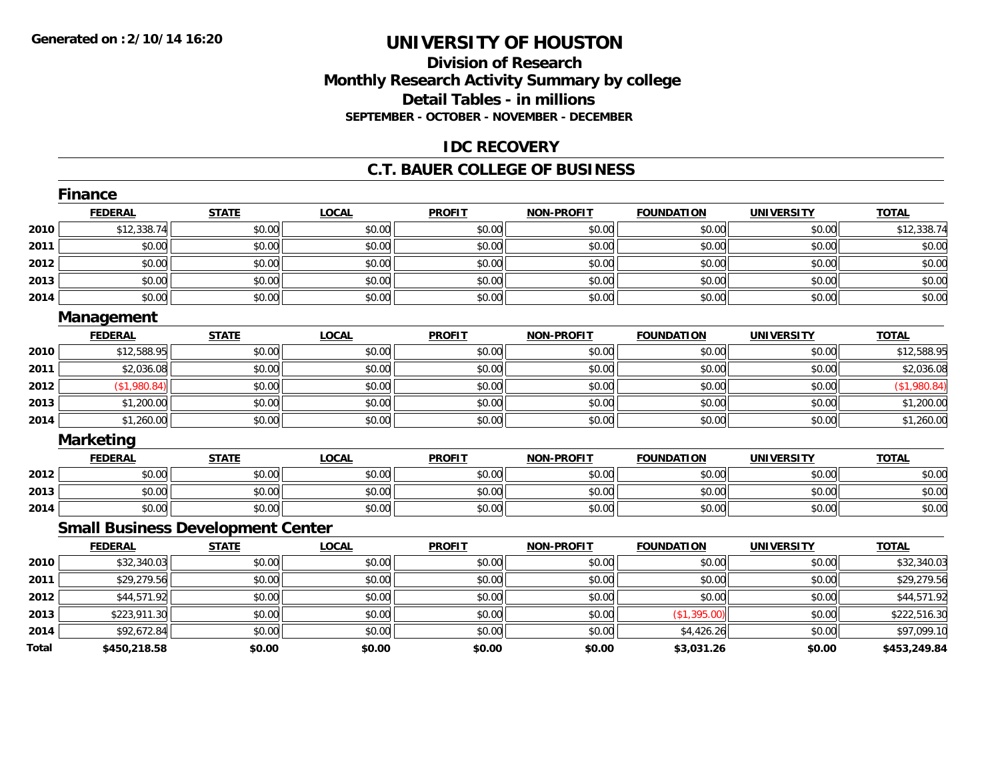# **Division of ResearchMonthly Research Activity Summary by college Detail Tables - in millions SEPTEMBER - OCTOBER - NOVEMBER - DECEMBER**

#### **IDC RECOVERY**

#### **C.T. BAUER COLLEGE OF BUSINESS**

|              | <b>Finance</b>                           |              |              |               |                   |                   |                   |              |
|--------------|------------------------------------------|--------------|--------------|---------------|-------------------|-------------------|-------------------|--------------|
|              | <b>FEDERAL</b>                           | <b>STATE</b> | <b>LOCAL</b> | <b>PROFIT</b> | <b>NON-PROFIT</b> | <b>FOUNDATION</b> | <b>UNIVERSITY</b> | <b>TOTAL</b> |
| 2010         | \$12,338.74                              | \$0.00       | \$0.00       | \$0.00        | \$0.00            | \$0.00            | \$0.00            | \$12,338.74  |
| 2011         | \$0.00                                   | \$0.00       | \$0.00       | \$0.00        | \$0.00            | \$0.00            | \$0.00            | \$0.00       |
| 2012         | \$0.00                                   | \$0.00       | \$0.00       | \$0.00        | \$0.00            | \$0.00            | \$0.00            | \$0.00       |
| 2013         | \$0.00                                   | \$0.00       | \$0.00       | \$0.00        | \$0.00            | \$0.00            | \$0.00            | \$0.00       |
| 2014         | \$0.00                                   | \$0.00       | \$0.00       | \$0.00        | \$0.00            | \$0.00            | \$0.00            | \$0.00       |
|              | Management                               |              |              |               |                   |                   |                   |              |
|              | <b>FEDERAL</b>                           | <b>STATE</b> | <b>LOCAL</b> | <b>PROFIT</b> | <b>NON-PROFIT</b> | <b>FOUNDATION</b> | <b>UNIVERSITY</b> | <b>TOTAL</b> |
| 2010         | \$12,588.95                              | \$0.00       | \$0.00       | \$0.00        | \$0.00            | \$0.00            | \$0.00            | \$12,588.95  |
| 2011         | \$2,036.08                               | \$0.00       | \$0.00       | \$0.00        | \$0.00            | \$0.00            | \$0.00            | \$2,036.08   |
| 2012         | (\$1,980.84)                             | \$0.00       | \$0.00       | \$0.00        | \$0.00            | \$0.00            | \$0.00            | (\$1,980.84) |
| 2013         | \$1,200.00                               | \$0.00       | \$0.00       | \$0.00        | \$0.00            | \$0.00            | \$0.00            | \$1,200.00   |
| 2014         | \$1,260.00                               | \$0.00       | \$0.00       | \$0.00        | \$0.00            | \$0.00            | \$0.00            | \$1,260.00   |
|              | <b>Marketing</b>                         |              |              |               |                   |                   |                   |              |
|              | <b>FEDERAL</b>                           | <b>STATE</b> | <b>LOCAL</b> | <b>PROFIT</b> | <b>NON-PROFIT</b> | <b>FOUNDATION</b> | <b>UNIVERSITY</b> | <b>TOTAL</b> |
| 2012         | \$0.00                                   | \$0.00       | \$0.00       | \$0.00        | \$0.00            | \$0.00            | \$0.00            | \$0.00       |
| 2013         | \$0.00                                   | \$0.00       | \$0.00       | \$0.00        | \$0.00            | \$0.00            | \$0.00            | \$0.00       |
| 2014         | \$0.00                                   | \$0.00       | \$0.00       | \$0.00        | \$0.00            | \$0.00            | \$0.00            | \$0.00       |
|              | <b>Small Business Development Center</b> |              |              |               |                   |                   |                   |              |
|              | <b>FEDERAL</b>                           | <b>STATE</b> | <b>LOCAL</b> | <b>PROFIT</b> | <b>NON-PROFIT</b> | <b>FOUNDATION</b> | <b>UNIVERSITY</b> | <b>TOTAL</b> |
| 2010         | \$32,340.03                              | \$0.00       | \$0.00       | \$0.00        | \$0.00            | \$0.00            | \$0.00            | \$32,340.03  |
| 2011         | \$29,279.56                              | \$0.00       | \$0.00       | \$0.00        | \$0.00            | \$0.00            | \$0.00            | \$29,279.56  |
| 2012         | \$44,571.92                              | \$0.00       | \$0.00       | \$0.00        | \$0.00            | \$0.00            | \$0.00            | \$44,571.92  |
| 2013         | \$223,911.30                             | \$0.00       | \$0.00       | \$0.00        | \$0.00            | (\$1,395.00)      | \$0.00            | \$222,516.30 |
| 2014         | \$92,672.84                              | \$0.00       | \$0.00       | \$0.00        | \$0.00            | \$4,426.26        | \$0.00            | \$97,099.10  |
| <b>Total</b> | \$450,218.58                             | \$0.00       | \$0.00       | \$0.00        | \$0.00            | \$3,031.26        | \$0.00            | \$453,249.84 |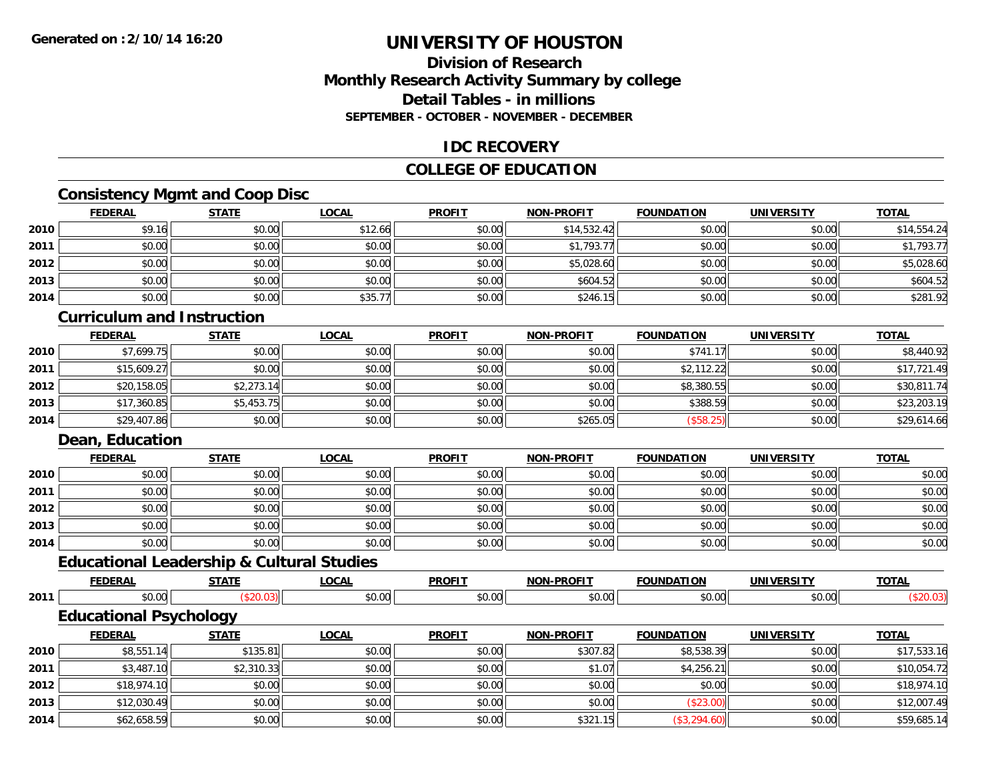## **Division of ResearchMonthly Research Activity Summary by college Detail Tables - in millionsSEPTEMBER - OCTOBER - NOVEMBER - DECEMBER**

#### **IDC RECOVERY**

## **COLLEGE OF EDUCATION**

# **Consistency Mgmt and Coop Disc**

|      | <b>FEDERAL</b> | <b>STATE</b> | <b>LOCAL</b> | <b>PROFIT</b> | <b>NON-PROFIT</b> | <b>FOUNDATION</b> | <b>UNIVERSITY</b> | <b>TOTAL</b> |
|------|----------------|--------------|--------------|---------------|-------------------|-------------------|-------------------|--------------|
| 2010 | \$9.16         | \$0.00       | \$12.66      | \$0.00        | \$14,532.42       | \$0.00            | \$0.00            | \$14,554.24  |
| 2011 | \$0.00         | \$0.00       | \$0.00       | \$0.00        | \$1,793.77        | \$0.00            | \$0.00            | \$1,793.77   |
| 2012 | \$0.00         | \$0.00       | \$0.00       | \$0.00        | \$5,028.60        | \$0.00            | \$0.00            | \$5,028.60   |
| 2013 | \$0.00         | \$0.00       | \$0.00       | \$0.00        | \$604.52          | \$0.00            | \$0.00            | \$604.52     |
| 2014 | \$0.00         | \$0.00       | \$35.77      | \$0.00        | \$246.15          | \$0.00            | \$0.00            | \$281.92     |

## **Curriculum and Instruction**

|      | <u>FEDERAL</u> | <b>STATE</b> | <b>LOCAL</b> | <b>PROFIT</b> | <b>NON-PROFIT</b> | <b>FOUNDATION</b> | <b>UNIVERSITY</b> | <b>TOTAL</b> |
|------|----------------|--------------|--------------|---------------|-------------------|-------------------|-------------------|--------------|
| 2010 | \$7,699.75     | \$0.00       | \$0.00       | \$0.00        | \$0.00            | \$741.17          | \$0.00            | \$8,440.92   |
| 2011 | \$15,609.27    | \$0.00       | \$0.00       | \$0.00        | \$0.00            | \$2,112.22        | \$0.00            | \$17,721.49  |
| 2012 | \$20,158.05    | \$2,273.14   | \$0.00       | \$0.00        | \$0.00            | \$8,380.55        | \$0.00            | \$30,811.74  |
| 2013 | \$17,360.85    | \$5,453.75   | \$0.00       | \$0.00        | \$0.00            | \$388.59          | \$0.00            | \$23,203.19  |
| 2014 | \$29,407.86    | \$0.00       | \$0.00       | \$0.00        | \$265.05          | (\$58.25)         | \$0.00            | \$29,614.66  |

#### **Dean, Education**

**2014**

|      | <b>FEDERAL</b> | <b>STATE</b> | <u>LOCAL</u> | <b>PROFIT</b> | <b>NON-PROFIT</b> | <b>FOUNDATION</b> | <b>UNIVERSITY</b> | <b>TOTAL</b> |
|------|----------------|--------------|--------------|---------------|-------------------|-------------------|-------------------|--------------|
| 2010 | \$0.00         | \$0.00       | \$0.00       | \$0.00        | \$0.00            | \$0.00            | \$0.00            | \$0.00       |
| 2011 | \$0.00         | \$0.00       | \$0.00       | \$0.00        | \$0.00            | \$0.00            | \$0.00            | \$0.00       |
| 2012 | \$0.00         | \$0.00       | \$0.00       | \$0.00        | \$0.00            | \$0.00            | \$0.00            | \$0.00       |
| 2013 | \$0.00         | \$0.00       | \$0.00       | \$0.00        | \$0.00            | \$0.00            | \$0.00            | \$0.00       |
| 2014 | \$0.00         | \$0.00       | \$0.00       | \$0.00        | \$0.00            | \$0.00            | \$0.00            | \$0.00       |

# **Educational Leadership & Cultural Studies**

|      |                               | ---------    |              |               |                   |                   |                   |              |  |
|------|-------------------------------|--------------|--------------|---------------|-------------------|-------------------|-------------------|--------------|--|
|      | <b>FEDERAL</b>                | <b>STATE</b> | LOCAL        | <b>PROFIT</b> | <b>NON-PROFIT</b> | <b>FOUNDATION</b> | <b>UNIVERSITY</b> | <b>TOTAL</b> |  |
| 2011 | \$0.00                        | (\$20.03)    | \$0.00       | \$0.00        | \$0.00            | \$0.00<br>\$0.00  |                   | (\$20.03)    |  |
|      | <b>Educational Psychology</b> |              |              |               |                   |                   |                   |              |  |
|      | <b>FEDERAL</b>                | <b>STATE</b> | <u>LOCAL</u> | <b>PROFIT</b> | <b>NON-PROFIT</b> | <b>FOUNDATION</b> | <b>UNIVERSITY</b> | <b>TOTAL</b> |  |
| 2010 | \$8,551.14                    | \$135.81     | \$0.00       | \$0.00        | \$307.82          | \$8,538.39        | \$0.00            | \$17,533.16  |  |
| 2011 | \$3,487.10                    | \$2,310.33   | \$0.00       | \$0.00        | \$1.07            | \$4,256.21        | \$0.00            | \$10,054.72  |  |
| 2012 | \$18,974.10                   | \$0.00       | \$0.00       | \$0.00        | \$0.00            | \$0.00            | \$0.00            | \$18,974.10  |  |
| 2013 | \$12,030.49                   | \$0.00       | \$0.00       | \$0.00        | \$0.00            | (\$23.00)         | \$0.00            | \$12,007.49  |  |

4 \$62,658.59| \$0.00| \$0.00| \$0.00| \$0.00| \$0.00| \$0.00| \$321.15| \$3,294.60)| \$50,00| \$59,685.14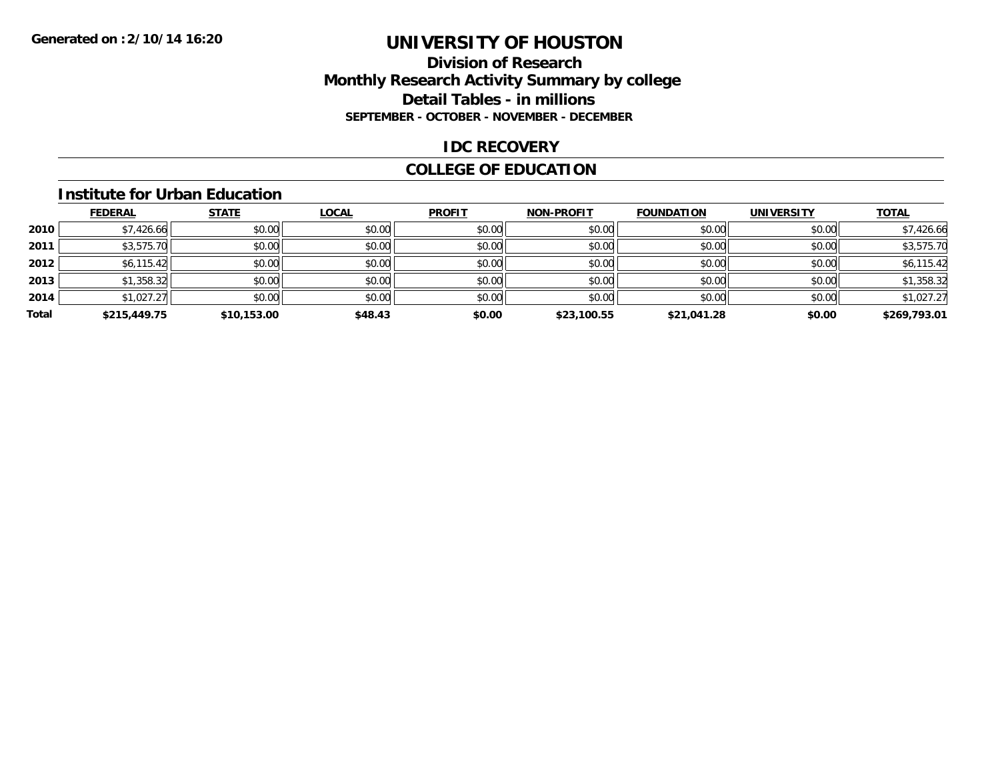#### **Division of Research Monthly Research Activity Summary by college Detail Tables - in millions SEPTEMBER - OCTOBER - NOVEMBER - DECEMBER**

#### **IDC RECOVERY**

## **COLLEGE OF EDUCATION**

#### **Institute for Urban Education**

|       | <b>FEDERAL</b> | <b>STATE</b> | <b>LOCAL</b> | <b>PROFIT</b> | <b>NON-PROFIT</b> | <b>FOUNDATION</b> | <b>UNIVERSITY</b> | <b>TOTAL</b> |
|-------|----------------|--------------|--------------|---------------|-------------------|-------------------|-------------------|--------------|
| 2010  | \$7,426.66     | \$0.00       | \$0.00       | \$0.00        | \$0.00            | \$0.00            | \$0.00            | \$7,426.66   |
| 2011  | \$3,575.70     | \$0.00       | \$0.00       | \$0.00        | \$0.00            | \$0.00            | \$0.00            | \$3,575.70   |
| 2012  | \$6,115.42     | \$0.00       | \$0.00       | \$0.00        | \$0.00            | \$0.00            | \$0.00            | \$6,115.42   |
| 2013  | \$1,358.32     | \$0.00       | \$0.00       | \$0.00        | \$0.00            | \$0.00            | \$0.00            | \$1,358.32   |
| 2014  | \$1,027.27     | \$0.00       | \$0.00       | \$0.00        | \$0.00            | \$0.00            | \$0.00            | \$1,027.27   |
| Total | \$215,449.75   | \$10,153.00  | \$48.43      | \$0.00        | \$23,100.55       | \$21,041.28       | \$0.00            | \$269,793.01 |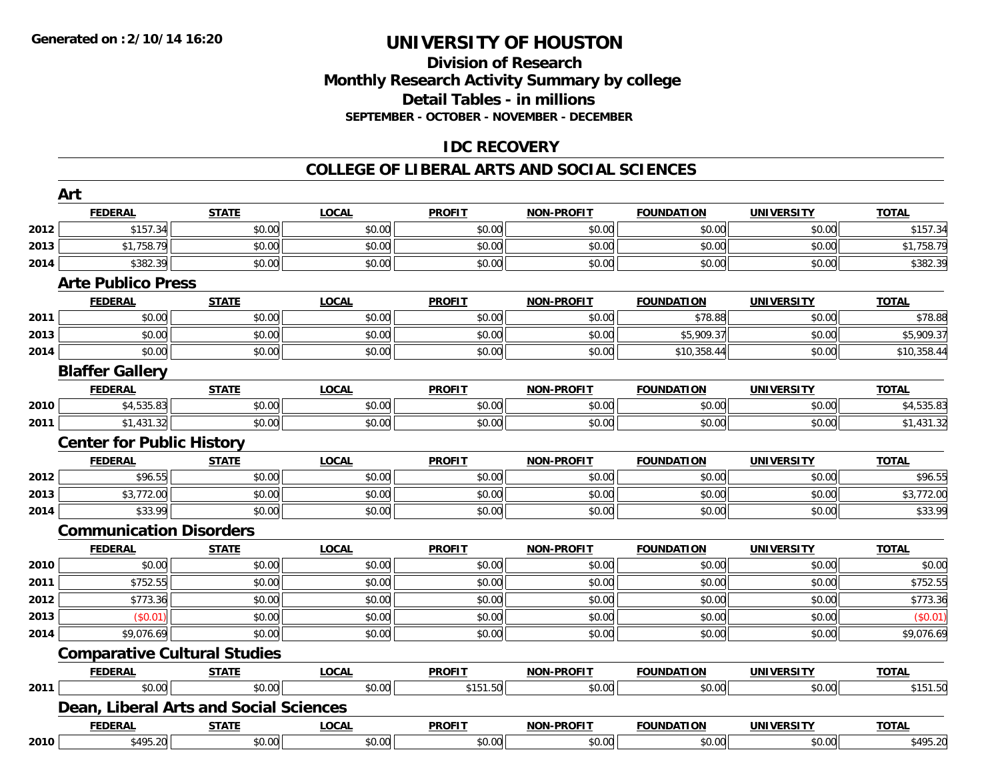#### **Division of Research Monthly Research Activity Summary by college Detail Tables - in millions SEPTEMBER - OCTOBER - NOVEMBER - DECEMBER**

## **IDC RECOVERY**

#### **COLLEGE OF LIBERAL ARTS AND SOCIAL SCIENCES**

| Art                    |              |                                                                                                                                        |                                        |                   |                   |                   |              |
|------------------------|--------------|----------------------------------------------------------------------------------------------------------------------------------------|----------------------------------------|-------------------|-------------------|-------------------|--------------|
| <b>FEDERAL</b>         | <b>STATE</b> | <b>LOCAL</b>                                                                                                                           | <b>PROFIT</b>                          | <b>NON-PROFIT</b> | <b>FOUNDATION</b> | <b>UNIVERSITY</b> | <b>TOTAL</b> |
| \$157.34               | \$0.00       | \$0.00                                                                                                                                 | \$0.00                                 | \$0.00            | \$0.00            | \$0.00            | \$157.34     |
| \$1,758.79             | \$0.00       | \$0.00                                                                                                                                 | \$0.00                                 | \$0.00            | \$0.00            | \$0.00            | \$1,758.79   |
| \$382.39               | \$0.00       | \$0.00                                                                                                                                 | \$0.00                                 | \$0.00            | \$0.00            | \$0.00            | \$382.39     |
|                        |              |                                                                                                                                        |                                        |                   |                   |                   |              |
| <b>FEDERAL</b>         | <b>STATE</b> | <b>LOCAL</b>                                                                                                                           | <b>PROFIT</b>                          | <b>NON-PROFIT</b> | <b>FOUNDATION</b> | <b>UNIVERSITY</b> | <b>TOTAL</b> |
| \$0.00                 | \$0.00       | \$0.00                                                                                                                                 | \$0.00                                 | \$0.00            | \$78.88           | \$0.00            | \$78.88      |
| \$0.00                 | \$0.00       | \$0.00                                                                                                                                 | \$0.00                                 | \$0.00            | \$5,909.37        | \$0.00            | \$5,909.37   |
| \$0.00                 | \$0.00       | \$0.00                                                                                                                                 | \$0.00                                 | \$0.00            | \$10,358.44       | \$0.00            | \$10,358.44  |
| <b>Blaffer Gallery</b> |              |                                                                                                                                        |                                        |                   |                   |                   |              |
| <b>FEDERAL</b>         | <b>STATE</b> | <b>LOCAL</b>                                                                                                                           | <b>PROFIT</b>                          | <b>NON-PROFIT</b> | <b>FOUNDATION</b> | <b>UNIVERSITY</b> | <b>TOTAL</b> |
| \$4,535.83             | \$0.00       | \$0.00                                                                                                                                 | \$0.00                                 | \$0.00            | \$0.00            | \$0.00            | \$4,535.83   |
| \$1,431.32             | \$0.00       | \$0.00                                                                                                                                 | \$0.00                                 | \$0.00            | \$0.00            | \$0.00            | \$1,431.32   |
|                        |              |                                                                                                                                        |                                        |                   |                   |                   |              |
| <b>FEDERAL</b>         | <b>STATE</b> | <b>LOCAL</b>                                                                                                                           | <b>PROFIT</b>                          | <b>NON-PROFIT</b> | <b>FOUNDATION</b> | <b>UNIVERSITY</b> | <b>TOTAL</b> |
| \$96.55                | \$0.00       | \$0.00                                                                                                                                 | \$0.00                                 | \$0.00            | \$0.00            | \$0.00            | \$96.55      |
| \$3,772.00             | \$0.00       | \$0.00                                                                                                                                 | \$0.00                                 | \$0.00            | \$0.00            | \$0.00            | \$3,772.00   |
| \$33.99                | \$0.00       | \$0.00                                                                                                                                 | \$0.00                                 | \$0.00            | \$0.00            | \$0.00            | \$33.99      |
|                        |              |                                                                                                                                        |                                        |                   |                   |                   |              |
| <b>FEDERAL</b>         | <b>STATE</b> | <b>LOCAL</b>                                                                                                                           | <b>PROFIT</b>                          | <b>NON-PROFIT</b> | <b>FOUNDATION</b> | <b>UNIVERSITY</b> | <b>TOTAL</b> |
| \$0.00                 | \$0.00       | \$0.00                                                                                                                                 | \$0.00                                 | \$0.00            | \$0.00            | \$0.00            | \$0.00       |
| \$752.55               | \$0.00       | \$0.00                                                                                                                                 | \$0.00                                 | \$0.00            | \$0.00            | \$0.00            | \$752.55     |
| \$773.36               | \$0.00       | \$0.00                                                                                                                                 | \$0.00                                 | \$0.00            | \$0.00            | \$0.00            | \$773.36     |
| (\$0.01)               | \$0.00       | \$0.00                                                                                                                                 | \$0.00                                 | \$0.00            | \$0.00            | \$0.00            | (\$0.01)     |
| \$9,076.69             | \$0.00       | \$0.00                                                                                                                                 | \$0.00                                 | \$0.00            | \$0.00            | \$0.00            | \$9,076.69   |
|                        |              |                                                                                                                                        |                                        |                   |                   |                   |              |
| <b>FEDERAL</b>         | <b>STATE</b> | <b>LOCAL</b>                                                                                                                           | <b>PROFIT</b>                          | <b>NON-PROFIT</b> | <b>FOUNDATION</b> | <b>UNIVERSITY</b> | <b>TOTAL</b> |
| \$0.00                 | \$0.00       | \$0.00                                                                                                                                 | \$151.50                               | \$0.00            | \$0.00            | \$0.00            | \$151.50     |
|                        |              |                                                                                                                                        |                                        |                   |                   |                   |              |
| <b>FEDERAL</b>         | <b>STATE</b> | <b>LOCAL</b>                                                                                                                           | <b>PROFIT</b>                          | <b>NON-PROFIT</b> | <b>FOUNDATION</b> | <b>UNIVERSITY</b> | <b>TOTAL</b> |
| \$495.20<br>2010       | \$0.00       | \$0.00                                                                                                                                 | \$0.00                                 | \$0.00            | \$0.00            | \$0.00            | \$495.20     |
|                        |              | <b>Arte Publico Press</b><br><b>Center for Public History</b><br><b>Communication Disorders</b><br><b>Comparative Cultural Studies</b> | Dean, Liberal Arts and Social Sciences |                   |                   |                   |              |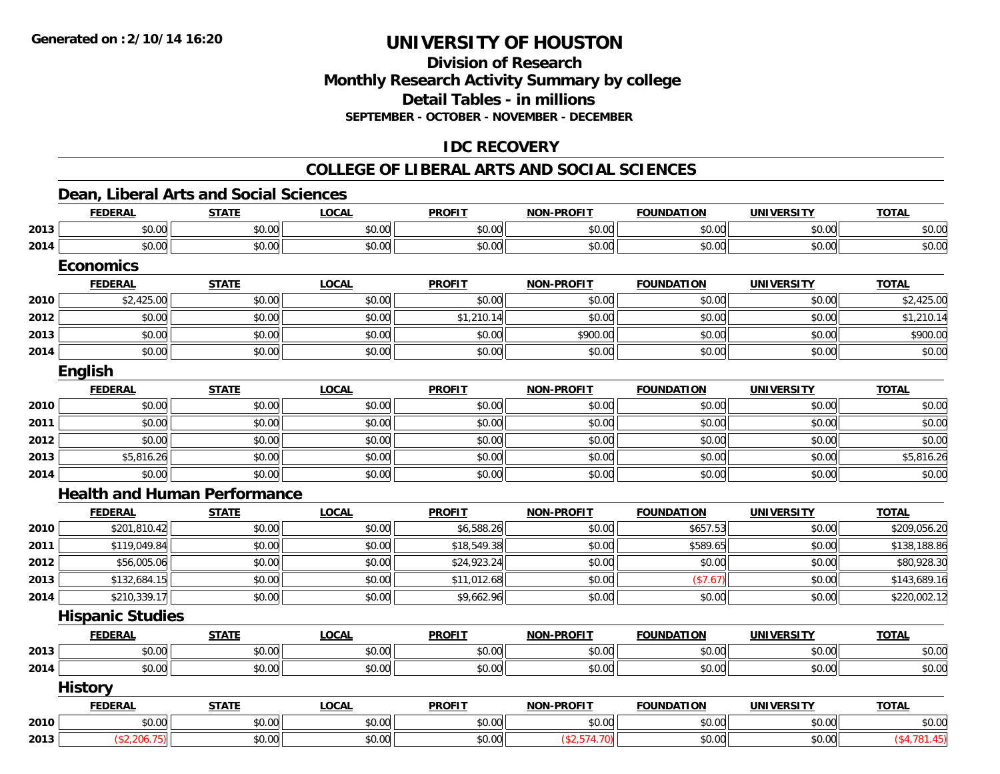# **Division of ResearchMonthly Research Activity Summary by college Detail Tables - in millions SEPTEMBER - OCTOBER - NOVEMBER - DECEMBER**

# **IDC RECOVERY**

#### **COLLEGE OF LIBERAL ARTS AND SOCIAL SCIENCES**

#### **Dean, Liberal Arts and Social Sciences**

|      | <b>FEDERAL</b>                      | <b>STATE</b> | <b>LOCAL</b> | <b>PROFIT</b> | <b>NON-PROFIT</b> | <b>FOUNDATION</b> | <b>UNIVERSITY</b> | <b>TOTAL</b> |
|------|-------------------------------------|--------------|--------------|---------------|-------------------|-------------------|-------------------|--------------|
| 2013 | \$0.00                              | \$0.00       | \$0.00       | \$0.00        | \$0.00            | \$0.00            | \$0.00            | \$0.00       |
| 2014 | \$0.00                              | \$0.00       | \$0.00       | \$0.00        | \$0.00            | \$0.00            | \$0.00            | \$0.00       |
|      | <b>Economics</b>                    |              |              |               |                   |                   |                   |              |
|      | <b>FEDERAL</b>                      | <b>STATE</b> | <b>LOCAL</b> | <b>PROFIT</b> | <b>NON-PROFIT</b> | <b>FOUNDATION</b> | <b>UNIVERSITY</b> | <b>TOTAL</b> |
| 2010 | \$2,425.00                          | \$0.00       | \$0.00       | \$0.00        | \$0.00            | \$0.00            | \$0.00            | \$2,425.00   |
| 2012 | \$0.00                              | \$0.00       | \$0.00       | \$1,210.14    | \$0.00            | \$0.00            | \$0.00            | \$1,210.14   |
| 2013 | \$0.00                              | \$0.00       | \$0.00       | \$0.00        | \$900.00          | \$0.00            | \$0.00            | \$900.00     |
| 2014 | \$0.00                              | \$0.00       | \$0.00       | \$0.00        | \$0.00            | \$0.00            | \$0.00            | \$0.00       |
|      | English                             |              |              |               |                   |                   |                   |              |
|      | <b>FEDERAL</b>                      | <b>STATE</b> | <b>LOCAL</b> | <b>PROFIT</b> | <b>NON-PROFIT</b> | <b>FOUNDATION</b> | <b>UNIVERSITY</b> | <b>TOTAL</b> |
| 2010 | \$0.00                              | \$0.00       | \$0.00       | \$0.00        | \$0.00            | \$0.00            | \$0.00            | \$0.00       |
| 2011 | \$0.00                              | \$0.00       | \$0.00       | \$0.00        | \$0.00            | \$0.00            | \$0.00            | \$0.00       |
| 2012 | \$0.00                              | \$0.00       | \$0.00       | \$0.00        | \$0.00            | \$0.00            | \$0.00            | \$0.00       |
| 2013 | \$5,816.26                          | \$0.00       | \$0.00       | \$0.00        | \$0.00            | \$0.00            | \$0.00            | \$5,816.26   |
| 2014 | \$0.00                              | \$0.00       | \$0.00       | \$0.00        | \$0.00            | \$0.00            | \$0.00            | \$0.00       |
|      | <b>Health and Human Performance</b> |              |              |               |                   |                   |                   |              |
|      | <b>FEDERAL</b>                      | <b>STATE</b> | <b>LOCAL</b> | <b>PROFIT</b> | <b>NON-PROFIT</b> | <b>FOUNDATION</b> | <b>UNIVERSITY</b> | <b>TOTAL</b> |
| 2010 | \$201,810.42                        | \$0.00       | \$0.00       | \$6,588.26    | \$0.00            | \$657.53          | \$0.00            | \$209,056.20 |
| 2011 | \$119,049.84                        | \$0.00       | \$0.00       | \$18,549.38   | \$0.00            | \$589.65          | \$0.00            | \$138,188.86 |
| 2012 | \$56,005.06                         | \$0.00       | \$0.00       | \$24,923.24   | \$0.00            | \$0.00            | \$0.00            | \$80,928.30  |
| 2013 | \$132,684.15                        | \$0.00       | \$0.00       | \$11,012.68   | \$0.00            | (\$7.67)          | \$0.00            | \$143,689.16 |
| 2014 | \$210,339.17                        | \$0.00       | \$0.00       | \$9,662.96    | \$0.00            | \$0.00            | \$0.00            | \$220,002.12 |
|      | <b>Hispanic Studies</b>             |              |              |               |                   |                   |                   |              |
|      | <b>FEDERAL</b>                      | <b>STATE</b> | <b>LOCAL</b> | <b>PROFIT</b> | <b>NON-PROFIT</b> | <b>FOUNDATION</b> | <b>UNIVERSITY</b> | <b>TOTAL</b> |
| 2013 | \$0.00                              | \$0.00       | \$0.00       | \$0.00        | \$0.00            | \$0.00            | \$0.00            | \$0.00       |
| 2014 | \$0.00                              | \$0.00       | \$0.00       | \$0.00        | \$0.00            | \$0.00            | \$0.00            | \$0.00       |
|      | <b>History</b>                      |              |              |               |                   |                   |                   |              |
|      | <b>FEDERAL</b>                      | <b>STATE</b> | <b>LOCAL</b> | <b>PROFIT</b> | <b>NON-PROFIT</b> | <b>FOUNDATION</b> | <b>UNIVERSITY</b> | <b>TOTAL</b> |
| 2010 | \$0.00                              | \$0.00       | \$0.00       | \$0.00        | \$0.00            | \$0.00            | \$0.00            | \$0.00       |
| 2013 | (\$2,206.75)                        | \$0.00       | \$0.00       | \$0.00        | (\$2,574.70)      | \$0.00            | \$0.00            | (\$4,781.45) |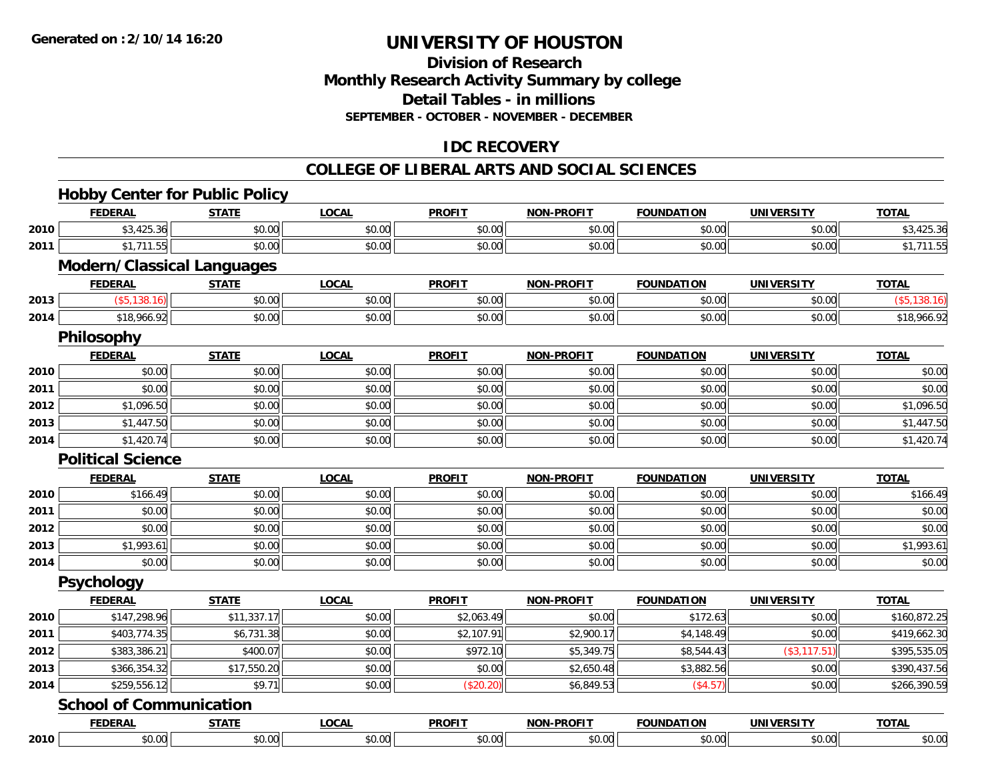# **Division of ResearchMonthly Research Activity Summary by college Detail Tables - in millions SEPTEMBER - OCTOBER - NOVEMBER - DECEMBER**

# **IDC RECOVERY**

#### **COLLEGE OF LIBERAL ARTS AND SOCIAL SCIENCES**

# **Hobby Center for Public Policy**

|      | <b>FEDERAL</b>                    | <b>STATE</b> | <b>LOCAL</b> | <b>PROFIT</b> | <b>NON-PROFIT</b> | <b>FOUNDATION</b> | <b>UNIVERSITY</b> | <b>TOTAL</b> |
|------|-----------------------------------|--------------|--------------|---------------|-------------------|-------------------|-------------------|--------------|
| 2010 | \$3,425.36                        | \$0.00       | \$0.00       | \$0.00        | \$0.00            | \$0.00            | \$0.00            | \$3,425.36   |
| 2011 | \$1,711.55                        | \$0.00       | \$0.00       | \$0.00        | \$0.00            | \$0.00            | \$0.00            | \$1,711.55   |
|      | <b>Modern/Classical Languages</b> |              |              |               |                   |                   |                   |              |
|      | <b>FEDERAL</b>                    | <b>STATE</b> | <b>LOCAL</b> | <b>PROFIT</b> | <b>NON-PROFIT</b> | <b>FOUNDATION</b> | <b>UNIVERSITY</b> | <b>TOTAL</b> |
| 2013 | ( \$5,138.16)                     | \$0.00       | \$0.00       | \$0.00        | \$0.00            | \$0.00            | \$0.00            | (\$5,138.16) |
| 2014 | \$18,966.92                       | \$0.00       | \$0.00       | \$0.00        | \$0.00            | \$0.00            | \$0.00            | \$18,966.92  |
|      | Philosophy                        |              |              |               |                   |                   |                   |              |
|      | <b>FEDERAL</b>                    | <b>STATE</b> | <b>LOCAL</b> | <b>PROFIT</b> | <b>NON-PROFIT</b> | <b>FOUNDATION</b> | <b>UNIVERSITY</b> | <b>TOTAL</b> |
| 2010 | \$0.00                            | \$0.00       | \$0.00       | \$0.00        | \$0.00            | \$0.00            | \$0.00            | \$0.00       |
| 2011 | \$0.00                            | \$0.00       | \$0.00       | \$0.00        | \$0.00            | \$0.00            | \$0.00            | \$0.00       |
| 2012 | \$1,096.50                        | \$0.00       | \$0.00       | \$0.00        | \$0.00            | \$0.00            | \$0.00            | \$1,096.50   |
| 2013 | \$1,447.50                        | \$0.00       | \$0.00       | \$0.00        | \$0.00            | \$0.00            | \$0.00            | \$1,447.50   |
| 2014 | \$1,420.74                        | \$0.00       | \$0.00       | \$0.00        | \$0.00            | \$0.00            | \$0.00            | \$1,420.74   |
|      | <b>Political Science</b>          |              |              |               |                   |                   |                   |              |
|      | <b>FEDERAL</b>                    | <b>STATE</b> | <b>LOCAL</b> | <b>PROFIT</b> | <b>NON-PROFIT</b> | <b>FOUNDATION</b> | <b>UNIVERSITY</b> | <b>TOTAL</b> |
| 2010 | \$166.49                          | \$0.00       | \$0.00       | \$0.00        | \$0.00            | \$0.00            | \$0.00            | \$166.49     |
| 2011 | \$0.00                            | \$0.00       | \$0.00       | \$0.00        | \$0.00            | \$0.00            | \$0.00            | \$0.00       |
| 2012 | \$0.00                            | \$0.00       | \$0.00       | \$0.00        | \$0.00            | \$0.00            | \$0.00            | \$0.00       |
| 2013 | \$1,993.61                        | \$0.00       | \$0.00       | \$0.00        | \$0.00            | \$0.00            | \$0.00            | \$1,993.61   |
| 2014 | \$0.00                            | \$0.00       | \$0.00       | \$0.00        | \$0.00            | \$0.00            | \$0.00            | \$0.00       |
|      | <b>Psychology</b>                 |              |              |               |                   |                   |                   |              |
|      | <b>FEDERAL</b>                    | <b>STATE</b> | <b>LOCAL</b> | <b>PROFIT</b> | <b>NON-PROFIT</b> | <b>FOUNDATION</b> | <b>UNIVERSITY</b> | <b>TOTAL</b> |
| 2010 | \$147,298.96                      | \$11,337.17  | \$0.00       | \$2,063.49    | \$0.00            | \$172.63          | \$0.00            | \$160,872.25 |
| 2011 | \$403,774.35                      | \$6,731.38   | \$0.00       | \$2,107.91    | \$2,900.17        | \$4,148.49        | \$0.00            | \$419,662.30 |
| 2012 | \$383,386.21                      | \$400.07     | \$0.00       | \$972.10      | \$5,349.75        | \$8,544.43        | (\$3,117.51)      | \$395,535.05 |
| 2013 | \$366,354.32                      | \$17,550.20  | \$0.00       | \$0.00        | \$2,650.48        | \$3,882.56        | \$0.00            | \$390,437.56 |
| 2014 | \$259,556.12                      | \$9.71       | \$0.00       | (\$20.20)     | \$6,849.53        | (\$4.57)          | \$0.00            | \$266,390.59 |
|      | <b>School of Communication</b>    |              |              |               |                   |                   |                   |              |
|      | <b>FEDERAL</b>                    | <b>STATE</b> | <b>LOCAL</b> | <b>PROFIT</b> | <b>NON-PROFIT</b> | <b>FOUNDATION</b> | <b>UNIVERSITY</b> | <b>TOTAL</b> |
| 2010 | \$0.00                            | \$0.00       | \$0.00       | \$0.00        | \$0.00            | \$0.00            | \$0.00            | \$0.00       |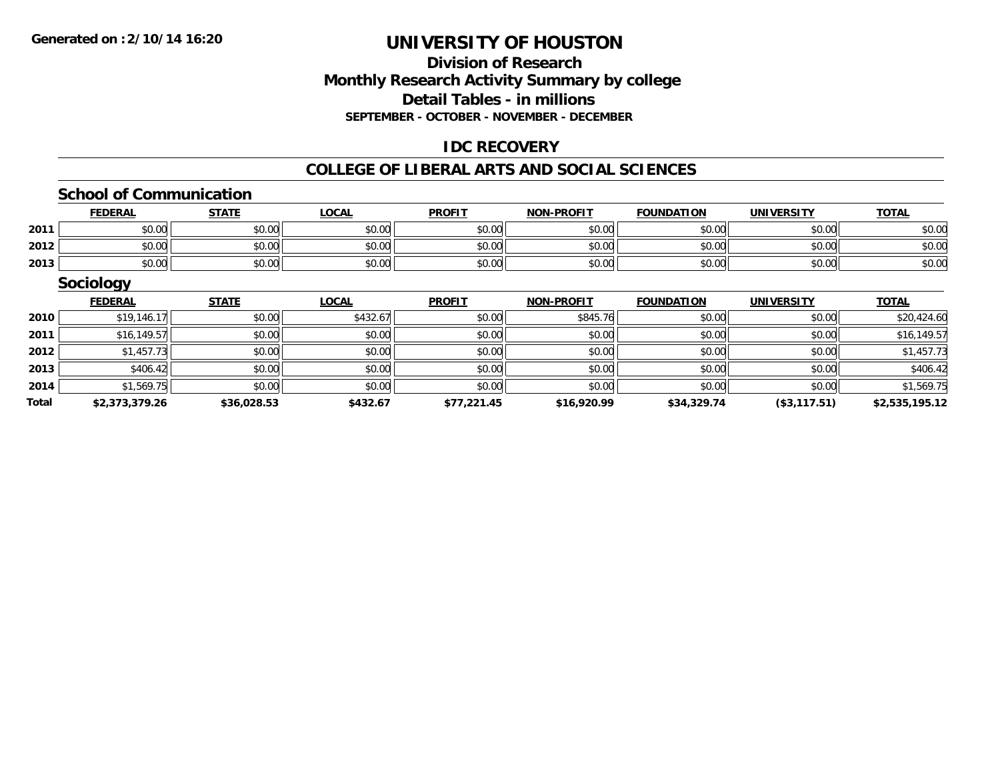#### **Division of Research Monthly Research Activity Summary by college Detail Tables - in millions SEPTEMBER - OCTOBER - NOVEMBER - DECEMBER**

## **IDC RECOVERY**

#### **COLLEGE OF LIBERAL ARTS AND SOCIAL SCIENCES**

#### **School of Communication**

|      | <b>FEDERAL</b> | <b>STATE</b> | <b>LOCAL</b> | <b>PROFIT</b> | <b>NON-PROFIT</b> | <b>FOUNDATION</b> | <b>UNIVERSITY</b> | <b>TOTAL</b> |
|------|----------------|--------------|--------------|---------------|-------------------|-------------------|-------------------|--------------|
| 2011 | \$0.00         | \$0.00       | \$0.00       | \$0.00        | \$0.00            | \$0.00            | \$0.00            | \$0.00       |
| 2012 | \$0.00         | \$0.00       | \$0.00       | \$0.00        | \$0.00            | \$0.00            | \$0.00            | \$0.00       |
| 2013 | \$0.00         | \$0.00       | \$0.00       | \$0.00        | \$0.00            | \$0.00            | \$0.00            | \$0.00       |

|       | <b>Sociology</b> |              |              |               |                   |                   |                   |                |
|-------|------------------|--------------|--------------|---------------|-------------------|-------------------|-------------------|----------------|
|       | <b>FEDERAL</b>   | <b>STATE</b> | <b>LOCAL</b> | <b>PROFIT</b> | <b>NON-PROFIT</b> | <b>FOUNDATION</b> | <b>UNIVERSITY</b> | <b>TOTAL</b>   |
| 2010  | \$19,146.17      | \$0.00       | \$432.67     | \$0.00        | \$845.76          | \$0.00            | \$0.00            | \$20,424.60    |
| 2011  | \$16,149.57      | \$0.00       | \$0.00       | \$0.00        | \$0.00            | \$0.00            | \$0.00            | \$16,149.57    |
| 2012  | \$1,457.73       | \$0.00       | \$0.00       | \$0.00        | \$0.00            | \$0.00            | \$0.00            | \$1,457.73     |
| 2013  | \$406.42         | \$0.00       | \$0.00       | \$0.00        | \$0.00            | \$0.00            | \$0.00            | \$406.42       |
| 2014  | \$1,569.75       | \$0.00       | \$0.00       | \$0.00        | \$0.00            | \$0.00            | \$0.00            | \$1,569.75     |
| Total | \$2,373,379.26   | \$36,028.53  | \$432.67     | \$77,221.45   | \$16,920.99       | \$34,329.74       | (\$3,117.51)      | \$2,535,195.12 |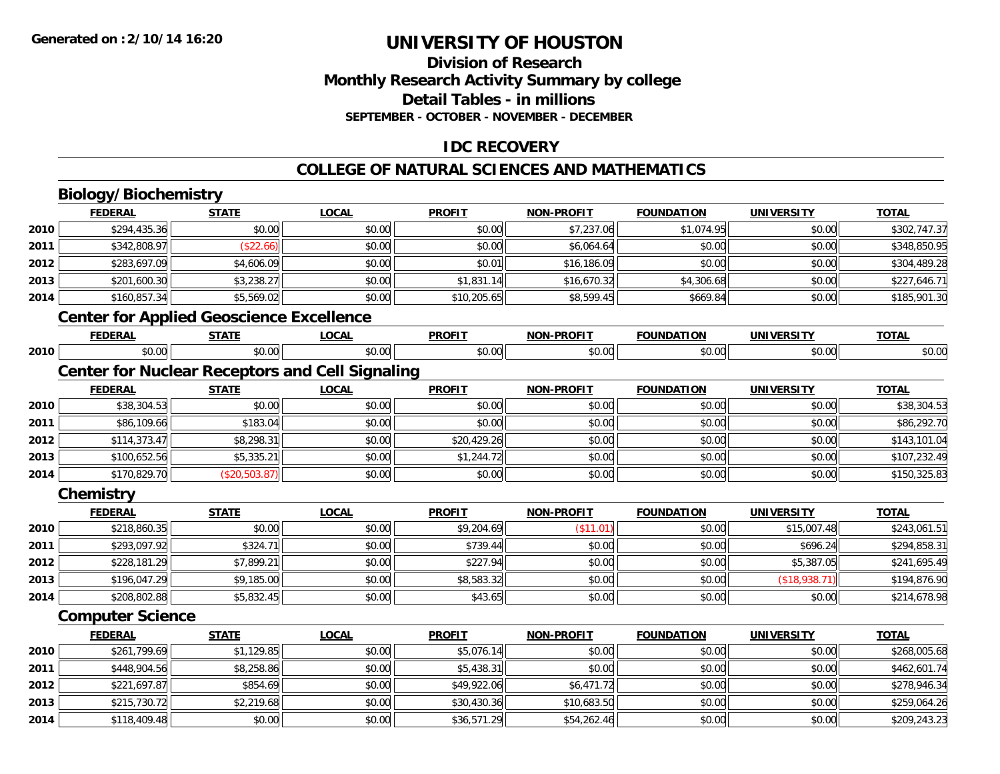## **Division of ResearchMonthly Research Activity Summary by college Detail Tables - in millions SEPTEMBER - OCTOBER - NOVEMBER - DECEMBER**

# **IDC RECOVERY**

#### **COLLEGE OF NATURAL SCIENCES AND MATHEMATICS**

# **Biology/Biochemistry**

|      | <b>FEDERAL</b>                                         | <b>STATE</b>  | <b>LOCAL</b> | <b>PROFIT</b> | <b>NON-PROFIT</b> | <b>FOUNDATION</b> | <b>UNIVERSITY</b> | <b>TOTAL</b> |
|------|--------------------------------------------------------|---------------|--------------|---------------|-------------------|-------------------|-------------------|--------------|
| 2010 | \$294,435.36                                           | \$0.00        | \$0.00       | \$0.00        | \$7,237.06        | \$1,074.95        | \$0.00            | \$302,747.37 |
| 2011 | \$342,808.97                                           | (\$22.66)     | \$0.00       | \$0.00        | \$6,064.64        | \$0.00            | \$0.00            | \$348,850.95 |
| 2012 | \$283,697.09                                           | \$4,606.09    | \$0.00       | \$0.01        | \$16,186.09       | \$0.00            | \$0.00            | \$304,489.28 |
| 2013 | \$201,600.30                                           | \$3,238.27    | \$0.00       | \$1,831.14    | \$16,670.32       | \$4,306.68        | \$0.00            | \$227,646.71 |
| 2014 | \$160,857.34                                           | \$5,569.02    | \$0.00       | \$10,205.65   | \$8,599.45        | \$669.84          | \$0.00            | \$185,901.30 |
|      | <b>Center for Applied Geoscience Excellence</b>        |               |              |               |                   |                   |                   |              |
|      | <b>FEDERAL</b>                                         | <b>STATE</b>  | <b>LOCAL</b> | <b>PROFIT</b> | <b>NON-PROFIT</b> | <b>FOUNDATION</b> | <b>UNIVERSITY</b> | <b>TOTAL</b> |
| 2010 | \$0.00                                                 | \$0.00        | \$0.00       | \$0.00        | \$0.00            | \$0.00            | \$0.00            | \$0.00       |
|      | <b>Center for Nuclear Receptors and Cell Signaling</b> |               |              |               |                   |                   |                   |              |
|      | <b>FEDERAL</b>                                         | <b>STATE</b>  | <b>LOCAL</b> | <b>PROFIT</b> | <b>NON-PROFIT</b> | <b>FOUNDATION</b> | <b>UNIVERSITY</b> | <b>TOTAL</b> |
| 2010 | \$38,304.53                                            | \$0.00        | \$0.00       | \$0.00        | \$0.00            | \$0.00            | \$0.00            | \$38,304.53  |
| 2011 | \$86,109.66                                            | \$183.04      | \$0.00       | \$0.00        | \$0.00            | \$0.00            | \$0.00            | \$86,292.70  |
| 2012 | \$114,373.47                                           | \$8,298.31    | \$0.00       | \$20,429.26   | \$0.00            | \$0.00            | \$0.00            | \$143,101.04 |
| 2013 | \$100,652.56                                           | \$5,335.21    | \$0.00       | \$1,244.72    | \$0.00            | \$0.00            | \$0.00            | \$107,232.49 |
| 2014 | \$170,829.70                                           | (\$20,503.87) | \$0.00       | \$0.00        | \$0.00            | \$0.00            | \$0.00            | \$150,325.83 |
|      | Chemistry                                              |               |              |               |                   |                   |                   |              |
|      | <b>FEDERAL</b>                                         | <b>STATE</b>  | <b>LOCAL</b> | <b>PROFIT</b> | <b>NON-PROFIT</b> | <b>FOUNDATION</b> | <b>UNIVERSITY</b> | <b>TOTAL</b> |
| 2010 | \$218,860.35                                           | \$0.00        | \$0.00       | \$9,204.69    | (\$11.01)         | \$0.00            | \$15,007.48       | \$243,061.51 |
| 2011 | \$293,097.92                                           | \$324.71      | \$0.00       | \$739.44      | \$0.00            | \$0.00            | \$696.24          | \$294,858.31 |
| 2012 | \$228,181.29                                           | \$7,899.21    | \$0.00       | \$227.94      | \$0.00            | \$0.00            | \$5,387.05        | \$241,695.49 |
| 2013 | \$196,047.29                                           | \$9,185.00    | \$0.00       | \$8,583.32    | \$0.00            | \$0.00            | (\$18,938.71)     | \$194,876.90 |
| 2014 | \$208,802.88                                           | \$5,832.45    | \$0.00       | \$43.65       | \$0.00            | \$0.00            | \$0.00            | \$214,678.98 |
|      | <b>Computer Science</b>                                |               |              |               |                   |                   |                   |              |
|      | <b>FEDERAL</b>                                         | <b>STATE</b>  | <b>LOCAL</b> | <b>PROFIT</b> | <b>NON-PROFIT</b> | <b>FOUNDATION</b> | <b>UNIVERSITY</b> | <b>TOTAL</b> |
| 2010 | \$261,799.69                                           | \$1,129.85    | \$0.00       | \$5,076.14    | \$0.00            | \$0.00            | \$0.00            | \$268,005.68 |
| 2011 | \$448,904.56                                           | \$8,258.86    | \$0.00       | \$5,438.31    | \$0.00            | \$0.00            | \$0.00            | \$462,601.74 |
| 2012 | \$221,697.87                                           | \$854.69      | \$0.00       | \$49,922.06   | \$6,471.72        | \$0.00            | \$0.00            | \$278,946.34 |
| 2013 | \$215,730.72                                           | \$2,219.68    | \$0.00       | \$30,430.36   | \$10,683.50       | \$0.00            | \$0.00            | \$259,064.26 |
| 2014 | \$118,409.48                                           | \$0.00        | \$0.00       | \$36,571.29   | \$54,262.46       | \$0.00            | \$0.00            | \$209,243.23 |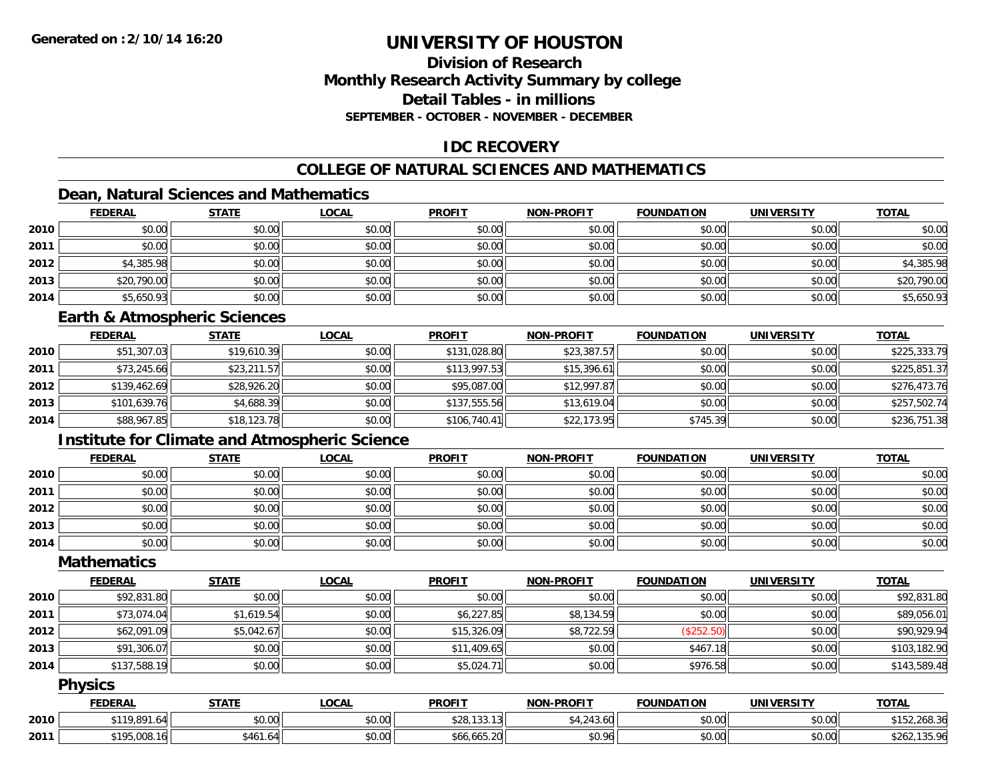## **Division of ResearchMonthly Research Activity Summary by college Detail Tables - in millionsSEPTEMBER - OCTOBER - NOVEMBER - DECEMBER**

## **IDC RECOVERY**

# **COLLEGE OF NATURAL SCIENCES AND MATHEMATICS**

# **Dean, Natural Sciences and Mathematics**

|      | <b>FEDERAL</b> | <b>STATE</b> | <u>LOCAL</u> | <b>PROFIT</b> | <b>NON-PROFIT</b> | <b>FOUNDATION</b> | <b>UNIVERSITY</b> | <b>TOTAL</b> |
|------|----------------|--------------|--------------|---------------|-------------------|-------------------|-------------------|--------------|
| 2010 | \$0.00         | \$0.00       | \$0.00       | \$0.00        | \$0.00            | \$0.00            | \$0.00            | \$0.00       |
| 2011 | \$0.00         | \$0.00       | \$0.00       | \$0.00        | \$0.00            | \$0.00            | \$0.00            | \$0.00       |
| 2012 | \$4,385.98     | \$0.00       | \$0.00       | \$0.00        | \$0.00            | \$0.00            | \$0.00            | \$4,385.98   |
| 2013 | \$20,790.00    | \$0.00       | \$0.00       | \$0.00        | \$0.00            | \$0.00            | \$0.00            | \$20,790.00  |
| 2014 | \$5,650.93     | \$0.00       | \$0.00       | \$0.00        | \$0.00            | \$0.00            | \$0.00            | \$5,650.93   |

#### **Earth & Atmospheric Sciences**

|      | <b>FEDERAL</b> | <u>STATE</u> | <b>LOCAL</b> | <b>PROFIT</b> | <b>NON-PROFIT</b> | <b>FOUNDATION</b> | <b>UNIVERSITY</b> | <b>TOTAL</b> |
|------|----------------|--------------|--------------|---------------|-------------------|-------------------|-------------------|--------------|
| 2010 | \$51,307.03    | \$19,610.39  | \$0.00       | \$131,028.80  | \$23,387.57       | \$0.00            | \$0.00            | \$225,333.79 |
| 2011 | \$73,245.66    | \$23,211.57  | \$0.00       | \$113,997.53  | \$15,396.61       | \$0.00            | \$0.00            | \$225,851.37 |
| 2012 | \$139,462.69   | \$28,926.20  | \$0.00       | \$95,087.00   | \$12,997.87       | \$0.00            | \$0.00            | \$276,473.76 |
| 2013 | \$101,639.76   | \$4,688.39   | \$0.00       | \$137,555.56  | \$13,619.04       | \$0.00            | \$0.00            | \$257,502.74 |
| 2014 | \$88,967.85    | \$18,123.78  | \$0.00       | \$106,740.41  | \$22,173.95       | \$745.39          | \$0.00            | \$236,751.38 |

# **Institute for Climate and Atmospheric Science**

|      | <b>FEDERAL</b> | <b>STATE</b> | <b>LOCAL</b> | <b>PROFIT</b> | <b>NON-PROFIT</b> | <b>FOUNDATION</b> | <b>UNIVERSITY</b> | <b>TOTAL</b> |
|------|----------------|--------------|--------------|---------------|-------------------|-------------------|-------------------|--------------|
| 2010 | \$0.00         | \$0.00       | \$0.00       | \$0.00        | \$0.00            | \$0.00            | \$0.00            | \$0.00       |
| 2011 | \$0.00         | \$0.00       | \$0.00       | \$0.00        | \$0.00            | \$0.00            | \$0.00            | \$0.00       |
| 2012 | \$0.00         | \$0.00       | \$0.00       | \$0.00        | \$0.00            | \$0.00            | \$0.00            | \$0.00       |
| 2013 | \$0.00         | \$0.00       | \$0.00       | \$0.00        | \$0.00            | \$0.00            | \$0.00            | \$0.00       |
| 2014 | \$0.00         | \$0.00       | \$0.00       | \$0.00        | \$0.00            | \$0.00            | \$0.00            | \$0.00       |

## **Mathematics**

|      | <b>FEDERAL</b> | <b>STATE</b> | <b>LOCAL</b> | <b>PROFIT</b> | <b>NON-PROFIT</b> | <b>FOUNDATION</b> | <b>UNIVERSITY</b> | <b>TOTAL</b> |
|------|----------------|--------------|--------------|---------------|-------------------|-------------------|-------------------|--------------|
| 2010 | \$92,831.80    | \$0.00       | \$0.00       | \$0.00        | \$0.00            | \$0.00            | \$0.00            | \$92,831.80  |
| 2011 | \$73,074.04    | \$1,619.54   | \$0.00       | \$6,227.85    | \$8,134.59        | \$0.00            | \$0.00            | \$89,056.01  |
| 2012 | \$62,091.09    | \$5,042.67   | \$0.00       | \$15,326.09   | \$8,722.59        | (\$252.50)        | \$0.00            | \$90,929.94  |
| 2013 | \$91,306.07    | \$0.00       | \$0.00       | \$11,409.65   | \$0.00            | \$467.18          | \$0.00            | \$103,182.90 |
| 2014 | \$137,588.19   | \$0.00       | \$0.00       | \$5,024.71    | \$0.00            | \$976.58          | \$0.00            | \$143,589.48 |

#### **Physics**

|      | <b>FEDERAL</b>                   | <b>STATE</b>   | LOCAL                 | <b>PROFIT</b>         | <b>NON-PROFIT</b>              | <b>FOUNDATION</b> | <b>UNIVERSITY</b> | <b>TOTAL</b>                      |
|------|----------------------------------|----------------|-----------------------|-----------------------|--------------------------------|-------------------|-------------------|-----------------------------------|
| 2010 | \$119,891.                       | \$0.00         | ¢Λ<br>$\cap$<br>PU.UU | \$28,133.13           | $A \cap A$<br>$\sim$<br>.43.OU | \$0.00            | \$0.00            | 152.268.36<br><b>¢15</b>          |
| 2011 | <b>C105 000</b><br>\$195.008.161 | \$461.64<br>AA | \$0.00                | LLE ON<br>\$66.665.20 | \$0.96                         | \$0.00            | \$0.00            | 1.25.0<br>ቀ ገ ፈ '<br>\$202,135.90 |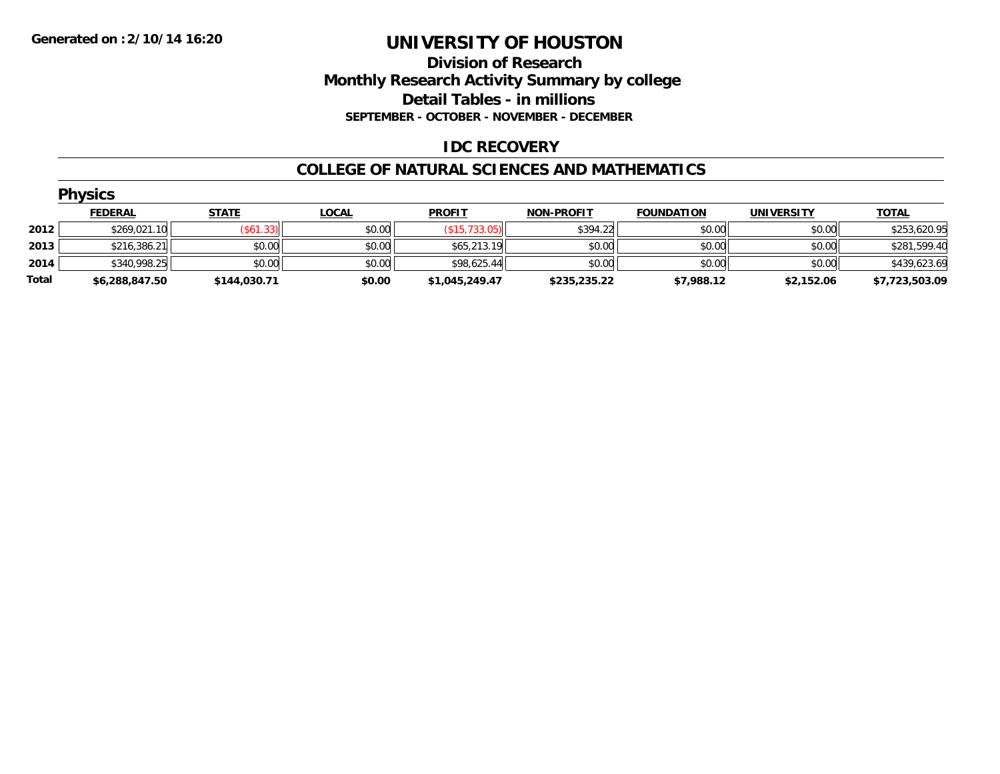## **Division of Research Monthly Research Activity Summary by college Detail Tables - in millions SEPTEMBER - OCTOBER - NOVEMBER - DECEMBER**

## **IDC RECOVERY**

#### **COLLEGE OF NATURAL SCIENCES AND MATHEMATICS**

|       | <b>Physics</b> |                  |              |                |                   |                   |                   |                |  |  |  |
|-------|----------------|------------------|--------------|----------------|-------------------|-------------------|-------------------|----------------|--|--|--|
|       | <b>FEDERAL</b> | <b>STATE</b>     | <u>LOCAL</u> | <b>PROFIT</b>  | <b>NON-PROFIT</b> | <b>FOUNDATION</b> | <b>UNIVERSITY</b> | <b>TOTAL</b>   |  |  |  |
| 2012  | \$269,021.10   | $($ \$61.33) $ $ | \$0.00       | (\$15,733.05)  | \$394.22          | \$0.00            | \$0.00            | \$253,620.95   |  |  |  |
| 2013  | \$216,386.21   | \$0.00           | \$0.00       | \$65,213.19    | \$0.00            | \$0.00            | \$0.00            | \$281,599.40   |  |  |  |
| 2014  | \$340,998.25   | \$0.00           | \$0.00       | \$98,625.44    | \$0.00            | \$0.00            | \$0.00            | \$439,623.69   |  |  |  |
| Total | \$6,288,847.50 | \$144,030.71     | \$0.00       | \$1,045,249.47 | \$235,235.22      | \$7,988.12        | \$2,152.06        | \$7,723,503.09 |  |  |  |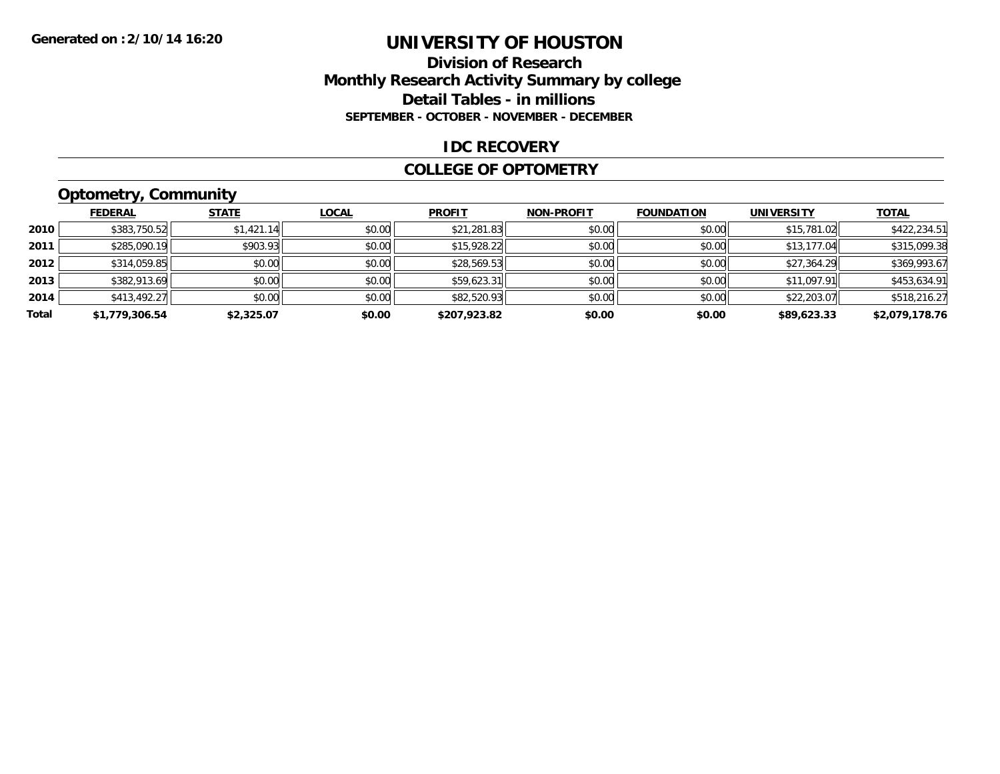#### **Division of Research Monthly Research Activity Summary by college Detail Tables - in millions SEPTEMBER - OCTOBER - NOVEMBER - DECEMBER**

#### **IDC RECOVERY**

#### **COLLEGE OF OPTOMETRY**

# **Optometry, Community**

|       | <b>FEDERAL</b> | <b>STATE</b> | <b>LOCAL</b> | <b>PROFIT</b> | <b>NON-PROFIT</b> | <b>FOUNDATION</b> | <b>UNIVERSITY</b> | <b>TOTAL</b>   |
|-------|----------------|--------------|--------------|---------------|-------------------|-------------------|-------------------|----------------|
| 2010  | \$383,750.52   | \$1,421.14   | \$0.00       | \$21,281.83   | \$0.00            | \$0.00            | \$15,781.02       | \$422,234.51   |
| 2011  | \$285,090.19   | \$903.93     | \$0.00       | \$15,928.22   | \$0.00            | \$0.00            | \$13,177.04       | \$315,099.38   |
| 2012  | \$314,059.85   | \$0.00       | \$0.00       | \$28,569.53   | \$0.00            | \$0.00            | \$27,364.29       | \$369,993.67   |
| 2013  | \$382,913.69   | \$0.00       | \$0.00       | \$59,623.31   | \$0.00            | \$0.00            | \$11,097.91       | \$453,634.91   |
| 2014  | \$413,492.27   | \$0.00       | \$0.00       | \$82,520.93   | \$0.00            | \$0.00            | \$22,203.07       | \$518,216.27   |
| Total | \$1,779,306.54 | \$2,325.07   | \$0.00       | \$207,923.82  | \$0.00            | \$0.00            | \$89,623.33       | \$2,079,178.76 |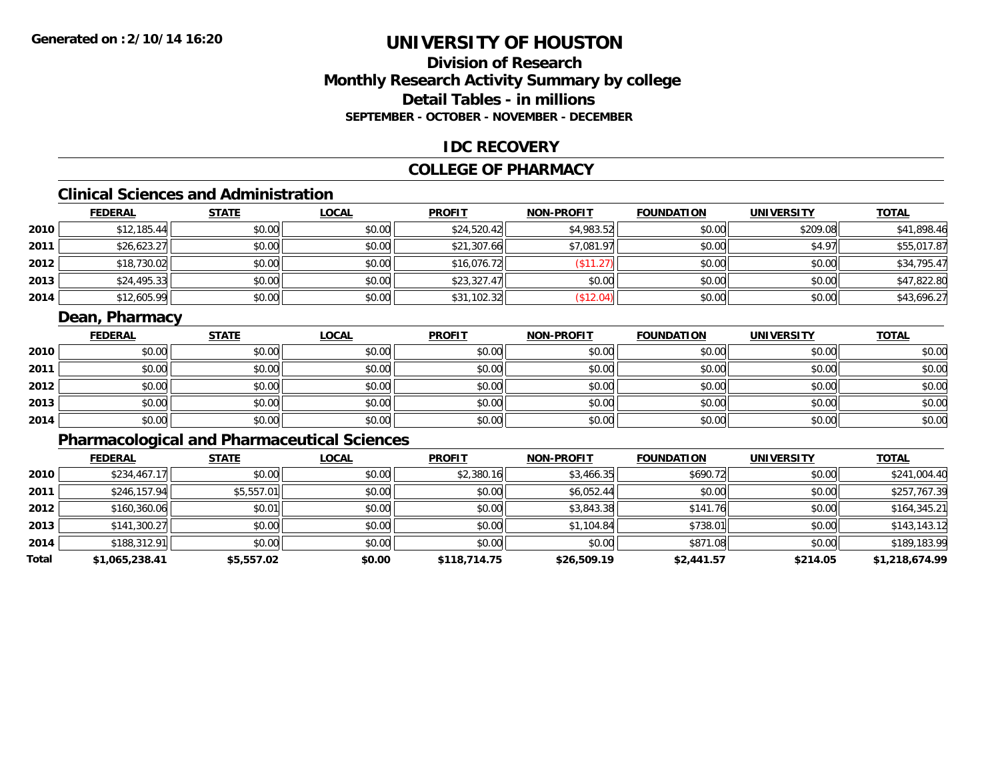# **Division of ResearchMonthly Research Activity Summary by college Detail Tables - in millionsSEPTEMBER - OCTOBER - NOVEMBER - DECEMBER**

#### **IDC RECOVERY**

#### **COLLEGE OF PHARMACY**

# **Clinical Sciences and Administration**

|      | <b>FEDERAL</b> | <b>STATE</b> | <u>LOCAL</u> | <b>PROFIT</b> | <b>NON-PROFIT</b> | <b>FOUNDATION</b> | <b>UNIVERSITY</b> | <b>TOTAL</b> |
|------|----------------|--------------|--------------|---------------|-------------------|-------------------|-------------------|--------------|
| 2010 | \$12,185.44    | \$0.00       | \$0.00       | \$24,520.42   | \$4,983.52        | \$0.00            | \$209.08          | \$41,898.46  |
| 2011 | \$26,623.27    | \$0.00       | \$0.00       | \$21,307.66   | \$7,081.97        | \$0.00            | \$4.97            | \$55,017.87  |
| 2012 | \$18,730.02    | \$0.00       | \$0.00       | \$16,076.72   | \$11.27           | \$0.00            | \$0.00            | \$34,795.47  |
| 2013 | \$24,495.33    | \$0.00       | \$0.00       | \$23,327.47   | \$0.00            | \$0.00            | \$0.00            | \$47,822.80  |
| 2014 | \$12,605.99    | \$0.00       | \$0.00       | \$31,102.32   | \$12.04)          | \$0.00            | \$0.00            | \$43,696.27  |

## **Dean, Pharmacy**

|      | <b>FEDERAL</b> | <b>STATE</b> | <b>LOCAL</b> | <b>PROFIT</b> | <b>NON-PROFIT</b> | <b>FOUNDATION</b> | <b>UNIVERSITY</b> | <b>TOTAL</b> |
|------|----------------|--------------|--------------|---------------|-------------------|-------------------|-------------------|--------------|
| 2010 | \$0.00         | \$0.00       | \$0.00       | \$0.00        | \$0.00            | \$0.00            | \$0.00            | \$0.00       |
| 2011 | \$0.00         | \$0.00       | \$0.00       | \$0.00        | \$0.00            | \$0.00            | \$0.00            | \$0.00       |
| 2012 | \$0.00         | \$0.00       | \$0.00       | \$0.00        | \$0.00            | \$0.00            | \$0.00            | \$0.00       |
| 2013 | \$0.00         | \$0.00       | \$0.00       | \$0.00        | \$0.00            | \$0.00            | \$0.00            | \$0.00       |
| 2014 | \$0.00         | \$0.00       | \$0.00       | \$0.00        | \$0.00            | \$0.00            | \$0.00            | \$0.00       |

# **Pharmacological and Pharmaceutical Sciences**

|       | <b>FEDERAL</b> | <b>STATE</b> | <b>LOCAL</b> | <b>PROFIT</b> | <b>NON-PROFIT</b> | <b>FOUNDATION</b> | <b>UNIVERSITY</b> | <b>TOTAL</b>   |
|-------|----------------|--------------|--------------|---------------|-------------------|-------------------|-------------------|----------------|
| 2010  | \$234,467.17   | \$0.00       | \$0.00       | \$2,380.16    | \$3,466.35        | \$690.72          | \$0.00            | \$241,004.40   |
| 2011  | \$246,157.94   | \$5,557.01   | \$0.00       | \$0.00        | \$6,052.44        | \$0.00            | \$0.00            | \$257,767.39   |
| 2012  | \$160,360.06   | \$0.01       | \$0.00       | \$0.00        | \$3,843.38        | \$141.76          | \$0.00            | \$164,345.21   |
| 2013  | \$141,300.27   | \$0.00       | \$0.00       | \$0.00        | \$1,104.84        | \$738.01          | \$0.00            | \$143,143.12   |
| 2014  | \$188,312.91   | \$0.00       | \$0.00       | \$0.00        | \$0.00            | \$871.08          | \$0.00            | \$189,183.99   |
| Total | \$1,065,238.41 | \$5,557.02   | \$0.00       | \$118,714.75  | \$26,509.19       | \$2,441.57        | \$214.05          | \$1,218,674.99 |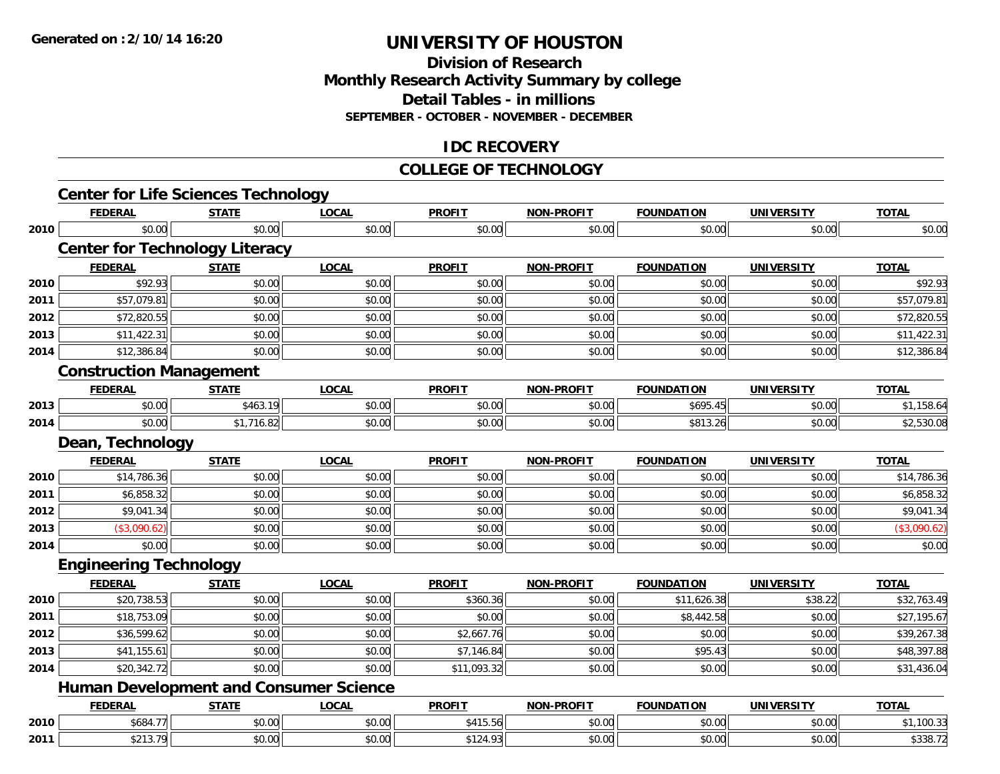#### **Division of Research Monthly Research Activity Summary by college Detail Tables - in millions SEPTEMBER - OCTOBER - NOVEMBER - DECEMBER**

## **IDC RECOVERY**

#### **COLLEGE OF TECHNOLOGY**

|      | <b>Center for Life Sciences Technology</b><br><b>FEDERAL</b> | <b>STATE</b> | <b>LOCAL</b> | <b>PROFIT</b> | <b>NON-PROFIT</b> | <b>FOUNDATION</b> | <b>UNIVERSITY</b> | <b>TOTAL</b> |
|------|--------------------------------------------------------------|--------------|--------------|---------------|-------------------|-------------------|-------------------|--------------|
|      | \$0.00                                                       |              |              |               |                   |                   |                   |              |
| 2010 |                                                              | \$0.00       | \$0.00       | \$0.00        | \$0.00            | \$0.00            | \$0.00            | \$0.00       |
|      | <b>Center for Technology Literacy</b>                        |              |              |               |                   |                   |                   |              |
|      | <b>FEDERAL</b>                                               | <b>STATE</b> | <b>LOCAL</b> | <b>PROFIT</b> | NON-PROFIT        | <b>FOUNDATION</b> | <b>UNIVERSITY</b> | <b>TOTAL</b> |
| 2010 | \$92.93                                                      | \$0.00       | \$0.00       | \$0.00        | \$0.00            | \$0.00            | \$0.00            | \$92.93      |
| 2011 | \$57,079.81                                                  | \$0.00       | \$0.00       | \$0.00        | \$0.00            | \$0.00            | \$0.00            | \$57,079.81  |
| 2012 | \$72,820.55                                                  | \$0.00       | \$0.00       | \$0.00        | \$0.00            | \$0.00            | \$0.00            | \$72,820.55  |
| 2013 | \$11,422.31                                                  | \$0.00       | \$0.00       | \$0.00        | \$0.00            | \$0.00            | \$0.00            | \$11,422.31  |
| 2014 | \$12,386.84                                                  | \$0.00       | \$0.00       | \$0.00        | \$0.00            | \$0.00            | \$0.00            | \$12,386.84  |
|      | <b>Construction Management</b>                               |              |              |               |                   |                   |                   |              |
|      | <b>FEDERAL</b>                                               | <b>STATE</b> | <b>LOCAL</b> | <b>PROFIT</b> | <b>NON-PROFIT</b> | <b>FOUNDATION</b> | <b>UNIVERSITY</b> | <b>TOTAL</b> |
| 2013 | \$0.00                                                       | \$463.19     | \$0.00       | \$0.00        | \$0.00            | \$695.45          | \$0.00            | \$1,158.64   |
| 2014 | \$0.00                                                       | \$1,716.82   | \$0.00       | \$0.00        | \$0.00            | \$813.26          | \$0.00            | \$2,530.08   |
|      | Dean, Technology                                             |              |              |               |                   |                   |                   |              |
|      | <b>FEDERAL</b>                                               | <b>STATE</b> | <b>LOCAL</b> | <b>PROFIT</b> | <b>NON-PROFIT</b> | <b>FOUNDATION</b> | <b>UNIVERSITY</b> | <b>TOTAL</b> |
| 2010 | \$14,786.36                                                  | \$0.00       | \$0.00       | \$0.00        | \$0.00            | \$0.00            | \$0.00            | \$14,786.36  |
| 2011 | \$6,858.32                                                   | \$0.00       | \$0.00       | \$0.00        | \$0.00            | \$0.00            | \$0.00            | \$6,858.32   |
| 2012 | \$9,041.34                                                   | \$0.00       | \$0.00       | \$0.00        | \$0.00            | \$0.00            | \$0.00            | \$9,041.34   |
| 2013 | (\$3,090.62)                                                 | \$0.00       | \$0.00       | \$0.00        | \$0.00            | \$0.00            | \$0.00            | (\$3,090.62) |
| 2014 | \$0.00                                                       | \$0.00       | \$0.00       | \$0.00        | \$0.00            | \$0.00            | \$0.00            | \$0.00       |
|      | <b>Engineering Technology</b>                                |              |              |               |                   |                   |                   |              |
|      | <b>FEDERAL</b>                                               | <b>STATE</b> | <b>LOCAL</b> | <b>PROFIT</b> | <b>NON-PROFIT</b> | <b>FOUNDATION</b> | <b>UNIVERSITY</b> | <b>TOTAL</b> |
| 2010 | \$20,738.53                                                  | \$0.00       | \$0.00       | \$360.36      | \$0.00            | \$11,626.38       | \$38.22           | \$32,763.49  |
| 2011 | \$18,753.09                                                  | \$0.00       | \$0.00       | \$0.00        | \$0.00            | \$8,442.58        | \$0.00            | \$27,195.67  |
| 2012 | \$36,599.62                                                  | \$0.00       | \$0.00       | \$2,667.76    | \$0.00            | \$0.00            | \$0.00            | \$39,267.38  |
| 2013 | \$41,155.61                                                  | \$0.00       | \$0.00       | \$7,146.84    | \$0.00            | \$95.43           | \$0.00            | \$48,397.88  |
| 2014 | \$20,342.72                                                  | \$0.00       | \$0.00       | \$11,093.32   | \$0.00            | \$0.00            | \$0.00            | \$31,436.04  |
|      | <b>Human Development and Consumer Science</b>                |              |              |               |                   |                   |                   |              |
|      | <b>FEDERAL</b>                                               | <b>STATE</b> | <b>LOCAL</b> | <b>PROFIT</b> | <b>NON-PROFIT</b> | <b>FOUNDATION</b> | <b>UNIVERSITY</b> | <b>TOTAL</b> |
| 2010 | \$684.77                                                     | \$0.00       | \$0.00       | \$415.56      | \$0.00            | \$0.00            | \$0.00            | \$1,100.33   |
| 2011 | \$213.79                                                     | \$0.00       | \$0.00       | \$124.93      | \$0.00            | \$0.00            | \$0.00            | \$338.72     |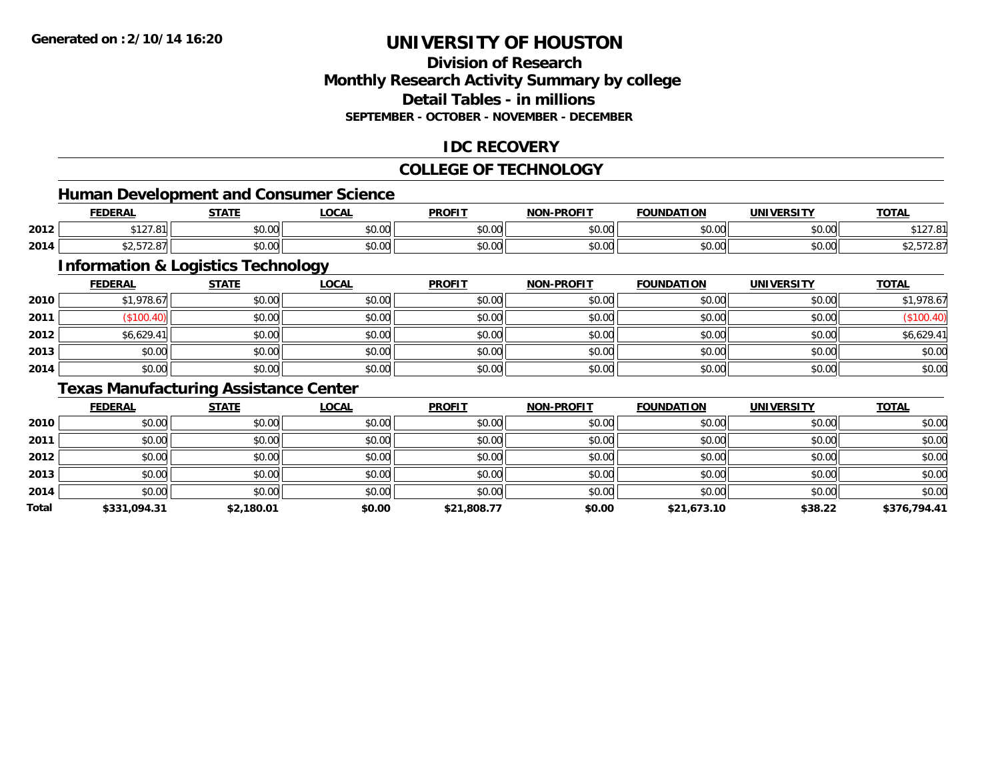## **Division of ResearchMonthly Research Activity Summary by college Detail Tables - in millionsSEPTEMBER - OCTOBER - NOVEMBER - DECEMBER**

## **IDC RECOVERY**

#### **COLLEGE OF TECHNOLOGY**

<u> 1980 - Johann Barbara, martxa alemaniar argametra (h. 1980).</u>

# **Human Development and Consumer Science**

|      | <b>FEDERAL</b>              | <b>STATE</b>    | LOCAL         | <b>PROFIT</b>        | <b>NON-PROFIT</b> | <b>FOUNDATION</b> | <b>UNIVERSITY</b> | <b>TOTAL</b>                                   |
|------|-----------------------------|-----------------|---------------|----------------------|-------------------|-------------------|-------------------|------------------------------------------------|
| 2012 | A A 27<br>$\sim$<br>, , , , | $\sim$<br>vv.vv | 0.00<br>vv.vv | 0.00<br><b>JU.UU</b> | 0000<br>\$U.UU    | \$0.00            | 0000<br>JU.UU     | $\sim$ $\sim$ $\sim$<br>$\sim$<br>, . <u>.</u> |
| 2014 | $\cdots$<br>92.JIZ.OI       | ÷0.<br>JU.UU    | 0000<br>JU.UU | 0.00<br>JU.UU        | \$0.00            | \$0.00            | \$0.00            | 92.972.07                                      |

# **Information & Logistics Technology**

|      | <u>FEDERAL</u> | <b>STATE</b> | <b>LOCAL</b> | <b>PROFIT</b> | <b>NON-PROFIT</b> | <b>FOUNDATION</b> | <b>UNIVERSITY</b> | <b>TOTAL</b> |
|------|----------------|--------------|--------------|---------------|-------------------|-------------------|-------------------|--------------|
| 2010 | \$1,978.67     | \$0.00       | \$0.00       | \$0.00        | \$0.00            | \$0.00            | \$0.00            | \$1,978.67   |
| 2011 | \$100.40       | \$0.00       | \$0.00       | \$0.00        | \$0.00            | \$0.00            | \$0.00            | (\$100.40)   |
| 2012 | \$6,629.41     | \$0.00       | \$0.00       | \$0.00        | \$0.00            | \$0.00            | \$0.00            | \$6,629.41   |
| 2013 | \$0.00         | \$0.00       | \$0.00       | \$0.00        | \$0.00            | \$0.00            | \$0.00            | \$0.00       |
| 2014 | \$0.00         | \$0.00       | \$0.00       | \$0.00        | \$0.00            | \$0.00            | \$0.00            | \$0.00       |

## **Texas Manufacturing Assistance Center**

|       | <b>FEDERAL</b> | <b>STATE</b> | <b>LOCAL</b> | <b>PROFIT</b> | <b>NON-PROFIT</b> | <b>FOUNDATION</b> | <b>UNIVERSITY</b> | <b>TOTAL</b> |
|-------|----------------|--------------|--------------|---------------|-------------------|-------------------|-------------------|--------------|
| 2010  | \$0.00         | \$0.00       | \$0.00       | \$0.00        | \$0.00            | \$0.00            | \$0.00            | \$0.00       |
| 2011  | \$0.00         | \$0.00       | \$0.00       | \$0.00        | \$0.00            | \$0.00            | \$0.00            | \$0.00       |
| 2012  | \$0.00         | \$0.00       | \$0.00       | \$0.00        | \$0.00            | \$0.00            | \$0.00            | \$0.00       |
| 2013  | \$0.00         | \$0.00       | \$0.00       | \$0.00        | \$0.00            | \$0.00            | \$0.00            | \$0.00       |
| 2014  | \$0.00         | \$0.00       | \$0.00       | \$0.00        | \$0.00            | \$0.00            | \$0.00            | \$0.00       |
| Total | \$331,094.31   | \$2,180.01   | \$0.00       | \$21,808.77   | \$0.00            | \$21,673.10       | \$38.22           | \$376,794.41 |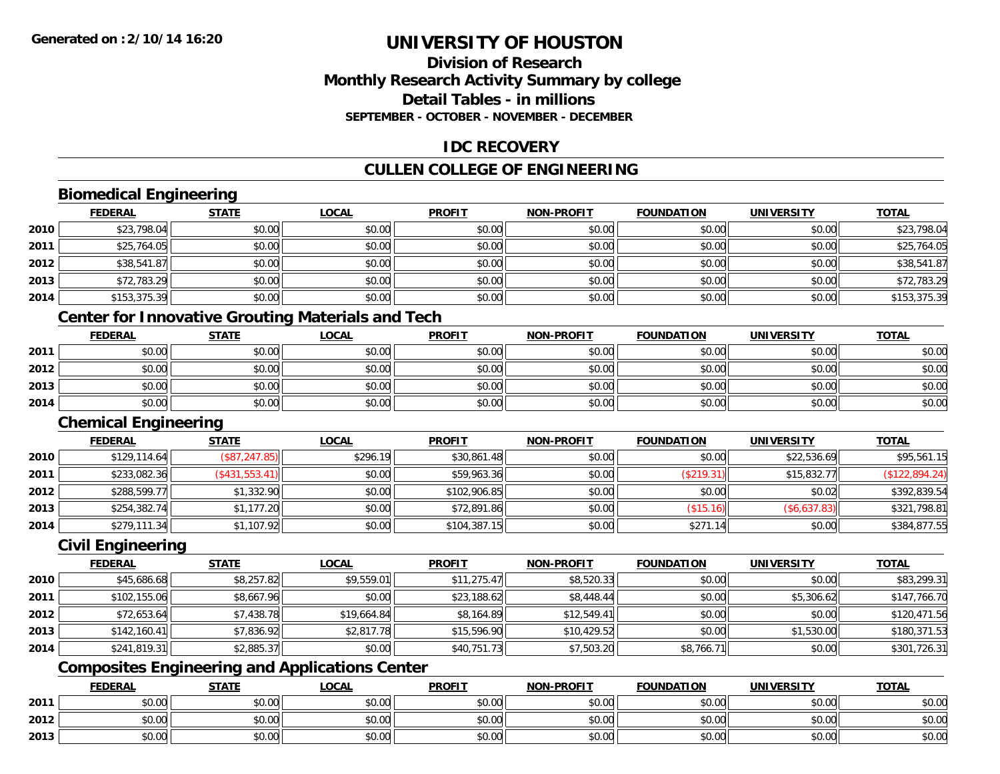## **Division of ResearchMonthly Research Activity Summary by college Detail Tables - in millionsSEPTEMBER - OCTOBER - NOVEMBER - DECEMBER**

## **IDC RECOVERY**

# **CULLEN COLLEGE OF ENGINEERING**

# **Biomedical Engineering**

|      | <b>FEDERAL</b> | <b>STATE</b> | <u>LOCAL</u> | <b>PROFIT</b> | <b>NON-PROFIT</b> | <b>FOUNDATION</b> | <b>UNIVERSITY</b> | <b>TOTAL</b> |
|------|----------------|--------------|--------------|---------------|-------------------|-------------------|-------------------|--------------|
| 2010 | \$23,798.04    | \$0.00       | \$0.00       | \$0.00        | \$0.00            | \$0.00            | \$0.00            | \$23,798.04  |
| 2011 | \$25,764.05    | \$0.00       | \$0.00       | \$0.00        | \$0.00            | \$0.00            | \$0.00            | \$25,764.05  |
| 2012 | \$38,541.87    | \$0.00       | \$0.00       | \$0.00        | \$0.00            | \$0.00            | \$0.00            | \$38,541.87  |
| 2013 | \$72,783.29    | \$0.00       | \$0.00       | \$0.00        | \$0.00            | \$0.00            | \$0.00            | \$72,783.29  |
| 2014 | \$153,375.39   | \$0.00       | \$0.00       | \$0.00        | \$0.00            | \$0.00            | \$0.00            | \$153,375.39 |
|      |                |              |              |               |                   |                   |                   |              |

# **Center for Innovative Grouting Materials and Tech**

|      | <u>FEDERAL</u> | <b>STATE</b> | <b>LOCAL</b> | <b>PROFIT</b> | <b>NON-PROFIT</b> | <b>FOUNDATION</b> | UNIVERSITY | <b>TOTAL</b> |
|------|----------------|--------------|--------------|---------------|-------------------|-------------------|------------|--------------|
| 2011 | \$0.00         | \$0.00       | \$0.00       | \$0.00        | \$0.00            | \$0.00            | \$0.00     | \$0.00       |
| 2012 | \$0.00         | \$0.00       | \$0.00       | \$0.00        | \$0.00            | \$0.00            | \$0.00     | \$0.00       |
| 2013 | \$0.00         | \$0.00       | \$0.00       | \$0.00        | \$0.00            | \$0.00            | \$0.00     | \$0.00       |
| 2014 | \$0.00         | \$0.00       | \$0.00       | \$0.00        | \$0.00            | \$0.00            | \$0.00     | \$0.00       |

#### **Chemical Engineering**

|      | <b>FEDERAL</b> | <u>STATE</u>   | <u>LOCAL</u> | <b>PROFIT</b> | <b>NON-PROFIT</b> | <b>FOUNDATION</b> | <b>UNIVERSITY</b> | <b>TOTAL</b>   |
|------|----------------|----------------|--------------|---------------|-------------------|-------------------|-------------------|----------------|
| 2010 | \$129,114.64   | (\$87, 247.85) | \$296.19     | \$30,861.48   | \$0.00            | \$0.00            | \$22,536.69       | \$95,561.15    |
| 2011 | \$233,082.36   | (\$431,553.41) | \$0.00       | \$59,963.36   | \$0.00            | (\$219.31)        | \$15,832.77       | (\$122,894.24) |
| 2012 | \$288,599.77   | \$1,332.90     | \$0.00       | \$102,906.85  | \$0.00            | \$0.00            | \$0.02            | \$392,839.54   |
| 2013 | \$254,382.74   | \$1,177.20     | \$0.00       | \$72,891.86   | \$0.00            | \$15.16           | (\$6,637.83)      | \$321,798.81   |
| 2014 | \$279,111.34   | \$1,107.92     | \$0.00       | \$104,387.15  | \$0.00            | \$271.14          | \$0.00            | \$384,877.55   |

#### **Civil Engineering**

|      | <b>FEDERAL</b> | <b>STATE</b> | <b>LOCAL</b> | <b>PROFIT</b> | <b>NON-PROFIT</b> | <b>FOUNDATION</b> | <b>UNIVERSITY</b> | <b>TOTAL</b> |
|------|----------------|--------------|--------------|---------------|-------------------|-------------------|-------------------|--------------|
| 2010 | \$45,686.68    | \$8,257.82   | \$9.559.01   | \$11,275.47   | \$8,520.33        | \$0.00            | \$0.00            | \$83,299.31  |
| 2011 | \$102,155.06   | \$8,667.96   | \$0.00       | \$23,188.62   | \$8,448.44        | \$0.00            | \$5,306.62        | \$147,766.70 |
| 2012 | \$72,653.64    | \$7,438.78   | \$19,664.84  | \$8,164.89    | \$12,549.41       | \$0.00            | \$0.00            | \$120,471.56 |
| 2013 | \$142,160.41   | \$7,836.92   | \$2,817.78   | \$15,596.90   | \$10,429.52       | \$0.00            | \$1,530.00        | \$180,371.53 |
| 2014 | \$241,819.31   | \$2,885.37   | \$0.00       | \$40,751.73   | \$7,503.20        | \$8,766.71        | \$0.00            | \$301,726.31 |

# **Composites Engineering and Applications Center**

|      | <b>FEDERAL</b>     | <b>STATE</b> | <u>LOCAL</u> | <b>PROFIT</b> | <b>I-PROFIT</b><br>NON- | <b>FOUNDATION</b> | <b>UNIVERSITY</b> | <b>TOTAL</b> |
|------|--------------------|--------------|--------------|---------------|-------------------------|-------------------|-------------------|--------------|
| 2011 | <b>00</b><br>JU.UU | \$0.00       | \$0.00       | \$0.00        | \$0.00                  | \$0.00            | \$0.00            | \$0.00       |
| 2012 | ሶስ ሰሰ<br>PU.UU     | \$0.00       | \$0.00       | \$0.00        | \$0.00                  | \$0.00            | \$0.00            | \$0.00       |
| 2013 | 0000<br>JU.UU      | \$0.00       | \$0.00       | \$0.00        | \$0.00                  | \$0.00            | \$0.00            | \$0.00       |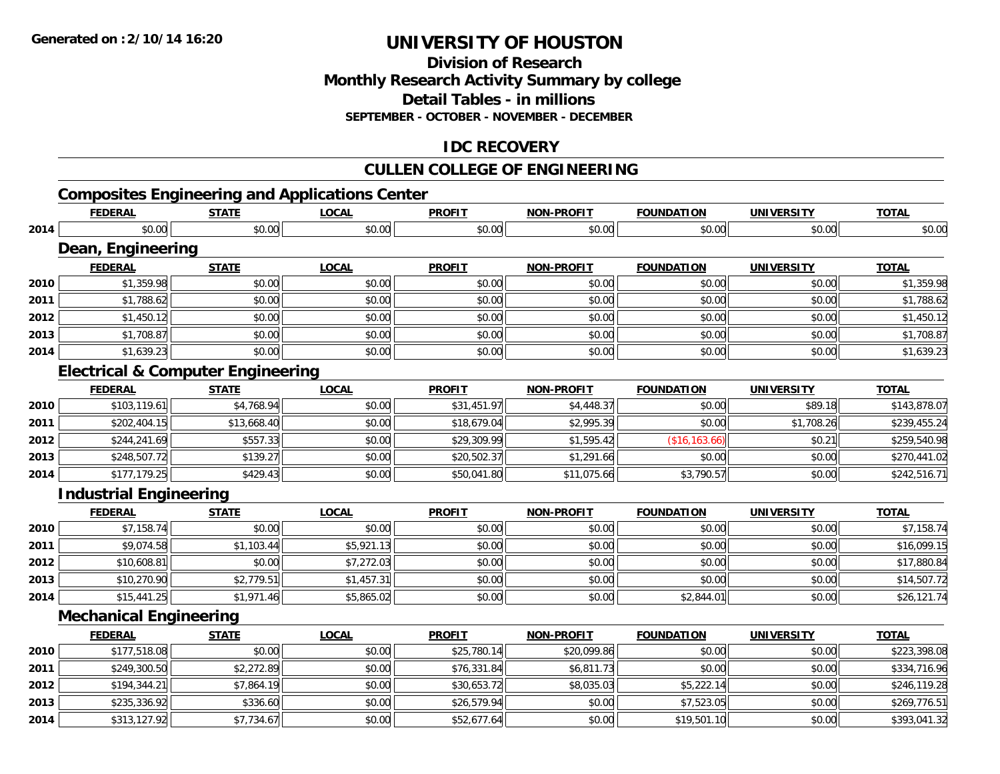## **Division of ResearchMonthly Research Activity Summary by college Detail Tables - in millions SEPTEMBER - OCTOBER - NOVEMBER - DECEMBER**

## **IDC RECOVERY**

# **CULLEN COLLEGE OF ENGINEERING**

# **Composites Engineering and Applications Center**

|      | <b>FEDERAL</b>                               | <b>STATE</b> | <b>LOCAL</b> | <b>PROFIT</b> | <b>NON-PROFIT</b> | <b>FOUNDATION</b> | <b>UNIVERSITY</b> | <b>TOTAL</b> |
|------|----------------------------------------------|--------------|--------------|---------------|-------------------|-------------------|-------------------|--------------|
| 2014 | \$0.00                                       | \$0.00       | \$0.00       | \$0.00        | \$0.00            | \$0.00            | \$0.00            | \$0.00       |
|      | Dean, Engineering                            |              |              |               |                   |                   |                   |              |
|      | <b>FEDERAL</b>                               | <b>STATE</b> | <b>LOCAL</b> | <b>PROFIT</b> | <b>NON-PROFIT</b> | <b>FOUNDATION</b> | <b>UNIVERSITY</b> | <b>TOTAL</b> |
| 2010 | \$1,359.98                                   | \$0.00       | \$0.00       | \$0.00        | \$0.00            | \$0.00            | \$0.00            | \$1,359.98   |
| 2011 | \$1,788.62                                   | \$0.00       | \$0.00       | \$0.00        | \$0.00            | \$0.00            | \$0.00            | \$1,788.62   |
| 2012 | \$1,450.12                                   | \$0.00       | \$0.00       | \$0.00        | \$0.00            | \$0.00            | \$0.00            | \$1,450.12   |
| 2013 | \$1,708.87                                   | \$0.00       | \$0.00       | \$0.00        | \$0.00            | \$0.00            | \$0.00            | \$1,708.87   |
| 2014 | \$1,639.23                                   | \$0.00       | \$0.00       | \$0.00        | \$0.00            | \$0.00            | \$0.00            | \$1,639.23   |
|      | <b>Electrical &amp; Computer Engineering</b> |              |              |               |                   |                   |                   |              |
|      | <b>FEDERAL</b>                               | <b>STATE</b> | <b>LOCAL</b> | <b>PROFIT</b> | <b>NON-PROFIT</b> | <b>FOUNDATION</b> | <b>UNIVERSITY</b> | <b>TOTAL</b> |
| 2010 | \$103,119.61                                 | \$4,768.94   | \$0.00       | \$31,451.97   | \$4,448.37        | \$0.00            | \$89.18           | \$143,878.07 |
| 2011 | \$202,404.15                                 | \$13,668.40  | \$0.00       | \$18,679.04   | \$2,995.39        | \$0.00            | \$1,708.26        | \$239,455.24 |
| 2012 | \$244,241.69                                 | \$557.33     | \$0.00       | \$29,309.99   | \$1,595.42        | (\$16, 163.66)    | \$0.21            | \$259,540.98 |
| 2013 | \$248,507.72                                 | \$139.27     | \$0.00       | \$20,502.37   | \$1,291.66        | \$0.00            | \$0.00            | \$270,441.02 |
| 2014 | \$177,179.25                                 | \$429.43     | \$0.00       | \$50,041.80   | \$11,075.66       | \$3,790.57        | \$0.00            | \$242,516.71 |
|      | <b>Industrial Engineering</b>                |              |              |               |                   |                   |                   |              |
|      | <b>FEDERAL</b>                               | <b>STATE</b> | <b>LOCAL</b> | <b>PROFIT</b> | <b>NON-PROFIT</b> | <b>FOUNDATION</b> | <b>UNIVERSITY</b> | <b>TOTAL</b> |
| 2010 | \$7,158.74                                   | \$0.00       | \$0.00       | \$0.00        | \$0.00            | \$0.00            | \$0.00            | \$7,158.74   |
| 2011 | \$9,074.58                                   | \$1,103.44   | \$5,921.13   | \$0.00        | \$0.00            | \$0.00            | \$0.00            | \$16,099.15  |
| 2012 | \$10,608.81                                  | \$0.00       | \$7,272.03   | \$0.00        | \$0.00            | \$0.00            | \$0.00            | \$17,880.84  |
| 2013 | \$10,270.90                                  | \$2,779.51   | \$1,457.31   | \$0.00        | \$0.00            | \$0.00            | \$0.00            | \$14,507.72  |
| 2014 | \$15,441.25                                  | \$1,971.46   | \$5,865.02   | \$0.00        | \$0.00            | \$2,844.01        | \$0.00            | \$26,121.74  |
|      | <b>Mechanical Engineering</b>                |              |              |               |                   |                   |                   |              |
|      | <b>FEDERAL</b>                               | <b>STATE</b> | <b>LOCAL</b> | <b>PROFIT</b> | <b>NON-PROFIT</b> | <b>FOUNDATION</b> | <b>UNIVERSITY</b> | <b>TOTAL</b> |
| 2010 | \$177,518.08                                 | \$0.00       | \$0.00       | \$25,780.14   | \$20,099.86       | \$0.00            | \$0.00            | \$223,398.08 |
| 2011 | \$249,300.50                                 | \$2,272.89   | \$0.00       | \$76,331.84   | \$6,811.73        | \$0.00            | \$0.00            | \$334,716.96 |
| 2012 | \$194,344.21                                 | \$7,864.19   | \$0.00       | \$30,653.72   | \$8,035.03        | \$5,222.14        | \$0.00            | \$246,119.28 |
| 2013 | \$235,336.92                                 | \$336.60     | \$0.00       | \$26,579.94   | \$0.00            | \$7,523.05        | \$0.00            | \$269,776.51 |
| 2014 | \$313,127.92                                 | \$7,734.67   | \$0.00       | \$52,677.64   | \$0.00            | \$19,501.10       | \$0.00            | \$393,041.32 |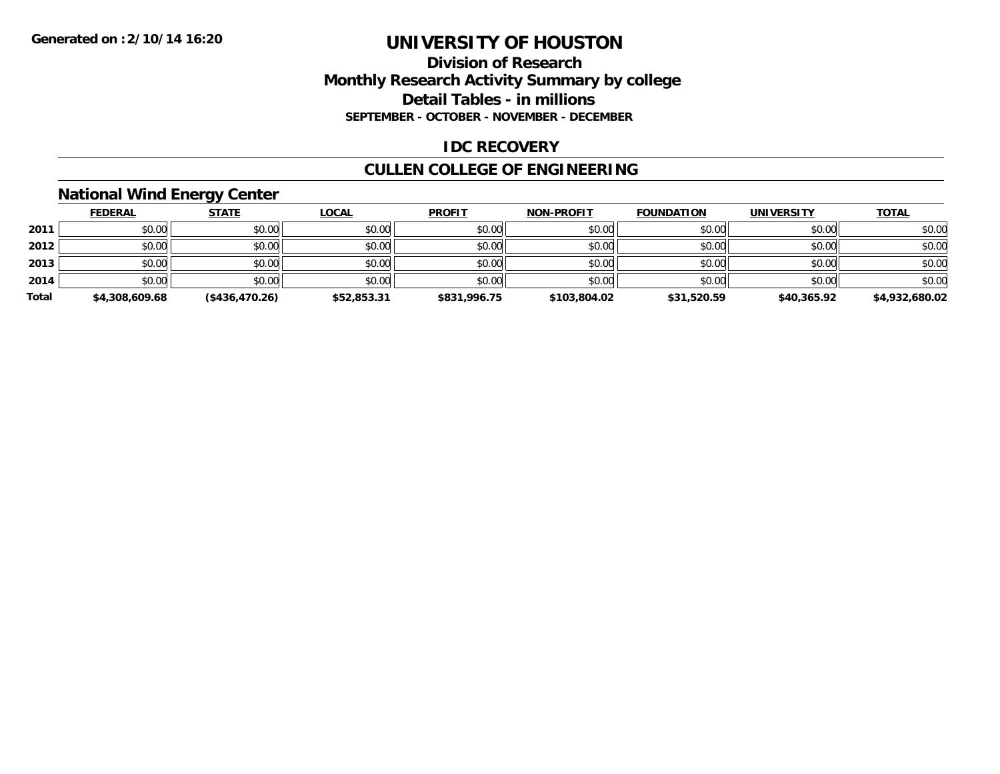### **Division of Research Monthly Research Activity Summary by college Detail Tables - in millions SEPTEMBER - OCTOBER - NOVEMBER - DECEMBER**

### **IDC RECOVERY**

## **CULLEN COLLEGE OF ENGINEERING**

## **National Wind Energy Center**

|       | <b>FEDERAL</b> | <u>STATE</u>   | <b>LOCAL</b> | <b>PROFIT</b> | <b>NON-PROFIT</b> | <b>FOUNDATION</b> | <b>UNIVERSITY</b> | <b>TOTAL</b>   |
|-------|----------------|----------------|--------------|---------------|-------------------|-------------------|-------------------|----------------|
| 2011  | \$0.00         | \$0.00         | \$0.00       | \$0.00        | \$0.00            | \$0.00            | \$0.00            | \$0.00         |
| 2012  | \$0.00         | \$0.00         | \$0.00       | \$0.00        | \$0.00            | \$0.00            | \$0.00            | \$0.00         |
| 2013  | \$0.00         | \$0.00         | \$0.00       | \$0.00        | \$0.00            | \$0.00            | \$0.00            | \$0.00         |
| 2014  | \$0.00         | \$0.00         | \$0.00       | \$0.00        | \$0.00            | \$0.00            | \$0.00            | \$0.00         |
| Total | \$4,308,609.68 | (\$436,470.26) | \$52,853.31  | \$831,996.75  | \$103,804.02      | \$31,520.59       | \$40,365.92       | \$4,932,680.02 |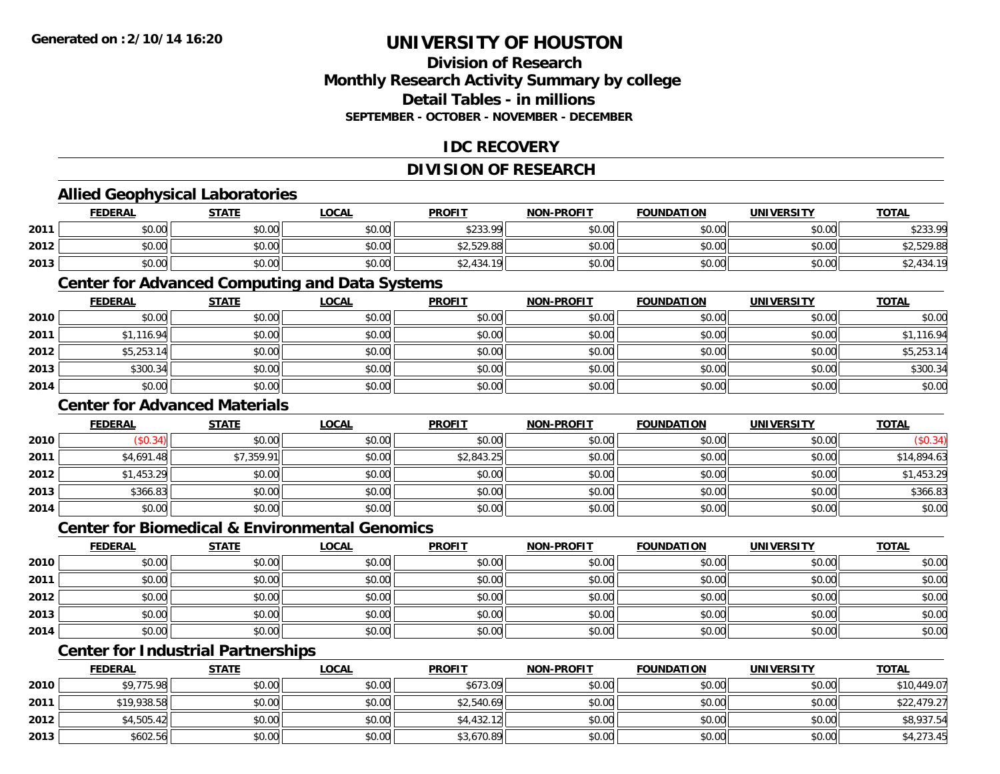### **Division of ResearchMonthly Research Activity Summary by college Detail Tables - in millionsSEPTEMBER - OCTOBER - NOVEMBER - DECEMBER**

### **IDC RECOVERY**

## **DIVISION OF RESEARCH**

## **Allied Geophysical Laboratories**

|      | <b>FEDERAL</b> | <b>STATE</b> | LOCAL  | <b>PROFIT</b> | <b>NON-PROFIT</b> | <b>FOUNDATION</b> | <b>UNIVERSITY</b> | <b>TOTAL</b> |
|------|----------------|--------------|--------|---------------|-------------------|-------------------|-------------------|--------------|
| 2011 | \$0.00         | \$0.00       | \$0.00 | \$233.99      | \$0.00            | \$0.00            | \$0.00            | \$233.99     |
| 2012 | \$0.00         | \$0.00       | \$0.00 | \$2,529.88    | \$0.00            | \$0.00            | \$0.00            | \$2,529.88   |
| 2013 | \$0.00         | \$0.00       | \$0.00 | 42,434.19     | \$0.00            | \$0.00            | \$0.00            | ,434.19      |

#### **Center for Advanced Computing and Data Systems**

|      | <u>FEDERAL</u> | <b>STATE</b> | <u>LOCAL</u> | <b>PROFIT</b> | <b>NON-PROFIT</b> | <b>FOUNDATION</b> | <b>UNIVERSITY</b> | <b>TOTAL</b> |
|------|----------------|--------------|--------------|---------------|-------------------|-------------------|-------------------|--------------|
| 2010 | \$0.00         | \$0.00       | \$0.00       | \$0.00        | \$0.00            | \$0.00            | \$0.00            | \$0.00       |
| 2011 | \$1,116.94     | \$0.00       | \$0.00       | \$0.00        | \$0.00            | \$0.00            | \$0.00            | \$1,116.94   |
| 2012 | \$5,253.14     | \$0.00       | \$0.00       | \$0.00        | \$0.00            | \$0.00            | \$0.00            | \$5,253.14   |
| 2013 | \$300.34       | \$0.00       | \$0.00       | \$0.00        | \$0.00            | \$0.00            | \$0.00            | \$300.34     |
| 2014 | \$0.00         | \$0.00       | \$0.00       | \$0.00        | \$0.00            | \$0.00            | \$0.00            | \$0.00       |

### **Center for Advanced Materials**

|      | <b>FEDERAL</b> | <b>STATE</b> | <b>LOCAL</b> | <b>PROFIT</b> | <b>NON-PROFIT</b> | <b>FOUNDATION</b> | <b>UNIVERSITY</b> | <b>TOTAL</b> |
|------|----------------|--------------|--------------|---------------|-------------------|-------------------|-------------------|--------------|
| 2010 | \$0.34)        | \$0.00       | \$0.00       | \$0.00        | \$0.00            | \$0.00            | \$0.00            | (\$0.34)     |
| 2011 | \$4,691.48     | \$7,359.91   | \$0.00       | \$2,843.25    | \$0.00            | \$0.00            | \$0.00            | \$14,894.63  |
| 2012 | \$1,453.29     | \$0.00       | \$0.00       | \$0.00        | \$0.00            | \$0.00            | \$0.00            | \$1,453.29   |
| 2013 | \$366.83       | \$0.00       | \$0.00       | \$0.00        | \$0.00            | \$0.00            | \$0.00            | \$366.83     |
| 2014 | \$0.00         | \$0.00       | \$0.00       | \$0.00        | \$0.00            | \$0.00            | \$0.00            | \$0.00       |

#### **Center for Biomedical & Environmental Genomics**

|      | <u>FEDERAL</u> | <b>STATE</b> | <b>LOCAL</b> | <b>PROFIT</b> | NON-PROFIT | <b>FOUNDATION</b> | <b>UNIVERSITY</b> | <b>TOTAL</b> |
|------|----------------|--------------|--------------|---------------|------------|-------------------|-------------------|--------------|
| 2010 | \$0.00         | \$0.00       | \$0.00       | \$0.00        | \$0.00     | \$0.00            | \$0.00            | \$0.00       |
| 2011 | \$0.00         | \$0.00       | \$0.00       | \$0.00        | \$0.00     | \$0.00            | \$0.00            | \$0.00       |
| 2012 | \$0.00         | \$0.00       | \$0.00       | \$0.00        | \$0.00     | \$0.00            | \$0.00            | \$0.00       |
| 2013 | \$0.00         | \$0.00       | \$0.00       | \$0.00        | \$0.00     | \$0.00            | \$0.00            | \$0.00       |
| 2014 | \$0.00         | \$0.00       | \$0.00       | \$0.00        | \$0.00     | \$0.00            | \$0.00            | \$0.00       |

## **Center for Industrial Partnerships**

|      | <b>FEDERAL</b> | <b>STATE</b> | <u>LOCAL</u> | <b>PROFIT</b> | <b>NON-PROFIT</b> | <b>FOUNDATION</b> | <b>UNIVERSITY</b> | <b>TOTAL</b> |
|------|----------------|--------------|--------------|---------------|-------------------|-------------------|-------------------|--------------|
| 2010 | \$9,775.98     | \$0.00       | \$0.00       | \$673.09      | \$0.00            | \$0.00            | \$0.00            | \$10,449.07  |
| 2011 | \$19,938.58    | \$0.00       | \$0.00       | \$2,540.69    | \$0.00            | \$0.00            | \$0.00            | \$22,479.27  |
| 2012 | \$4,505.42     | \$0.00       | \$0.00       | \$4,432.12    | \$0.00            | \$0.00            | \$0.00            | \$8,937.54   |
| 2013 | \$602.56       | \$0.00       | \$0.00       | \$3,670.89    | \$0.00            | \$0.00            | \$0.00            | \$4,273.45   |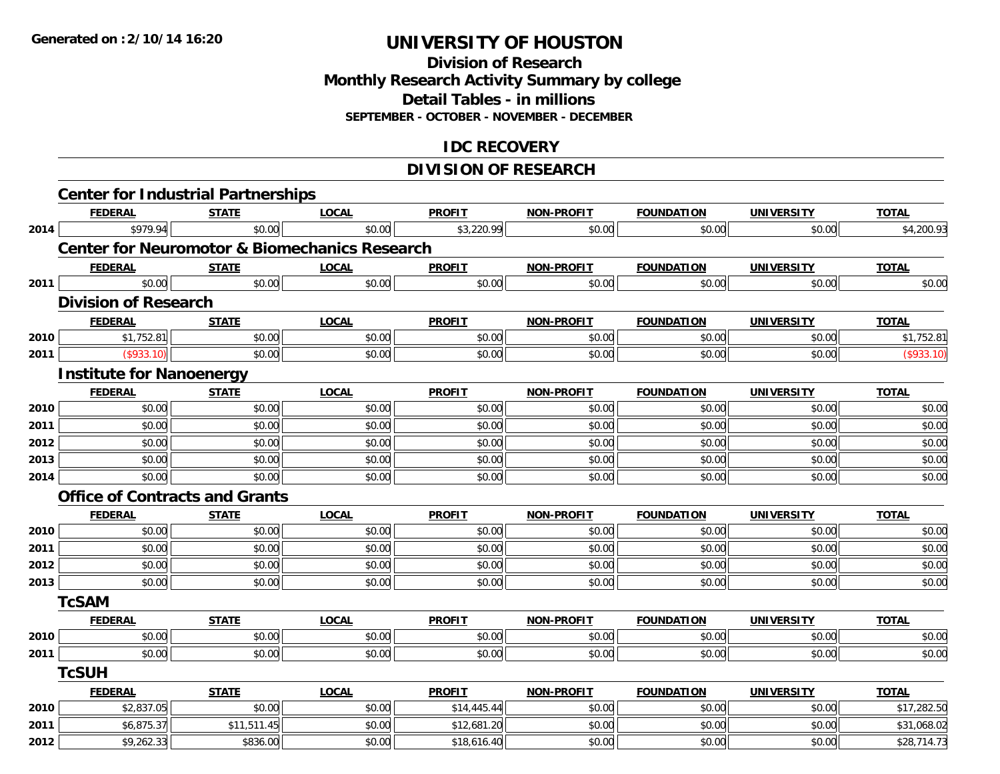### **Division of Research Monthly Research Activity Summary by college Detail Tables - in millions SEPTEMBER - OCTOBER - NOVEMBER - DECEMBER**

## **IDC RECOVERY**

## **DIVISION OF RESEARCH**

|      | <b>Center for Industrial Partnerships</b>                |              |              |               |                   |                   |                   |              |
|------|----------------------------------------------------------|--------------|--------------|---------------|-------------------|-------------------|-------------------|--------------|
|      | <b>FEDERAL</b>                                           | <b>STATE</b> | <b>LOCAL</b> | <b>PROFIT</b> | <b>NON-PROFIT</b> | <b>FOUNDATION</b> | <b>UNIVERSITY</b> | <b>TOTAL</b> |
| 2014 | \$979.94                                                 | \$0.00       | \$0.00       | \$3,220.99    | \$0.00            | \$0.00            | \$0.00            | \$4,200.93   |
|      | <b>Center for Neuromotor &amp; Biomechanics Research</b> |              |              |               |                   |                   |                   |              |
|      | <b>FEDERAL</b>                                           | <b>STATE</b> | <b>LOCAL</b> | <b>PROFIT</b> | <b>NON-PROFIT</b> | <b>FOUNDATION</b> | <b>UNIVERSITY</b> | <b>TOTAL</b> |
| 2011 | \$0.00                                                   | \$0.00       | \$0.00       | \$0.00        | \$0.00            | \$0.00            | \$0.00            | \$0.00       |
|      | <b>Division of Research</b>                              |              |              |               |                   |                   |                   |              |
|      | <b>FEDERAL</b>                                           | <b>STATE</b> | <b>LOCAL</b> | <b>PROFIT</b> | <b>NON-PROFIT</b> | <b>FOUNDATION</b> | <b>UNIVERSITY</b> | <b>TOTAL</b> |
| 2010 | \$1,752.81                                               | \$0.00       | \$0.00       | \$0.00        | \$0.00            | \$0.00            | \$0.00            | \$1,752.81   |
| 2011 | (\$933.10)                                               | \$0.00       | \$0.00       | \$0.00        | \$0.00            | \$0.00            | \$0.00            | (\$933.10)   |
|      | <b>Institute for Nanoenergy</b>                          |              |              |               |                   |                   |                   |              |
|      | <b>FEDERAL</b>                                           | <b>STATE</b> | <b>LOCAL</b> | <b>PROFIT</b> | <b>NON-PROFIT</b> | <b>FOUNDATION</b> | <b>UNIVERSITY</b> | <b>TOTAL</b> |
| 2010 | \$0.00                                                   | \$0.00       | \$0.00       | \$0.00        | \$0.00            | \$0.00            | \$0.00            | \$0.00       |
| 2011 | \$0.00                                                   | \$0.00       | \$0.00       | \$0.00        | \$0.00            | \$0.00            | \$0.00            | \$0.00       |
| 2012 | \$0.00                                                   | \$0.00       | \$0.00       | \$0.00        | \$0.00            | \$0.00            | \$0.00            | \$0.00       |
| 2013 | \$0.00                                                   | \$0.00       | \$0.00       | \$0.00        | \$0.00            | \$0.00            | \$0.00            | \$0.00       |
| 2014 | \$0.00                                                   | \$0.00       | \$0.00       | \$0.00        | \$0.00            | \$0.00            | \$0.00            | \$0.00       |
|      | <b>Office of Contracts and Grants</b>                    |              |              |               |                   |                   |                   |              |
|      | <b>FEDERAL</b>                                           | <b>STATE</b> | <b>LOCAL</b> | <b>PROFIT</b> | NON-PROFIT        | <b>FOUNDATION</b> | <b>UNIVERSITY</b> | <b>TOTAL</b> |
| 2010 | \$0.00                                                   | \$0.00       | \$0.00       | \$0.00        | \$0.00            | \$0.00            | \$0.00            | \$0.00       |
| 2011 | \$0.00                                                   | \$0.00       | \$0.00       | \$0.00        | \$0.00            | \$0.00            | \$0.00            | \$0.00       |
| 2012 | \$0.00                                                   | \$0.00       | \$0.00       | \$0.00        | \$0.00            | \$0.00            | \$0.00            | \$0.00       |
| 2013 | \$0.00                                                   | \$0.00       | \$0.00       | \$0.00        | \$0.00            | \$0.00            | \$0.00            | \$0.00       |
|      | <b>TcSAM</b>                                             |              |              |               |                   |                   |                   |              |
|      | <b>FEDERAL</b>                                           | <b>STATE</b> | <b>LOCAL</b> | <b>PROFIT</b> | <b>NON-PROFIT</b> | <b>FOUNDATION</b> | <b>UNIVERSITY</b> | <b>TOTAL</b> |
| 2010 | \$0.00                                                   | \$0.00       | \$0.00       | \$0.00        | \$0.00            | \$0.00            | \$0.00            | \$0.00       |
| 2011 | \$0.00                                                   | \$0.00       | \$0.00       | \$0.00        | \$0.00            | \$0.00            | \$0.00            | \$0.00       |
|      | <b>TcSUH</b>                                             |              |              |               |                   |                   |                   |              |
|      | <b>FEDERAL</b>                                           | <b>STATE</b> | <b>LOCAL</b> | <b>PROFIT</b> | <b>NON-PROFIT</b> | <b>FOUNDATION</b> | <b>UNIVERSITY</b> | <b>TOTAL</b> |
| 2010 | \$2,837.05                                               | \$0.00       | \$0.00       | \$14,445.44   | \$0.00            | \$0.00            | \$0.00            | \$17,282.50  |
| 2011 | \$6,875.37                                               | \$11,511.45  | \$0.00       | \$12,681.20   | \$0.00            | \$0.00            | \$0.00            | \$31,068.02  |
| 2012 | \$9,262.33                                               | \$836.00     | \$0.00       | \$18,616.40   | \$0.00            | \$0.00            | \$0.00            | \$28,714.73  |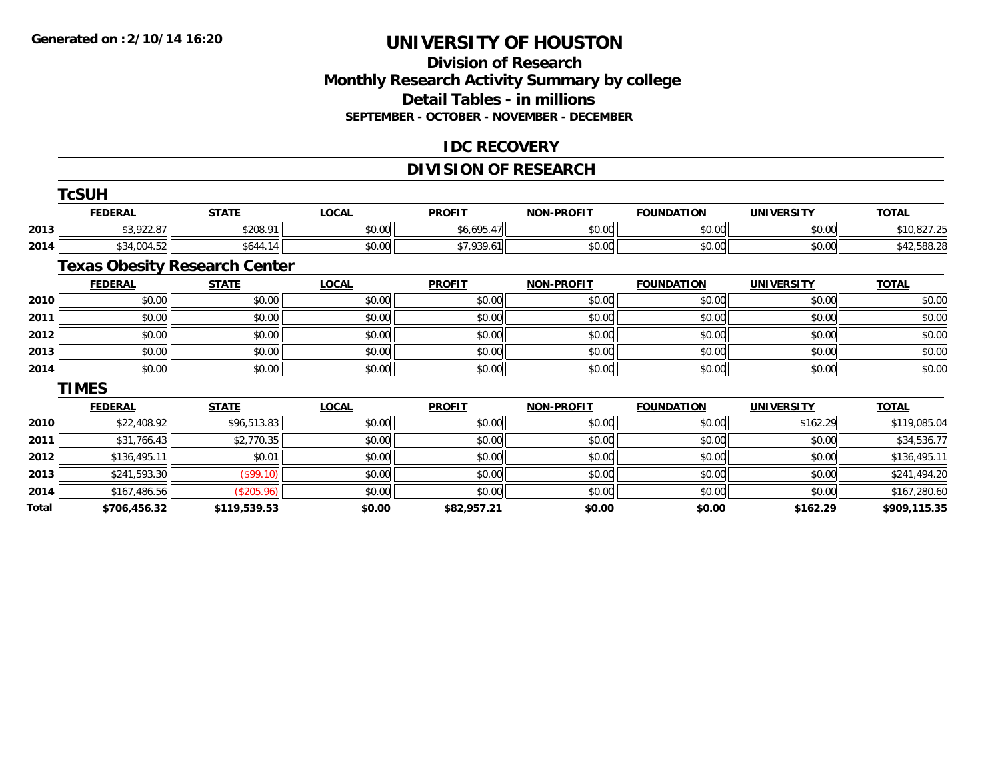## **Division of ResearchMonthly Research Activity Summary by college Detail Tables - in millions SEPTEMBER - OCTOBER - NOVEMBER - DECEMBER**

### **IDC RECOVERY**

## **DIVISION OF RESEARCH**

|       | <b>TcSUH</b>                         |              |              |               |                   |                   |                   |              |
|-------|--------------------------------------|--------------|--------------|---------------|-------------------|-------------------|-------------------|--------------|
|       | <b>FEDERAL</b>                       | <b>STATE</b> | <b>LOCAL</b> | <b>PROFIT</b> | <b>NON-PROFIT</b> | <b>FOUNDATION</b> | <b>UNIVERSITY</b> | <b>TOTAL</b> |
| 2013  | \$3,922.87                           | \$208.91     | \$0.00       | \$6,695.47    | \$0.00            | \$0.00            | \$0.00            | \$10,827.25  |
| 2014  | \$34,004.52                          | \$644.14     | \$0.00       | \$7,939.61    | \$0.00            | \$0.00            | \$0.00            | \$42,588.28  |
|       | <b>Texas Obesity Research Center</b> |              |              |               |                   |                   |                   |              |
|       | <b>FEDERAL</b>                       | <b>STATE</b> | <b>LOCAL</b> | <b>PROFIT</b> | NON-PROFIT        | <b>FOUNDATION</b> | <b>UNIVERSITY</b> | <b>TOTAL</b> |
| 2010  | \$0.00                               | \$0.00       | \$0.00       | \$0.00        | \$0.00            | \$0.00            | \$0.00            | \$0.00       |
| 2011  | \$0.00                               | \$0.00       | \$0.00       | \$0.00        | \$0.00            | \$0.00            | \$0.00            | \$0.00       |
| 2012  | \$0.00                               | \$0.00       | \$0.00       | \$0.00        | \$0.00            | \$0.00            | \$0.00            | \$0.00       |
| 2013  | \$0.00                               | \$0.00       | \$0.00       | \$0.00        | \$0.00            | \$0.00            | \$0.00            | \$0.00       |
| 2014  | \$0.00                               | \$0.00       | \$0.00       | \$0.00        | \$0.00            | \$0.00            | \$0.00            | \$0.00       |
|       | <b>TIMES</b>                         |              |              |               |                   |                   |                   |              |
|       | <b>FEDERAL</b>                       | <b>STATE</b> | <b>LOCAL</b> | <b>PROFIT</b> | <b>NON-PROFIT</b> | <b>FOUNDATION</b> | <b>UNIVERSITY</b> | <b>TOTAL</b> |
| 2010  | \$22,408.92                          | \$96,513.83  | \$0.00       | \$0.00        | \$0.00            | \$0.00            | \$162.29          | \$119,085.04 |
| 2011  | \$31,766.43                          | \$2,770.35   | \$0.00       | \$0.00        | \$0.00            | \$0.00            | \$0.00            | \$34,536.77  |
| 2012  | \$136,495.11                         | \$0.01       | \$0.00       | \$0.00        | \$0.00            | \$0.00            | \$0.00            | \$136,495.11 |
| 2013  | \$241,593.30                         | (\$99.10)    | \$0.00       | \$0.00        | \$0.00            | \$0.00            | \$0.00            | \$241,494.20 |
| 2014  | \$167,486.56                         | (\$205.96)   | \$0.00       | \$0.00        | \$0.00            | \$0.00            | \$0.00            | \$167,280.60 |
| Total | \$706,456.32                         | \$119,539.53 | \$0.00       | \$82,957.21   | \$0.00            | \$0.00            | \$162.29          | \$909,115.35 |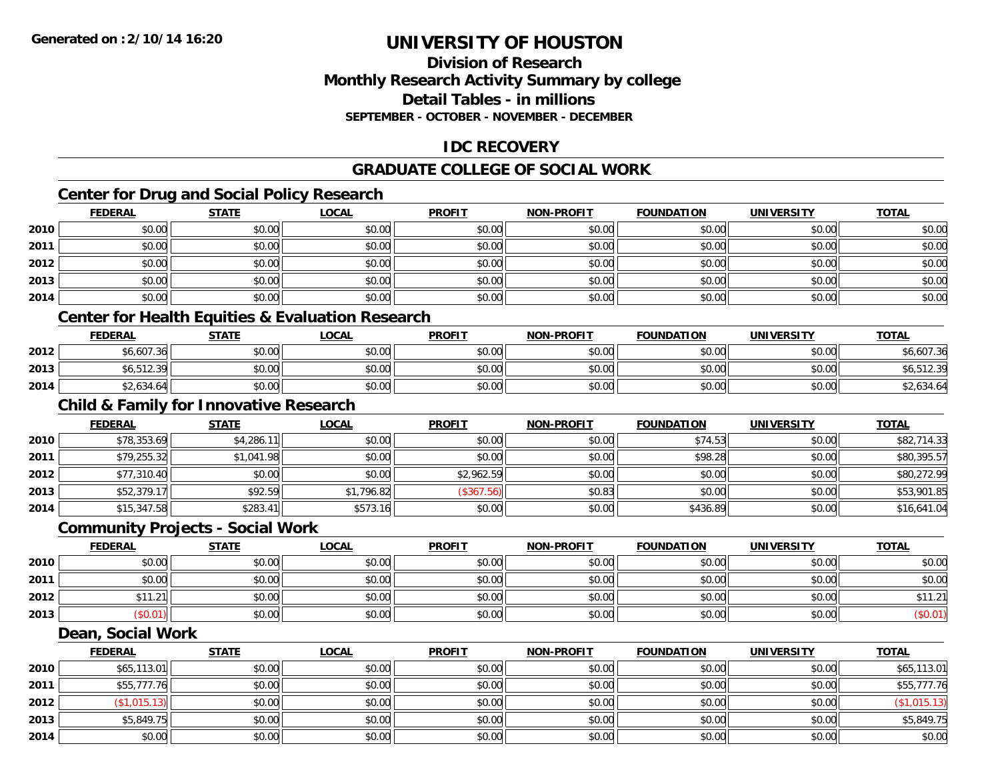### **Division of ResearchMonthly Research Activity Summary by college Detail Tables - in millionsSEPTEMBER - OCTOBER - NOVEMBER - DECEMBER**

## **IDC RECOVERY**

## **GRADUATE COLLEGE OF SOCIAL WORK**

## **Center for Drug and Social Policy Research**

|      | <b>FEDERAL</b> | <b>STATE</b>                                      | <u>LOCAL</u> | <b>PROFIT</b> | <b>NON-PROFIT</b> | <b>FOUNDATION</b> | <b>UNIVERSITY</b> | <b>TOTAL</b> |
|------|----------------|---------------------------------------------------|--------------|---------------|-------------------|-------------------|-------------------|--------------|
| 2010 | \$0.00         | \$0.00                                            | \$0.00       | \$0.00        | \$0.00            | \$0.00            | \$0.00            | \$0.00       |
| 2011 | \$0.00         | \$0.00                                            | \$0.00       | \$0.00        | \$0.00            | \$0.00            | \$0.00            | \$0.00       |
| 2012 | \$0.00         | \$0.00                                            | \$0.00       | \$0.00        | \$0.00            | \$0.00            | \$0.00            | \$0.00       |
| 2013 | \$0.00         | \$0.00                                            | \$0.00       | \$0.00        | \$0.00            | \$0.00            | \$0.00            | \$0.00       |
| 2014 | \$0.00         | \$0.00                                            | \$0.00       | \$0.00        | \$0.00            | \$0.00            | \$0.00            | \$0.00       |
|      |                | Contor for Lloolth Caultica & Evoluction Deceareh |              |               |                   |                   |                   |              |

#### **Center for Health Equities & Evaluation Research**

|      | F <u>EDERAL</u>  | <b>STATE</b> | <u>LOCAL</u> | <b>PROFIT</b> | <b>NON-PROFIT</b> | <b>FOUNDATION</b> | <b>UNIVERSITY</b> | <b>TOTAL</b> |
|------|------------------|--------------|--------------|---------------|-------------------|-------------------|-------------------|--------------|
| 2012 | \$6,607.36       | \$0.00       | \$0.00       | \$0.00        | \$0.00            | \$0.00            | \$0.00            | \$6,607.36   |
| 2013 | $+1$ $-10$ $-10$ | \$0.00       | \$0.00       | \$0.00        | \$0.00            | \$0.00            | \$0.00            | 6,512.39     |
| 2014 | \$2,634.64       | \$0.00       | \$0.00       | \$0.00        | \$0.00            | \$0.00            | \$0.00            | \$2,634.64   |

## **Child & Family for Innovative Research**

|      | <b>FEDERAL</b> | <u>STATE</u> | <b>LOCAL</b> | <b>PROFIT</b> | <b>NON-PROFIT</b> | <b>FOUNDATION</b> | <b>UNIVERSITY</b> | <b>TOTAL</b> |
|------|----------------|--------------|--------------|---------------|-------------------|-------------------|-------------------|--------------|
| 2010 | \$78,353.69    | \$4,286.11   | \$0.00       | \$0.00        | \$0.00            | \$74.53           | \$0.00            | \$82,714.33  |
| 2011 | \$79,255.32    | \$1,041.98   | \$0.00       | \$0.00        | \$0.00            | \$98.28           | \$0.00            | \$80,395.57  |
| 2012 | \$77,310.40    | \$0.00       | \$0.00       | \$2,962.59    | \$0.00            | \$0.00            | \$0.00            | \$80,272.99  |
| 2013 | \$52,379.17    | \$92.59      | \$1,796.82   | (\$367.56)    | \$0.83            | \$0.00            | \$0.00            | \$53,901.85  |
| 2014 | \$15,347.58    | \$283.41     | \$573.16     | \$0.00        | \$0.00            | \$436.89          | \$0.00            | \$16,641.04  |

#### **Community Projects - Social Work**

|      | <b>FEDERAL</b> | <b>STATE</b> | <u>LOCAL</u> | <b>PROFIT</b> | <b>NON-PROFIT</b> | <b>FOUNDATION</b> | <b>UNIVERSITY</b> | <u>TOTAL</u> |
|------|----------------|--------------|--------------|---------------|-------------------|-------------------|-------------------|--------------|
| 2010 | \$0.00         | \$0.00       | \$0.00       | \$0.00        | \$0.00            | \$0.00            | \$0.00            | \$0.00       |
| 2011 | \$0.00         | \$0.00       | \$0.00       | \$0.00        | \$0.00            | \$0.00            | \$0.00            | \$0.00       |
| 2012 | 11<br>1.21     | \$0.00       | \$0.00       | \$0.00        | \$0.00            | \$0.00            | \$0.00            | \$11.21      |
| 2013 | \$0.01)        | \$0.00       | \$0.00       | \$0.00        | \$0.00            | \$0.00            | \$0.00            | (\$0.01)     |

#### **Dean, Social Work**

|      | <b>FEDERAL</b> | <b>STATE</b> | <u>LOCAL</u> | <b>PROFIT</b> | <b>NON-PROFIT</b> | <b>FOUNDATION</b> | <b>UNIVERSITY</b> | <b>TOTAL</b> |
|------|----------------|--------------|--------------|---------------|-------------------|-------------------|-------------------|--------------|
| 2010 | \$65,113.01    | \$0.00       | \$0.00       | \$0.00        | \$0.00            | \$0.00            | \$0.00            | \$65,113.01  |
| 2011 | \$55,777.76    | \$0.00       | \$0.00       | \$0.00        | \$0.00            | \$0.00            | \$0.00            | \$55,777.76  |
| 2012 | \$1,015.13     | \$0.00       | \$0.00       | \$0.00        | \$0.00            | \$0.00            | \$0.00            | (\$1,015.13) |
| 2013 | \$5,849.75     | \$0.00       | \$0.00       | \$0.00        | \$0.00            | \$0.00            | \$0.00            | \$5,849.75   |
| 2014 | \$0.00         | \$0.00       | \$0.00       | \$0.00        | \$0.00            | \$0.00            | \$0.00            | \$0.00       |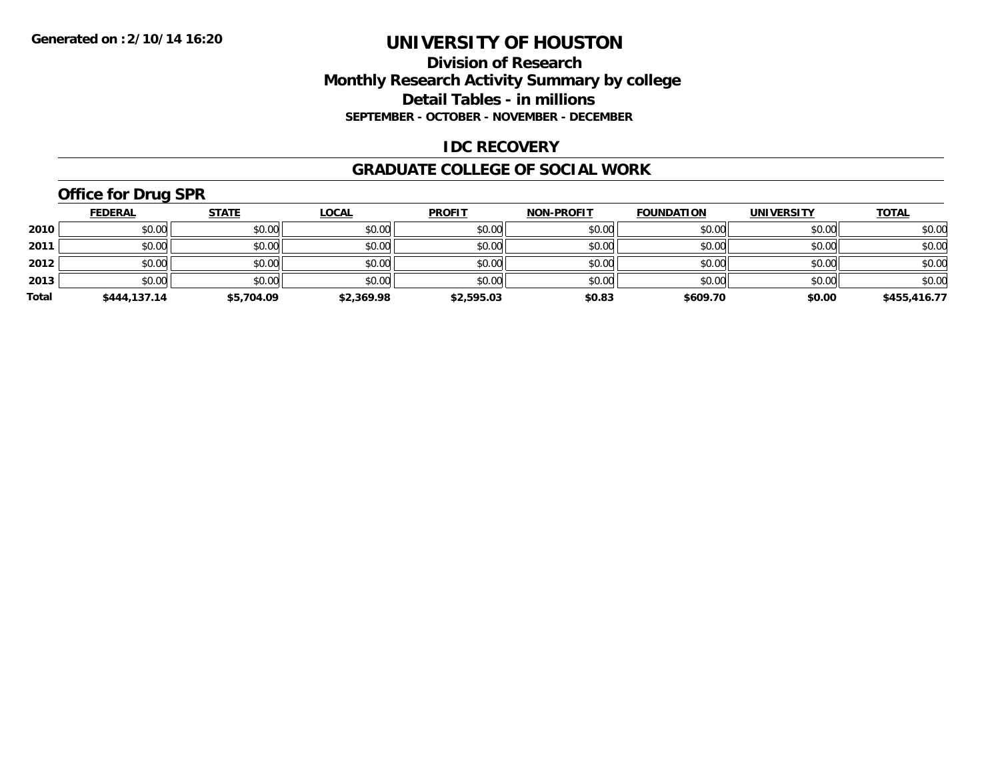### **Division of Research Monthly Research Activity Summary by college Detail Tables - in millions SEPTEMBER - OCTOBER - NOVEMBER - DECEMBER**

#### **IDC RECOVERY**

#### **GRADUATE COLLEGE OF SOCIAL WORK**

## **Office for Drug SPR**

|       | <b>FEDERAL</b> | <b>STATE</b> | <b>LOCAL</b> | <b>PROFIT</b> | <b>NON-PROFIT</b> | <b>FOUNDATION</b> | <b>UNIVERSITY</b> | <b>TOTAL</b> |
|-------|----------------|--------------|--------------|---------------|-------------------|-------------------|-------------------|--------------|
| 2010  | \$0.00         | \$0.00       | \$0.00       | \$0.00        | \$0.00            | \$0.00            | \$0.00            | \$0.00       |
| 2011  | \$0.00         | \$0.00       | \$0.00       | \$0.00        | \$0.00            | \$0.00            | \$0.00            | \$0.00       |
| 2012  | \$0.00         | \$0.00       | \$0.00       | \$0.00        | \$0.00            | \$0.00            | \$0.00            | \$0.00       |
| 2013  | \$0.00         | \$0.00       | \$0.00       | \$0.00        | \$0.00            | \$0.00            | \$0.00            | \$0.00       |
| Total | \$444,137.14   | \$5,704.09   | \$2,369.98   | \$2,595.03    | \$0.83            | \$609.70          | \$0.00            | \$455,416.77 |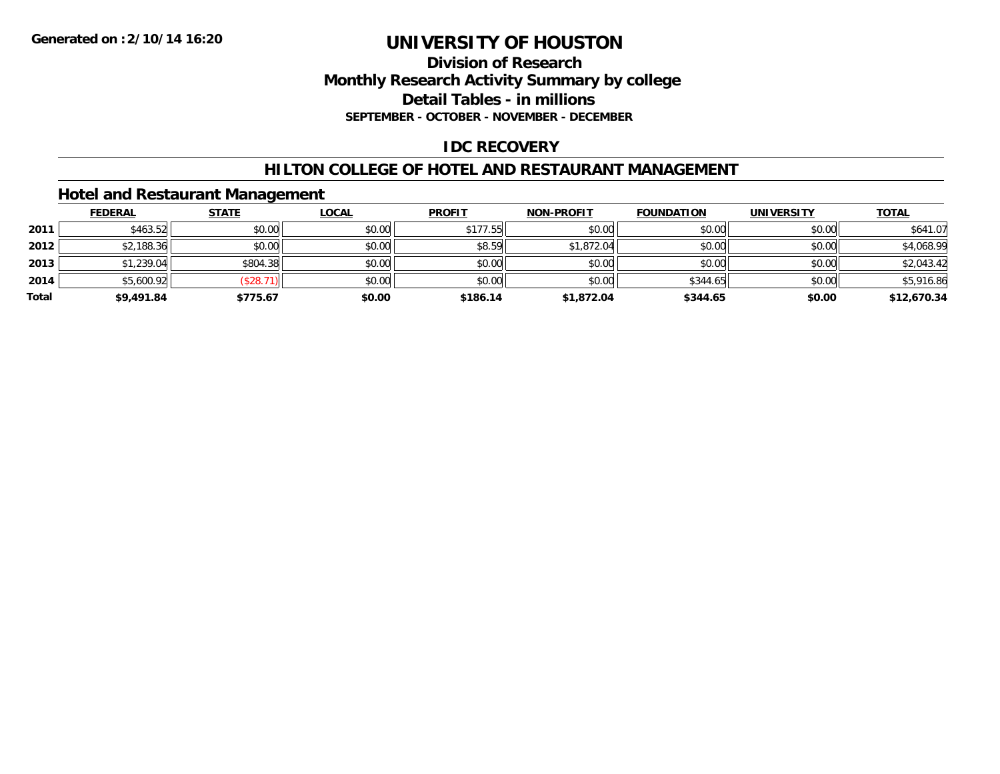#### **Division of Research Monthly Research Activity Summary by college Detail Tables - in millions SEPTEMBER - OCTOBER - NOVEMBER - DECEMBER**

### **IDC RECOVERY**

#### **HILTON COLLEGE OF HOTEL AND RESTAURANT MANAGEMENT**

### **Hotel and Restaurant Management**

|       | <b>FEDERAL</b> | <b>STATE</b> | <u>LOCAL</u> | <b>PROFIT</b> | <b>NON-PROFIT</b> | <b>FOUNDATION</b> | <b>UNIVERSITY</b> | <b>TOTAL</b> |
|-------|----------------|--------------|--------------|---------------|-------------------|-------------------|-------------------|--------------|
| 2011  | \$463.52       | \$0.00       | \$0.00       | \$177.55      | \$0.00            | \$0.00            | \$0.00            | \$641.07     |
| 2012  | \$2,188.36     | \$0.00       | \$0.00       | \$8.59        | \$1,872.04        | \$0.00            | \$0.00            | \$4,068.99   |
| 2013  | \$1,239.04     | \$804.38     | \$0.00       | \$0.00        | \$0.00            | \$0.00            | \$0.00            | \$2,043.42   |
| 2014  | \$5,600.92     | \$28.7       | \$0.00       | \$0.00        | \$0.00            | \$344.65          | \$0.00            | \$5,916.86   |
| Total | \$9,491.84     | \$775.67     | \$0.00       | \$186.14      | \$1,872.04        | \$344.65          | \$0.00            | \$12,670.34  |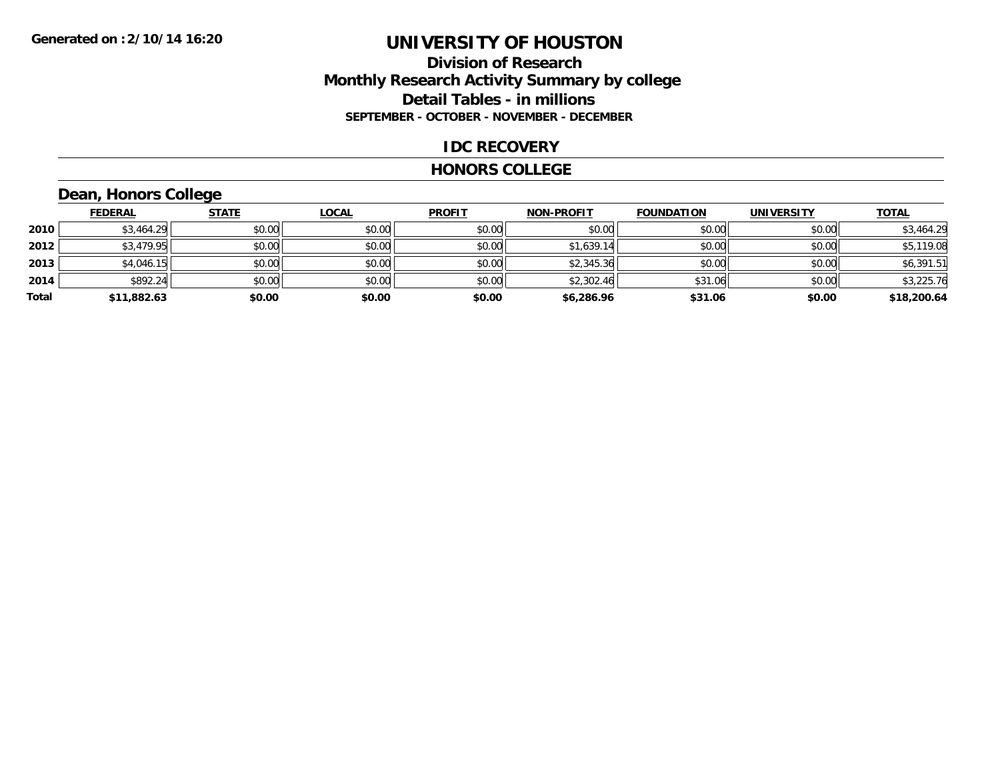### **Division of Research Monthly Research Activity Summary by college Detail Tables - in millions SEPTEMBER - OCTOBER - NOVEMBER - DECEMBER**

#### **IDC RECOVERY**

#### **HONORS COLLEGE**

## **Dean, Honors College**

|       | <b>FEDERAL</b> | <b>STATE</b> | <b>LOCAL</b> | <b>PROFIT</b> | <b>NON-PROFIT</b> | <b>FOUNDATION</b> | <b>UNIVERSITY</b> | <b>TOTAL</b> |
|-------|----------------|--------------|--------------|---------------|-------------------|-------------------|-------------------|--------------|
| 2010  | \$3,464.29     | \$0.00       | \$0.00       | \$0.00        | \$0.00            | \$0.00            | \$0.00            | \$3,464.29   |
| 2012  | \$3,479.95     | \$0.00       | \$0.00       | \$0.00        | \$1,639.14        | \$0.00            | \$0.00            | \$5,119.08   |
| 2013  | \$4,046.15     | \$0.00       | \$0.00       | \$0.00        | \$2,345.36        | \$0.00            | \$0.00            | \$6,391.51   |
| 2014  | \$892.24       | \$0.00       | \$0.00       | \$0.00        | \$2,302.46        | \$31.06           | \$0.00            | \$3,225.76   |
| Total | \$11,882.63    | \$0.00       | \$0.00       | \$0.00        | \$6,286.96        | \$31.06           | \$0.00            | \$18,200.64  |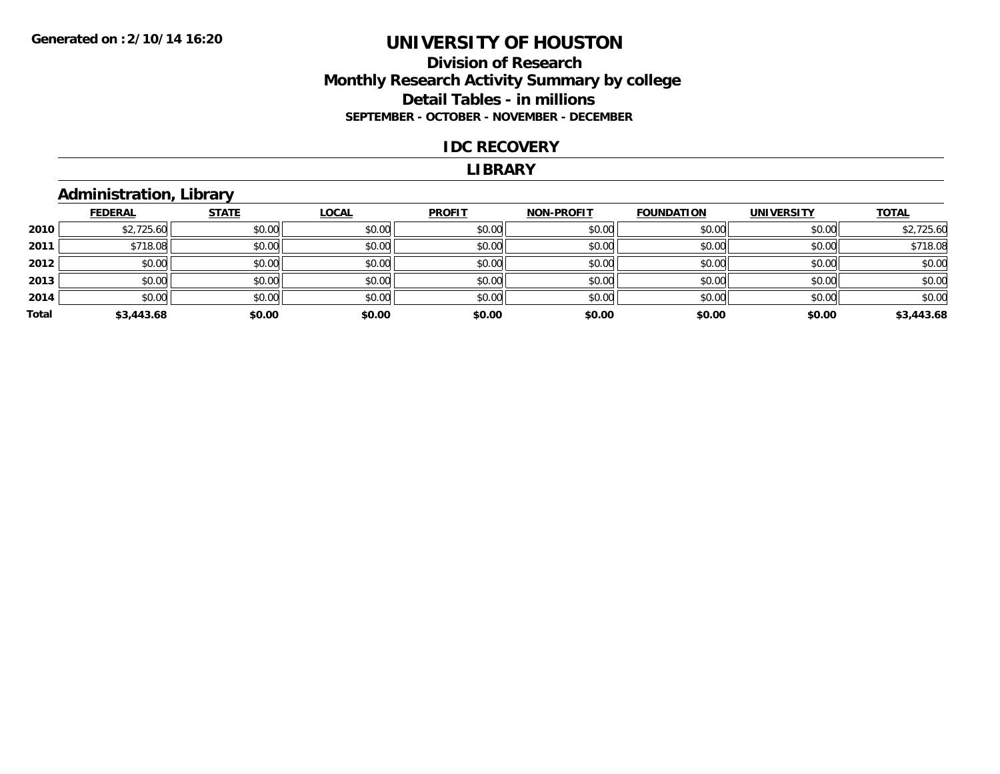### **Division of Research Monthly Research Activity Summary by college Detail Tables - in millions SEPTEMBER - OCTOBER - NOVEMBER - DECEMBER**

#### **IDC RECOVERY**

#### **LIBRARY**

### **Administration, Library**

|       | <b>FEDERAL</b> | <b>STATE</b> | <b>LOCAL</b> | <b>PROFIT</b> | <b>NON-PROFIT</b> | <b>FOUNDATION</b> | <b>UNIVERSITY</b> | <b>TOTAL</b> |
|-------|----------------|--------------|--------------|---------------|-------------------|-------------------|-------------------|--------------|
| 2010  | \$2,725.60     | \$0.00       | \$0.00       | \$0.00        | \$0.00            | \$0.00            | \$0.00            | \$2,725.60   |
| 2011  | \$718.08       | \$0.00       | \$0.00       | \$0.00        | \$0.00            | \$0.00            | \$0.00            | \$718.08     |
| 2012  | \$0.00         | \$0.00       | \$0.00       | \$0.00        | \$0.00            | \$0.00            | \$0.00            | \$0.00       |
| 2013  | \$0.00         | \$0.00       | \$0.00       | \$0.00        | \$0.00            | \$0.00            | \$0.00            | \$0.00       |
| 2014  | \$0.00         | \$0.00       | \$0.00       | \$0.00        | \$0.00            | \$0.00            | \$0.00            | \$0.00       |
| Total | \$3,443.68     | \$0.00       | \$0.00       | \$0.00        | \$0.00            | \$0.00            | \$0.00            | \$3,443.68   |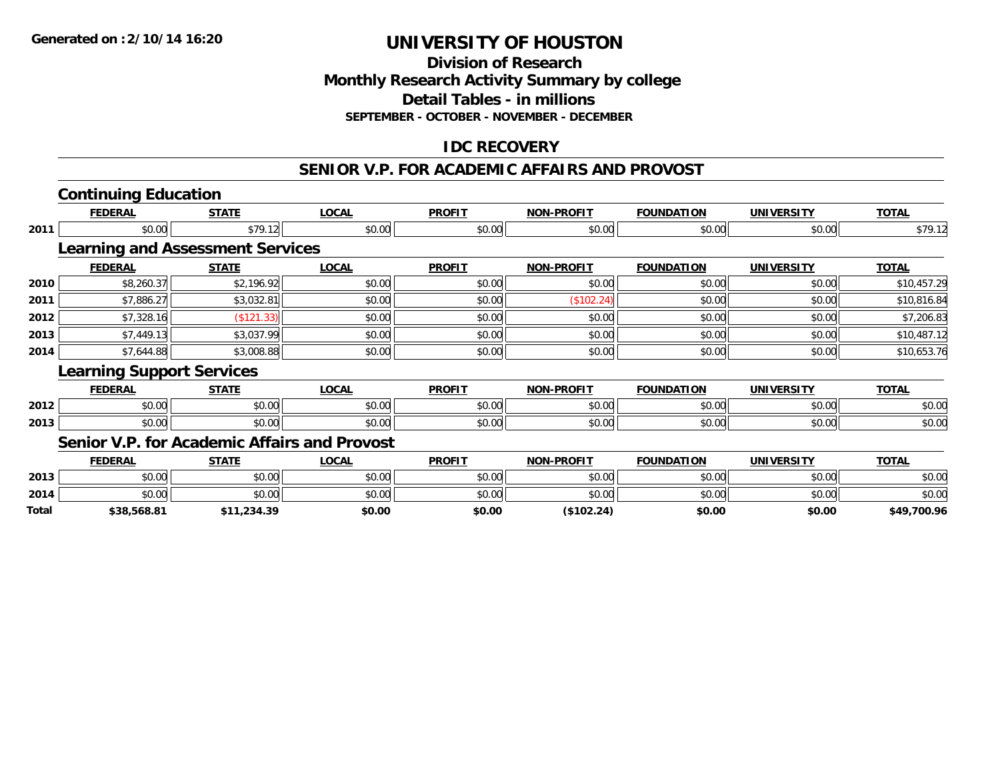### **Division of ResearchMonthly Research Activity Summary by college Detail Tables - in millions SEPTEMBER - OCTOBER - NOVEMBER - DECEMBER**

## **IDC RECOVERY**

#### **SENIOR V.P. FOR ACADEMIC AFFAIRS AND PROVOST**

|              | <b>Continuing Education</b>                  |              |              |               |                   |                   |                   |              |
|--------------|----------------------------------------------|--------------|--------------|---------------|-------------------|-------------------|-------------------|--------------|
|              | <b>FEDERAL</b>                               | <b>STATE</b> | <b>LOCAL</b> | <b>PROFIT</b> | <b>NON-PROFIT</b> | <b>FOUNDATION</b> | <b>UNIVERSITY</b> | <b>TOTAL</b> |
| 2011         | \$0.00                                       | \$79.12      | \$0.00       | \$0.00        | \$0.00            | \$0.00            | \$0.00            | \$79.12      |
|              | <b>Learning and Assessment Services</b>      |              |              |               |                   |                   |                   |              |
|              | <b>FEDERAL</b>                               | <b>STATE</b> | <b>LOCAL</b> | <b>PROFIT</b> | <b>NON-PROFIT</b> | <b>FOUNDATION</b> | <b>UNIVERSITY</b> | <b>TOTAL</b> |
| 2010         | \$8,260.37                                   | \$2,196.92   | \$0.00       | \$0.00        | \$0.00            | \$0.00            | \$0.00            | \$10,457.29  |
| 2011         | \$7,886.27                                   | \$3,032.81   | \$0.00       | \$0.00        | (\$102.24)        | \$0.00            | \$0.00            | \$10,816.84  |
| 2012         | \$7,328.16                                   | (\$121.33)   | \$0.00       | \$0.00        | \$0.00            | \$0.00            | \$0.00            | \$7,206.83   |
| 2013         | \$7,449.13                                   | \$3,037.99   | \$0.00       | \$0.00        | \$0.00            | \$0.00            | \$0.00            | \$10,487.12  |
| 2014         | \$7,644.88                                   | \$3,008.88   | \$0.00       | \$0.00        | \$0.00            | \$0.00            | \$0.00            | \$10,653.76  |
|              | <b>Learning Support Services</b>             |              |              |               |                   |                   |                   |              |
|              | <b>FEDERAL</b>                               | <b>STATE</b> | <b>LOCAL</b> | <b>PROFIT</b> | <b>NON-PROFIT</b> | <b>FOUNDATION</b> | <b>UNIVERSITY</b> | <b>TOTAL</b> |
| 2012         | \$0.00                                       | \$0.00       | \$0.00       | \$0.00        | \$0.00            | \$0.00            | \$0.00            | \$0.00       |
| 2013         | \$0.00                                       | \$0.00       | \$0.00       | \$0.00        | \$0.00            | \$0.00            | \$0.00            | \$0.00       |
|              | Senior V.P. for Academic Affairs and Provost |              |              |               |                   |                   |                   |              |
|              | <b>FEDERAL</b>                               | <b>STATE</b> | <b>LOCAL</b> | <b>PROFIT</b> | <b>NON-PROFIT</b> | <b>FOUNDATION</b> | <b>UNIVERSITY</b> | <b>TOTAL</b> |
| 2013         | \$0.00                                       | \$0.00       | \$0.00       | \$0.00        | \$0.00            | \$0.00            | \$0.00            | \$0.00       |
| 2014         | \$0.00                                       | \$0.00       | \$0.00       | \$0.00        | \$0.00            | \$0.00            | \$0.00            | \$0.00       |
| <b>Total</b> | \$38,568.81                                  | \$11.234.39  | \$0.00       | \$0.00        | (S102.24)         | \$0.00            | \$0.00            | \$49.700.96  |

**\$38,568.81 \$11,234.39 \$0.00 \$0.00 (\$102.24) \$0.00 \$0.00 \$49,700.96**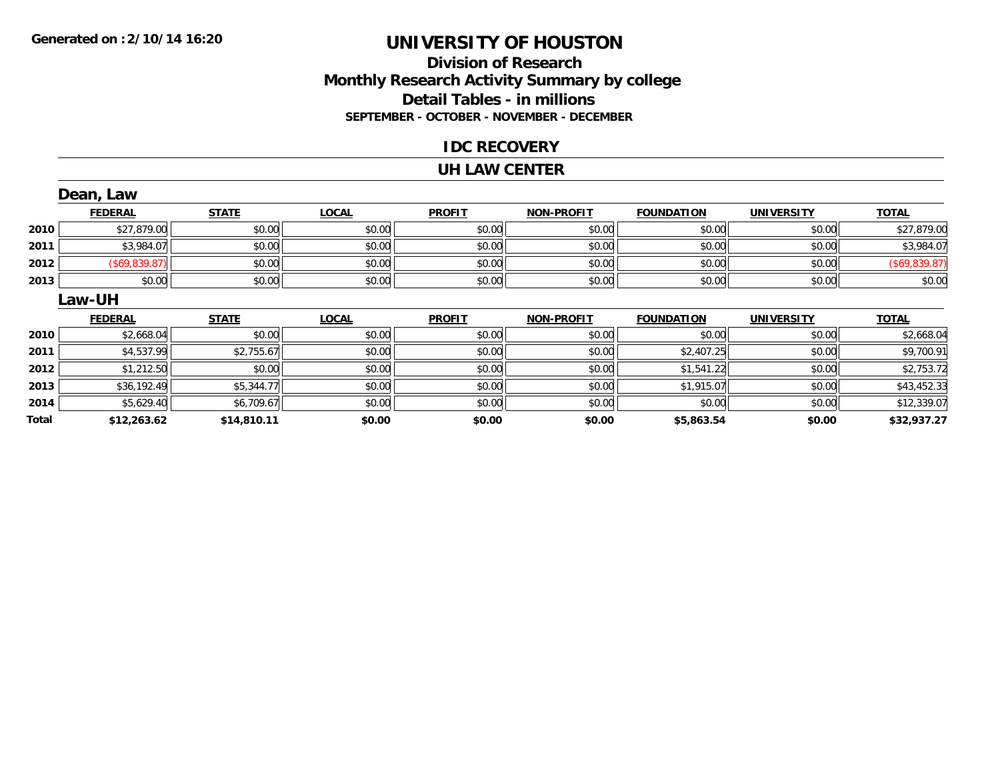### **Division of Research Monthly Research Activity Summary by college Detail Tables - in millions SEPTEMBER - OCTOBER - NOVEMBER - DECEMBER**

### **IDC RECOVERY**

#### **UH LAW CENTER**

|       | Dean, Law      |              |              |               |                   |                   |                   |               |
|-------|----------------|--------------|--------------|---------------|-------------------|-------------------|-------------------|---------------|
|       | <b>FEDERAL</b> | <b>STATE</b> | <b>LOCAL</b> | <b>PROFIT</b> | <b>NON-PROFIT</b> | <b>FOUNDATION</b> | <b>UNIVERSITY</b> | <b>TOTAL</b>  |
| 2010  | \$27,879.00    | \$0.00       | \$0.00       | \$0.00        | \$0.00            | \$0.00            | \$0.00            | \$27,879.00   |
| 2011  | \$3,984.07     | \$0.00       | \$0.00       | \$0.00        | \$0.00            | \$0.00            | \$0.00            | \$3,984.07    |
| 2012  | (\$69,839.87)  | \$0.00       | \$0.00       | \$0.00        | \$0.00            | \$0.00            | \$0.00            | (\$69,839.87) |
| 2013  | \$0.00         | \$0.00       | \$0.00       | \$0.00        | \$0.00            | \$0.00            | \$0.00            | \$0.00        |
|       | <b>Law-UH</b>  |              |              |               |                   |                   |                   |               |
|       | <b>FEDERAL</b> | <b>STATE</b> | <b>LOCAL</b> | <b>PROFIT</b> | <b>NON-PROFIT</b> | <b>FOUNDATION</b> | <b>UNIVERSITY</b> | <b>TOTAL</b>  |
| 2010  | \$2,668.04     | \$0.00       | \$0.00       | \$0.00        | \$0.00            | \$0.00            | \$0.00            | \$2,668.04    |
| 2011  | \$4,537.99     | \$2,755.67   | \$0.00       | \$0.00        | \$0.00            | \$2,407.25        | \$0.00            | \$9,700.91    |
| 2012  | \$1,212.50     | \$0.00       | \$0.00       | \$0.00        | \$0.00            | \$1,541.22        | \$0.00            | \$2,753.72    |
| 2013  | \$36,192.49    | \$5,344.77   | \$0.00       | \$0.00        | \$0.00            | \$1,915.07        | \$0.00            | \$43,452.33   |
| 2014  | \$5,629.40     | \$6,709.67   | \$0.00       | \$0.00        | \$0.00            | \$0.00            | \$0.00            | \$12,339.07   |
| Total | \$12,263.62    | \$14,810.11  | \$0.00       | \$0.00        | \$0.00            | \$5,863.54        | \$0.00            | \$32,937.27   |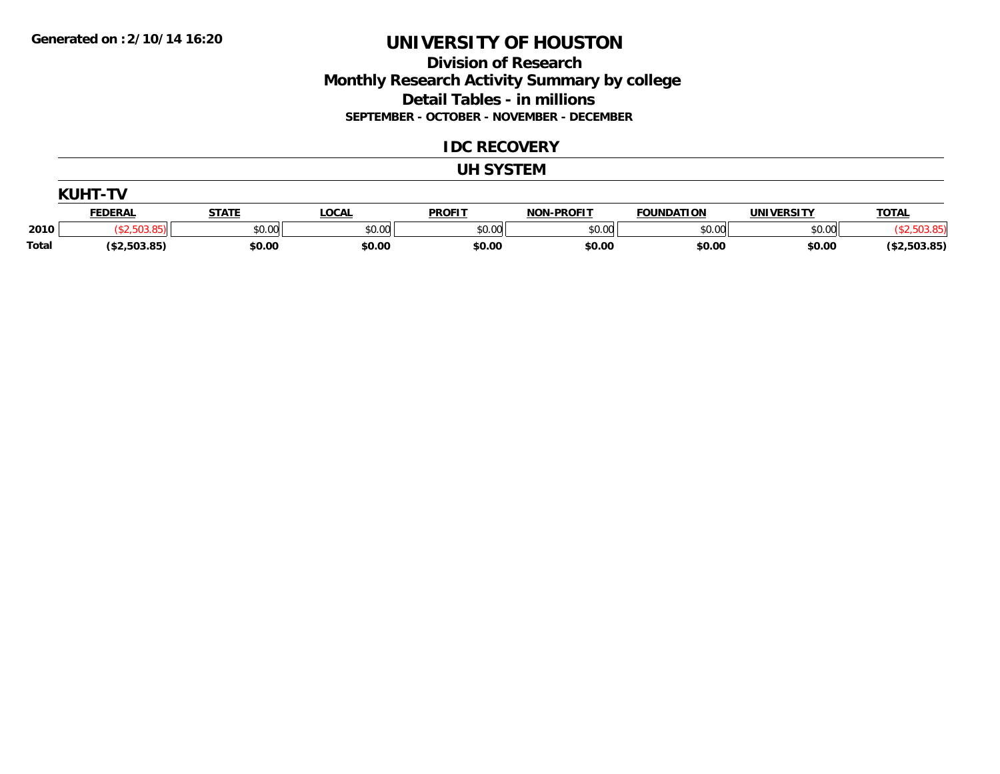### **Division of Research Monthly Research Activity Summary by college Detail Tables - in millions SEPTEMBER - OCTOBER - NOVEMBER - DECEMBER**

#### **IDC RECOVERY**

#### **UH SYSTEM**

|              | KUHT-          |              |        |               |                   |                   |                   |                     |
|--------------|----------------|--------------|--------|---------------|-------------------|-------------------|-------------------|---------------------|
|              | <b>FEDERAL</b> | <b>STATE</b> | LOCAL  | <b>PROFIT</b> | <b>NON-PROFIT</b> | <b>FOUNDATION</b> | <b>UNIVERSITY</b> | <b>TOTAL</b>        |
| 2010         |                | \$0.00       | \$0.00 | \$0.00        | \$0.00            | \$0.00            | \$0.00            |                     |
| <b>Total</b> | (\$2,503.85)   | \$0.00       | \$0.00 | \$0.00        | \$0.00            | \$0.00            | \$0.00            | (\$2,503.85)<br>イセつ |